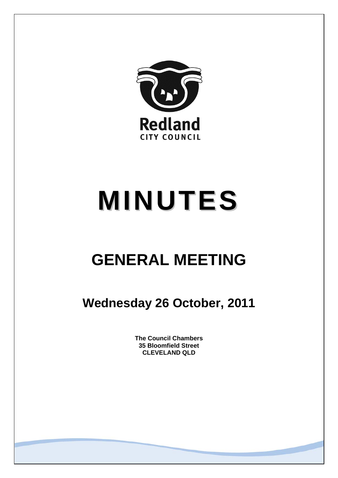

# **MINUTES**

# **GENERAL MEETING**

**Wednesday 26 October, 2011** 

**The Council Chambers 35 Bloomfield Street CLEVELAND QLD**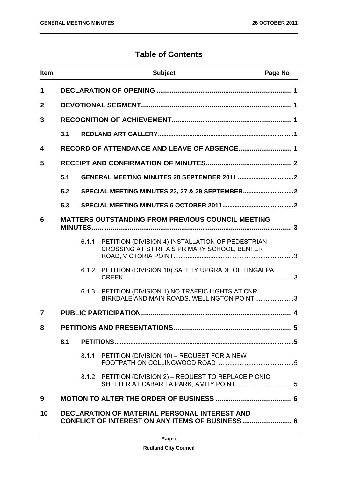# **Table of Contents**

| <b>Item</b>  |                                                                                                                |       | <b>Subject</b>                                                                                      | Page No |
|--------------|----------------------------------------------------------------------------------------------------------------|-------|-----------------------------------------------------------------------------------------------------|---------|
| 1            |                                                                                                                |       |                                                                                                     |         |
| $\mathbf{2}$ |                                                                                                                |       |                                                                                                     |         |
| 3            |                                                                                                                |       |                                                                                                     |         |
|              | 3.1                                                                                                            |       |                                                                                                     |         |
| 4            |                                                                                                                |       |                                                                                                     |         |
| 5            |                                                                                                                |       |                                                                                                     |         |
|              | 5.1                                                                                                            |       |                                                                                                     |         |
|              | 5.2                                                                                                            |       |                                                                                                     |         |
|              | 5.3                                                                                                            |       |                                                                                                     |         |
| 6            |                                                                                                                |       | <b>MATTERS OUTSTANDING FROM PREVIOUS COUNCIL MEETING</b>                                            |         |
|              |                                                                                                                | 6.1.1 | PETITION (DIVISION 4) INSTALLATION OF PEDESTRIAN<br>CROSSING AT ST RITA'S PRIMARY SCHOOL, BENFER    |         |
|              |                                                                                                                |       | 6.1.2 PETITION (DIVISION 10) SAFETY UPGRADE OF TINGALPA                                             |         |
|              |                                                                                                                |       | 6.1.3 PETITION (DIVISION 1) NO TRAFFIC LIGHTS AT CNR<br>BIRKDALE AND MAIN ROADS, WELLINGTON POINT 3 |         |
| 7            |                                                                                                                |       |                                                                                                     |         |
| 8            |                                                                                                                |       |                                                                                                     |         |
|              | 8.1                                                                                                            |       |                                                                                                     |         |
|              |                                                                                                                |       | 8.1.1 PETITION (DIVISION 10) - REQUEST FOR A NEW                                                    |         |
|              |                                                                                                                |       | 8.1.2 PETITION (DIVISION 2) - REQUEST TO REPLACE PICNIC                                             |         |
| 9            |                                                                                                                |       |                                                                                                     |         |
| 10           | <b>DECLARATION OF MATERIAL PERSONAL INTEREST AND</b><br><b>CONFLICT OF INTEREST ON ANY ITEMS OF BUSINESS 6</b> |       |                                                                                                     |         |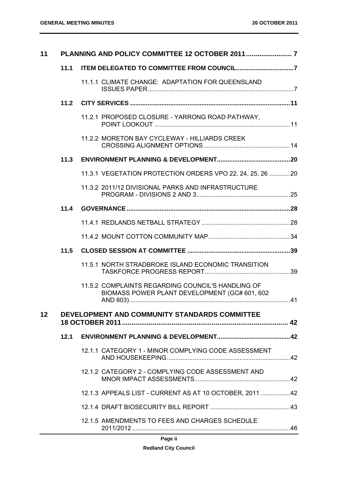| 11              |      |                                                                                                    |  |
|-----------------|------|----------------------------------------------------------------------------------------------------|--|
|                 | 11.1 |                                                                                                    |  |
|                 |      | 11.1.1 CLIMATE CHANGE: ADAPTATION FOR QUEENSLAND                                                   |  |
|                 | 11.2 |                                                                                                    |  |
|                 |      | 11.2.1 PROPOSED CLOSURE - YARRONG ROAD PATHWAY,                                                    |  |
|                 |      | 11.2.2 MORETON BAY CYCLEWAY - HILLIARDS CREEK                                                      |  |
|                 | 11.3 |                                                                                                    |  |
|                 |      | 11.3.1 VEGETATION PROTECTION ORDERS VPO 22, 24, 25, 26 20                                          |  |
|                 |      | 11.3.2 2011/12 DIVISIONAL PARKS AND INFRASTRUCTURE                                                 |  |
|                 | 11.4 |                                                                                                    |  |
|                 |      |                                                                                                    |  |
|                 |      |                                                                                                    |  |
|                 | 11.5 |                                                                                                    |  |
|                 |      | 11.5.1 NORTH STRADBROKE ISLAND ECONOMIC TRANSITION                                                 |  |
|                 |      | 11.5.2 COMPLAINTS REGARDING COUNCIL'S HANDLING OF<br>BIOMASS POWER PLANT DEVELOPMENT (GC# 601, 602 |  |
| 12 <sup>°</sup> |      | DEVELOPMENT AND COMMUNITY STANDARDS COMMITTEE                                                      |  |
|                 | 12.1 |                                                                                                    |  |
|                 |      | 12.1.1 CATEGORY 1 - MINOR COMPLYING CODE ASSESSMENT                                                |  |
|                 |      | 12.1.2 CATEGORY 2 - COMPLYING CODE ASSESSMENT AND                                                  |  |
|                 |      | 12.1.3 APPEALS LIST - CURRENT AS AT 10 OCTOBER, 2011  42                                           |  |
|                 |      |                                                                                                    |  |
|                 |      | 12.1.5 AMENDMENTS TO FEES AND CHARGES SCHEDULE                                                     |  |

# **Page ii**

#### **Redland City Council**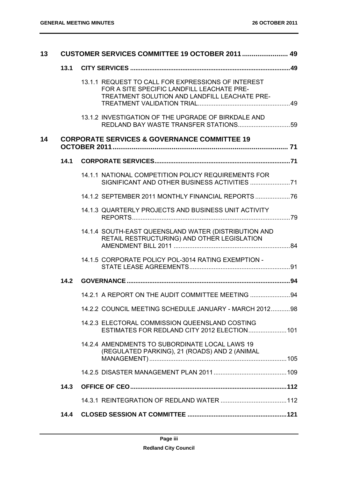| 13 |      | CUSTOMER SERVICES COMMITTEE 19 OCTOBER 2011  49                                                                                                   |  |  |
|----|------|---------------------------------------------------------------------------------------------------------------------------------------------------|--|--|
|    | 13.1 |                                                                                                                                                   |  |  |
|    |      | 13.1.1 REQUEST TO CALL FOR EXPRESSIONS OF INTEREST<br>FOR A SITE SPECIFIC LANDFILL LEACHATE PRE-<br>TREATMENT SOLUTION AND LANDFILL LEACHATE PRE- |  |  |
|    |      | 13.1.2 INVESTIGATION OF THE UPGRADE OF BIRKDALE AND                                                                                               |  |  |
| 14 |      | <b>CORPORATE SERVICES &amp; GOVERNANCE COMMITTEE 19</b>                                                                                           |  |  |
|    | 14.1 |                                                                                                                                                   |  |  |
|    |      | 14.1.1 NATIONAL COMPETITION POLICY REQUIREMENTS FOR                                                                                               |  |  |
|    |      | 14.1.2 SEPTEMBER 2011 MONTHLY FINANCIAL REPORTS  76                                                                                               |  |  |
|    |      | 14.1.3 QUARTERLY PROJECTS AND BUSINESS UNIT ACTIVITY                                                                                              |  |  |
|    |      | 14.1.4 SOUTH-EAST QUEENSLAND WATER (DISTRIBUTION AND<br>RETAIL RESTRUCTURING) AND OTHER LEGISLATION                                               |  |  |
|    |      | 14.1.5 CORPORATE POLICY POL-3014 RATING EXEMPTION -                                                                                               |  |  |
|    | 14.2 |                                                                                                                                                   |  |  |
|    |      | 14.2.1 A REPORT ON THE AUDIT COMMITTEE MEETING 94                                                                                                 |  |  |
|    |      | 14.2.2 COUNCIL MEETING SCHEDULE JANUARY - MARCH 201298                                                                                            |  |  |
|    |      | 14.2.3 ELECTORAL COMMISSION QUEENSLAND COSTING<br>ESTIMATES FOR REDLAND CITY 2012 ELECTION 101                                                    |  |  |
|    |      | 14.2.4 AMENDMENTS TO SUBORDINATE LOCAL LAWS 19<br>(REGULATED PARKING), 21 (ROADS) AND 2 (ANIMAL                                                   |  |  |
|    |      |                                                                                                                                                   |  |  |
|    | 14.3 |                                                                                                                                                   |  |  |
|    |      |                                                                                                                                                   |  |  |
|    | 14.4 |                                                                                                                                                   |  |  |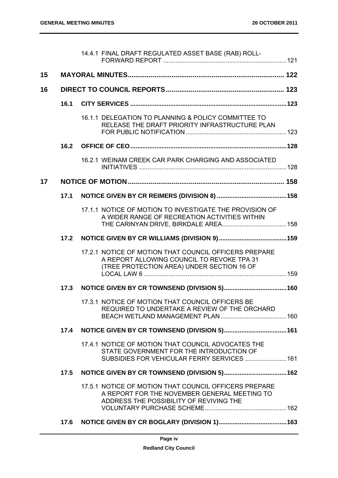|    |      | 14.4.1 FINAL DRAFT REGULATED ASSET BASE (RAB) ROLL-                                                                                               |  |
|----|------|---------------------------------------------------------------------------------------------------------------------------------------------------|--|
| 15 |      |                                                                                                                                                   |  |
| 16 |      |                                                                                                                                                   |  |
|    | 16.1 |                                                                                                                                                   |  |
|    |      | 16.1.1 DELEGATION TO PLANNING & POLICY COMMITTEE TO<br>RELEASE THE DRAFT PRIORITY INFRASTRUCTURE PLAN                                             |  |
|    | 16.2 |                                                                                                                                                   |  |
|    |      | 16.2.1 WEINAM CREEK CAR PARK CHARGING AND ASSOCIATED                                                                                              |  |
| 17 |      |                                                                                                                                                   |  |
|    | 17.1 |                                                                                                                                                   |  |
|    |      | 17.1.1 NOTICE OF MOTION TO INVESTIGATE THE PROVISION OF<br>A WIDER RANGE OF RECREATION ACTIVITIES WITHIN                                          |  |
|    | 17.2 |                                                                                                                                                   |  |
|    |      | 17.2.1 NOTICE OF MOTION THAT COUNCIL OFFICERS PREPARE<br>A REPORT ALLOWING COUNCIL TO REVOKE TPA 31<br>(TREE PROTECTION AREA) UNDER SECTION 16 OF |  |
|    | 17.3 |                                                                                                                                                   |  |
|    |      | 17.3.1 NOTICE OF MOTION THAT COUNCIL OFFICERS BE<br>REQUIRED TO UNDERTAKE A REVIEW OF THE ORCHARD                                                 |  |
|    | 17.4 |                                                                                                                                                   |  |
|    |      | 17.4.1 NOTICE OF MOTION THAT COUNCIL ADVOCATES THE<br>STATE GOVERNMENT FOR THE INTRODUCTION OF<br>SUBSIDIES FOR VEHICULAR FERRY SERVICES  161     |  |
|    | 17.5 |                                                                                                                                                   |  |
|    |      | 17.5.1 NOTICE OF MOTION THAT COUNCIL OFFICERS PREPARE<br>A REPORT FOR THE NOVEMBER GENERAL MEETING TO<br>ADDRESS THE POSSIBILITY OF REVIVING THE  |  |
|    | 17.6 |                                                                                                                                                   |  |
|    |      |                                                                                                                                                   |  |

**Page iv**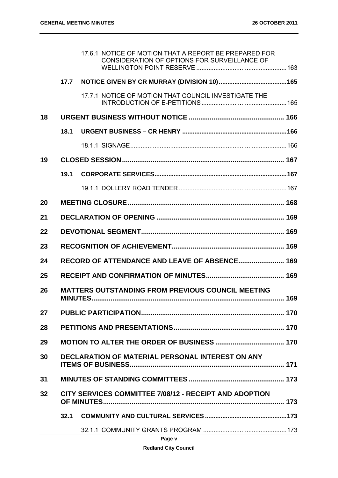|    |                                                          | 17.6.1 NOTICE OF MOTION THAT A REPORT BE PREPARED FOR<br>CONSIDERATION OF OPTIONS FOR SURVEILLANCE OF |  |
|----|----------------------------------------------------------|-------------------------------------------------------------------------------------------------------|--|
|    | 17.7                                                     |                                                                                                       |  |
|    |                                                          | 17.7.1 NOTICE OF MOTION THAT COUNCIL INVESTIGATE THE                                                  |  |
| 18 |                                                          |                                                                                                       |  |
|    | 18.1                                                     |                                                                                                       |  |
|    |                                                          |                                                                                                       |  |
| 19 |                                                          |                                                                                                       |  |
|    | 19.1                                                     |                                                                                                       |  |
|    |                                                          |                                                                                                       |  |
| 20 |                                                          |                                                                                                       |  |
| 21 |                                                          |                                                                                                       |  |
| 22 |                                                          |                                                                                                       |  |
| 23 |                                                          |                                                                                                       |  |
| 24 | RECORD OF ATTENDANCE AND LEAVE OF ABSENCE 169            |                                                                                                       |  |
| 25 |                                                          |                                                                                                       |  |
| 26 | <b>MATTERS OUTSTANDING FROM PREVIOUS COUNCIL MEETING</b> |                                                                                                       |  |
| 27 |                                                          |                                                                                                       |  |
| 28 |                                                          |                                                                                                       |  |
| 29 |                                                          |                                                                                                       |  |
| 30 | DECLARATION OF MATERIAL PERSONAL INTEREST ON ANY         |                                                                                                       |  |
| 31 |                                                          |                                                                                                       |  |
| 32 |                                                          | <b>CITY SERVICES COMMITTEE 7/08/12 - RECEIPT AND ADOPTION</b>                                         |  |
|    | 32.1                                                     |                                                                                                       |  |
|    |                                                          | Page v                                                                                                |  |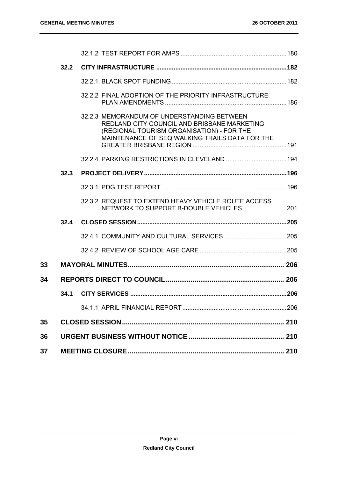|    | 32.2 |                                                                                                                                                                                          |  |
|----|------|------------------------------------------------------------------------------------------------------------------------------------------------------------------------------------------|--|
|    |      |                                                                                                                                                                                          |  |
|    |      | 32.2.2 FINAL ADOPTION OF THE PRIORITY INFRASTRUCTURE                                                                                                                                     |  |
|    |      | 32.2.3 MEMORANDUM OF UNDERSTANDING BETWEEN<br>REDLAND CITY COUNCIL AND BRISBANE MARKETING<br>(REGIONAL TOURISM ORGANISATION) - FOR THE<br>MAINTENANCE OF SEQ WALKING TRAILS DATA FOR THE |  |
|    |      |                                                                                                                                                                                          |  |
|    | 32.3 |                                                                                                                                                                                          |  |
|    |      |                                                                                                                                                                                          |  |
|    |      | 32.3.2 REQUEST TO EXTEND HEAVY VEHICLE ROUTE ACCESS                                                                                                                                      |  |
|    | 32.4 |                                                                                                                                                                                          |  |
|    |      |                                                                                                                                                                                          |  |
|    |      |                                                                                                                                                                                          |  |
| 33 |      |                                                                                                                                                                                          |  |
| 34 |      |                                                                                                                                                                                          |  |
|    | 34.1 |                                                                                                                                                                                          |  |
|    |      |                                                                                                                                                                                          |  |
| 35 |      |                                                                                                                                                                                          |  |
| 36 |      |                                                                                                                                                                                          |  |
| 37 |      |                                                                                                                                                                                          |  |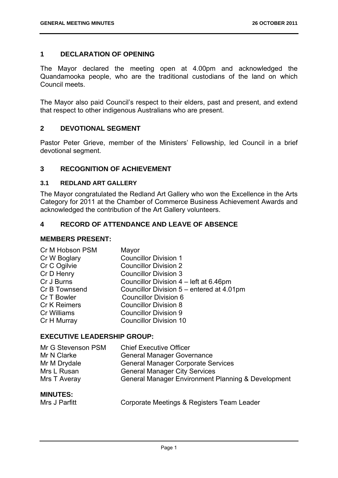# **1 DECLARATION OF OPENING**

The Mayor declared the meeting open at 4.00pm and acknowledged the Quandamooka people, who are the traditional custodians of the land on which Council meets.

The Mayor also paid Council's respect to their elders, past and present, and extend that respect to other indigenous Australians who are present.

# **2 DEVOTIONAL SEGMENT**

Pastor Peter Grieve, member of the Ministers' Fellowship, led Council in a brief devotional segment.

# **3 RECOGNITION OF ACHIEVEMENT**

#### **3.1 REDLAND ART GALLERY**

The Mayor congratulated the Redland Art Gallery who won the Excellence in the Arts Category for 2011 at the Chamber of Commerce Business Achievement Awards and acknowledged the contribution of the Art Gallery volunteers.

# **4 RECORD OF ATTENDANCE AND LEAVE OF ABSENCE**

#### **MEMBERS PRESENT:**

| Cr M Hobson PSM     | Mayor                                     |
|---------------------|-------------------------------------------|
| Cr W Boglary        | <b>Councillor Division 1</b>              |
| Cr C Ogilvie        | <b>Councillor Division 2</b>              |
| Cr D Henry          | <b>Councillor Division 3</b>              |
| Cr J Burns          | Councillor Division 4 - left at 6.46pm    |
| Cr B Townsend       | Councillor Division 5 – entered at 4.01pm |
| Cr T Bowler         | <b>Councillor Division 6</b>              |
| <b>Cr K Reimers</b> | <b>Councillor Division 8</b>              |
| Cr Williams         | <b>Councillor Division 9</b>              |
| Cr H Murray         | <b>Councillor Division 10</b>             |

# **EXECUTIVE LEADERSHIP GROUP:**

| Mr G Stevenson PSM | <b>Chief Executive Officer</b>                     |
|--------------------|----------------------------------------------------|
| Mr N Clarke        | <b>General Manager Governance</b>                  |
| Mr M Drydale       | <b>General Manager Corporate Services</b>          |
| Mrs L Rusan        | <b>General Manager City Services</b>               |
| Mrs T Averay       | General Manager Environment Planning & Development |
|                    |                                                    |

#### **MINUTES:**  Mrs J Parfitt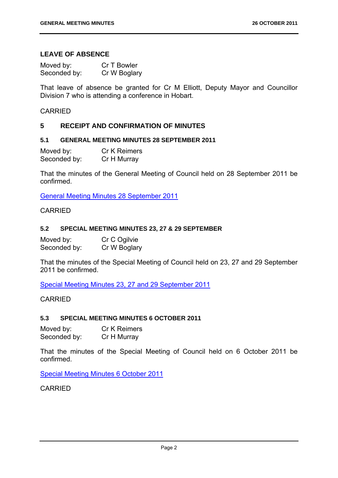# **LEAVE OF ABSENCE**

| Moved by:    | Cr T Bowler  |
|--------------|--------------|
| Seconded by: | Cr W Boglary |

That leave of absence be granted for Cr M Elliott, Deputy Mayor and Councillor Division 7 who is attending a conference in Hobart.

#### CARRIED

# **5 RECEIPT AND CONFIRMATION OF MINUTES**

## **5.1 GENERAL MEETING MINUTES 28 SEPTEMBER 2011**

Moved by: Cr K Reimers Seconded by: Cr H Murray

That the minutes of the General Meeting of Council held on 28 September 2011 be confirmed.

General Meeting Minutes 28 September 2011

# CARRIED

#### **5.2 SPECIAL MEETING MINUTES 23, 27 & 29 SEPTEMBER**

| Moved by:    | Cr C Ogilvie |
|--------------|--------------|
| Seconded by: | Cr W Boglary |

That the minutes of the Special Meeting of Council held on 23, 27 and 29 September 2011 be confirmed.

Special Meeting Minutes 23, 27 and 29 September 2011

#### CARRIED

#### **5.3 SPECIAL MEETING MINUTES 6 OCTOBER 2011**

| Moved by:    | <b>Cr K Reimers</b> |
|--------------|---------------------|
| Seconded by: | Cr H Murray         |

That the minutes of the Special Meeting of Council held on 6 October 2011 be confirmed.

Special Meeting Minutes 6 October 2011

CARRIED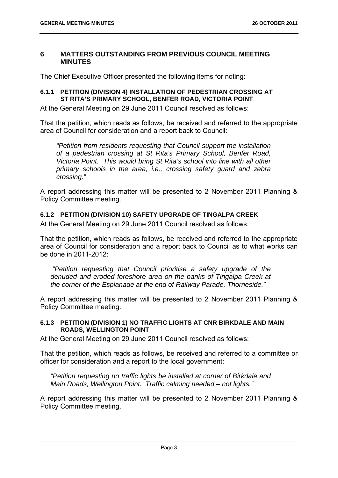#### **6 MATTERS OUTSTANDING FROM PREVIOUS COUNCIL MEETING MINUTES**

The Chief Executive Officer presented the following items for noting:

#### **6.1.1 PETITION (DIVISION 4) INSTALLATION OF PEDESTRIAN CROSSING AT ST RITA'S PRIMARY SCHOOL, BENFER ROAD, VICTORIA POINT**

At the General Meeting on 29 June 2011 Council resolved as follows:

That the petition, which reads as follows, be received and referred to the appropriate area of Council for consideration and a report back to Council:

*"Petition from residents requesting that Council support the installation of a pedestrian crossing at St Rita's Primary School, Benfer Road, Victoria Point. This would bring St Rita's school into line with all other primary schools in the area, i.e., crossing safety guard and zebra crossing."* 

A report addressing this matter will be presented to 2 November 2011 Planning & Policy Committee meeting.

# **6.1.2 PETITION (DIVISION 10) SAFETY UPGRADE OF TINGALPA CREEK**

At the General Meeting on 29 June 2011 Council resolved as follows:

That the petition, which reads as follows, be received and referred to the appropriate area of Council for consideration and a report back to Council as to what works can be done in 2011-2012:

 *"Petition requesting that Council prioritise a safety upgrade of the denuded and eroded foreshore area on the banks of Tingalpa Creek at the corner of the Esplanade at the end of Railway Parade, Thorneside."* 

A report addressing this matter will be presented to 2 November 2011 Planning & Policy Committee meeting.

# **6.1.3 PETITION (DIVISION 1) NO TRAFFIC LIGHTS AT CNR BIRKDALE AND MAIN ROADS, WELLINGTON POINT**

At the General Meeting on 29 June 2011 Council resolved as follows:

That the petition, which reads as follows, be received and referred to a committee or officer for consideration and a report to the local government:

*"Petition requesting no traffic lights be installed at corner of Birkdale and Main Roads, Wellington Point. Traffic calming needed – not lights."* 

A report addressing this matter will be presented to 2 November 2011 Planning & Policy Committee meeting.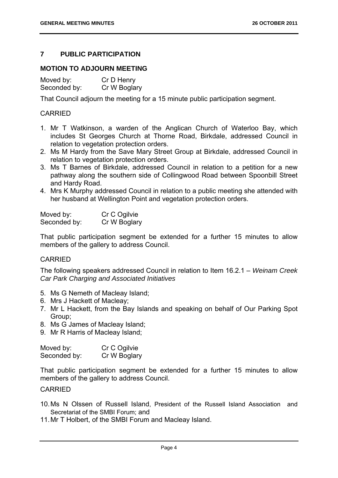# **7 PUBLIC PARTICIPATION**

# **MOTION TO ADJOURN MEETING**

Moved by: Cr D Henry Seconded by: Cr W Boglary

That Council adjourn the meeting for a 15 minute public participation segment.

# CARRIED

- 1. Mr T Watkinson, a warden of the Anglican Church of Waterloo Bay, which includes St Georges Church at Thorne Road, Birkdale, addressed Council in relation to vegetation protection orders.
- 2. Ms M Hardy from the Save Mary Street Group at Birkdale, addressed Council in relation to vegetation protection orders.
- 3. Ms T Barnes of Birkdale, addressed Council in relation to a petition for a new pathway along the southern side of Collingwood Road between Spoonbill Street and Hardy Road.
- 4. Mrs K Murphy addressed Council in relation to a public meeting she attended with her husband at Wellington Point and vegetation protection orders.

| Moved by:    | Cr C Ogilvie |
|--------------|--------------|
| Seconded by: | Cr W Boglary |

That public participation segment be extended for a further 15 minutes to allow members of the gallery to address Council.

# CARRIED

The following speakers addressed Council in relation to Item 16.2.1 – *Weinam Creek Car Park Charging and Associated Initiatives*

- 5. Ms G Nemeth of Macleay Island;
- 6. Mrs J Hackett of Macleay;
- 7. Mr L Hackett, from the Bay Islands and speaking on behalf of Our Parking Spot Group;
- 8. Ms G James of Macleay Island;
- 9. Mr R Harris of Macleay Island;

| Moved by:    | Cr C Ogilvie |
|--------------|--------------|
| Seconded by: | Cr W Boglary |

That public participation segment be extended for a further 15 minutes to allow members of the gallery to address Council.

#### CARRIED

- 10. Ms N Olssen of Russell Island, President of the Russell Island Association and Secretariat of the SMBI Forum; and
- 11. Mr T Holbert, of the SMBI Forum and Macleay Island.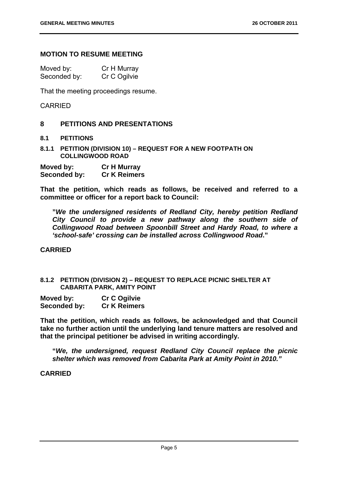# **MOTION TO RESUME MEETING**

| Moved by:    | Cr H Murray  |
|--------------|--------------|
| Seconded by: | Cr C Ogilvie |

That the meeting proceedings resume.

#### CARRIED

#### **8 PETITIONS AND PRESENTATIONS**

#### **8.1 PETITIONS**

**8.1.1 PETITION (DIVISION 10) – REQUEST FOR A NEW FOOTPATH ON COLLINGWOOD ROAD** 

| Moved by:    | <b>Cr H Murray</b>  |
|--------------|---------------------|
| Seconded by: | <b>Cr K Reimers</b> |

**That the petition, which reads as follows, be received and referred to a committee or officer for a report back to Council:** 

**"***We the undersigned residents of Redland City, hereby petition Redland City Council to provide a new pathway along the southern side of Collingwood Road between Spoonbill Street and Hardy Road, to where a 'school-safe' crossing can be installed across Collingwood Road***."** 

#### **CARRIED**

#### **8.1.2 PETITION (DIVISION 2) – REQUEST TO REPLACE PICNIC SHELTER AT CABARITA PARK, AMITY POINT**

| Moved by:    | <b>Cr C Ogilvie</b> |
|--------------|---------------------|
| Seconded by: | <b>Cr K Reimers</b> |

**That the petition, which reads as follows, be acknowledged and that Council take no further action until the underlying land tenure matters are resolved and that the principal petitioner be advised in writing accordingly.** 

**"***We, the undersigned, request Redland City Council replace the picnic shelter which was removed from Cabarita Park at Amity Point in 2010."* 

#### **CARRIED**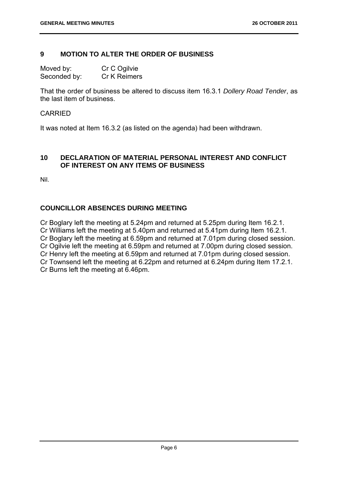# **9 MOTION TO ALTER THE ORDER OF BUSINESS**

Moved by: Cr C Ogilvie Seconded by: Cr K Reimers

That the order of business be altered to discuss item 16.3.1 *Dollery Road Tender*, as the last item of business.

# **CARRIED**

It was noted at Item 16.3.2 (as listed on the agenda) had been withdrawn.

# **10 DECLARATION OF MATERIAL PERSONAL INTEREST AND CONFLICT OF INTEREST ON ANY ITEMS OF BUSINESS**

Nil.

# **COUNCILLOR ABSENCES DURING MEETING**

Cr Boglary left the meeting at 5.24pm and returned at 5.25pm during Item 16.2.1. Cr Williams left the meeting at 5.40pm and returned at 5.41pm during Item 16.2.1. Cr Boglary left the meeting at 6.59pm and returned at 7.01pm during closed session. Cr Ogilvie left the meeting at 6.59pm and returned at 7.00pm during closed session. Cr Henry left the meeting at 6.59pm and returned at 7.01pm during closed session. Cr Townsend left the meeting at 6.22pm and returned at 6.24pm during Item 17.2.1. Cr Burns left the meeting at 6.46pm.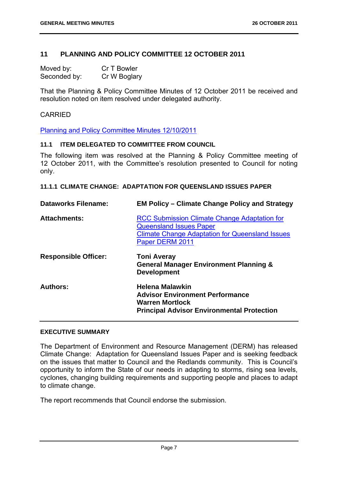# **11 PLANNING AND POLICY COMMITTEE 12 OCTOBER 2011**

| Moved by:    | Cr T Bowler  |
|--------------|--------------|
| Seconded by: | Cr W Boglary |

That the Planning & Policy Committee Minutes of 12 October 2011 be received and resolution noted on item resolved under delegated authority.

#### CARRIED

Planning and Policy Committee Minutes 12/10/2011

#### **11.1 ITEM DELEGATED TO COMMITTEE FROM COUNCIL**

The following item was resolved at the Planning & Policy Committee meeting of 12 October 2011, with the Committee's resolution presented to Council for noting only.

**11.1.1 CLIMATE CHANGE: ADAPTATION FOR QUEENSLAND ISSUES PAPER** 

| <b>Dataworks Filename:</b>  | <b>EM Policy – Climate Change Policy and Strategy</b>                                                                                                              |
|-----------------------------|--------------------------------------------------------------------------------------------------------------------------------------------------------------------|
| <b>Attachments:</b>         | <b>RCC Submission Climate Change Adaptation for</b><br><b>Queensland Issues Paper</b><br><b>Climate Change Adaptation for Queensland Issues</b><br>Paper DERM 2011 |
| <b>Responsible Officer:</b> | <b>Toni Averay</b><br><b>General Manager Environment Planning &amp;</b><br><b>Development</b>                                                                      |
| <b>Authors:</b>             | <b>Helena Malawkin</b><br><b>Advisor Environment Performance</b><br><b>Warren Mortlock</b><br><b>Principal Advisor Environmental Protection</b>                    |

#### **EXECUTIVE SUMMARY**

The Department of Environment and Resource Management (DERM) has released Climate Change: Adaptation for Queensland Issues Paper and is seeking feedback on the issues that matter to Council and the Redlands community. This is Council's opportunity to inform the State of our needs in adapting to storms, rising sea levels, cyclones, changing building requirements and supporting people and places to adapt to climate change.

The report recommends that Council endorse the submission.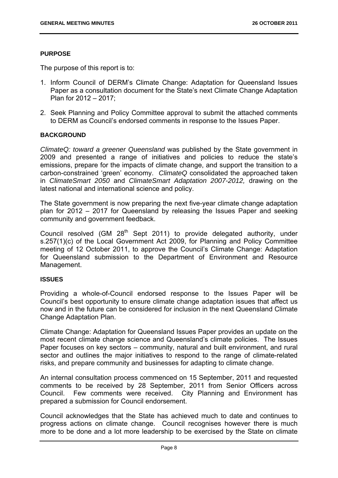#### **PURPOSE**

The purpose of this report is to:

- 1. Inform Council of DERM's Climate Change: Adaptation for Queensland Issues Paper as a consultation document for the State's next Climate Change Adaptation Plan for 2012 – 2017;
- 2. Seek Planning and Policy Committee approval to submit the attached comments to DERM as Council's endorsed comments in response to the Issues Paper.

# **BACKGROUND**

*ClimateQ: toward a greener Queensland* was published by the State government in 2009 and presented a range of initiatives and policies to reduce the state's emissions, prepare for the impacts of climate change, and support the transition to a carbon-constrained 'green' economy. *ClimateQ* consolidated the approached taken in *ClimateSmart 2050* and *ClimateSmart Adaptation 2007-2012,* drawing on the latest national and international science and policy.

The State government is now preparing the next five-year climate change adaptation plan for 2012 – 2017 for Queensland by releasing the Issues Paper and seeking community and government feedback.

Council resolved (GM  $28<sup>th</sup>$  Sept 2011) to provide delegated authority, under s.257(1)(c) of the Local Government Act 2009, for Planning and Policy Committee meeting of 12 October 2011, to approve the Council's Climate Change: Adaptation for Queensland submission to the Department of Environment and Resource Management.

#### **ISSUES**

Providing a whole-of-Council endorsed response to the Issues Paper will be Council's best opportunity to ensure climate change adaptation issues that affect us now and in the future can be considered for inclusion in the next Queensland Climate Change Adaptation Plan.

Climate Change: Adaptation for Queensland Issues Paper provides an update on the most recent climate change science and Queensland's climate policies. The Issues Paper focuses on key sectors – community, natural and built environment, and rural sector and outlines the major initiatives to respond to the range of climate-related risks, and prepare community and businesses for adapting to climate change.

An internal consultation process commenced on 15 September, 2011 and requested comments to be received by 28 September, 2011 from Senior Officers across Council. Few comments were received. City Planning and Environment has prepared a submission for Council endorsement.

Council acknowledges that the State has achieved much to date and continues to progress actions on climate change. Council recognises however there is much more to be done and a lot more leadership to be exercised by the State on climate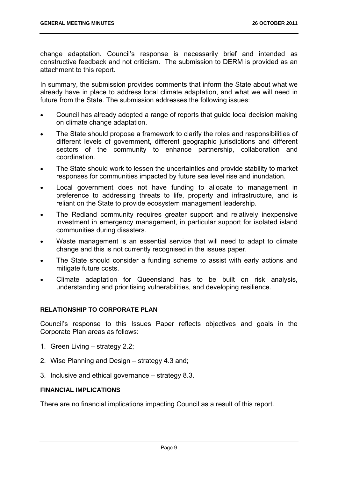change adaptation. Council's response is necessarily brief and intended as constructive feedback and not criticism. The submission to DERM is provided as an attachment to this report.

In summary, the submission provides comments that inform the State about what we already have in place to address local climate adaptation, and what we will need in future from the State. The submission addresses the following issues:

- Council has already adopted a range of reports that guide local decision making on climate change adaptation.
- The State should propose a framework to clarify the roles and responsibilities of different levels of government, different geographic jurisdictions and different sectors of the community to enhance partnership, collaboration and coordination.
- The State should work to lessen the uncertainties and provide stability to market responses for communities impacted by future sea level rise and inundation.
- Local government does not have funding to allocate to management in preference to addressing threats to life, property and infrastructure, and is reliant on the State to provide ecosystem management leadership.
- The Redland community requires greater support and relatively inexpensive investment in emergency management, in particular support for isolated island communities during disasters.
- Waste management is an essential service that will need to adapt to climate change and this is not currently recognised in the issues paper.
- The State should consider a funding scheme to assist with early actions and mitigate future costs.
- Climate adaptation for Queensland has to be built on risk analysis, understanding and prioritising vulnerabilities, and developing resilience.

# **RELATIONSHIP TO CORPORATE PLAN**

Council's response to this Issues Paper reflects objectives and goals in the Corporate Plan areas as follows:

- 1. Green Living strategy 2.2;
- 2. Wise Planning and Design strategy 4.3 and;
- 3. Inclusive and ethical governance strategy 8.3.

## **FINANCIAL IMPLICATIONS**

There are no financial implications impacting Council as a result of this report.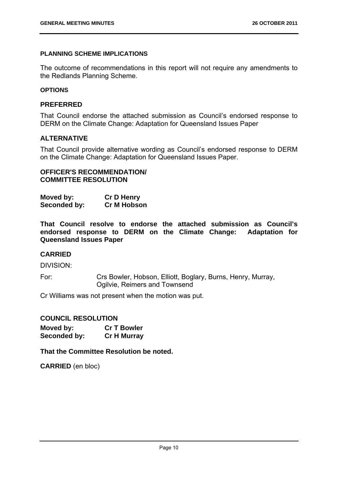# **PLANNING SCHEME IMPLICATIONS**

The outcome of recommendations in this report will not require any amendments to the Redlands Planning Scheme.

#### **OPTIONS**

# **PREFERRED**

That Council endorse the attached submission as Council's endorsed response to DERM on the Climate Change: Adaptation for Queensland Issues Paper

# **ALTERNATIVE**

That Council provide alternative wording as Council's endorsed response to DERM on the Climate Change: Adaptation for Queensland Issues Paper.

# **OFFICER'S RECOMMENDATION/ COMMITTEE RESOLUTION**

| Moved by:    | <b>Cr D Henry</b> |
|--------------|-------------------|
| Seconded by: | Cr M Hobson       |

**That Council resolve to endorse the attached submission as Council's endorsed response to DERM on the Climate Change: Adaptation for Queensland Issues Paper** 

#### **CARRIED**

DIVISION:

For: Crs Bowler, Hobson, Elliott, Boglary, Burns, Henry, Murray, Ogilvie, Reimers and Townsend

Cr Williams was not present when the motion was put.

# **COUNCIL RESOLUTION**

| Moved by:    | <b>Cr T Bowler</b> |
|--------------|--------------------|
| Seconded by: | <b>Cr H Murray</b> |

**That the Committee Resolution be noted.** 

**CARRIED** (en bloc)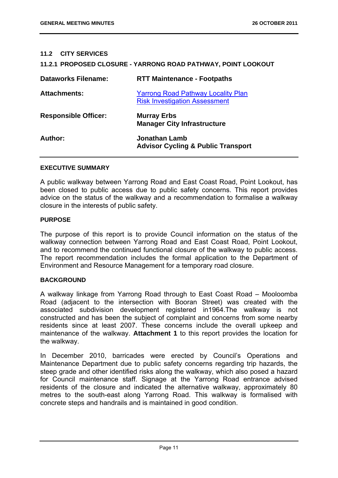#### **11.2 CITY SERVICES**

#### **11.2.1 PROPOSED CLOSURE - YARRONG ROAD PATHWAY, POINT LOOKOUT**

| <b>Dataworks Filename:</b>  | <b>RTT Maintenance - Footpaths</b>                                                |
|-----------------------------|-----------------------------------------------------------------------------------|
| <b>Attachments:</b>         | <b>Yarrong Road Pathway Locality Plan</b><br><b>Risk Investigation Assessment</b> |
| <b>Responsible Officer:</b> | <b>Murray Erbs</b><br><b>Manager City Infrastructure</b>                          |
| Author:                     | Jonathan Lamb<br><b>Advisor Cycling &amp; Public Transport</b>                    |

#### **EXECUTIVE SUMMARY**

A public walkway between Yarrong Road and East Coast Road, Point Lookout, has been closed to public access due to public safety concerns. This report provides advice on the status of the walkway and a recommendation to formalise a walkway closure in the interests of public safety.

#### **PURPOSE**

The purpose of this report is to provide Council information on the status of the walkway connection between Yarrong Road and East Coast Road, Point Lookout, and to recommend the continued functional closure of the walkway to public access. The report recommendation includes the formal application to the Department of Environment and Resource Management for a temporary road closure.

#### **BACKGROUND**

A walkway linkage from Yarrong Road through to East Coast Road – Mooloomba Road (adjacent to the intersection with Booran Street) was created with the associated subdivision development registered in1964.The walkway is not constructed and has been the subject of complaint and concerns from some nearby residents since at least 2007. These concerns include the overall upkeep and maintenance of the walkway. **Attachment 1** to this report provides the location for the walkway.

In December 2010, barricades were erected by Council's Operations and Maintenance Department due to public safety concerns regarding trip hazards, the steep grade and other identified risks along the walkway, which also posed a hazard for Council maintenance staff. Signage at the Yarrong Road entrance advised residents of the closure and indicated the alternative walkway, approximately 80 metres to the south-east along Yarrong Road. This walkway is formalised with concrete steps and handrails and is maintained in good condition.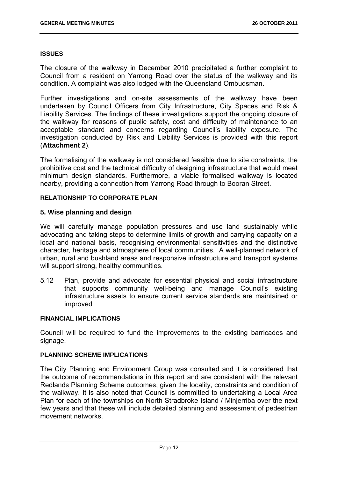#### **ISSUES**

The closure of the walkway in December 2010 precipitated a further complaint to Council from a resident on Yarrong Road over the status of the walkway and its condition. A complaint was also lodged with the Queensland Ombudsman.

Further investigations and on-site assessments of the walkway have been undertaken by Council Officers from City Infrastructure, City Spaces and Risk & Liability Services. The findings of these investigations support the ongoing closure of the walkway for reasons of public safety, cost and difficulty of maintenance to an acceptable standard and concerns regarding Council's liability exposure. The investigation conducted by Risk and Liability Services is provided with this report (**Attachment 2**).

The formalising of the walkway is not considered feasible due to site constraints, the prohibitive cost and the technical difficulty of designing infrastructure that would meet minimum design standards. Furthermore, a viable formalised walkway is located nearby, providing a connection from Yarrong Road through to Booran Street.

#### **RELATIONSHIP TO CORPORATE PLAN**

#### **5. Wise planning and design**

We will carefully manage population pressures and use land sustainably while advocating and taking steps to determine limits of growth and carrying capacity on a local and national basis, recognising environmental sensitivities and the distinctive character, heritage and atmosphere of local communities. A well-planned network of urban, rural and bushland areas and responsive infrastructure and transport systems will support strong, healthy communities.

5.12 Plan, provide and advocate for essential physical and social infrastructure that supports community well-being and manage Council's existing infrastructure assets to ensure current service standards are maintained or improved

#### **FINANCIAL IMPLICATIONS**

Council will be required to fund the improvements to the existing barricades and signage.

#### **PLANNING SCHEME IMPLICATIONS**

The City Planning and Environment Group was consulted and it is considered that the outcome of recommendations in this report and are consistent with the relevant Redlands Planning Scheme outcomes, given the locality, constraints and condition of the walkway. It is also noted that Council is committed to undertaking a Local Area Plan for each of the townships on North Stradbroke Island / Minjerriba over the next few years and that these will include detailed planning and assessment of pedestrian movement networks.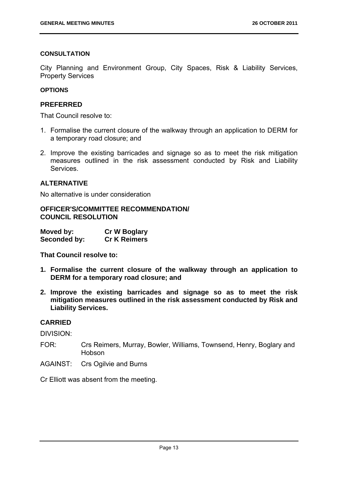#### **CONSULTATION**

City Planning and Environment Group, City Spaces, Risk & Liability Services, Property Services

# **OPTIONS**

#### **PREFERRED**

That Council resolve to:

- 1. Formalise the current closure of the walkway through an application to DERM for a temporary road closure; and
- 2. Improve the existing barricades and signage so as to meet the risk mitigation measures outlined in the risk assessment conducted by Risk and Liability Services.

# **ALTERNATIVE**

No alternative is under consideration

**OFFICER'S/COMMITTEE RECOMMENDATION/ COUNCIL RESOLUTION** 

| Moved by:    | <b>Cr W Boglary</b> |
|--------------|---------------------|
| Seconded by: | <b>Cr K Reimers</b> |

**That Council resolve to:** 

- **1. Formalise the current closure of the walkway through an application to DERM for a temporary road closure; and**
- **2. Improve the existing barricades and signage so as to meet the risk mitigation measures outlined in the risk assessment conducted by Risk and Liability Services.**

# **CARRIED**

DIVISION:

- FOR: Crs Reimers, Murray, Bowler, Williams, Townsend, Henry, Boglary and Hobson
- AGAINST: Crs Ogilvie and Burns

Cr Elliott was absent from the meeting.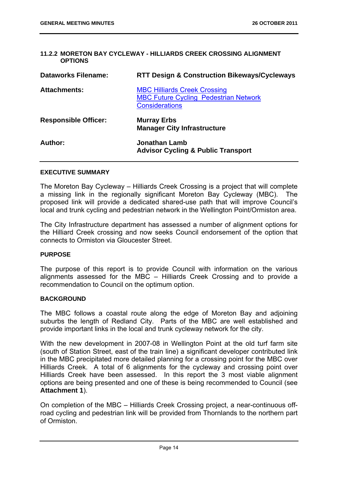#### **11.2.2 MORETON BAY CYCLEWAY - HILLIARDS CREEK CROSSING ALIGNMENT OPTIONS**

| <b>Dataworks Filename:</b>  | <b>RTT Design &amp; Construction Bikeways/Cycleways</b>                                                      |
|-----------------------------|--------------------------------------------------------------------------------------------------------------|
| <b>Attachments:</b>         | <b>MBC Hilliards Creek Crossing</b><br><b>MBC Future Cycling Pedestrian Network</b><br><b>Considerations</b> |
| <b>Responsible Officer:</b> | <b>Murray Erbs</b><br><b>Manager City Infrastructure</b>                                                     |
| Author:                     | <b>Jonathan Lamb</b>                                                                                         |

#### **EXECUTIVE SUMMARY**

The Moreton Bay Cycleway – Hilliards Creek Crossing is a project that will complete a missing link in the regionally significant Moreton Bay Cycleway (MBC). The proposed link will provide a dedicated shared-use path that will improve Council's local and trunk cycling and pedestrian network in the Wellington Point/Ormiston area.

The City Infrastructure department has assessed a number of alignment options for the Hilliard Creek crossing and now seeks Council endorsement of the option that connects to Ormiston via Gloucester Street.

#### **PURPOSE**

The purpose of this report is to provide Council with information on the various alignments assessed for the MBC – Hilliards Creek Crossing and to provide a recommendation to Council on the optimum option.

#### **BACKGROUND**

The MBC follows a coastal route along the edge of Moreton Bay and adjoining suburbs the length of Redland City. Parts of the MBC are well established and provide important links in the local and trunk cycleway network for the city.

With the new development in 2007-08 in Wellington Point at the old turf farm site (south of Station Street, east of the train line) a significant developer contributed link in the MBC precipitated more detailed planning for a crossing point for the MBC over Hilliards Creek. A total of 6 alignments for the cycleway and crossing point over Hilliards Creek have been assessed. In this report the 3 most viable alignment options are being presented and one of these is being recommended to Council (see **Attachment 1**).

On completion of the MBC – Hilliards Creek Crossing project, a near-continuous offroad cycling and pedestrian link will be provided from Thornlands to the northern part of Ormiston.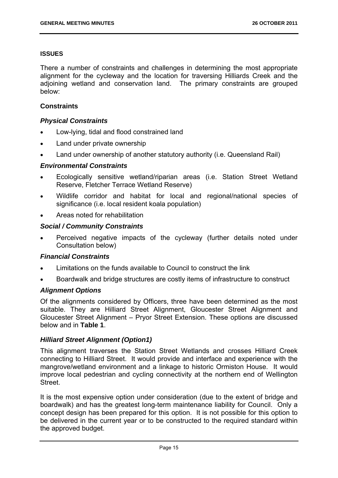#### **ISSUES**

There a number of constraints and challenges in determining the most appropriate alignment for the cycleway and the location for traversing Hilliards Creek and the adjoining wetland and conservation land. The primary constraints are grouped below:

#### **Constraints**

#### *Physical Constraints*

- Low-lying, tidal and flood constrained land
- Land under private ownership
- Land under ownership of another statutory authority (i.e. Queensland Rail)

# *Environmental Constraints*

- Ecologically sensitive wetland/riparian areas (i.e. Station Street Wetland Reserve, Fletcher Terrace Wetland Reserve)
- Wildlife corridor and habitat for local and regional/national species of significance (i.e. local resident koala population)
- Areas noted for rehabilitation

#### *Social / Community Constraints*

 Perceived negative impacts of the cycleway (further details noted under Consultation below)

#### *Financial Constraints*

- Limitations on the funds available to Council to construct the link
- Boardwalk and bridge structures are costly items of infrastructure to construct

#### *Alignment Options*

Of the alignments considered by Officers, three have been determined as the most suitable. They are Hilliard Street Alignment, Gloucester Street Alignment and Gloucester Street Alignment – Pryor Street Extension. These options are discussed below and in **Table 1**.

#### *Hilliard Street Alignment (Option1)*

This alignment traverses the Station Street Wetlands and crosses Hilliard Creek connecting to Hilliard Street. It would provide and interface and experience with the mangrove/wetland environment and a linkage to historic Ormiston House. It would improve local pedestrian and cycling connectivity at the northern end of Wellington Street.

It is the most expensive option under consideration (due to the extent of bridge and boardwalk) and has the greatest long-term maintenance liability for Council. Only a concept design has been prepared for this option. It is not possible for this option to be delivered in the current year or to be constructed to the required standard within the approved budget.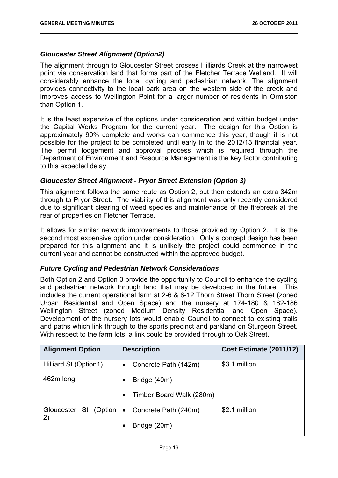# *Gloucester Street Alignment (Option2)*

The alignment through to Gloucester Street crosses Hilliards Creek at the narrowest point via conservation land that forms part of the Fletcher Terrace Wetland. It will considerably enhance the local cycling and pedestrian network. The alignment provides connectivity to the local park area on the western side of the creek and improves access to Wellington Point for a larger number of residents in Ormiston than Option 1.

It is the least expensive of the options under consideration and within budget under the Capital Works Program for the current year. The design for this Option is approximately 90% complete and works can commence this year, though it is not possible for the project to be completed until early in to the 2012/13 financial year. The permit lodgement and approval process which is required through the Department of Environment and Resource Management is the key factor contributing to this expected delay.

# *Gloucester Street Alignment - Pryor Street Extension (Option 3)*

This alignment follows the same route as Option 2, but then extends an extra 342m through to Pryor Street. The viability of this alignment was only recently considered due to significant clearing of weed species and maintenance of the firebreak at the rear of properties on Fletcher Terrace.

It allows for similar network improvements to those provided by Option 2. It is the second most expensive option under consideration. Only a concept design has been prepared for this alignment and it is unlikely the project could commence in the current year and cannot be constructed within the approved budget.

#### *Future Cycling and Pedestrian Network Considerations*

Both Option 2 and Option 3 provide the opportunity to Council to enhance the cycling and pedestrian network through land that may be developed in the future. This includes the current operational farm at 2-6 & 8-12 Thorn Street Thorn Street (zoned Urban Residential and Open Space) and the nursery at 174-180 & 182-186 Wellington Street (zoned Medium Density Residential and Open Space). Development of the nursery lots would enable Council to connect to existing trails and paths which link through to the sports precinct and parkland on Sturgeon Street. With respect to the farm lots, a link could be provided through to Oak Street.

| <b>Alignment Option</b>        | <b>Description</b>                    | Cost Estimate (2011/12) |
|--------------------------------|---------------------------------------|-------------------------|
| Hilliard St (Option1)          | Concrete Path (142m)<br>$\bullet$     | \$3.1 million           |
| 462m long                      | Bridge (40m)                          |                         |
|                                | Timber Board Walk (280m)<br>$\bullet$ |                         |
| Gloucester<br>St (Option<br>2) | Concrete Path (240m)<br>$\bullet$     | \$2.1 million           |
|                                | Bridge (20m)                          |                         |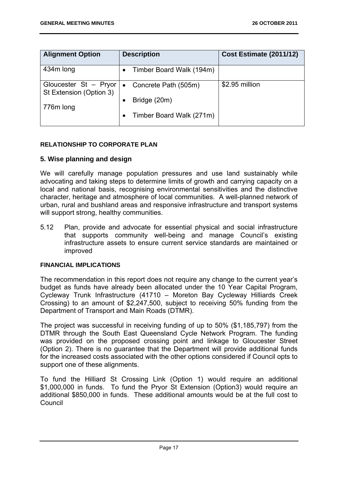| <b>Alignment Option</b>                          | <b>Description</b>                | Cost Estimate (2011/12) |
|--------------------------------------------------|-----------------------------------|-------------------------|
| 434m long                                        | Timber Board Walk (194m)          |                         |
| Gloucester St - Pryor<br>St Extension (Option 3) | Concrete Path (505m)<br>$\bullet$ | \$2.95 million          |
| 776m long                                        | Bridge (20m)                      |                         |
|                                                  | Timber Board Walk (271m)          |                         |

# **RELATIONSHIP TO CORPORATE PLAN**

# **5. Wise planning and design**

We will carefully manage population pressures and use land sustainably while advocating and taking steps to determine limits of growth and carrying capacity on a local and national basis, recognising environmental sensitivities and the distinctive character, heritage and atmosphere of local communities. A well-planned network of urban, rural and bushland areas and responsive infrastructure and transport systems will support strong, healthy communities.

5.12 Plan, provide and advocate for essential physical and social infrastructure that supports community well-being and manage Council's existing infrastructure assets to ensure current service standards are maintained or improved

#### **FINANCIAL IMPLICATIONS**

The recommendation in this report does not require any change to the current year's budget as funds have already been allocated under the 10 Year Capital Program, Cycleway Trunk Infrastructure (41710 – Moreton Bay Cycleway Hilliards Creek Crossing) to an amount of \$2,247,500, subject to receiving 50% funding from the Department of Transport and Main Roads (DTMR).

The project was successful in receiving funding of up to 50% (\$1,185,797) from the DTMR through the South East Queensland Cycle Network Program. The funding was provided on the proposed crossing point and linkage to Gloucester Street (Option 2). There is no guarantee that the Department will provide additional funds for the increased costs associated with the other options considered if Council opts to support one of these alignments.

To fund the Hilliard St Crossing Link (Option 1) would require an additional \$1,000,000 in funds. To fund the Pryor St Extension (Option3) would require an additional \$850,000 in funds. These additional amounts would be at the full cost to Council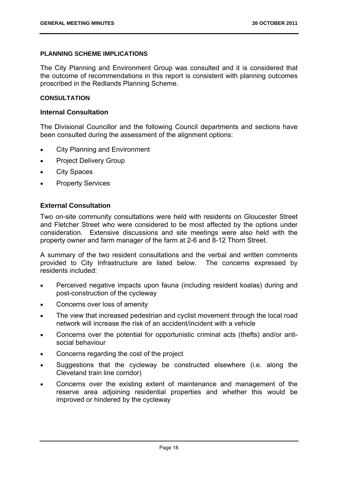#### **PLANNING SCHEME IMPLICATIONS**

The City Planning and Environment Group was consulted and it is considered that the outcome of recommendations in this report is consistent with planning outcomes proscribed in the Redlands Planning Scheme.

#### **CONSULTATION**

#### **Internal Consultation**

The Divisional Councillor and the following Council departments and sections have been consulted during the assessment of the alignment options:

- City Planning and Environment
- Project Delivery Group
- City Spaces
- Property Services

# **External Consultation**

Two on-site community consultations were held with residents on Gloucester Street and Fletcher Street who were considered to be most affected by the options under consideration. Extensive discussions and site meetings were also held with the property owner and farm manager of the farm at 2-6 and 8-12 Thorn Street.

A summary of the two resident consultations and the verbal and written comments provided to City Infrastructure are listed below. The concerns expressed by residents included:

- Perceived negative impacts upon fauna (including resident koalas) during and post-construction of the cycleway
- Concerns over loss of amenity
- The view that increased pedestrian and cyclist movement through the local road network will increase the risk of an accident/incident with a vehicle
- Concerns over the potential for opportunistic criminal acts (thefts) and/or antisocial behaviour
- Concerns regarding the cost of the project
- Suggestions that the cycleway be constructed elsewhere (i.e. along the Cleveland train line corridor)
- Concerns over the existing extent of maintenance and management of the reserve area adjoining residential properties and whether this would be improved or hindered by the cycleway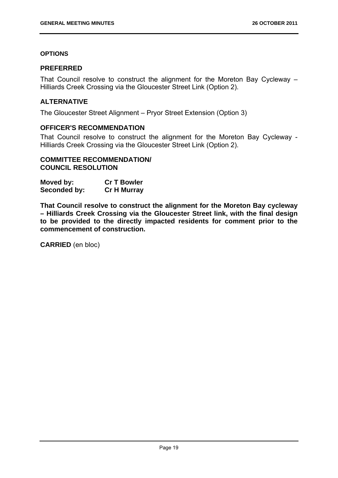#### **OPTIONS**

#### **PREFERRED**

That Council resolve to construct the alignment for the Moreton Bay Cycleway – Hilliards Creek Crossing via the Gloucester Street Link (Option 2).

# **ALTERNATIVE**

The Gloucester Street Alignment – Pryor Street Extension (Option 3)

# **OFFICER'S RECOMMENDATION**

That Council resolve to construct the alignment for the Moreton Bay Cycleway - Hilliards Creek Crossing via the Gloucester Street Link (Option 2).

# **COMMITTEE RECOMMENDATION/ COUNCIL RESOLUTION**

| Moved by:    | <b>Cr T Bowler</b> |
|--------------|--------------------|
| Seconded by: | <b>Cr H Murray</b> |

**That Council resolve to construct the alignment for the Moreton Bay cycleway – Hilliards Creek Crossing via the Gloucester Street link, with the final design to be provided to the directly impacted residents for comment prior to the commencement of construction.** 

**CARRIED** (en bloc)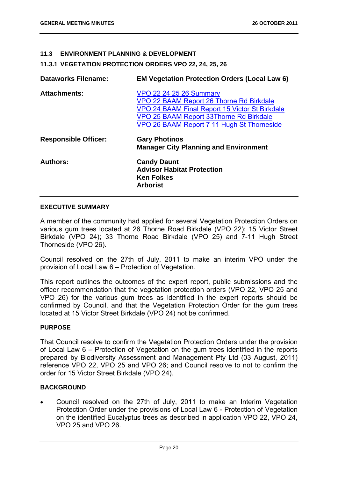#### **11.3 ENVIRONMENT PLANNING & DEVELOPMENT**

**11.3.1 VEGETATION PROTECTION ORDERS VPO 22, 24, 25, 26** 

| <b>Dataworks Filename:</b>  | <b>EM Vegetation Protection Orders (Local Law 6)</b>                                                                                                                                                                         |
|-----------------------------|------------------------------------------------------------------------------------------------------------------------------------------------------------------------------------------------------------------------------|
| <b>Attachments:</b>         | <b>VPO 22 24 25 26 Summary</b><br>VPO 22 BAAM Report 26 Thorne Rd Birkdale<br><b>VPO 24 BAAM Final Report 15 Victor St Birkdale</b><br>VPO 25 BAAM Report 33Thorne Rd Birkdale<br>VPO 26 BAAM Report 7 11 Hugh St Thorneside |
| <b>Responsible Officer:</b> | <b>Gary Photinos</b><br><b>Manager City Planning and Environment</b>                                                                                                                                                         |
| <b>Authors:</b>             | <b>Candy Daunt</b><br><b>Advisor Habitat Protection</b><br><b>Ken Folkes</b><br><b>Arborist</b>                                                                                                                              |

#### **EXECUTIVE SUMMARY**

A member of the community had applied for several Vegetation Protection Orders on various gum trees located at 26 Thorne Road Birkdale (VPO 22); 15 Victor Street Birkdale (VPO 24); 33 Thorne Road Birkdale (VPO 25) and 7-11 Hugh Street Thorneside (VPO 26).

Council resolved on the 27th of July, 2011 to make an interim VPO under the provision of Local Law 6 – Protection of Vegetation.

This report outlines the outcomes of the expert report, public submissions and the officer recommendation that the vegetation protection orders (VPO 22, VPO 25 and VPO 26) for the various gum trees as identified in the expert reports should be confirmed by Council, and that the Vegetation Protection Order for the gum trees located at 15 Victor Street Birkdale (VPO 24) not be confirmed.

# **PURPOSE**

That Council resolve to confirm the Vegetation Protection Orders under the provision of Local Law 6 – Protection of Vegetation on the gum trees identified in the reports prepared by Biodiversity Assessment and Management Pty Ltd (03 August, 2011) reference VPO 22, VPO 25 and VPO 26; and Council resolve to not to confirm the order for 15 Victor Street Birkdale (VPO 24).

#### **BACKGROUND**

 Council resolved on the 27th of July, 2011 to make an Interim Vegetation Protection Order under the provisions of Local Law 6 - Protection of Vegetation on the identified Eucalyptus trees as described in application VPO 22, VPO 24, VPO 25 and VPO 26.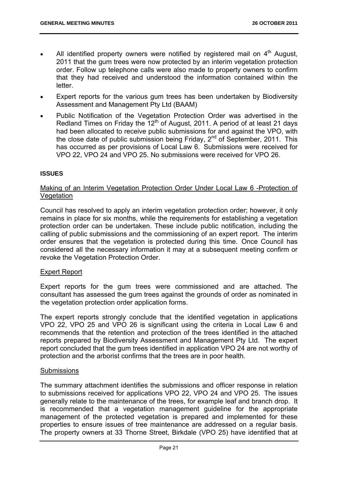- All identified property owners were notified by registered mail on  $4<sup>th</sup>$  August, 2011 that the gum trees were now protected by an interim vegetation protection order. Follow up telephone calls were also made to property owners to confirm that they had received and understood the information contained within the letter.
- Expert reports for the various gum trees has been undertaken by Biodiversity Assessment and Management Pty Ltd (BAAM)
- Public Notification of the Vegetation Protection Order was advertised in the Redland Times on Friday the  $12<sup>th</sup>$  of August, 2011. A period of at least 21 days had been allocated to receive public submissions for and against the VPO, with the close date of public submission being Friday,  $2^{nd}$  of September, 2011. This has occurred as per provisions of Local Law 6. Submissions were received for VPO 22, VPO 24 and VPO 25. No submissions were received for VPO 26.

#### **ISSUES**

# Making of an Interim Vegetation Protection Order Under Local Law 6 -Protection of **Vegetation**

Council has resolved to apply an interim vegetation protection order; however, it only remains in place for six months, while the requirements for establishing a vegetation protection order can be undertaken. These include public notification, including the calling of public submissions and the commissioning of an expert report. The interim order ensures that the vegetation is protected during this time. Once Council has considered all the necessary information it may at a subsequent meeting confirm or revoke the Vegetation Protection Order.

#### Expert Report

Expert reports for the gum trees were commissioned and are attached. The consultant has assessed the gum trees against the grounds of order as nominated in the vegetation protection order application forms.

The expert reports strongly conclude that the identified vegetation in applications VPO 22, VPO 25 and VPO 26 is significant using the criteria in Local Law 6 and recommends that the retention and protection of the trees identified in the attached reports prepared by Biodiversity Assessment and Management Pty Ltd. The expert report concluded that the gum trees identified in application VPO 24 are not worthy of protection and the arborist confirms that the trees are in poor health.

#### **Submissions**

The summary attachment identifies the submissions and officer response in relation to submissions received for applications VPO 22, VPO 24 and VPO 25. The issues generally relate to the maintenance of the trees, for example leaf and branch drop. It is recommended that a vegetation management guideline for the appropriate management of the protected vegetation is prepared and implemented for these properties to ensure issues of tree maintenance are addressed on a regular basis. The property owners at 33 Thorne Street, Birkdale (VPO 25) have identified that at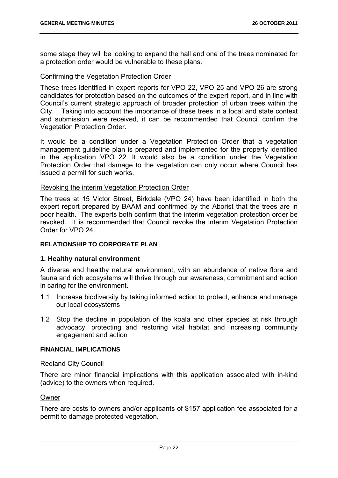some stage they will be looking to expand the hall and one of the trees nominated for a protection order would be vulnerable to these plans.

# Confirming the Vegetation Protection Order

These trees identified in expert reports for VPO 22, VPO 25 and VPO 26 are strong candidates for protection based on the outcomes of the expert report, and in line with Council's current strategic approach of broader protection of urban trees within the City. Taking into account the importance of these trees in a local and state context and submission were received, it can be recommended that Council confirm the Vegetation Protection Order.

It would be a condition under a Vegetation Protection Order that a vegetation management guideline plan is prepared and implemented for the property identified in the application VPO 22. It would also be a condition under the Vegetation Protection Order that damage to the vegetation can only occur where Council has issued a permit for such works.

#### Revoking the interim Vegetation Protection Order

The trees at 15 Victor Street, Birkdale (VPO 24) have been identified in both the expert report prepared by BAAM and confirmed by the Aborist that the trees are in poor health. The experts both confirm that the interim vegetation protection order be revoked. It is recommended that Council revoke the interim Vegetation Protection Order for VPO 24.

#### **RELATIONSHIP TO CORPORATE PLAN**

#### **1. Healthy natural environment**

A diverse and healthy natural environment, with an abundance of native flora and fauna and rich ecosystems will thrive through our awareness, commitment and action in caring for the environment.

- 1.1 Increase biodiversity by taking informed action to protect, enhance and manage our local ecosystems
- 1.2 Stop the decline in population of the koala and other species at risk through advocacy, protecting and restoring vital habitat and increasing community engagement and action

#### **FINANCIAL IMPLICATIONS**

#### Redland City Council

There are minor financial implications with this application associated with in-kind (advice) to the owners when required.

#### Owner

There are costs to owners and/or applicants of \$157 application fee associated for a permit to damage protected vegetation.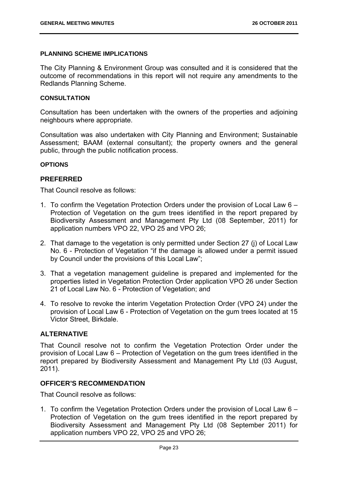#### **PLANNING SCHEME IMPLICATIONS**

The City Planning & Environment Group was consulted and it is considered that the outcome of recommendations in this report will not require any amendments to the Redlands Planning Scheme.

#### **CONSULTATION**

Consultation has been undertaken with the owners of the properties and adjoining neighbours where appropriate.

Consultation was also undertaken with City Planning and Environment; Sustainable Assessment; BAAM (external consultant); the property owners and the general public, through the public notification process.

#### **OPTIONS**

#### **PREFERRED**

That Council resolve as follows:

- 1. To confirm the Vegetation Protection Orders under the provision of Local Law 6 Protection of Vegetation on the gum trees identified in the report prepared by Biodiversity Assessment and Management Pty Ltd (08 September, 2011) for application numbers VPO 22, VPO 25 and VPO 26;
- 2. That damage to the vegetation is only permitted under Section 27 (j) of Local Law No. 6 - Protection of Vegetation "if the damage is allowed under a permit issued by Council under the provisions of this Local Law";
- 3. That a vegetation management guideline is prepared and implemented for the properties listed in Vegetation Protection Order application VPO 26 under Section 21 of Local Law No. 6 - Protection of Vegetation; and
- 4. To resolve to revoke the interim Vegetation Protection Order (VPO 24) under the provision of Local Law 6 - Protection of Vegetation on the gum trees located at 15 Victor Street, Birkdale.

#### **ALTERNATIVE**

That Council resolve not to confirm the Vegetation Protection Order under the provision of Local Law 6 – Protection of Vegetation on the gum trees identified in the report prepared by Biodiversity Assessment and Management Pty Ltd (03 August, 2011).

#### **OFFICER'S RECOMMENDATION**

That Council resolve as follows:

1. To confirm the Vegetation Protection Orders under the provision of Local Law 6 – Protection of Vegetation on the gum trees identified in the report prepared by Biodiversity Assessment and Management Pty Ltd (08 September 2011) for application numbers VPO 22, VPO 25 and VPO 26;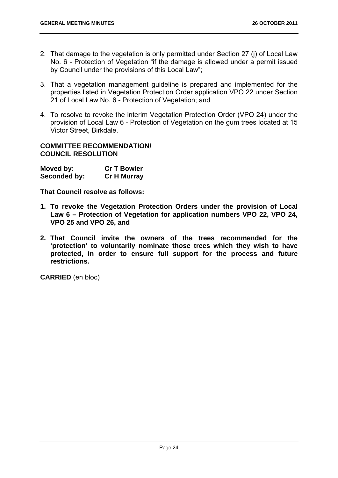- 2. That damage to the vegetation is only permitted under Section 27 (j) of Local Law No. 6 - Protection of Vegetation "if the damage is allowed under a permit issued by Council under the provisions of this Local Law";
- 3. That a vegetation management guideline is prepared and implemented for the properties listed in Vegetation Protection Order application VPO 22 under Section 21 of Local Law No. 6 - Protection of Vegetation; and
- 4. To resolve to revoke the interim Vegetation Protection Order (VPO 24) under the provision of Local Law 6 - Protection of Vegetation on the gum trees located at 15 Victor Street, Birkdale.

# **COMMITTEE RECOMMENDATION/ COUNCIL RESOLUTION**

| Moved by:    | <b>Cr T Bowler</b> |
|--------------|--------------------|
| Seconded by: | <b>Cr H Murray</b> |

**That Council resolve as follows:** 

- **1. To revoke the Vegetation Protection Orders under the provision of Local Law 6 – Protection of Vegetation for application numbers VPO 22, VPO 24, VPO 25 and VPO 26, and**
- **2. That Council invite the owners of the trees recommended for the 'protection' to voluntarily nominate those trees which they wish to have protected, in order to ensure full support for the process and future restrictions.**

**CARRIED** (en bloc)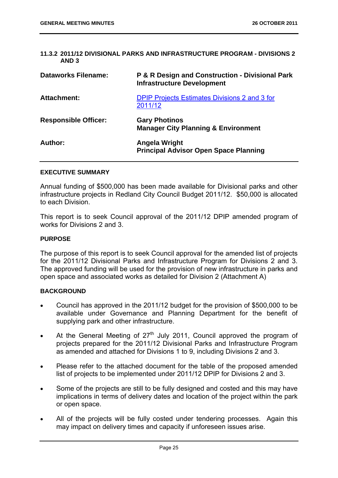|       | 11.3.2 2011/12 DIVISIONAL PARKS AND INFRASTRUCTURE PROGRAM - DIVISIONS 2 |  |
|-------|--------------------------------------------------------------------------|--|
| AND 3 |                                                                          |  |

| <b>Dataworks Filename:</b>  | <b>P &amp; R Design and Construction - Divisional Park</b><br><b>Infrastructure Development</b> |
|-----------------------------|-------------------------------------------------------------------------------------------------|
| <b>Attachment:</b>          | <b>DPIP Projects Estimates Divisions 2 and 3 for</b><br>2011/12                                 |
| <b>Responsible Officer:</b> | <b>Gary Photinos</b><br><b>Manager City Planning &amp; Environment</b>                          |
| Author:                     | Angela Wright<br><b>Principal Advisor Open Space Planning</b>                                   |

#### **EXECUTIVE SUMMARY**

Annual funding of \$500,000 has been made available for Divisional parks and other infrastructure projects in Redland City Council Budget 2011/12. \$50,000 is allocated to each Division.

This report is to seek Council approval of the 2011/12 DPIP amended program of works for Divisions 2 and 3.

#### **PURPOSE**

The purpose of this report is to seek Council approval for the amended list of projects for the 2011/12 Divisional Parks and Infrastructure Program for Divisions 2 and 3. The approved funding will be used for the provision of new infrastructure in parks and open space and associated works as detailed for Division 2 (Attachment A)

#### **BACKGROUND**

- Council has approved in the 2011/12 budget for the provision of \$500,000 to be available under Governance and Planning Department for the benefit of supplying park and other infrastructure.
- At the General Meeting of  $27<sup>th</sup>$  July 2011, Council approved the program of projects prepared for the 2011/12 Divisional Parks and Infrastructure Program as amended and attached for Divisions 1 to 9, including Divisions 2 and 3.
- Please refer to the attached document for the table of the proposed amended list of projects to be implemented under 2011/12 DPIP for Divisions 2 and 3.
- Some of the projects are still to be fully designed and costed and this may have implications in terms of delivery dates and location of the project within the park or open space.
- All of the projects will be fully costed under tendering processes. Again this may impact on delivery times and capacity if unforeseen issues arise.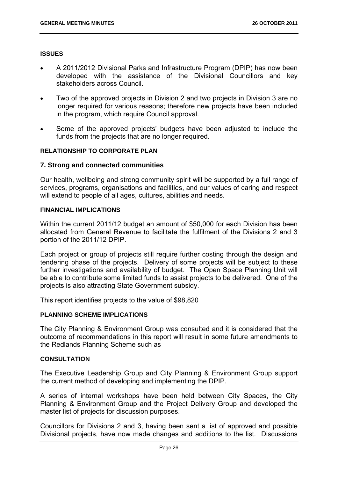#### **ISSUES**

- A 2011/2012 Divisional Parks and Infrastructure Program (DPIP) has now been developed with the assistance of the Divisional Councillors and key stakeholders across Council.
- Two of the approved projects in Division 2 and two projects in Division 3 are no longer required for various reasons; therefore new projects have been included in the program, which require Council approval.
- Some of the approved projects' budgets have been adjusted to include the funds from the projects that are no longer required.

#### **RELATIONSHIP TO CORPORATE PLAN**

#### **7. Strong and connected communities**

Our health, wellbeing and strong community spirit will be supported by a full range of services, programs, organisations and facilities, and our values of caring and respect will extend to people of all ages, cultures, abilities and needs.

#### **FINANCIAL IMPLICATIONS**

Within the current 2011/12 budget an amount of \$50,000 for each Division has been allocated from General Revenue to facilitate the fulfilment of the Divisions 2 and 3 portion of the 2011/12 DPIP.

Each project or group of projects still require further costing through the design and tendering phase of the projects. Delivery of some projects will be subject to these further investigations and availability of budget. The Open Space Planning Unit will be able to contribute some limited funds to assist projects to be delivered. One of the projects is also attracting State Government subsidy.

This report identifies projects to the value of \$98,820

#### **PLANNING SCHEME IMPLICATIONS**

The City Planning & Environment Group was consulted and it is considered that the outcome of recommendations in this report will result in some future amendments to the Redlands Planning Scheme such as

# **CONSULTATION**

The Executive Leadership Group and City Planning & Environment Group support the current method of developing and implementing the DPIP.

A series of internal workshops have been held between City Spaces, the City Planning & Environment Group and the Project Delivery Group and developed the master list of projects for discussion purposes.

Councillors for Divisions 2 and 3, having been sent a list of approved and possible Divisional projects, have now made changes and additions to the list. Discussions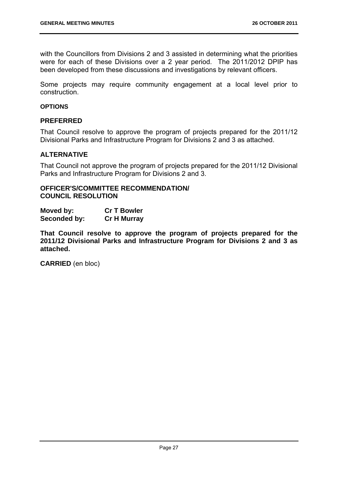with the Councillors from Divisions 2 and 3 assisted in determining what the priorities were for each of these Divisions over a 2 year period. The 2011/2012 DPIP has been developed from these discussions and investigations by relevant officers.

Some projects may require community engagement at a local level prior to construction.

#### **OPTIONS**

#### **PREFERRED**

That Council resolve to approve the program of projects prepared for the 2011/12 Divisional Parks and Infrastructure Program for Divisions 2 and 3 as attached.

#### **ALTERNATIVE**

That Council not approve the program of projects prepared for the 2011/12 Divisional Parks and Infrastructure Program for Divisions 2 and 3.

#### **OFFICER'S/COMMITTEE RECOMMENDATION/ COUNCIL RESOLUTION**

| Moved by:    | <b>Cr T Bowler</b> |
|--------------|--------------------|
| Seconded by: | <b>Cr H Murray</b> |

**That Council resolve to approve the program of projects prepared for the 2011/12 Divisional Parks and Infrastructure Program for Divisions 2 and 3 as attached.** 

**CARRIED** (en bloc)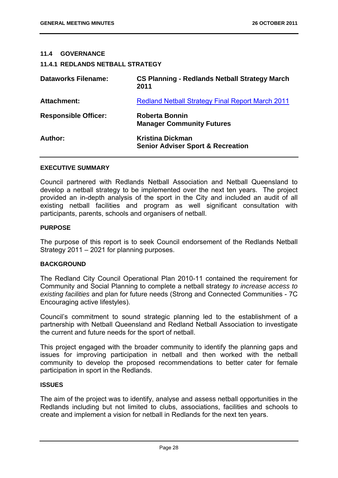#### **11.4 GOVERNANCE**

#### **11.4.1 REDLANDS NETBALL STRATEGY**

| <b>Dataworks Filename:</b>  | <b>CS Planning - Redlands Netball Strategy March</b><br>2011            |
|-----------------------------|-------------------------------------------------------------------------|
| Attachment:                 | <b>Redland Netball Strategy Final Report March 2011</b>                 |
| <b>Responsible Officer:</b> | <b>Roberta Bonnin</b><br><b>Manager Community Futures</b>               |
| Author:                     | <b>Kristina Dickman</b><br><b>Senior Adviser Sport &amp; Recreation</b> |

#### **EXECUTIVE SUMMARY**

Council partnered with Redlands Netball Association and Netball Queensland to develop a netball strategy to be implemented over the next ten years. The project provided an in-depth analysis of the sport in the City and included an audit of all existing netball facilities and program as well significant consultation with participants, parents, schools and organisers of netball.

#### **PURPOSE**

The purpose of this report is to seek Council endorsement of the Redlands Netball Strategy 2011 – 2021 for planning purposes.

#### **BACKGROUND**

The Redland City Council Operational Plan 2010-11 contained the requirement for Community and Social Planning to complete a netball strategy *to increase access to existing facilities* and plan for future needs (Strong and Connected Communities - 7C Encouraging active lifestyles).

Council's commitment to sound strategic planning led to the establishment of a partnership with Netball Queensland and Redland Netball Association to investigate the current and future needs for the sport of netball.

This project engaged with the broader community to identify the planning gaps and issues for improving participation in netball and then worked with the netball community to develop the proposed recommendations to better cater for female participation in sport in the Redlands.

#### **ISSUES**

The aim of the project was to identify, analyse and assess netball opportunities in the Redlands including but not limited to clubs, associations, facilities and schools to create and implement a vision for netball in Redlands for the next ten years.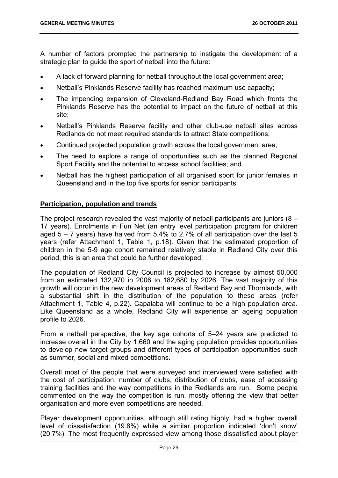A number of factors prompted the partnership to instigate the development of a strategic plan to guide the sport of netball into the future:

- A lack of forward planning for netball throughout the local government area;
- Netball's Pinklands Reserve facility has reached maximum use capacity;
- The impending expansion of Cleveland-Redland Bay Road which fronts the Pinklands Reserve has the potential to impact on the future of netball at this site;
- Netball's Pinklands Reserve facility and other club-use netball sites across Redlands do not meet required standards to attract State competitions;
- Continued projected population growth across the local government area;
- The need to explore a range of opportunities such as the planned Regional Sport Facility and the potential to access school facilities; and
- Netball has the highest participation of all organised sport for junior females in Queensland and in the top five sports for senior participants.

# **Participation, population and trends**

The project research revealed the vast majority of netball participants are juniors (8 – 17 years). Enrolments in Fun Net (an entry level participation program for children aged  $5 - 7$  years) have halved from  $5.4\%$  to 2.7% of all participation over the last 5 years (refer Attachment 1, Table 1, p.18). Given that the estimated proportion of children in the 5-9 age cohort remained relatively stable in Redland City over this period, this is an area that could be further developed.

The population of Redland City Council is projected to increase by almost 50,000 from an estimated 132,970 in 2006 to 182,680 by 2026. The vast majority of this growth will occur in the new development areas of Redland Bay and Thornlands, with a substantial shift in the distribution of the population to these areas (refer Attachment 1, Table 4, p.22). Capalaba will continue to be a high population area. Like Queensland as a whole, Redland City will experience an ageing population profile to 2026.

From a netball perspective, the key age cohorts of 5–24 years are predicted to increase overall in the City by 1,660 and the aging population provides opportunities to develop new target groups and different types of participation opportunities such as summer, social and mixed competitions.

Overall most of the people that were surveyed and interviewed were satisfied with the cost of participation, number of clubs, distribution of clubs, ease of accessing training facilities and the way competitions in the Redlands are run. Some people commented on the way the competition is run, mostly offering the view that better organisation and more even competitions are needed.

Player development opportunities, although still rating highly, had a higher overall level of dissatisfaction (19.8%) while a similar proportion indicated 'don't know' (20.7%). The most frequently expressed view among those dissatisfied about player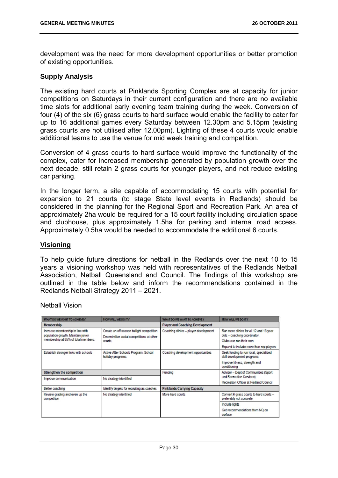development was the need for more development opportunities or better promotion of existing opportunities.

## **Supply Analysis**

The existing hard courts at Pinklands Sporting Complex are at capacity for junior competitions on Saturdays in their current configuration and there are no available time slots for additional early evening team training during the week. Conversion of four (4) of the six (6) grass courts to hard surface would enable the facility to cater for up to 16 additional games every Saturday between 12.30pm and 5.15pm (existing grass courts are not utilised after 12.00pm). Lighting of these 4 courts would enable additional teams to use the venue for mid week training and competition.

Conversion of 4 grass courts to hard surface would improve the functionality of the complex, cater for increased membership generated by population growth over the next decade, still retain 2 grass courts for younger players, and not reduce existing car parking.

In the longer term, a site capable of accommodating 15 courts with potential for expansion to 21 courts (to stage State level events in Redlands) should be considered in the planning for the Regional Sport and Recreation Park. An area of approximately 2ha would be required for a 15 court facility including circulation space and clubhouse, plus approximately 1.5ha for parking and internal road access. Approximately 0.5ha would be needed to accommodate the additional 6 courts.

## **Visioning**

To help guide future directions for netball in the Redlands over the next 10 to 15 years a visioning workshop was held with representatives of the Redlands Netball Association, Netball Queensland and Council. The findings of this workshop are outlined in the table below and inform the recommendations contained in the Redlands Netball Strategy 2011 – 2021.

Netball Vision

| <b>WHAT DO WE WANT TO ACHIEVE?</b>                                     | HOW WILL WE DO IT?                                                                                | WHAT DO WE WANT TO ACHIEVE?            | How WILL WE DO IT?                                                      |
|------------------------------------------------------------------------|---------------------------------------------------------------------------------------------------|----------------------------------------|-------------------------------------------------------------------------|
| <b>Membership</b>                                                      |                                                                                                   | <b>Player and Coaching Development</b> |                                                                         |
| Increase membership in line with<br>population growth. Maintain junior | Create an off season twilight competition<br>Decentralise social competitions at other<br>courts. | Coaching clinics - player development  | Run more clinics for all 12 and 13 year<br>olds - coaching coordinator. |
| membership at 85% of total members.                                    |                                                                                                   |                                        | Clubs can run their own                                                 |
|                                                                        |                                                                                                   |                                        | Expand to include more than rep players                                 |
| Establish stronger links with schools                                  | Active After Schools Program. School<br>holiday programs.                                         | Coaching development opportunities     | Seek funding to run local, specialised<br>skill development programs    |
|                                                                        |                                                                                                   |                                        | Improve fitness, strength and<br>conditioning                           |
| Strengthen the competition                                             |                                                                                                   | Funding                                | Adviser - Dept of Communities (Sport                                    |
| No strategy identified<br>Improve communication                        |                                                                                                   |                                        | and Recreation Services)                                                |
|                                                                        |                                                                                                   |                                        | Recreation Officer at Redland Council                                   |
| Better coaching                                                        | Identify targets for recruiting as coaches                                                        | <b>Pinklands Carrying Capacity</b>     |                                                                         |
| Review grading and even up the<br>competition                          | No strategy identified                                                                            | More hard courts                       | Convert 6 grass courts to hard courts -<br>preferably not concrete      |
|                                                                        |                                                                                                   |                                        | <b>Include lights</b>                                                   |
|                                                                        |                                                                                                   |                                        | Get recommendations from NQ on<br>surface                               |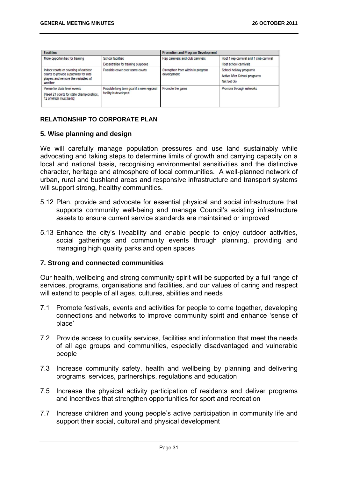| <b>Facilities</b>                                                                                                               |                                                                    | <b>Promotion and Program Development</b>         |                                                                       |
|---------------------------------------------------------------------------------------------------------------------------------|--------------------------------------------------------------------|--------------------------------------------------|-----------------------------------------------------------------------|
| More opportunities for training                                                                                                 | School facilities<br>Decentralise for training purposes            | Rep carrivals and club carrivals                 | Host 1 rep carnival and 1 club carnival<br>Host school camivals       |
| Indoor courts or covering of outdoor<br>courts to provide a pathway for elite<br>players and remove the variables of<br>weather | Possible cover over some courts                                    | Strengthen from within in program<br>development | School holiday programs<br>Active After School programs<br>Net Set Go |
| Venue for state level events<br>[Need 21 courts for state championships.]<br>12 of which must be lit]                           | Possible long term goal if a new regional<br>facility is developed | Promote the game                                 | Promote through networks                                              |

## **RELATIONSHIP TO CORPORATE PLAN**

## **5. Wise planning and design**

We will carefully manage population pressures and use land sustainably while advocating and taking steps to determine limits of growth and carrying capacity on a local and national basis, recognising environmental sensitivities and the distinctive character, heritage and atmosphere of local communities. A well-planned network of urban, rural and bushland areas and responsive infrastructure and transport systems will support strong, healthy communities.

- 5.12 Plan, provide and advocate for essential physical and social infrastructure that supports community well-being and manage Council's existing infrastructure assets to ensure current service standards are maintained or improved
- 5.13 Enhance the city's liveability and enable people to enjoy outdoor activities, social gatherings and community events through planning, providing and managing high quality parks and open spaces

## **7. Strong and connected communities**

Our health, wellbeing and strong community spirit will be supported by a full range of services, programs, organisations and facilities, and our values of caring and respect will extend to people of all ages, cultures, abilities and needs

- 7.1 Promote festivals, events and activities for people to come together, developing connections and networks to improve community spirit and enhance 'sense of place'
- 7.2 Provide access to quality services, facilities and information that meet the needs of all age groups and communities, especially disadvantaged and vulnerable people
- 7.3 Increase community safety, health and wellbeing by planning and delivering programs, services, partnerships, regulations and education
- 7.5 Increase the physical activity participation of residents and deliver programs and incentives that strengthen opportunities for sport and recreation
- 7.7 Increase children and young people's active participation in community life and support their social, cultural and physical development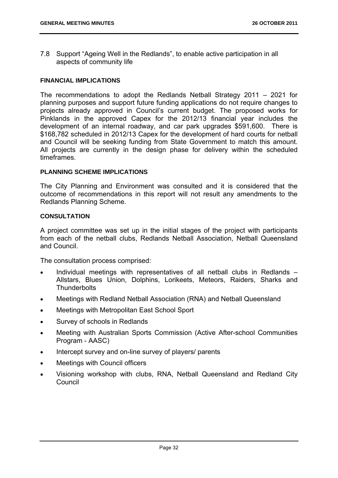7.8 Support "Ageing Well in the Redlands", to enable active participation in all aspects of community life

#### **FINANCIAL IMPLICATIONS**

The recommendations to adopt the Redlands Netball Strategy 2011 – 2021 for planning purposes and support future funding applications do not require changes to projects already approved in Council's current budget. The proposed works for Pinklands in the approved Capex for the 2012/13 financial year includes the development of an internal roadway, and car park upgrades \$591,600. There is \$168,782 scheduled in 2012/13 Capex for the development of hard courts for netball and Council will be seeking funding from State Government to match this amount. All projects are currently in the design phase for delivery within the scheduled timeframes.

#### **PLANNING SCHEME IMPLICATIONS**

The City Planning and Environment was consulted and it is considered that the outcome of recommendations in this report will not result any amendments to the Redlands Planning Scheme.

#### **CONSULTATION**

A project committee was set up in the initial stages of the project with participants from each of the netball clubs, Redlands Netball Association, Netball Queensland and Council.

The consultation process comprised:

- Individual meetings with representatives of all netball clubs in Redlands Allstars, Blues Union, Dolphins, Lorikeets, Meteors, Raiders, Sharks and **Thunderbolts**
- Meetings with Redland Netball Association (RNA) and Netball Queensland
- Meetings with Metropolitan East School Sport
- Survey of schools in Redlands
- Meeting with Australian Sports Commission (Active After-school Communities Program - AASC)
- Intercept survey and on-line survey of players/ parents
- Meetings with Council officers
- Visioning workshop with clubs, RNA, Netball Queensland and Redland City **Council**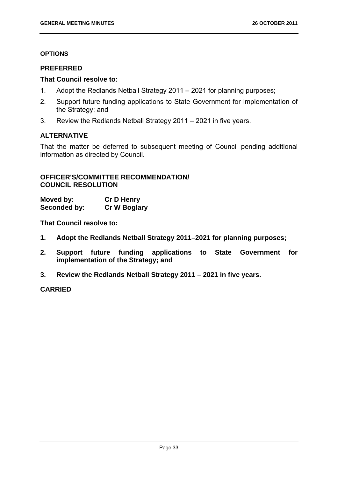# **OPTIONS**

# **PREFERRED**

# **That Council resolve to:**

- 1. Adopt the Redlands Netball Strategy 2011 2021 for planning purposes;
- 2. Support future funding applications to State Government for implementation of the Strategy; and
- 3. Review the Redlands Netball Strategy 2011 2021 in five years.

# **ALTERNATIVE**

That the matter be deferred to subsequent meeting of Council pending additional information as directed by Council.

## **OFFICER'S/COMMITTEE RECOMMENDATION/ COUNCIL RESOLUTION**

**Moved by: Cr D Henry Seconded by: Cr W Boglary** 

**That Council resolve to:** 

- **1. Adopt the Redlands Netball Strategy 2011–2021 for planning purposes;**
- **2. Support future funding applications to State Government for implementation of the Strategy; and**
- **3. Review the Redlands Netball Strategy 2011 2021 in five years.**

**CARRIED**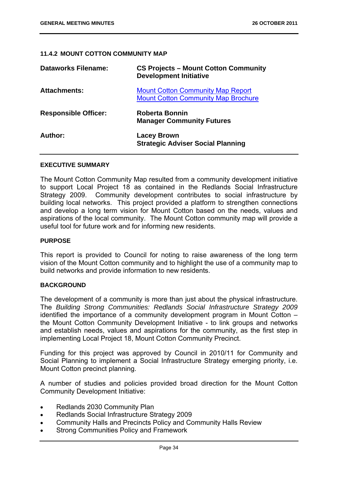## **11.4.2 MOUNT COTTON COMMUNITY MAP**

| <b>Dataworks Filename:</b>  | <b>CS Projects - Mount Cotton Community</b><br><b>Development Initiative</b>           |
|-----------------------------|----------------------------------------------------------------------------------------|
| <b>Attachments:</b>         | <b>Mount Cotton Community Map Report</b><br><b>Mount Cotton Community Map Brochure</b> |
| <b>Responsible Officer:</b> | <b>Roberta Bonnin</b><br><b>Manager Community Futures</b>                              |
| Author:                     | <b>Lacey Brown</b><br><b>Strategic Adviser Social Planning</b>                         |

#### **EXECUTIVE SUMMARY**

The Mount Cotton Community Map resulted from a community development initiative to support Local Project 18 as contained in the Redlands Social Infrastructure Strategy 2009. Community development contributes to social infrastructure by building local networks. This project provided a platform to strengthen connections and develop a long term vision for Mount Cotton based on the needs, values and aspirations of the local community. The Mount Cotton community map will provide a useful tool for future work and for informing new residents.

#### **PURPOSE**

This report is provided to Council for noting to raise awareness of the long term vision of the Mount Cotton community and to highlight the use of a community map to build networks and provide information to new residents.

#### **BACKGROUND**

The development of a community is more than just about the physical infrastructure. The *Building Strong Communities: Redlands Social Infrastructure Strategy 2009* identified the importance of a community development program in Mount Cotton – the Mount Cotton Community Development Initiative - to link groups and networks and establish needs, values and aspirations for the community, as the first step in implementing Local Project 18, Mount Cotton Community Precinct.

Funding for this project was approved by Council in 2010/11 for Community and Social Planning to implement a Social Infrastructure Strategy emerging priority, i.e. Mount Cotton precinct planning.

A number of studies and policies provided broad direction for the Mount Cotton Community Development Initiative:

- Redlands 2030 Community Plan
- Redlands Social Infrastructure Strategy 2009
- Community Halls and Precincts Policy and Community Halls Review
- Strong Communities Policy and Framework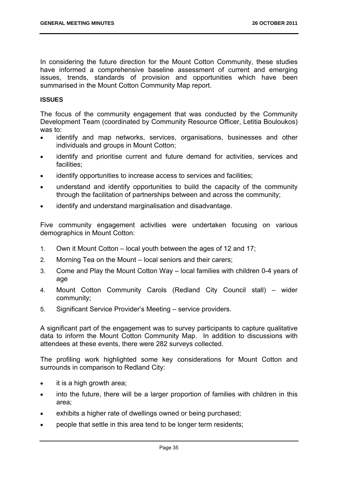In considering the future direction for the Mount Cotton Community, these studies have informed a comprehensive baseline assessment of current and emerging issues, trends, standards of provision and opportunities which have been summarised in the Mount Cotton Community Map report.

## **ISSUES**

The focus of the community engagement that was conducted by the Community Development Team (coordinated by Community Resource Officer, Letitia Bouloukos) was to:

- identify and map networks, services, organisations, businesses and other individuals and groups in Mount Cotton;
- identify and prioritise current and future demand for activities, services and facilities;
- identify opportunities to increase access to services and facilities;
- understand and identify opportunities to build the capacity of the community through the facilitation of partnerships between and across the community;
- identify and understand marginalisation and disadvantage.

Five community engagement activities were undertaken focusing on various demographics in Mount Cotton:

- 1. Own it Mount Cotton local youth between the ages of 12 and 17;
- 2. Morning Tea on the Mount local seniors and their carers;
- 3. Come and Play the Mount Cotton Way local families with children 0-4 years of age
- 4. Mount Cotton Community Carols (Redland City Council stall) wider community;
- 5. Significant Service Provider's Meeting service providers.

A significant part of the engagement was to survey participants to capture qualitative data to inform the Mount Cotton Community Map. In addition to discussions with attendees at these events, there were 282 surveys collected.

The profiling work highlighted some key considerations for Mount Cotton and surrounds in comparison to Redland City:

- it is a high growth area:
- into the future, there will be a larger proportion of families with children in this area;
- exhibits a higher rate of dwellings owned or being purchased;
- people that settle in this area tend to be longer term residents;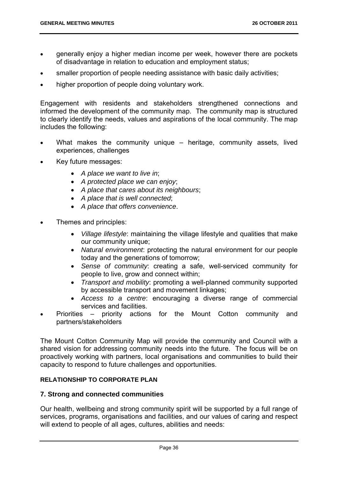- generally enjoy a higher median income per week, however there are pockets of disadvantage in relation to education and employment status;
- smaller proportion of people needing assistance with basic daily activities;
- higher proportion of people doing voluntary work.

Engagement with residents and stakeholders strengthened connections and informed the development of the community map. The community map is structured to clearly identify the needs, values and aspirations of the local community. The map includes the following:

- What makes the community unique heritage, community assets, lived experiences, challenges
- Key future messages:
	- *A place we want to live in*;
	- *A protected place we can enjoy*;
	- *A place that cares about its neighbours*;
	- *A place that is well connected*;
	- *A place that offers convenience*.
- Themes and principles:
	- *Village lifestyle*: maintaining the village lifestyle and qualities that make our community unique;
	- *Natural environment*: protecting the natural environment for our people today and the generations of tomorrow;
	- *Sense of community*: creating a safe, well-serviced community for people to live, grow and connect within;
	- *Transport and mobility*: promoting a well-planned community supported by accessible transport and movement linkages;
	- *Access to a centre*: encouraging a diverse range of commercial services and facilities.
- Priorities priority actions for the Mount Cotton community and partners/stakeholders

The Mount Cotton Community Map will provide the community and Council with a shared vision for addressing community needs into the future. The focus will be on proactively working with partners, local organisations and communities to build their capacity to respond to future challenges and opportunities.

## **RELATIONSHIP TO CORPORATE PLAN**

## **7. Strong and connected communities**

Our health, wellbeing and strong community spirit will be supported by a full range of services, programs, organisations and facilities, and our values of caring and respect will extend to people of all ages, cultures, abilities and needs: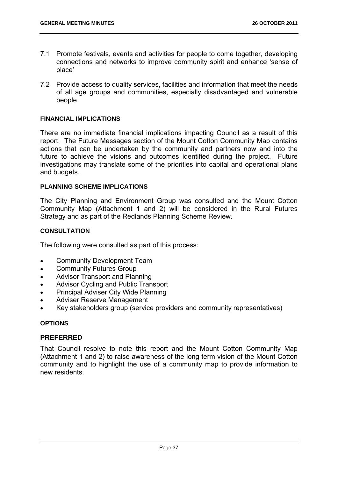- 7.1 Promote festivals, events and activities for people to come together, developing connections and networks to improve community spirit and enhance 'sense of place'
- 7.2 Provide access to quality services, facilities and information that meet the needs of all age groups and communities, especially disadvantaged and vulnerable people

# **FINANCIAL IMPLICATIONS**

There are no immediate financial implications impacting Council as a result of this report. The Future Messages section of the Mount Cotton Community Map contains actions that can be undertaken by the community and partners now and into the future to achieve the visions and outcomes identified during the project. Future investigations may translate some of the priorities into capital and operational plans and budgets.

#### **PLANNING SCHEME IMPLICATIONS**

The City Planning and Environment Group was consulted and the Mount Cotton Community Map (Attachment 1 and 2) will be considered in the Rural Futures Strategy and as part of the Redlands Planning Scheme Review.

## **CONSULTATION**

The following were consulted as part of this process:

- Community Development Team
- Community Futures Group
- Advisor Transport and Planning
- Advisor Cycling and Public Transport
- Principal Adviser City Wide Planning
- Adviser Reserve Management
- Key stakeholders group (service providers and community representatives)

## **OPTIONS**

## **PREFERRED**

That Council resolve to note this report and the Mount Cotton Community Map (Attachment 1 and 2) to raise awareness of the long term vision of the Mount Cotton community and to highlight the use of a community map to provide information to new residents.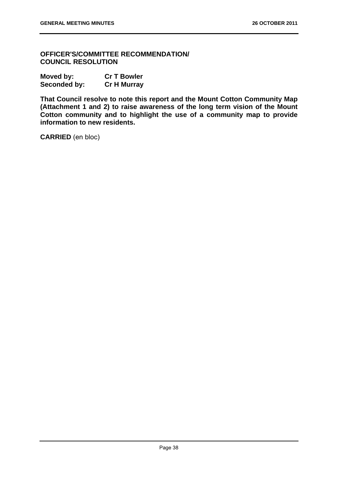**OFFICER'S/COMMITTEE RECOMMENDATION/ COUNCIL RESOLUTION** 

| Moved by:    | <b>Cr T Bowler</b> |
|--------------|--------------------|
| Seconded by: | <b>Cr H Murray</b> |

**That Council resolve to note this report and the Mount Cotton Community Map (Attachment 1 and 2) to raise awareness of the long term vision of the Mount Cotton community and to highlight the use of a community map to provide information to new residents.** 

**CARRIED** (en bloc)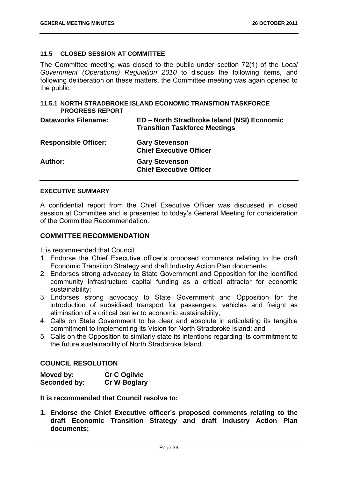## **11.5 CLOSED SESSION AT COMMITTEE**

The Committee meeting was closed to the public under section 72(1) of the *Local Government (Operations) Regulation 2010* to discuss the following items, and following deliberation on these matters, the Committee meeting was again opened to the public.

## **11.5.1 NORTH STRADBROKE ISLAND ECONOMIC TRANSITION TASKFORCE PROGRESS REPORT**

| <b>Dataworks Filename:</b>  | ED – North Stradbroke Island (NSI) Economic<br><b>Transition Taskforce Meetings</b> |
|-----------------------------|-------------------------------------------------------------------------------------|
| <b>Responsible Officer:</b> | <b>Gary Stevenson</b><br><b>Chief Executive Officer</b>                             |
| <b>Author:</b>              | <b>Gary Stevenson</b><br><b>Chief Executive Officer</b>                             |

## **EXECUTIVE SUMMARY**

A confidential report from the Chief Executive Officer was discussed in closed session at Committee and is presented to today's General Meeting for consideration of the Committee Recommendation.

## **COMMITTEE RECOMMENDATION**

It is recommended that Council:

- 1. Endorse the Chief Executive officer's proposed comments relating to the draft Economic Transition Strategy and draft Industry Action Plan documents;
- 2. Endorses strong advocacy to State Government and Opposition for the identified community infrastructure capital funding as a critical attractor for economic sustainability;
- 3. Endorses strong advocacy to State Government and Opposition for the introduction of subsidised transport for passengers, vehicles and freight as elimination of a critical barrier to economic sustainability;
- 4. Calls on State Government to be clear and absolute in articulating its tangible commitment to implementing its Vision for North Stradbroke Island; and
- 5. Calls on the Opposition to similarly state its intentions regarding its commitment to the future sustainability of North Stradbroke Island.

## **COUNCIL RESOLUTION**

| Moved by:    | <b>Cr C Ogilvie</b> |
|--------------|---------------------|
| Seconded by: | <b>Cr W Boglary</b> |

**It is recommended that Council resolve to:** 

**1. Endorse the Chief Executive officer's proposed comments relating to the draft Economic Transition Strategy and draft Industry Action Plan documents;**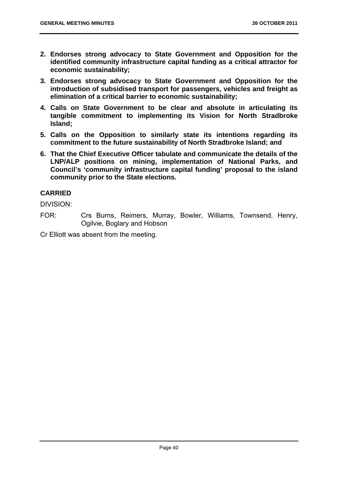- **2. Endorses strong advocacy to State Government and Opposition for the identified community infrastructure capital funding as a critical attractor for economic sustainability;**
- **3. Endorses strong advocacy to State Government and Opposition for the introduction of subsidised transport for passengers, vehicles and freight as elimination of a critical barrier to economic sustainability;**
- **4. Calls on State Government to be clear and absolute in articulating its tangible commitment to implementing its Vision for North Stradbroke Island;**
- **5. Calls on the Opposition to similarly state its intentions regarding its commitment to the future sustainability of North Stradbroke Island; and**
- **6. That the Chief Executive Officer tabulate and communicate the details of the LNP/ALP positions on mining, implementation of National Parks, and Council's 'community infrastructure capital funding' proposal to the island community prior to the State elections.**

# **CARRIED**

DIVISION:

FOR: Crs Burns, Reimers, Murray, Bowler, Williams, Townsend, Henry, Ogilvie, Boglary and Hobson

Cr Elliott was absent from the meeting.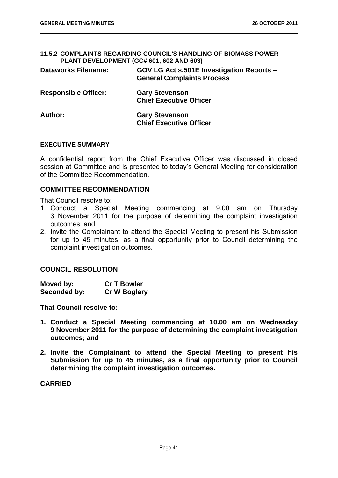## **11.5.2 COMPLAINTS REGARDING COUNCIL'S HANDLING OF BIOMASS POWER PLANT DEVELOPMENT (GC# 601, 602 AND 603)**

| <b>Dataworks Filename:</b>  | GOV LG Act s.501E Investigation Reports -<br><b>General Complaints Process</b> |
|-----------------------------|--------------------------------------------------------------------------------|
| <b>Responsible Officer:</b> | <b>Gary Stevenson</b><br><b>Chief Executive Officer</b>                        |
| Author:                     | <b>Gary Stevenson</b><br><b>Chief Executive Officer</b>                        |

#### **EXECUTIVE SUMMARY**

A confidential report from the Chief Executive Officer was discussed in closed session at Committee and is presented to today's General Meeting for consideration of the Committee Recommendation.

## **COMMITTEE RECOMMENDATION**

That Council resolve to:

- 1. Conduct a Special Meeting commencing at 9.00 am on Thursday 3 November 2011 for the purpose of determining the complaint investigation outcomes; and
- 2. Invite the Complainant to attend the Special Meeting to present his Submission for up to 45 minutes, as a final opportunity prior to Council determining the complaint investigation outcomes.

## **COUNCIL RESOLUTION**

| Moved by:    | <b>Cr T Bowler</b>  |
|--------------|---------------------|
| Seconded by: | <b>Cr W Boglary</b> |

**That Council resolve to:** 

- **1. Conduct a Special Meeting commencing at 10.00 am on Wednesday 9 November 2011 for the purpose of determining the complaint investigation outcomes; and**
- **2. Invite the Complainant to attend the Special Meeting to present his Submission for up to 45 minutes, as a final opportunity prior to Council determining the complaint investigation outcomes.**

**CARRIED**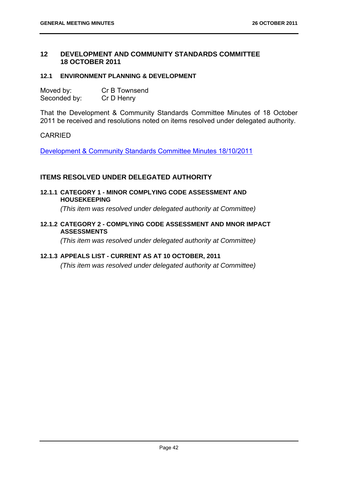# **12 DEVELOPMENT AND COMMUNITY STANDARDS COMMITTEE 18 OCTOBER 2011**

## **12.1 ENVIRONMENT PLANNING & DEVELOPMENT**

| Moved by:    | Cr B Townsend |
|--------------|---------------|
| Seconded by: | Cr D Henry    |

That the Development & Community Standards Committee Minutes of 18 October 2011 be received and resolutions noted on items resolved under delegated authority.

# CARRIED

Development & Community Standards Committee Minutes 18/10/2011

# **ITEMS RESOLVED UNDER DELEGATED AUTHORITY**

**12.1.1 CATEGORY 1 - MINOR COMPLYING CODE ASSESSMENT AND HOUSEKEEPING** 

 *(This item was resolved under delegated authority at Committee)* 

**12.1.2 CATEGORY 2 - COMPLYING CODE ASSESSMENT AND MNOR IMPACT ASSESSMENTS** 

 *(This item was resolved under delegated authority at Committee)* 

## **12.1.3 APPEALS LIST - CURRENT AS AT 10 OCTOBER, 2011**

 *(This item was resolved under delegated authority at Committee)*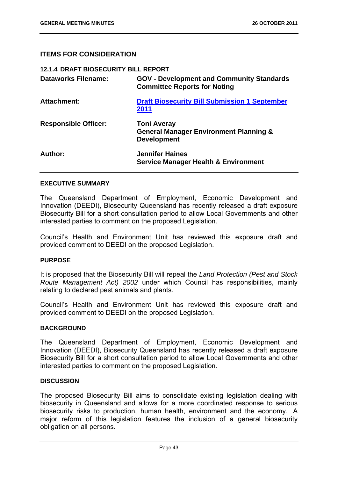# **ITEMS FOR CONSIDERATION**

| <b>12.1.4 DRAFT BIOSECURITY BILL REPORT</b> |                                                                                               |
|---------------------------------------------|-----------------------------------------------------------------------------------------------|
| <b>Dataworks Filename:</b>                  | <b>GOV - Development and Community Standards</b><br><b>Committee Reports for Noting</b>       |
| Attachment:                                 | <b>Draft Biosecurity Bill Submission 1 September</b><br>2011                                  |
| <b>Responsible Officer:</b>                 | <b>Toni Averay</b><br><b>General Manager Environment Planning &amp;</b><br><b>Development</b> |
| Author:                                     | <b>Jennifer Haines</b><br><b>Service Manager Health &amp; Environment</b>                     |

#### **EXECUTIVE SUMMARY**

The Queensland Department of Employment, Economic Development and Innovation (DEEDI), Biosecurity Queensland has recently released a draft exposure Biosecurity Bill for a short consultation period to allow Local Governments and other interested parties to comment on the proposed Legislation.

Council's Health and Environment Unit has reviewed this exposure draft and provided comment to DEEDI on the proposed Legislation.

## **PURPOSE**

It is proposed that the Biosecurity Bill will repeal the *Land Protection (Pest and Stock Route Management Act) 2002* under which Council has responsibilities, mainly relating to declared pest animals and plants.

Council's Health and Environment Unit has reviewed this exposure draft and provided comment to DEEDI on the proposed Legislation.

## **BACKGROUND**

The Queensland Department of Employment, Economic Development and Innovation (DEEDI), Biosecurity Queensland has recently released a draft exposure Biosecurity Bill for a short consultation period to allow Local Governments and other interested parties to comment on the proposed Legislation.

#### **DISCUSSION**

The proposed Biosecurity Bill aims to consolidate existing legislation dealing with biosecurity in Queensland and allows for a more coordinated response to serious biosecurity risks to production, human health, environment and the economy. A major reform of this legislation features the inclusion of a general biosecurity obligation on all persons.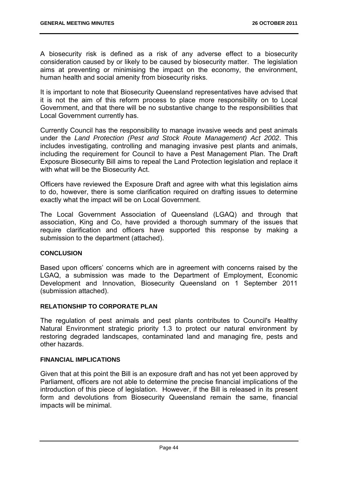A biosecurity risk is defined as a risk of any adverse effect to a biosecurity consideration caused by or likely to be caused by biosecurity matter. The legislation aims at preventing or minimising the impact on the economy, the environment, human health and social amenity from biosecurity risks.

It is important to note that Biosecurity Queensland representatives have advised that it is not the aim of this reform process to place more responsibility on to Local Government, and that there will be no substantive change to the responsibilities that Local Government currently has.

Currently Council has the responsibility to manage invasive weeds and pest animals under the *Land Protection (Pest and Stock Route Management) Act 2002*. This includes investigating, controlling and managing invasive pest plants and animals, including the requirement for Council to have a Pest Management Plan. The Draft Exposure Biosecurity Bill aims to repeal the Land Protection legislation and replace it with what will be the Biosecurity Act.

Officers have reviewed the Exposure Draft and agree with what this legislation aims to do, however, there is some clarification required on drafting issues to determine exactly what the impact will be on Local Government.

The Local Government Association of Queensland (LGAQ) and through that association, King and Co, have provided a thorough summary of the issues that require clarification and officers have supported this response by making a submission to the department (attached).

## **CONCLUSION**

Based upon officers' concerns which are in agreement with concerns raised by the LGAQ, a submission was made to the Department of Employment, Economic Development and Innovation, Biosecurity Queensland on 1 September 2011 (submission attached).

## **RELATIONSHIP TO CORPORATE PLAN**

The regulation of pest animals and pest plants contributes to Council's Healthy Natural Environment strategic priority 1.3 to protect our natural environment by restoring degraded landscapes, contaminated land and managing fire, pests and other hazards.

## **FINANCIAL IMPLICATIONS**

Given that at this point the Bill is an exposure draft and has not yet been approved by Parliament, officers are not able to determine the precise financial implications of the introduction of this piece of legislation. However, if the Bill is released in its present form and devolutions from Biosecurity Queensland remain the same, financial impacts will be minimal.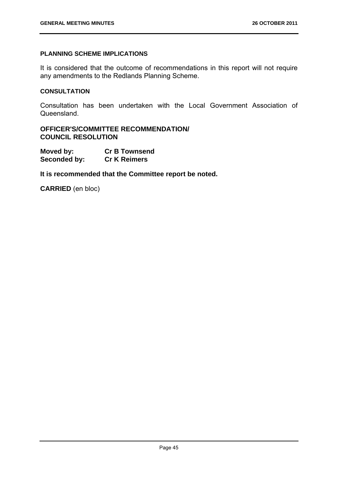# **PLANNING SCHEME IMPLICATIONS**

It is considered that the outcome of recommendations in this report will not require any amendments to the Redlands Planning Scheme.

## **CONSULTATION**

Consultation has been undertaken with the Local Government Association of Queensland.

## **OFFICER'S/COMMITTEE RECOMMENDATION/ COUNCIL RESOLUTION**

| Moved by:    | <b>Cr B Townsend</b> |
|--------------|----------------------|
| Seconded by: | <b>Cr K Reimers</b>  |

**It is recommended that the Committee report be noted.** 

**CARRIED** (en bloc)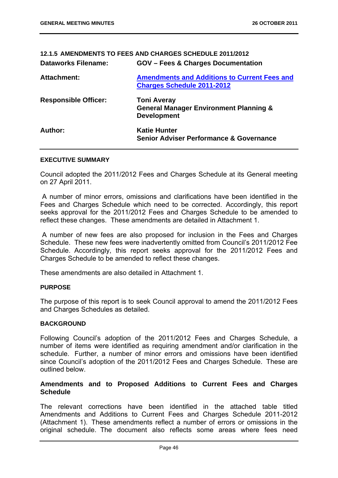# **12.1.5 AMENDMENTS TO FEES AND CHARGES SCHEDULE 2011/2012 Dataworks Filename: GOV – Fees & Charges Documentation Attachment: Amendments and Additions to Current Fees and Charges Schedule 2011-2012 Responsible Officer: Toni Averay General Manager Environment Planning & Development**  Author: **Katie Hunter Katie Hunter Senior Adviser Performance & Governance**

## **EXECUTIVE SUMMARY**

Council adopted the 2011/2012 Fees and Charges Schedule at its General meeting on 27 April 2011.

 A number of minor errors, omissions and clarifications have been identified in the Fees and Charges Schedule which need to be corrected. Accordingly, this report seeks approval for the 2011/2012 Fees and Charges Schedule to be amended to reflect these changes. These amendments are detailed in Attachment 1.

 A number of new fees are also proposed for inclusion in the Fees and Charges Schedule. These new fees were inadvertently omitted from Council's 2011/2012 Fee Schedule. Accordingly, this report seeks approval for the 2011/2012 Fees and Charges Schedule to be amended to reflect these changes.

These amendments are also detailed in Attachment 1.

#### **PURPOSE**

The purpose of this report is to seek Council approval to amend the 2011/2012 Fees and Charges Schedules as detailed.

#### **BACKGROUND**

Following Council's adoption of the 2011/2012 Fees and Charges Schedule, a number of items were identified as requiring amendment and/or clarification in the schedule. Further, a number of minor errors and omissions have been identified since Council's adoption of the 2011/2012 Fees and Charges Schedule. These are outlined below.

## **Amendments and to Proposed Additions to Current Fees and Charges Schedule**

The relevant corrections have been identified in the attached table titled Amendments and Additions to Current Fees and Charges Schedule 2011-2012 (Attachment 1). These amendments reflect a number of errors or omissions in the original schedule. The document also reflects some areas where fees need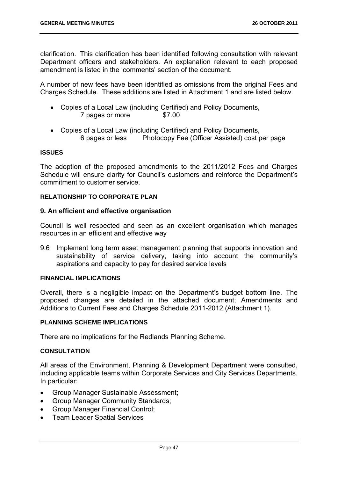clarification. This clarification has been identified following consultation with relevant Department officers and stakeholders. An explanation relevant to each proposed amendment is listed in the 'comments' section of the document.

A number of new fees have been identified as omissions from the original Fees and Charges Schedule. These additions are listed in Attachment 1 and are listed below.

- Copies of a Local Law (including Certified) and Policy Documents, 7 pages or more \$7.00
- Copies of a Local Law (including Certified) and Policy Documents, 6 pages or less Photocopy Fee (Officer Assisted) cost per page

## **ISSUES**

The adoption of the proposed amendments to the 2011/2012 Fees and Charges Schedule will ensure clarity for Council's customers and reinforce the Department's commitment to customer service.

## **RELATIONSHIP TO CORPORATE PLAN**

## **9. An efficient and effective organisation**

Council is well respected and seen as an excellent organisation which manages resources in an efficient and effective way

9.6 Implement long term asset management planning that supports innovation and sustainability of service delivery, taking into account the community's aspirations and capacity to pay for desired service levels

## **FINANCIAL IMPLICATIONS**

Overall, there is a negligible impact on the Department's budget bottom line. The proposed changes are detailed in the attached document; Amendments and Additions to Current Fees and Charges Schedule 2011-2012 (Attachment 1).

#### **PLANNING SCHEME IMPLICATIONS**

There are no implications for the Redlands Planning Scheme.

# **CONSULTATION**

All areas of the Environment, Planning & Development Department were consulted, including applicable teams within Corporate Services and City Services Departments. In particular:

- Group Manager Sustainable Assessment;
- Group Manager Community Standards:
- Group Manager Financial Control;
- Team Leader Spatial Services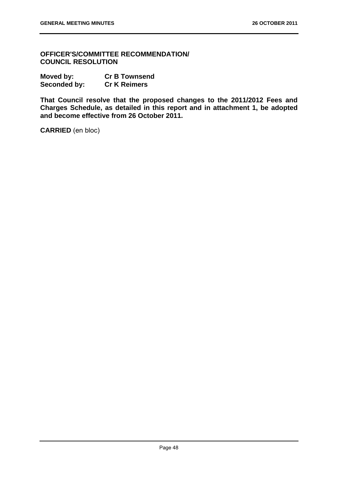**OFFICER'S/COMMITTEE RECOMMENDATION/ COUNCIL RESOLUTION** 

| Moved by:    | <b>Cr B Townsend</b> |
|--------------|----------------------|
| Seconded by: | <b>Cr K Reimers</b>  |

**That Council resolve that the proposed changes to the 2011/2012 Fees and Charges Schedule, as detailed in this report and in attachment 1, be adopted and become effective from 26 October 2011.** 

**CARRIED** (en bloc)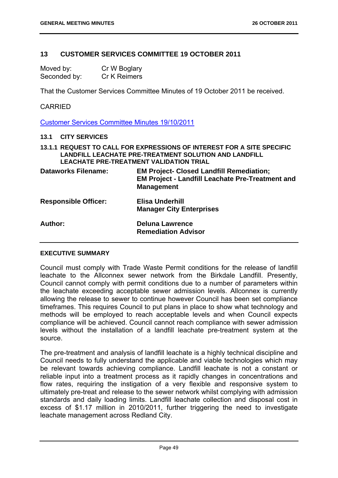# **13 CUSTOMER SERVICES COMMITTEE 19 OCTOBER 2011**

| Moved by:    | Cr W Boglary |
|--------------|--------------|
| Seconded by: | Cr K Reimers |

That the Customer Services Committee Minutes of 19 October 2011 be received.

## CARRIED

Customer Services Committee Minutes 19/10/2011

#### **13.1 CITY SERVICES**

**13.1.1 REQUEST TO CALL FOR EXPRESSIONS OF INTEREST FOR A SITE SPECIFIC LANDFILL LEACHATE PRE-TREATMENT SOLUTION AND LANDFILL LEACHATE PRE-TREATMENT VALIDATION TRIAL** 

| <b>Dataworks Filename:</b>  | <b>EM Project- Closed Landfill Remediation;</b><br><b>EM Project - Landfill Leachate Pre-Treatment and</b><br><b>Management</b> |
|-----------------------------|---------------------------------------------------------------------------------------------------------------------------------|
| <b>Responsible Officer:</b> | <b>Elisa Underhill</b><br><b>Manager City Enterprises</b>                                                                       |
| Author:                     | <b>Deluna Lawrence</b><br><b>Remediation Advisor</b>                                                                            |

## **EXECUTIVE SUMMARY**

Council must comply with Trade Waste Permit conditions for the release of landfill leachate to the Allconnex sewer network from the Birkdale Landfill. Presently, Council cannot comply with permit conditions due to a number of parameters within the leachate exceeding acceptable sewer admission levels. Allconnex is currently allowing the release to sewer to continue however Council has been set compliance timeframes. This requires Council to put plans in place to show what technology and methods will be employed to reach acceptable levels and when Council expects compliance will be achieved. Council cannot reach compliance with sewer admission levels without the installation of a landfill leachate pre-treatment system at the source.

The pre-treatment and analysis of landfill leachate is a highly technical discipline and Council needs to fully understand the applicable and viable technologies which may be relevant towards achieving compliance. Landfill leachate is not a constant or reliable input into a treatment process as it rapidly changes in concentrations and flow rates, requiring the instigation of a very flexible and responsive system to ultimately pre-treat and release to the sewer network whilst complying with admission standards and daily loading limits. Landfill leachate collection and disposal cost in excess of \$1.17 million in 2010/2011, further triggering the need to investigate leachate management across Redland City.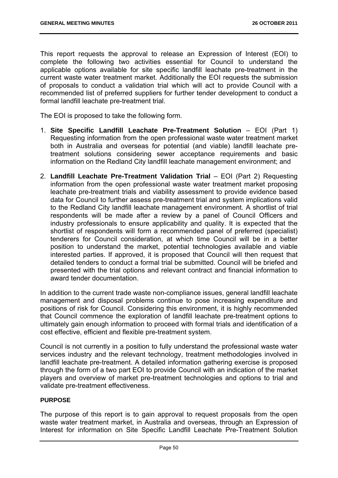This report requests the approval to release an Expression of Interest (EOI) to complete the following two activities essential for Council to understand the applicable options available for site specific landfill leachate pre-treatment in the current waste water treatment market. Additionally the EOI requests the submission of proposals to conduct a validation trial which will act to provide Council with a recommended list of preferred suppliers for further tender development to conduct a formal landfill leachate pre-treatment trial.

The EOI is proposed to take the following form.

- 1. **Site Specific Landfill Leachate Pre-Treatment Solution** EOI (Part 1) Requesting information from the open professional waste water treatment market both in Australia and overseas for potential (and viable) landfill leachate pretreatment solutions considering sewer acceptance requirements and basic information on the Redland City landfill leachate management environment; and
- 2. **Landfill Leachate Pre-Treatment Validation Trial** EOI (Part 2) Requesting information from the open professional waste water treatment market proposing leachate pre-treatment trials and viability assessment to provide evidence based data for Council to further assess pre-treatment trial and system implications valid to the Redland City landfill leachate management environment. A shortlist of trial respondents will be made after a review by a panel of Council Officers and industry professionals to ensure applicability and quality. It is expected that the shortlist of respondents will form a recommended panel of preferred (specialist) tenderers for Council consideration, at which time Council will be in a better position to understand the market, potential technologies available and viable interested parties. If approved, it is proposed that Council will then request that detailed tenders to conduct a formal trial be submitted. Council will be briefed and presented with the trial options and relevant contract and financial information to award tender documentation.

In addition to the current trade waste non-compliance issues, general landfill leachate management and disposal problems continue to pose increasing expenditure and positions of risk for Council. Considering this environment, it is highly recommended that Council commence the exploration of landfill leachate pre-treatment options to ultimately gain enough information to proceed with formal trials and identification of a cost effective, efficient and flexible pre-treatment system.

Council is not currently in a position to fully understand the professional waste water services industry and the relevant technology, treatment methodologies involved in landfill leachate pre-treatment. A detailed information gathering exercise is proposed through the form of a two part EOI to provide Council with an indication of the market players and overview of market pre-treatment technologies and options to trial and validate pre-treatment effectiveness.

## **PURPOSE**

The purpose of this report is to gain approval to request proposals from the open waste water treatment market, in Australia and overseas, through an Expression of Interest for information on Site Specific Landfill Leachate Pre-Treatment Solution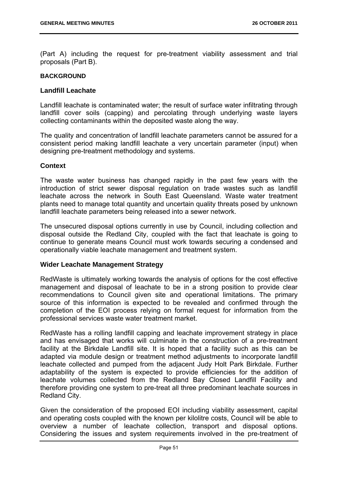(Part A) including the request for pre-treatment viability assessment and trial proposals (Part B).

#### **BACKGROUND**

#### **Landfill Leachate**

Landfill leachate is contaminated water; the result of surface water infiltrating through landfill cover soils (capping) and percolating through underlying waste layers collecting contaminants within the deposited waste along the way.

The quality and concentration of landfill leachate parameters cannot be assured for a consistent period making landfill leachate a very uncertain parameter (input) when designing pre-treatment methodology and systems.

## **Context**

The waste water business has changed rapidly in the past few years with the introduction of strict sewer disposal regulation on trade wastes such as landfill leachate across the network in South East Queensland. Waste water treatment plants need to manage total quantity and uncertain quality threats posed by unknown landfill leachate parameters being released into a sewer network.

The unsecured disposal options currently in use by Council, including collection and disposal outside the Redland City, coupled with the fact that leachate is going to continue to generate means Council must work towards securing a condensed and operationally viable leachate management and treatment system.

## **Wider Leachate Management Strategy**

RedWaste is ultimately working towards the analysis of options for the cost effective management and disposal of leachate to be in a strong position to provide clear recommendations to Council given site and operational limitations. The primary source of this information is expected to be revealed and confirmed through the completion of the EOI process relying on formal request for information from the professional services waste water treatment market.

RedWaste has a rolling landfill capping and leachate improvement strategy in place and has envisaged that works will culminate in the construction of a pre-treatment facility at the Birkdale Landfill site. It is hoped that a facility such as this can be adapted via module design or treatment method adjustments to incorporate landfill leachate collected and pumped from the adjacent Judy Holt Park Birkdale. Further adaptability of the system is expected to provide efficiencies for the addition of leachate volumes collected from the Redland Bay Closed Landfill Facility and therefore providing one system to pre-treat all three predominant leachate sources in Redland City.

Given the consideration of the proposed EOI including viability assessment, capital and operating costs coupled with the known per kilolitre costs, Council will be able to overview a number of leachate collection, transport and disposal options. Considering the issues and system requirements involved in the pre-treatment of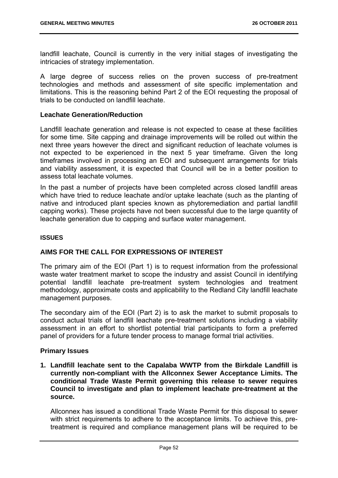landfill leachate, Council is currently in the very initial stages of investigating the intricacies of strategy implementation.

A large degree of success relies on the proven success of pre-treatment technologies and methods and assessment of site specific implementation and limitations. This is the reasoning behind Part 2 of the EOI requesting the proposal of trials to be conducted on landfill leachate.

## **Leachate Generation/Reduction**

Landfill leachate generation and release is not expected to cease at these facilities for some time. Site capping and drainage improvements will be rolled out within the next three years however the direct and significant reduction of leachate volumes is not expected to be experienced in the next 5 year timeframe. Given the long timeframes involved in processing an EOI and subsequent arrangements for trials and viability assessment, it is expected that Council will be in a better position to assess total leachate volumes.

In the past a number of projects have been completed across closed landfill areas which have tried to reduce leachate and/or uptake leachate (such as the planting of native and introduced plant species known as phytoremediation and partial landfill capping works). These projects have not been successful due to the large quantity of leachate generation due to capping and surface water management.

#### **ISSUES**

## **AIMS FOR THE CALL FOR EXPRESSIONS OF INTEREST**

The primary aim of the EOI (Part 1) is to request information from the professional waste water treatment market to scope the industry and assist Council in identifying potential landfill leachate pre-treatment system technologies and treatment methodology, approximate costs and applicability to the Redland City landfill leachate management purposes.

The secondary aim of the EOI (Part 2) is to ask the market to submit proposals to conduct actual trials of landfill leachate pre-treatment solutions including a viability assessment in an effort to shortlist potential trial participants to form a preferred panel of providers for a future tender process to manage formal trial activities.

## **Primary Issues**

**1. Landfill leachate sent to the Capalaba WWTP from the Birkdale Landfill is currently non-compliant with the Allconnex Sewer Acceptance Limits. The conditional Trade Waste Permit governing this release to sewer requires Council to investigate and plan to implement leachate pre-treatment at the source.**

Allconnex has issued a conditional Trade Waste Permit for this disposal to sewer with strict requirements to adhere to the acceptance limits. To achieve this, pretreatment is required and compliance management plans will be required to be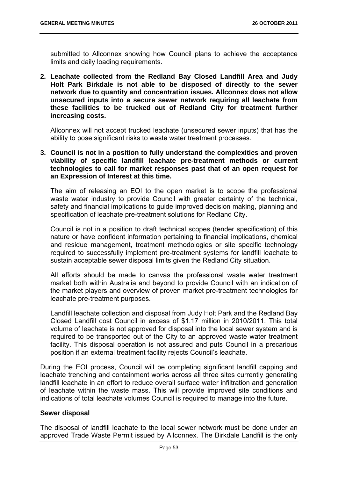submitted to Allconnex showing how Council plans to achieve the acceptance limits and daily loading requirements.

**2. Leachate collected from the Redland Bay Closed Landfill Area and Judy Holt Park Birkdale is not able to be disposed of directly to the sewer network due to quantity and concentration issues. Allconnex does not allow unsecured inputs into a secure sewer network requiring all leachate from these facilities to be trucked out of Redland City for treatment further increasing costs.** 

Allconnex will not accept trucked leachate (unsecured sewer inputs) that has the ability to pose significant risks to waste water treatment processes.

## **3. Council is not in a position to fully understand the complexities and proven viability of specific landfill leachate pre-treatment methods or current technologies to call for market responses past that of an open request for an Expression of Interest at this time.**

The aim of releasing an EOI to the open market is to scope the professional waste water industry to provide Council with greater certainty of the technical, safety and financial implications to guide improved decision making, planning and specification of leachate pre-treatment solutions for Redland City.

Council is not in a position to draft technical scopes (tender specification) of this nature or have confident information pertaining to financial implications, chemical and residue management, treatment methodologies or site specific technology required to successfully implement pre-treatment systems for landfill leachate to sustain acceptable sewer disposal limits given the Redland City situation.

All efforts should be made to canvas the professional waste water treatment market both within Australia and beyond to provide Council with an indication of the market players and overview of proven market pre-treatment technologies for leachate pre-treatment purposes.

Landfill leachate collection and disposal from Judy Holt Park and the Redland Bay Closed Landfill cost Council in excess of \$1.17 million in 2010/2011. This total volume of leachate is not approved for disposal into the local sewer system and is required to be transported out of the City to an approved waste water treatment facility. This disposal operation is not assured and puts Council in a precarious position if an external treatment facility rejects Council's leachate.

During the EOI process, Council will be completing significant landfill capping and leachate trenching and containment works across all three sites currently generating landfill leachate in an effort to reduce overall surface water infiltration and generation of leachate within the waste mass. This will provide improved site conditions and indications of total leachate volumes Council is required to manage into the future.

# **Sewer disposal**

The disposal of landfill leachate to the local sewer network must be done under an approved Trade Waste Permit issued by Allconnex. The Birkdale Landfill is the only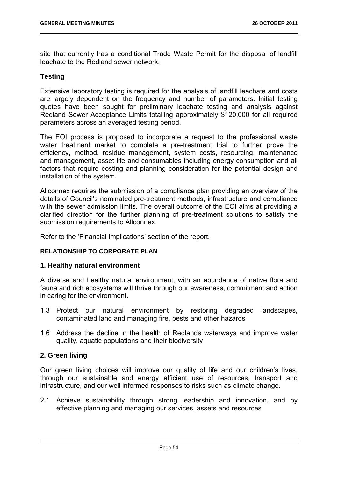site that currently has a conditional Trade Waste Permit for the disposal of landfill leachate to the Redland sewer network.

## **Testing**

Extensive laboratory testing is required for the analysis of landfill leachate and costs are largely dependent on the frequency and number of parameters. Initial testing quotes have been sought for preliminary leachate testing and analysis against Redland Sewer Acceptance Limits totalling approximately \$120,000 for all required parameters across an averaged testing period.

The EOI process is proposed to incorporate a request to the professional waste water treatment market to complete a pre-treatment trial to further prove the efficiency, method, residue management, system costs, resourcing, maintenance and management, asset life and consumables including energy consumption and all factors that require costing and planning consideration for the potential design and installation of the system.

Allconnex requires the submission of a compliance plan providing an overview of the details of Council's nominated pre-treatment methods, infrastructure and compliance with the sewer admission limits. The overall outcome of the EOI aims at providing a clarified direction for the further planning of pre-treatment solutions to satisfy the submission requirements to Allconnex.

Refer to the 'Financial Implications' section of the report.

## **RELATIONSHIP TO CORPORATE PLAN**

## **1. Healthy natural environment**

A diverse and healthy natural environment, with an abundance of native flora and fauna and rich ecosystems will thrive through our awareness, commitment and action in caring for the environment.

- 1.3 Protect our natural environment by restoring degraded landscapes, contaminated land and managing fire, pests and other hazards
- 1.6 Address the decline in the health of Redlands waterways and improve water quality, aquatic populations and their biodiversity

## **2. Green living**

Our green living choices will improve our quality of life and our children's lives, through our sustainable and energy efficient use of resources, transport and infrastructure, and our well informed responses to risks such as climate change.

2.1 Achieve sustainability through strong leadership and innovation, and by effective planning and managing our services, assets and resources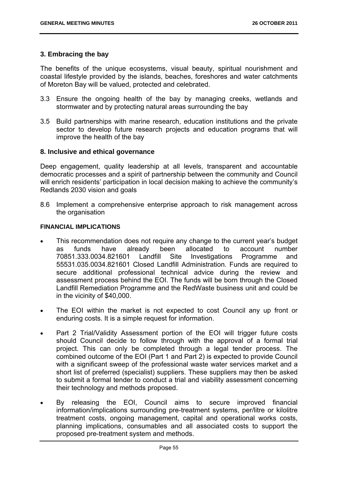## **3. Embracing the bay**

The benefits of the unique ecosystems, visual beauty, spiritual nourishment and coastal lifestyle provided by the islands, beaches, foreshores and water catchments of Moreton Bay will be valued, protected and celebrated.

- 3.3 Ensure the ongoing health of the bay by managing creeks, wetlands and stormwater and by protecting natural areas surrounding the bay
- 3.5 Build partnerships with marine research, education institutions and the private sector to develop future research projects and education programs that will improve the health of the bay

## **8. Inclusive and ethical governance**

Deep engagement, quality leadership at all levels, transparent and accountable democratic processes and a spirit of partnership between the community and Council will enrich residents' participation in local decision making to achieve the community's Redlands 2030 vision and goals

8.6 Implement a comprehensive enterprise approach to risk management across the organisation

## **FINANCIAL IMPLICATIONS**

- This recommendation does not require any change to the current year's budget as funds have already been allocated to account number 70851.333.0034.821601 Landfill Site Investigations Programme and 55531.035.0034.821601 Closed Landfill Administration. Funds are required to secure additional professional technical advice during the review and assessment process behind the EOI. The funds will be born through the Closed Landfill Remediation Programme and the RedWaste business unit and could be in the vicinity of \$40,000.
- The EOI within the market is not expected to cost Council any up front or enduring costs. It is a simple request for information.
- Part 2 Trial/Validity Assessment portion of the EOI will trigger future costs should Council decide to follow through with the approval of a formal trial project. This can only be completed through a legal tender process. The combined outcome of the EOI (Part 1 and Part 2) is expected to provide Council with a significant sweep of the professional waste water services market and a short list of preferred (specialist) suppliers. These suppliers may then be asked to submit a formal tender to conduct a trial and viability assessment concerning their technology and methods proposed.
- By releasing the EOI, Council aims to secure improved financial information/implications surrounding pre-treatment systems, per/litre or kilolitre treatment costs, ongoing management, capital and operational works costs, planning implications, consumables and all associated costs to support the proposed pre-treatment system and methods.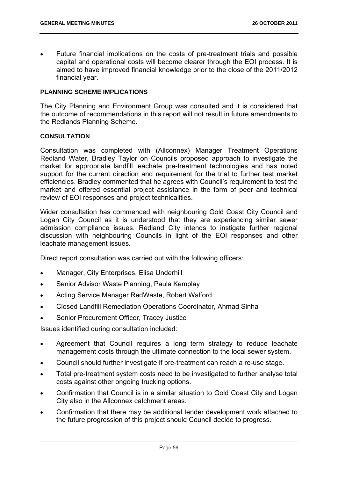Future financial implications on the costs of pre-treatment trials and possible capital and operational costs will become clearer through the EOI process. It is aimed to have improved financial knowledge prior to the close of the 2011/2012 financial year.

#### **PLANNING SCHEME IMPLICATIONS**

The City Planning and Environment Group was consulted and it is considered that the outcome of recommendations in this report will not result in future amendments to the Redlands Planning Scheme.

#### **CONSULTATION**

Consultation was completed with (Allconnex) Manager Treatment Operations Redland Water, Bradley Taylor on Councils proposed approach to investigate the market for appropriate landfill leachate pre-treatment technologies and has noted support for the current direction and requirement for the trial to further test market efficiencies. Bradley commented that he agrees with Council's requirement to test the market and offered essential project assistance in the form of peer and technical review of EOI responses and project technicalities.

Wider consultation has commenced with neighbouring Gold Coast City Council and Logan City Council as it is understood that they are experiencing similar sewer admission compliance issues. Redland City intends to instigate further regional discussion with neighbouring Councils in light of the EOI responses and other leachate management issues.

Direct report consultation was carried out with the following officers:

- Manager, City Enterprises, Elisa Underhill
- Senior Advisor Waste Planning, Paula Kemplay
- Acting Service Manager RedWaste, Robert Walford
- Closed Landfill Remediation Operations Coordinator, Ahmad Sinha
- Senior Procurement Officer, Tracey Justice

Issues identified during consultation included:

- Agreement that Council requires a long term strategy to reduce leachate management costs through the ultimate connection to the local sewer system.
- Council should further investigate if pre-treatment can reach a re-use stage.
- Total pre-treatment system costs need to be investigated to further analyse total costs against other ongoing trucking options.
- Confirmation that Council is in a similar situation to Gold Coast City and Logan City also in the Allconnex catchment areas.
- Confirmation that there may be additional tender development work attached to the future progression of this project should Council decide to progress.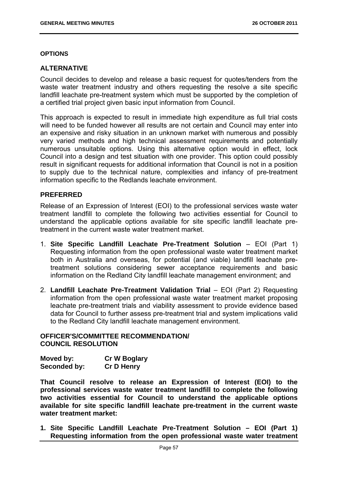## **OPTIONS**

# **ALTERNATIVE**

Council decides to develop and release a basic request for quotes/tenders from the waste water treatment industry and others requesting the resolve a site specific landfill leachate pre-treatment system which must be supported by the completion of a certified trial project given basic input information from Council.

This approach is expected to result in immediate high expenditure as full trial costs will need to be funded however all results are not certain and Council may enter into an expensive and risky situation in an unknown market with numerous and possibly very varied methods and high technical assessment requirements and potentially numerous unsuitable options. Using this alternative option would in effect, lock Council into a design and test situation with one provider. This option could possibly result in significant requests for additional information that Council is not in a position to supply due to the technical nature, complexities and infancy of pre-treatment information specific to the Redlands leachate environment.

## **PREFERRED**

Release of an Expression of Interest (EOI) to the professional services waste water treatment landfill to complete the following two activities essential for Council to understand the applicable options available for site specific landfill leachate pretreatment in the current waste water treatment market.

- 1. **Site Specific Landfill Leachate Pre-Treatment Solution** EOI (Part 1) Requesting information from the open professional waste water treatment market both in Australia and overseas, for potential (and viable) landfill leachate pretreatment solutions considering sewer acceptance requirements and basic information on the Redland City landfill leachate management environment; and
- 2. **Landfill Leachate Pre-Treatment Validation Trial** EOI (Part 2) Requesting information from the open professional waste water treatment market proposing leachate pre-treatment trials and viability assessment to provide evidence based data for Council to further assess pre-treatment trial and system implications valid to the Redland City landfill leachate management environment.

# **OFFICER'S/COMMITTEE RECOMMENDATION/ COUNCIL RESOLUTION**

| Moved by:    | <b>Cr W Boglary</b> |
|--------------|---------------------|
| Seconded by: | <b>Cr D Henry</b>   |

**That Council resolve to release an Expression of Interest (EOI) to the professional services waste water treatment landfill to complete the following two activities essential for Council to understand the applicable options available for site specific landfill leachate pre-treatment in the current waste water treatment market:** 

**1. Site Specific Landfill Leachate Pre-Treatment Solution – EOI (Part 1) Requesting information from the open professional waste water treatment**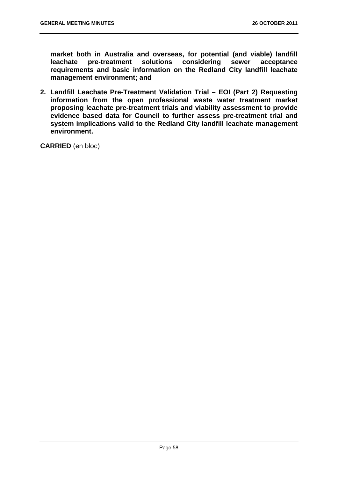**market both in Australia and overseas, for potential (and viable) landfill leachate pre-treatment solutions considering sewer acceptance requirements and basic information on the Redland City landfill leachate management environment; and** 

**2. Landfill Leachate Pre-Treatment Validation Trial – EOI (Part 2) Requesting information from the open professional waste water treatment market proposing leachate pre-treatment trials and viability assessment to provide evidence based data for Council to further assess pre-treatment trial and system implications valid to the Redland City landfill leachate management environment.** 

**CARRIED** (en bloc)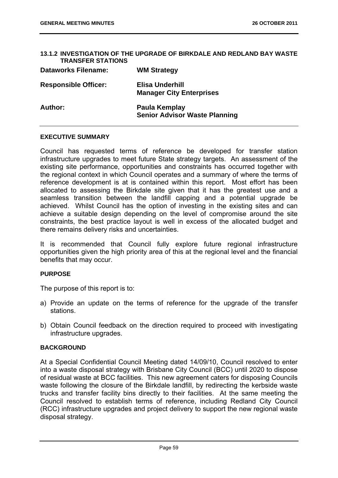#### **13.1.2 INVESTIGATION OF THE UPGRADE OF BIRKDALE AND REDLAND BAY WASTE TRANSFER STATIONS**

| <b>Dataworks Filename:</b>  | <b>WM Strategy</b>                                    |
|-----------------------------|-------------------------------------------------------|
| <b>Responsible Officer:</b> | Elisa Underhill<br><b>Manager City Enterprises</b>    |
| Author:                     | Paula Kemplay<br><b>Senior Advisor Waste Planning</b> |

#### **EXECUTIVE SUMMARY**

Council has requested terms of reference be developed for transfer station infrastructure upgrades to meet future State strategy targets. An assessment of the existing site performance, opportunities and constraints has occurred together with the regional context in which Council operates and a summary of where the terms of reference development is at is contained within this report. Most effort has been allocated to assessing the Birkdale site given that it has the greatest use and a seamless transition between the landfill capping and a potential upgrade be achieved. Whilst Council has the option of investing in the existing sites and can achieve a suitable design depending on the level of compromise around the site constraints, the best practice layout is well in excess of the allocated budget and there remains delivery risks and uncertainties.

It is recommended that Council fully explore future regional infrastructure opportunities given the high priority area of this at the regional level and the financial benefits that may occur.

#### **PURPOSE**

The purpose of this report is to:

- a) Provide an update on the terms of reference for the upgrade of the transfer stations.
- b) Obtain Council feedback on the direction required to proceed with investigating infrastructure upgrades.

## **BACKGROUND**

At a Special Confidential Council Meeting dated 14/09/10, Council resolved to enter into a waste disposal strategy with Brisbane City Council (BCC) until 2020 to dispose of residual waste at BCC facilities. This new agreement caters for disposing Councils waste following the closure of the Birkdale landfill, by redirecting the kerbside waste trucks and transfer facility bins directly to their facilities. At the same meeting the Council resolved to establish terms of reference, including Redland City Council (RCC) infrastructure upgrades and project delivery to support the new regional waste disposal strategy.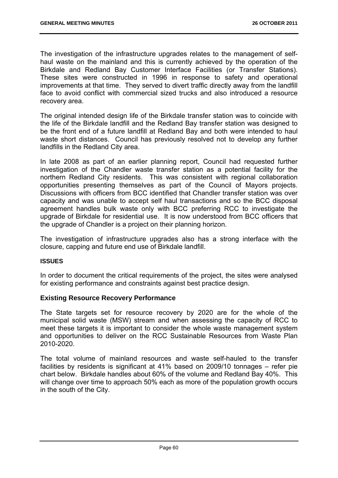The investigation of the infrastructure upgrades relates to the management of selfhaul waste on the mainland and this is currently achieved by the operation of the Birkdale and Redland Bay Customer Interface Facilities (or Transfer Stations). These sites were constructed in 1996 in response to safety and operational improvements at that time. They served to divert traffic directly away from the landfill face to avoid conflict with commercial sized trucks and also introduced a resource recovery area.

The original intended design life of the Birkdale transfer station was to coincide with the life of the Birkdale landfill and the Redland Bay transfer station was designed to be the front end of a future landfill at Redland Bay and both were intended to haul waste short distances. Council has previously resolved not to develop any further landfills in the Redland City area.

In late 2008 as part of an earlier planning report, Council had requested further investigation of the Chandler waste transfer station as a potential facility for the northern Redland City residents. This was consistent with regional collaboration opportunities presenting themselves as part of the Council of Mayors projects. Discussions with officers from BCC identified that Chandler transfer station was over capacity and was unable to accept self haul transactions and so the BCC disposal agreement handles bulk waste only with BCC preferring RCC to investigate the upgrade of Birkdale for residential use. It is now understood from BCC officers that the upgrade of Chandler is a project on their planning horizon.

The investigation of infrastructure upgrades also has a strong interface with the closure, capping and future end use of Birkdale landfill.

## **ISSUES**

In order to document the critical requirements of the project, the sites were analysed for existing performance and constraints against best practice design.

## **Existing Resource Recovery Performance**

The State targets set for resource recovery by 2020 are for the whole of the municipal solid waste (MSW) stream and when assessing the capacity of RCC to meet these targets it is important to consider the whole waste management system and opportunities to deliver on the RCC Sustainable Resources from Waste Plan 2010-2020.

The total volume of mainland resources and waste self-hauled to the transfer facilities by residents is significant at 41% based on 2009/10 tonnages – refer pie chart below. Birkdale handles about 60% of the volume and Redland Bay 40%. This will change over time to approach 50% each as more of the population growth occurs in the south of the City.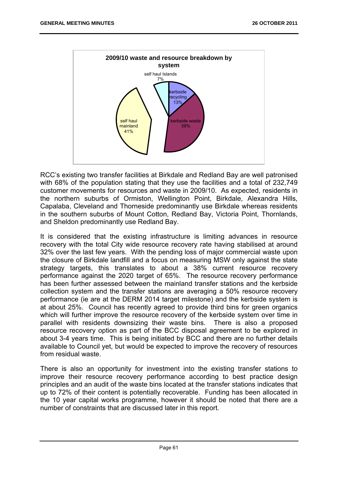

RCC's existing two transfer facilities at Birkdale and Redland Bay are well patronised with 68% of the population stating that they use the facilities and a total of 232,749 customer movements for resources and waste in 2009/10. As expected, residents in the northern suburbs of Ormiston, Wellington Point, Birkdale, Alexandra Hills, Capalaba, Cleveland and Thorneside predominantly use Birkdale whereas residents in the southern suburbs of Mount Cotton, Redland Bay, Victoria Point, Thornlands, and Sheldon predominantly use Redland Bay.

It is considered that the existing infrastructure is limiting advances in resource recovery with the total City wide resource recovery rate having stabilised at around 32% over the last few years. With the pending loss of major commercial waste upon the closure of Birkdale landfill and a focus on measuring MSW only against the state strategy targets, this translates to about a 38% current resource recovery performance against the 2020 target of 65%. The resource recovery performance has been further assessed between the mainland transfer stations and the kerbside collection system and the transfer stations are averaging a 50% resource recovery performance (ie are at the DERM 2014 target milestone) and the kerbside system is at about 25%. Council has recently agreed to provide third bins for green organics which will further improve the resource recovery of the kerbside system over time in parallel with residents downsizing their waste bins. There is also a proposed resource recovery option as part of the BCC disposal agreement to be explored in about 3-4 years time. This is being initiated by BCC and there are no further details available to Council yet, but would be expected to improve the recovery of resources from residual waste.

There is also an opportunity for investment into the existing transfer stations to improve their resource recovery performance according to best practice design principles and an audit of the waste bins located at the transfer stations indicates that up to 72% of their content is potentially recoverable. Funding has been allocated in the 10 year capital works programme, however it should be noted that there are a number of constraints that are discussed later in this report.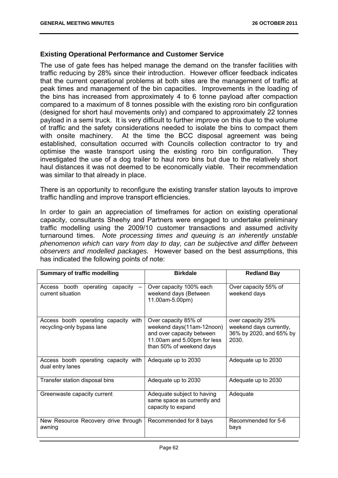## **Existing Operational Performance and Customer Service**

The use of gate fees has helped manage the demand on the transfer facilities with traffic reducing by 28% since their introduction. However officer feedback indicates that the current operational problems at both sites are the management of traffic at peak times and management of the bin capacities. Improvements in the loading of the bins has increased from approximately 4 to 6 tonne payload after compaction compared to a maximum of 8 tonnes possible with the existing roro bin configuration (designed for short haul movements only) and compared to approximately 22 tonnes payload in a semi truck. It is very difficult to further improve on this due to the volume of traffic and the safety considerations needed to isolate the bins to compact them with onsite machinery. At the time the BCC disposal agreement was being established, consultation occurred with Councils collection contractor to try and optimise the waste transport using the existing roro bin configuration. They investigated the use of a dog trailer to haul roro bins but due to the relatively short haul distances it was not deemed to be economically viable. Their recommendation was similar to that already in place.

There is an opportunity to reconfigure the existing transfer station layouts to improve traffic handling and improve transport efficiencies.

In order to gain an appreciation of timeframes for action on existing operational capacity, consultants Sheehy and Partners were engaged to undertake preliminary traffic modelling using the 2009/10 customer transactions and assumed activity turnaround times. *Note processing times and queuing is an inherently unstable phenomenon which can vary from day to day, can be subjective and differ between observers and modelled packages.* However based on the best assumptions, this has indicated the following points of note:

| <b>Summary of traffic modelling</b>                                | <b>Birkdale</b>                                                                                                                           | <b>Redland Bay</b>                                                               |
|--------------------------------------------------------------------|-------------------------------------------------------------------------------------------------------------------------------------------|----------------------------------------------------------------------------------|
| Access booth operating capacity<br>current situation               | Over capacity 100% each<br>weekend days (Between<br>11.00am-5.00pm)                                                                       | Over capacity 55% of<br>weekend days                                             |
| Access booth operating capacity with<br>recycling-only bypass lane | Over capacity 85% of<br>weekend days(11am-12noon)<br>and over capacity between<br>11.00am and 5.00pm for less<br>than 50% of weekend days | over capacity 25%<br>weekend days currently,<br>36% by 2020, and 65% by<br>2030. |
| Access booth operating capacity with<br>dual entry lanes           | Adequate up to 2030                                                                                                                       | Adequate up to 2030                                                              |
| Transfer station disposal bins                                     | Adequate up to 2030                                                                                                                       | Adequate up to 2030                                                              |
| Greenwaste capacity current                                        | Adequate subject to having<br>same space as currently and<br>capacity to expand                                                           | Adequate                                                                         |
| New Resource Recovery drive through<br>awning                      | Recommended for 8 bays                                                                                                                    | Recommended for 5-6<br>bays                                                      |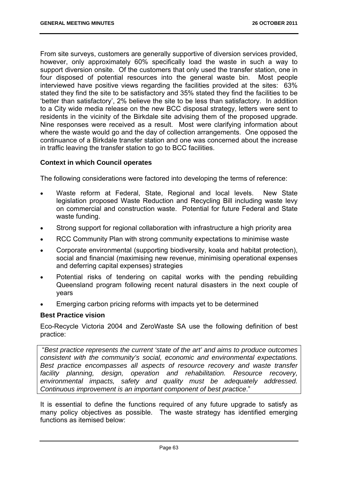From site surveys, customers are generally supportive of diversion services provided, however, only approximately 60% specifically load the waste in such a way to support diversion onsite. Of the customers that only used the transfer station, one in four disposed of potential resources into the general waste bin. Most people interviewed have positive views regarding the facilities provided at the sites: 63% stated they find the site to be satisfactory and 35% stated they find the facilities to be 'better than satisfactory', 2% believe the site to be less than satisfactory. In addition to a City wide media release on the new BCC disposal strategy, letters were sent to residents in the vicinity of the Birkdale site advising them of the proposed upgrade. Nine responses were received as a result. Most were clarifying information about where the waste would go and the day of collection arrangements. One opposed the continuance of a Birkdale transfer station and one was concerned about the increase in traffic leaving the transfer station to go to BCC facilities.

## **Context in which Council operates**

The following considerations were factored into developing the terms of reference:

- Waste reform at Federal, State, Regional and local levels. New State legislation proposed Waste Reduction and Recycling Bill including waste levy on commercial and construction waste. Potential for future Federal and State waste funding.
- Strong support for regional collaboration with infrastructure a high priority area
- RCC Community Plan with strong community expectations to minimise waste
- Corporate environmental (supporting biodiversity, koala and habitat protection), social and financial (maximising new revenue, minimising operational expenses and deferring capital expenses) strategies
- Potential risks of tendering on capital works with the pending rebuilding Queensland program following recent natural disasters in the next couple of years
- Emerging carbon pricing reforms with impacts yet to be determined

## **Best Practice vision**

Eco-Recycle Victoria 2004 and ZeroWaste SA use the following definition of best practice:

 "*Best practice represents the current 'state of the art' and aims to produce outcomes consistent with the community's social, economic and environmental expectations. Best practice encompasses all aspects of resource recovery and waste transfer facility planning, design, operation and rehabilitation. Resource recovery, environmental impacts, safety and quality must be adequately addressed. Continuous improvement is an important component of best practice*."

It is essential to define the functions required of any future upgrade to satisfy as many policy objectives as possible. The waste strategy has identified emerging functions as itemised below: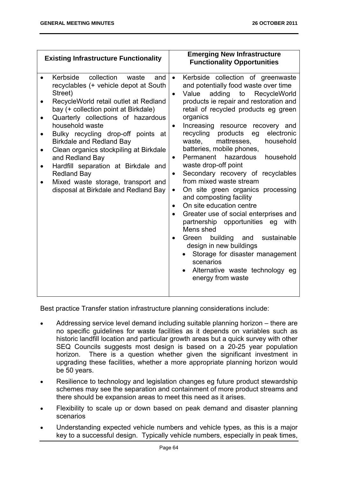| <b>Existing Infrastructure Functionality</b>                                                                                                                                                                                                                                                                                                                                                                                                                                                                          | <b>Emerging New Infrastructure</b><br><b>Functionality Opportunities</b>                                                                                                                                                                                                                                                                                                                                                                                                                                                                                                                                                                                                                                                                                                                                                                                                                                                                                   |
|-----------------------------------------------------------------------------------------------------------------------------------------------------------------------------------------------------------------------------------------------------------------------------------------------------------------------------------------------------------------------------------------------------------------------------------------------------------------------------------------------------------------------|------------------------------------------------------------------------------------------------------------------------------------------------------------------------------------------------------------------------------------------------------------------------------------------------------------------------------------------------------------------------------------------------------------------------------------------------------------------------------------------------------------------------------------------------------------------------------------------------------------------------------------------------------------------------------------------------------------------------------------------------------------------------------------------------------------------------------------------------------------------------------------------------------------------------------------------------------------|
| Kerbside<br>collection<br>waste<br>and<br>recyclables (+ vehicle depot at South<br>Street)<br>RecycleWorld retail outlet at Redland<br>bay (+ collection point at Birkdale)<br>Quarterly collections of hazardous<br>household waste<br>Bulky recycling drop-off points at<br><b>Birkdale and Redland Bay</b><br>Clean organics stockpiling at Birkdale<br>and Redland Bay<br>Hardfill separation at Birkdale and<br><b>Redland Bay</b><br>Mixed waste storage, transport and<br>disposal at Birkdale and Redland Bay | Kerbside<br>collection of greenwaste<br>$\bullet$<br>and potentially food waste over time<br>Value<br>adding to RecycleWorld<br>$\bullet$<br>products ie repair and restoration and<br>retail of recycled products eg green<br>organics<br>Increasing resource recovery and<br>recycling products<br>electronic<br>eg<br>waste,<br>household<br>mattresses,<br>batteries, mobile phones,<br>Permanent hazardous<br>household<br>$\bullet$<br>waste drop-off point<br>Secondary recovery of recyclables<br>$\bullet$<br>from mixed waste stream<br>On site green organics processing<br>$\bullet$<br>and composting facility<br>On site education centre<br>Greater use of social enterprises and<br>$\bullet$<br>partnership opportunities eg<br>with<br>Mens shed<br>building and<br>sustainable<br>Green<br>design in new buildings<br>Storage for disaster management<br>scenarios<br>Alternative waste technology eg<br>$\bullet$<br>energy from waste |

Best practice Transfer station infrastructure planning considerations include:

- Addressing service level demand including suitable planning horizon there are no specific guidelines for waste facilities as it depends on variables such as historic landfill location and particular growth areas but a quick survey with other SEQ Councils suggests most design is based on a 20-25 year population horizon. There is a question whether given the significant investment in upgrading these facilities, whether a more appropriate planning horizon would be 50 years.
- Resilience to technology and legislation changes eg future product stewardship schemes may see the separation and containment of more product streams and there should be expansion areas to meet this need as it arises.
- Flexibility to scale up or down based on peak demand and disaster planning scenarios
- Understanding expected vehicle numbers and vehicle types, as this is a major key to a successful design. Typically vehicle numbers, especially in peak times,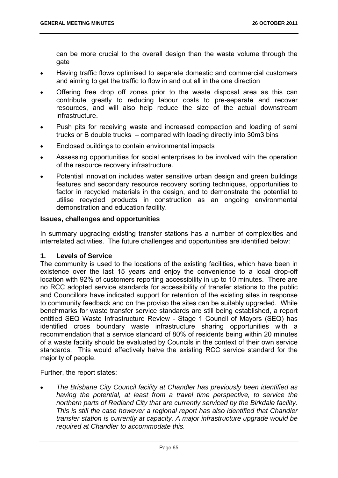can be more crucial to the overall design than the waste volume through the gate

- Having traffic flows optimised to separate domestic and commercial customers and aiming to get the traffic to flow in and out all in the one direction
- Offering free drop off zones prior to the waste disposal area as this can contribute greatly to reducing labour costs to pre-separate and recover resources, and will also help reduce the size of the actual downstream infrastructure.
- Push pits for receiving waste and increased compaction and loading of semi trucks or B double trucks – compared with loading directly into 30m3 bins
- Enclosed buildings to contain environmental impacts
- Assessing opportunities for social enterprises to be involved with the operation of the resource recovery infrastructure.
- Potential innovation includes water sensitive urban design and green buildings features and secondary resource recovery sorting techniques, opportunities to factor in recycled materials in the design, and to demonstrate the potential to utilise recycled products in construction as an ongoing environmental demonstration and education facility.

## **Issues, challenges and opportunities**

In summary upgrading existing transfer stations has a number of complexities and interrelated activities. The future challenges and opportunities are identified below:

## **1. Levels of Service**

The community is used to the locations of the existing facilities, which have been in existence over the last 15 years and enjoy the convenience to a local drop-off location with 92% of customers reporting accessibility in up to 10 minutes. There are no RCC adopted service standards for accessibility of transfer stations to the public and Councillors have indicated support for retention of the existing sites in response to community feedback and on the proviso the sites can be suitably upgraded. While benchmarks for waste transfer service standards are still being established, a report entitled SEQ Waste Infrastructure Review - Stage 1 Council of Mayors (SEQ) has identified cross boundary waste infrastructure sharing opportunities with a recommendation that a service standard of 80% of residents being within 20 minutes of a waste facility should be evaluated by Councils in the context of their own service standards. This would effectively halve the existing RCC service standard for the majority of people.

Further, the report states:

 *The Brisbane City Council facility at Chandler has previously been identified as having the potential, at least from a travel time perspective, to service the northern parts of Redland City that are currently serviced by the Birkdale facility. This is still the case however a regional report has also identified that Chandler transfer station is currently at capacity. A major infrastructure upgrade would be required at Chandler to accommodate this.*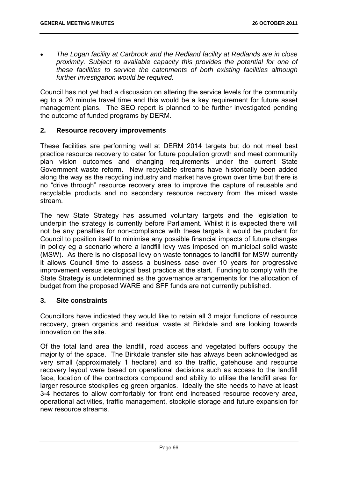*The Logan facility at Carbrook and the Redland facility at Redlands are in close proximity. Subject to available capacity this provides the potential for one of these facilities to service the catchments of both existing facilities although further investigation would be required.* 

Council has not yet had a discussion on altering the service levels for the community eg to a 20 minute travel time and this would be a key requirement for future asset management plans. The SEQ report is planned to be further investigated pending the outcome of funded programs by DERM.

# **2. Resource recovery improvements**

These facilities are performing well at DERM 2014 targets but do not meet best practice resource recovery to cater for future population growth and meet community plan vision outcomes and changing requirements under the current State Government waste reform. New recyclable streams have historically been added along the way as the recycling industry and market have grown over time but there is no "drive through" resource recovery area to improve the capture of reusable and recyclable products and no secondary resource recovery from the mixed waste stream.

The new State Strategy has assumed voluntary targets and the legislation to underpin the strategy is currently before Parliament. Whilst it is expected there will not be any penalties for non-compliance with these targets it would be prudent for Council to position itself to minimise any possible financial impacts of future changes in policy eg a scenario where a landfill levy was imposed on municipal solid waste (MSW). As there is no disposal levy on waste tonnages to landfill for MSW currently it allows Council time to assess a business case over 10 years for progressive improvement versus ideological best practice at the start. Funding to comply with the State Strategy is undetermined as the governance arrangements for the allocation of budget from the proposed WARE and SFF funds are not currently published.

## **3. Site constraints**

Councillors have indicated they would like to retain all 3 major functions of resource recovery, green organics and residual waste at Birkdale and are looking towards innovation on the site.

Of the total land area the landfill, road access and vegetated buffers occupy the majority of the space. The Birkdale transfer site has always been acknowledged as very small (approximately 1 hectare) and so the traffic, gatehouse and resource recovery layout were based on operational decisions such as access to the landfill face, location of the contractors compound and ability to utilise the landfill area for larger resource stockpiles eg green organics. Ideally the site needs to have at least 3-4 hectares to allow comfortably for front end increased resource recovery area, operational activities, traffic management, stockpile storage and future expansion for new resource streams.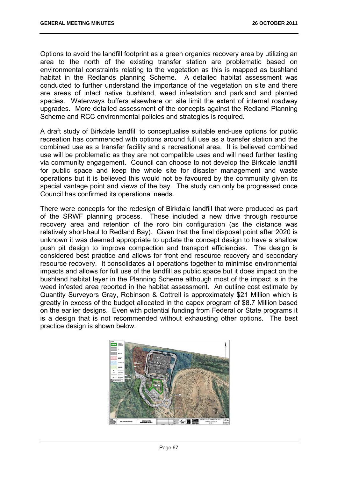Options to avoid the landfill footprint as a green organics recovery area by utilizing an area to the north of the existing transfer station are problematic based on environmental constraints relating to the vegetation as this is mapped as bushland habitat in the Redlands planning Scheme. A detailed habitat assessment was conducted to further understand the importance of the vegetation on site and there are areas of intact native bushland, weed infestation and parkland and planted species. Waterways buffers elsewhere on site limit the extent of internal roadway upgrades. More detailed assessment of the concepts against the Redland Planning Scheme and RCC environmental policies and strategies is required.

A draft study of Birkdale landfill to conceptualise suitable end-use options for public recreation has commenced with options around full use as a transfer station and the combined use as a transfer facility and a recreational area. It is believed combined use will be problematic as they are not compatible uses and will need further testing via community engagement. Council can choose to not develop the Birkdale landfill for public space and keep the whole site for disaster management and waste operations but it is believed this would not be favoured by the community given its special vantage point and views of the bay. The study can only be progressed once Council has confirmed its operational needs.

There were concepts for the redesign of Birkdale landfill that were produced as part of the SRWF planning process. These included a new drive through resource recovery area and retention of the roro bin configuration (as the distance was relatively short-haul to Redland Bay). Given that the final disposal point after 2020 is unknown it was deemed appropriate to update the concept design to have a shallow push pit design to improve compaction and transport efficiencies. The design is considered best practice and allows for front end resource recovery and secondary resource recovery. It consolidates all operations together to minimise environmental impacts and allows for full use of the landfill as public space but it does impact on the bushland habitat layer in the Planning Scheme although most of the impact is in the weed infested area reported in the habitat assessment. An outline cost estimate by Quantity Surveyors Gray, Robinson & Cottrell is approximately \$21 Million which is greatly in excess of the budget allocated in the capex program of \$8.7 Million based on the earlier designs. Even with potential funding from Federal or State programs it is a design that is not recommended without exhausting other options. The best practice design is shown below:

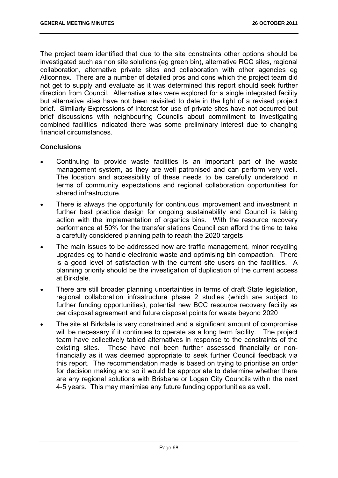The project team identified that due to the site constraints other options should be investigated such as non site solutions (eg green bin), alternative RCC sites, regional collaboration, alternative private sites and collaboration with other agencies eg Allconnex. There are a number of detailed pros and cons which the project team did not get to supply and evaluate as it was determined this report should seek further direction from Council. Alternative sites were explored for a single integrated facility but alternative sites have not been revisited to date in the light of a revised project brief. Similarly Expressions of Interest for use of private sites have not occurred but brief discussions with neighbouring Councils about commitment to investigating combined facilities indicated there was some preliminary interest due to changing financial circumstances.

# **Conclusions**

- Continuing to provide waste facilities is an important part of the waste management system, as they are well patronised and can perform very well. The location and accessibility of these needs to be carefully understood in terms of community expectations and regional collaboration opportunities for shared infrastructure.
- There is always the opportunity for continuous improvement and investment in further best practice design for ongoing sustainability and Council is taking action with the implementation of organics bins. With the resource recovery performance at 50% for the transfer stations Council can afford the time to take a carefully considered planning path to reach the 2020 targets
- The main issues to be addressed now are traffic management, minor recycling upgrades eg to handle electronic waste and optimising bin compaction. There is a good level of satisfaction with the current site users on the facilities. A planning priority should be the investigation of duplication of the current access at Birkdale.
- There are still broader planning uncertainties in terms of draft State legislation, regional collaboration infrastructure phase 2 studies (which are subject to further funding opportunities), potential new BCC resource recovery facility as per disposal agreement and future disposal points for waste beyond 2020
- The site at Birkdale is very constrained and a significant amount of compromise will be necessary if it continues to operate as a long term facility. The project team have collectively tabled alternatives in response to the constraints of the existing sites. These have not been further assessed financially or nonfinancially as it was deemed appropriate to seek further Council feedback via this report. The recommendation made is based on trying to prioritise an order for decision making and so it would be appropriate to determine whether there are any regional solutions with Brisbane or Logan City Councils within the next 4-5 years. This may maximise any future funding opportunities as well.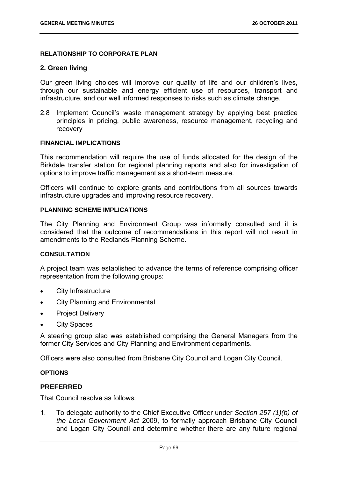## **RELATIONSHIP TO CORPORATE PLAN**

## **2. Green living**

Our green living choices will improve our quality of life and our children's lives, through our sustainable and energy efficient use of resources, transport and infrastructure, and our well informed responses to risks such as climate change.

2.8 Implement Council's waste management strategy by applying best practice principles in pricing, public awareness, resource management, recycling and recovery

#### **FINANCIAL IMPLICATIONS**

This recommendation will require the use of funds allocated for the design of the Birkdale transfer station for regional planning reports and also for investigation of options to improve traffic management as a short-term measure.

Officers will continue to explore grants and contributions from all sources towards infrastructure upgrades and improving resource recovery.

## **PLANNING SCHEME IMPLICATIONS**

The City Planning and Environment Group was informally consulted and it is considered that the outcome of recommendations in this report will not result in amendments to the Redlands Planning Scheme.

# **CONSULTATION**

A project team was established to advance the terms of reference comprising officer representation from the following groups:

- City Infrastructure
- City Planning and Environmental
- Project Delivery
- City Spaces

A steering group also was established comprising the General Managers from the former City Services and City Planning and Environment departments.

Officers were also consulted from Brisbane City Council and Logan City Council.

## **OPTIONS**

## **PREFERRED**

That Council resolve as follows:

1. To delegate authority to the Chief Executive Officer under *Section 257 (1)(b) of the Local Government Act* 2009, to formally approach Brisbane City Council and Logan City Council and determine whether there are any future regional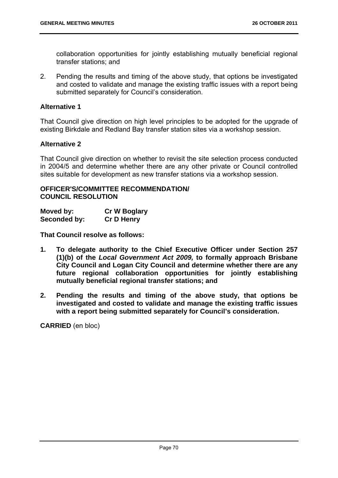collaboration opportunities for jointly establishing mutually beneficial regional transfer stations; and

2. Pending the results and timing of the above study, that options be investigated and costed to validate and manage the existing traffic issues with a report being submitted separately for Council's consideration.

# **Alternative 1**

That Council give direction on high level principles to be adopted for the upgrade of existing Birkdale and Redland Bay transfer station sites via a workshop session.

# **Alternative 2**

That Council give direction on whether to revisit the site selection process conducted in 2004/5 and determine whether there are any other private or Council controlled sites suitable for development as new transfer stations via a workshop session.

# **OFFICER'S/COMMITTEE RECOMMENDATION/ COUNCIL RESOLUTION**

| Moved by:    | <b>Cr W Boglary</b> |
|--------------|---------------------|
| Seconded by: | <b>Cr D Henry</b>   |

**That Council resolve as follows:** 

- **1. To delegate authority to the Chief Executive Officer under Section 257 (1)(b) of the** *Local Government Act 2009,* **to formally approach Brisbane City Council and Logan City Council and determine whether there are any future regional collaboration opportunities for jointly establishing mutually beneficial regional transfer stations; and**
- **2. Pending the results and timing of the above study, that options be investigated and costed to validate and manage the existing traffic issues with a report being submitted separately for Council's consideration.**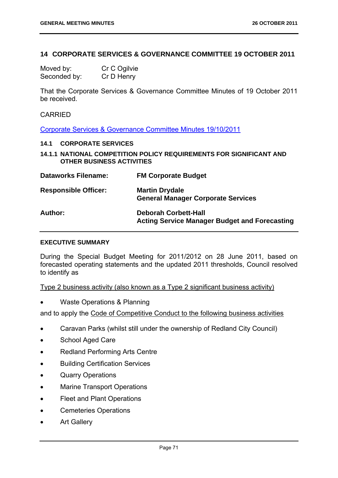# **14 CORPORATE SERVICES & GOVERNANCE COMMITTEE 19 OCTOBER 2011**

Moved by: Cr C Ogilvie Seconded by: Cr D Henry

That the Corporate Services & Governance Committee Minutes of 19 October 2011 be received.

#### CARRIED

Corporate Services & Governance Committee Minutes 19/10/2011

#### **14.1 CORPORATE SERVICES**

**14.1.1 NATIONAL COMPETITION POLICY REQUIREMENTS FOR SIGNIFICANT AND OTHER BUSINESS ACTIVITIES** 

| <b>Dataworks Filename:</b>  | <b>FM Corporate Budget</b>                                                          |
|-----------------------------|-------------------------------------------------------------------------------------|
| <b>Responsible Officer:</b> | <b>Martin Drydale</b><br><b>General Manager Corporate Services</b>                  |
| Author:                     | <b>Deborah Corbett-Hall</b><br><b>Acting Service Manager Budget and Forecasting</b> |

#### **EXECUTIVE SUMMARY**

During the Special Budget Meeting for 2011/2012 on 28 June 2011, based on forecasted operating statements and the updated 2011 thresholds, Council resolved to identify as

Type 2 business activity (also known as a Type 2 significant business activity)

Waste Operations & Planning

and to apply the Code of Competitive Conduct to the following business activities

- Caravan Parks (whilst still under the ownership of Redland City Council)
- School Aged Care
- Redland Performing Arts Centre
- **•** Building Certification Services
- Quarry Operations
- Marine Transport Operations
- Fleet and Plant Operations
- Cemeteries Operations
- Art Gallery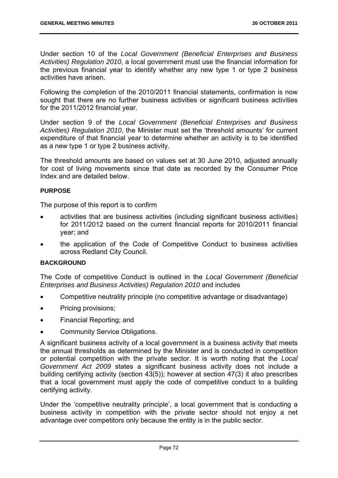Under section 10 of the *Local Government (Beneficial Enterprises and Business Activities) Regulation 2010*, a local government must use the financial information for the previous financial year to identify whether any new type 1 or type 2 business activities have arisen.

Following the completion of the 2010/2011 financial statements, confirmation is now sought that there are no further business activities or significant business activities for the 2011/2012 financial year.

Under section 9 of the *Local Government (Beneficial Enterprises and Business Activities) Regulation 2010*, the Minister must set the 'threshold amounts' for current expenditure of that financial year to determine whether an activity is to be identified as a new type 1 or type 2 business activity.

The threshold amounts are based on values set at 30 June 2010, adjusted annually for cost of living movements since that date as recorded by the Consumer Price Index and are detailed below.

# **PURPOSE**

The purpose of this report is to confirm

- activities that are business activities (including significant business activities) for 2011/2012 based on the current financial reports for 2010/2011 financial year; and
- the application of the Code of Competitive Conduct to business activities across Redland City Council.

## **BACKGROUND**

The Code of competitive Conduct is outlined in the *Local Government (Beneficial Enterprises and Business Activities) Regulation 2010* and includes

- Competitive neutrality principle (no competitive advantage or disadvantage)
- Pricing provisions;
- Financial Reporting; and
- Community Service Obligations.

A significant business activity of a local government is a business activity that meets the annual thresholds as determined by the Minister and is conducted in competition or potential competition with the private sector. It is worth noting that the *Local Government Act 2009* states a significant business activity does not include a building certifying activity (section 43(5)); however at section 47(3) it also prescribes that a local government must apply the code of competitive conduct to a building certifying activity.

Under the 'competitive neutrality principle', a local government that is conducting a business activity in competition with the private sector should not enjoy a net advantage over competitors only because the entity is in the public sector.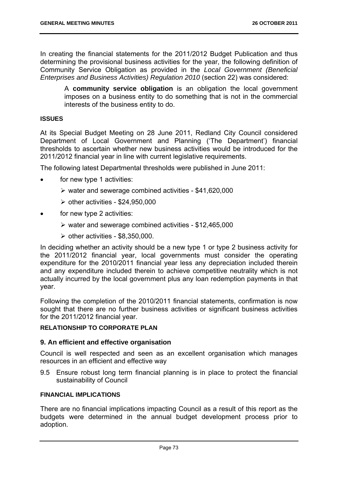In creating the financial statements for the 2011/2012 Budget Publication and thus determining the provisional business activities for the year, the following definition of Community Service Obligation as provided in the *Local Government (Beneficial Enterprises and Business Activities) Regulation 2010* (section 22) was considered:

A **community service obligation** is an obligation the local government imposes on a business entity to do something that is not in the commercial interests of the business entity to do.

#### **ISSUES**

At its Special Budget Meeting on 28 June 2011, Redland City Council considered Department of Local Government and Planning ('The Department') financial thresholds to ascertain whether new business activities would be introduced for the 2011/2012 financial year in line with current legislative requirements.

The following latest Departmental thresholds were published in June 2011:

- for new type 1 activities:
	- $\triangleright$  water and sewerage combined activities \$41,620,000
	- $\ge$  other activities \$24,950,000
- for new type 2 activities:
	- $\triangleright$  water and sewerage combined activities \$12,465,000
	- $\ge$  other activities \$8,350,000.

In deciding whether an activity should be a new type 1 or type 2 business activity for the 2011/2012 financial year, local governments must consider the operating expenditure for the 2010/2011 financial year less any depreciation included therein and any expenditure included therein to achieve competitive neutrality which is not actually incurred by the local government plus any loan redemption payments in that year.

Following the completion of the 2010/2011 financial statements, confirmation is now sought that there are no further business activities or significant business activities for the 2011/2012 financial year.

# **RELATIONSHIP TO CORPORATE PLAN**

## **9. An efficient and effective organisation**

Council is well respected and seen as an excellent organisation which manages resources in an efficient and effective way

9.5 Ensure robust long term financial planning is in place to protect the financial sustainability of Council

## **FINANCIAL IMPLICATIONS**

There are no financial implications impacting Council as a result of this report as the budgets were determined in the annual budget development process prior to adoption.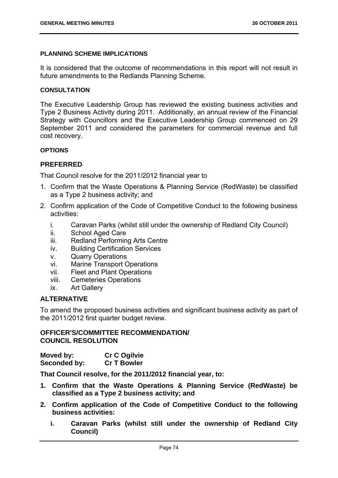## **PLANNING SCHEME IMPLICATIONS**

It is considered that the outcome of recommendations in this report will not result in future amendments to the Redlands Planning Scheme.

## **CONSULTATION**

The Executive Leadership Group has reviewed the existing business activities and Type 2 Business Activity during 2011. Additionally, an annual review of the Financial Strategy with Councillors and the Executive Leadership Group commenced on 29 September 2011 and considered the parameters for commercial revenue and full cost recovery.

## **OPTIONS**

# **PREFERRED**

That Council resolve for the 2011/2012 financial year to

- 1. Confirm that the Waste Operations & Planning Service (RedWaste) be classified as a Type 2 business activity; and
- 2. Confirm application of the Code of Competitive Conduct to the following business activities:
	- i. Caravan Parks (whilst still under the ownership of Redland City Council)
	- ii. School Aged Care
	- iii. Redland Performing Arts Centre
	- iv. Building Certification Services
	- v. Quarry Operations
	- vi. Marine Transport Operations
	- vii. Fleet and Plant Operations
	- viii. Cemeteries Operations
	- ix. Art Gallery

# **ALTERNATIVE**

To amend the proposed business activities and significant business activity as part of the 2011/2012 first quarter budget review.

# **OFFICER'S/COMMITTEE RECOMMENDATION/ COUNCIL RESOLUTION**

| Moved by:    | <b>Cr C Ogilvie</b> |
|--------------|---------------------|
| Seconded by: | <b>Cr T Bowler</b>  |

**That Council resolve, for the 2011/2012 financial year, to:** 

- **1. Confirm that the Waste Operations & Planning Service (RedWaste) be classified as a Type 2 business activity; and**
- **2. Confirm application of the Code of Competitive Conduct to the following business activities:** 
	- **i. Caravan Parks (whilst still under the ownership of Redland City Council)**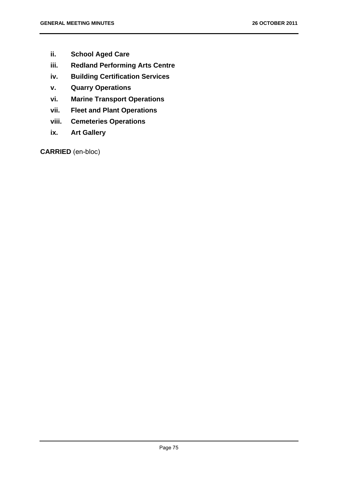- **ii. School Aged Care**
- **iii. Redland Performing Arts Centre**
- **iv. Building Certification Services**
- **v. Quarry Operations**
- **vi. Marine Transport Operations**
- **vii. Fleet and Plant Operations**
- **viii. Cemeteries Operations**
- **ix. Art Gallery**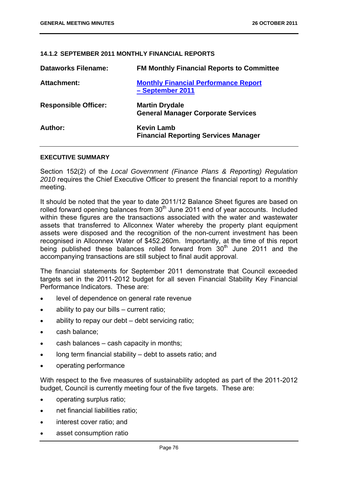# **14.1.2 SEPTEMBER 2011 MONTHLY FINANCIAL REPORTS**

| <b>Dataworks Filename:</b>  | <b>FM Monthly Financial Reports to Committee</b>                   |
|-----------------------------|--------------------------------------------------------------------|
| Attachment:                 | <b>Monthly Financial Performance Report</b><br>- September 2011    |
| <b>Responsible Officer:</b> | <b>Martin Drydale</b><br><b>General Manager Corporate Services</b> |
| Author:                     | <b>Kevin Lamb</b><br><b>Financial Reporting Services Manager</b>   |

#### **EXECUTIVE SUMMARY**

Section 152(2) of the *Local Government (Finance Plans & Reporting) Regulation 2010* requires the Chief Executive Officer to present the financial report to a monthly meeting.

It should be noted that the year to date 2011/12 Balance Sheet figures are based on rolled forward opening balances from  $30<sup>th</sup>$  June 2011 end of year accounts. Included within these figures are the transactions associated with the water and wastewater assets that transferred to Allconnex Water whereby the property plant equipment assets were disposed and the recognition of the non-current investment has been recognised in Allconnex Water of \$452.260m. Importantly, at the time of this report being published these balances rolled forward from  $30<sup>th</sup>$  June 2011 and the accompanying transactions are still subject to final audit approval.

The financial statements for September 2011 demonstrate that Council exceeded targets set in the 2011-2012 budget for all seven Financial Stability Key Financial Performance Indicators. These are:

- level of dependence on general rate revenue
- ability to pay our bills current ratio;
- ability to repay our debt debt servicing ratio;
- cash balance;
- cash balances cash capacity in months;
- long term financial stability debt to assets ratio; and
- operating performance

With respect to the five measures of sustainability adopted as part of the 2011-2012 budget, Council is currently meeting four of the five targets. These are:

- operating surplus ratio;
- net financial liabilities ratio;
- interest cover ratio; and
- asset consumption ratio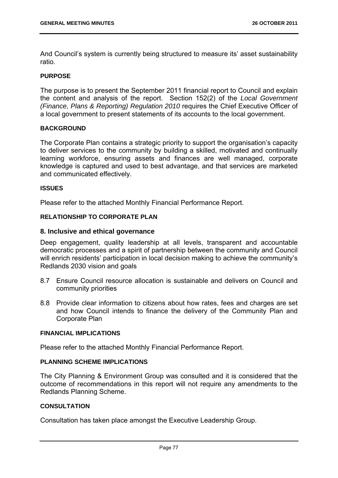And Council's system is currently being structured to measure its' asset sustainability ratio.

## **PURPOSE**

The purpose is to present the September 2011 financial report to Council and explain the content and analysis of the report. Section 152(2) of the *Local Government (Finance, Plans & Reporting) Regulation 2010* requires the Chief Executive Officer of a local government to present statements of its accounts to the local government.

#### **BACKGROUND**

The Corporate Plan contains a strategic priority to support the organisation's capacity to deliver services to the community by building a skilled, motivated and continually learning workforce, ensuring assets and finances are well managed, corporate knowledge is captured and used to best advantage, and that services are marketed and communicated effectively.

#### **ISSUES**

Please refer to the attached Monthly Financial Performance Report.

#### **RELATIONSHIP TO CORPORATE PLAN**

## **8. Inclusive and ethical governance**

Deep engagement, quality leadership at all levels, transparent and accountable democratic processes and a spirit of partnership between the community and Council will enrich residents' participation in local decision making to achieve the community's Redlands 2030 vision and goals

- 8.7 Ensure Council resource allocation is sustainable and delivers on Council and community priorities
- 8.8 Provide clear information to citizens about how rates, fees and charges are set and how Council intends to finance the delivery of the Community Plan and Corporate Plan

#### **FINANCIAL IMPLICATIONS**

Please refer to the attached Monthly Financial Performance Report.

#### **PLANNING SCHEME IMPLICATIONS**

The City Planning & Environment Group was consulted and it is considered that the outcome of recommendations in this report will not require any amendments to the Redlands Planning Scheme.

#### **CONSULTATION**

Consultation has taken place amongst the Executive Leadership Group.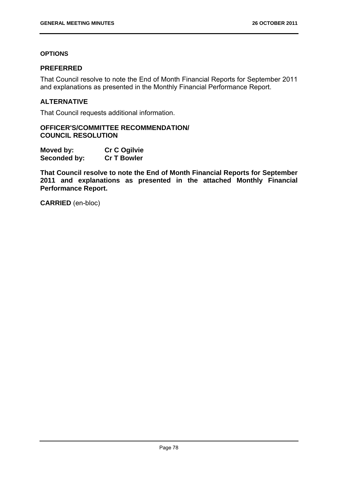# **OPTIONS**

# **PREFERRED**

That Council resolve to note the End of Month Financial Reports for September 2011 and explanations as presented in the Monthly Financial Performance Report.

## **ALTERNATIVE**

That Council requests additional information.

**OFFICER'S/COMMITTEE RECOMMENDATION/ COUNCIL RESOLUTION** 

| Moved by:    | <b>Cr C Ogilvie</b> |
|--------------|---------------------|
| Seconded by: | <b>Cr T Bowler</b>  |

**That Council resolve to note the End of Month Financial Reports for September 2011 and explanations as presented in the attached Monthly Financial Performance Report.**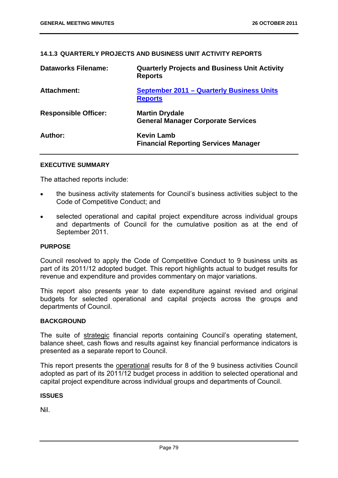## **14.1.3 QUARTERLY PROJECTS AND BUSINESS UNIT ACTIVITY REPORTS**

| <b>Dataworks Filename:</b>  | <b>Quarterly Projects and Business Unit Activity</b><br><b>Reports</b> |
|-----------------------------|------------------------------------------------------------------------|
| <b>Attachment:</b>          | <b>September 2011 - Quarterly Business Units</b><br><b>Reports</b>     |
| <b>Responsible Officer:</b> | <b>Martin Drydale</b><br><b>General Manager Corporate Services</b>     |
| Author:                     | <b>Kevin Lamb</b><br><b>Financial Reporting Services Manager</b>       |

## **EXECUTIVE SUMMARY**

The attached reports include:

- the business activity statements for Council's business activities subject to the Code of Competitive Conduct; and
- selected operational and capital project expenditure across individual groups and departments of Council for the cumulative position as at the end of September 2011.

#### **PURPOSE**

Council resolved to apply the Code of Competitive Conduct to 9 business units as part of its 2011/12 adopted budget. This report highlights actual to budget results for revenue and expenditure and provides commentary on major variations.

This report also presents year to date expenditure against revised and original budgets for selected operational and capital projects across the groups and departments of Council.

## **BACKGROUND**

The suite of strategic financial reports containing Council's operating statement, balance sheet, cash flows and results against key financial performance indicators is presented as a separate report to Council.

This report presents the operational results for 8 of the 9 business activities Council adopted as part of its 2011/12 budget process in addition to selected operational and capital project expenditure across individual groups and departments of Council.

#### **ISSUES**

Nil.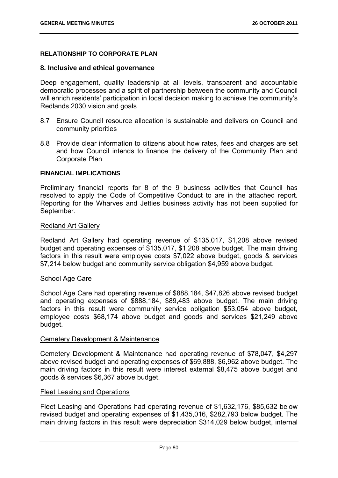# **RELATIONSHIP TO CORPORATE PLAN**

## **8. Inclusive and ethical governance**

Deep engagement, quality leadership at all levels, transparent and accountable democratic processes and a spirit of partnership between the community and Council will enrich residents' participation in local decision making to achieve the community's Redlands 2030 vision and goals

- 8.7 Ensure Council resource allocation is sustainable and delivers on Council and community priorities
- 8.8 Provide clear information to citizens about how rates, fees and charges are set and how Council intends to finance the delivery of the Community Plan and Corporate Plan

#### **FINANCIAL IMPLICATIONS**

Preliminary financial reports for 8 of the 9 business activities that Council has resolved to apply the Code of Competitive Conduct to are in the attached report. Reporting for the Wharves and Jetties business activity has not been supplied for September.

#### Redland Art Gallery

Redland Art Gallery had operating revenue of \$135,017, \$1,208 above revised budget and operating expenses of \$135,017, \$1,208 above budget. The main driving factors in this result were employee costs \$7,022 above budget, goods & services \$7,214 below budget and community service obligation \$4,959 above budget.

#### School Age Care

School Age Care had operating revenue of \$888,184, \$47,826 above revised budget and operating expenses of \$888,184, \$89,483 above budget. The main driving factors in this result were community service obligation \$53,054 above budget, employee costs \$68,174 above budget and goods and services \$21,249 above budget.

#### Cemetery Development & Maintenance

Cemetery Development & Maintenance had operating revenue of \$78,047, \$4,297 above revised budget and operating expenses of \$69,888, \$6,962 above budget. The main driving factors in this result were interest external \$8,475 above budget and goods & services \$6,367 above budget.

## Fleet Leasing and Operations

Fleet Leasing and Operations had operating revenue of \$1,632,176, \$85,632 below revised budget and operating expenses of \$1,435,016, \$282,793 below budget. The main driving factors in this result were depreciation \$314,029 below budget, internal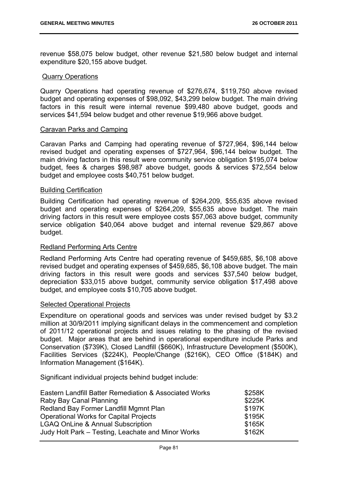revenue \$58,075 below budget, other revenue \$21,580 below budget and internal expenditure \$20,155 above budget.

#### Quarry Operations

Quarry Operations had operating revenue of \$276,674, \$119,750 above revised budget and operating expenses of \$98,092, \$43,299 below budget. The main driving factors in this result were internal revenue \$99,480 above budget, goods and services \$41,594 below budget and other revenue \$19,966 above budget.

#### Caravan Parks and Camping

Caravan Parks and Camping had operating revenue of \$727,964, \$96,144 below revised budget and operating expenses of \$727,964, \$96,144 below budget. The main driving factors in this result were community service obligation \$195,074 below budget, fees & charges \$98,987 above budget, goods & services \$72,554 below budget and employee costs \$40,751 below budget.

## Building Certification

Building Certification had operating revenue of \$264,209, \$55,635 above revised budget and operating expenses of \$264,209, \$55,635 above budget. The main driving factors in this result were employee costs \$57,063 above budget, community service obligation \$40,064 above budget and internal revenue \$29,867 above budget.

# Redland Performing Arts Centre

Redland Performing Arts Centre had operating revenue of \$459,685, \$6,108 above revised budget and operating expenses of \$459,685, \$6,108 above budget. The main driving factors in this result were goods and services \$37,540 below budget, depreciation \$33,015 above budget, community service obligation \$17,498 above budget, and employee costs \$10,705 above budget.

## Selected Operational Projects

Expenditure on operational goods and services was under revised budget by \$3.2 million at 30/9/2011 implying significant delays in the commencement and completion of 2011/12 operational projects and issues relating to the phasing of the revised budget. Major areas that are behind in operational expenditure include Parks and Conservation (\$739K), Closed Landfill (\$660K), Infrastructure Development (\$500K), Facilities Services (\$224K), People/Change (\$216K), CEO Office (\$184K) and Information Management (\$164K).

Significant individual projects behind budget include:

| Eastern Landfill Batter Remediation & Associated Works | \$258K |
|--------------------------------------------------------|--------|
| Raby Bay Canal Planning                                | \$225K |
| Redland Bay Former Landfill Mgmnt Plan                 | \$197K |
| <b>Operational Works for Capital Projects</b>          | \$195K |
| <b>LGAQ OnLine &amp; Annual Subscription</b>           | \$165K |
| Judy Holt Park – Testing, Leachate and Minor Works     | \$162K |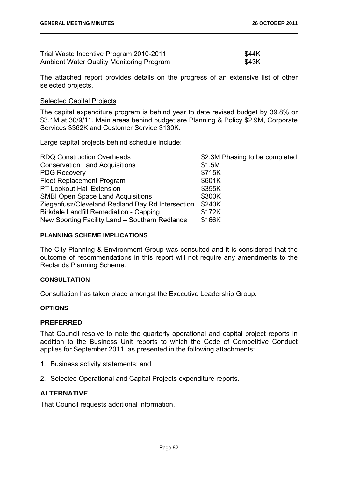| Trial Waste Incentive Program 2010-2011         | \$44K |
|-------------------------------------------------|-------|
| <b>Ambient Water Quality Monitoring Program</b> | \$43K |

The attached report provides details on the progress of an extensive list of other selected projects.

## Selected Capital Projects

The capital expenditure program is behind year to date revised budget by 39.8% or \$3.1M at 30/9/11. Main areas behind budget are Planning & Policy \$2.9M, Corporate Services \$362K and Customer Service \$130K.

Large capital projects behind schedule include:

| \$2.3M Phasing to be completed |
|--------------------------------|
| \$1.5M                         |
| \$715K                         |
| \$601K                         |
| \$355K                         |
| \$300K                         |
| \$240K                         |
| \$172K                         |
| \$166K                         |
|                                |

#### **PLANNING SCHEME IMPLICATIONS**

The City Planning & Environment Group was consulted and it is considered that the outcome of recommendations in this report will not require any amendments to the Redlands Planning Scheme.

## **CONSULTATION**

Consultation has taken place amongst the Executive Leadership Group.

## **OPTIONS**

## **PREFERRED**

That Council resolve to note the quarterly operational and capital project reports in addition to the Business Unit reports to which the Code of Competitive Conduct applies for September 2011, as presented in the following attachments:

- 1. Business activity statements; and
- 2. Selected Operational and Capital Projects expenditure reports.

## **ALTERNATIVE**

That Council requests additional information.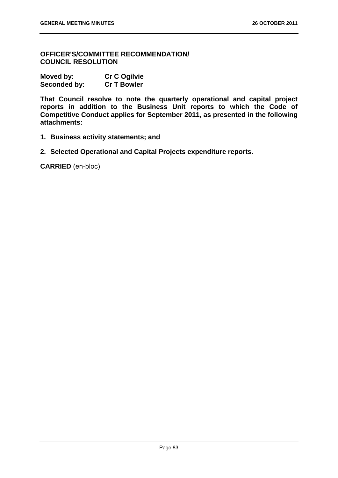**OFFICER'S/COMMITTEE RECOMMENDATION/ COUNCIL RESOLUTION** 

| Moved by:    | <b>Cr C Ogilvie</b> |
|--------------|---------------------|
| Seconded by: | <b>Cr T Bowler</b>  |

**That Council resolve to note the quarterly operational and capital project reports in addition to the Business Unit reports to which the Code of Competitive Conduct applies for September 2011, as presented in the following attachments:** 

- **1. Business activity statements; and**
- **2. Selected Operational and Capital Projects expenditure reports.**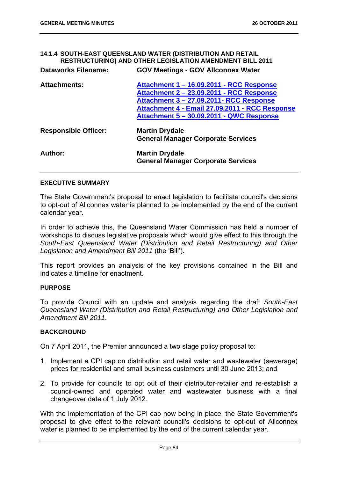| 14.1.4 SOUTH-EAST QUEENSLAND WATER (DISTRIBUTION AND RETAIL<br>RESTRUCTURING) AND OTHER LEGISLATION AMENDMENT BILL 2011 |                                                                                                                                                                                                                               |  |
|-------------------------------------------------------------------------------------------------------------------------|-------------------------------------------------------------------------------------------------------------------------------------------------------------------------------------------------------------------------------|--|
| <b>Dataworks Filename:</b>                                                                                              | <b>GOV Meetings - GOV Allconnex Water</b>                                                                                                                                                                                     |  |
| <b>Attachments:</b>                                                                                                     | Attachment 1 - 16.09.2011 - RCC Response<br>Attachment 2 - 23.09.2011 - RCC Response<br>Attachment 3 - 27.09.2011- RCC Response<br>Attachment 4 - Email 27.09.2011 - RCC Response<br>Attachment 5 - 30.09.2011 - QWC Response |  |
| <b>Responsible Officer:</b>                                                                                             | <b>Martin Drydale</b><br><b>General Manager Corporate Services</b>                                                                                                                                                            |  |
| Author:                                                                                                                 | <b>Martin Drydale</b><br><b>General Manager Corporate Services</b>                                                                                                                                                            |  |

## **EXECUTIVE SUMMARY**

The State Government's proposal to enact legislation to facilitate council's decisions to opt-out of Allconnex water is planned to be implemented by the end of the current calendar year.

In order to achieve this, the Queensland Water Commission has held a number of workshops to discuss legislative proposals which would give effect to this through the *South-East Queensland Water (Distribution and Retail Restructuring) and Other Legislation and Amendment Bill 2011* (the 'Bill').

This report provides an analysis of the key provisions contained in the Bill and indicates a timeline for enactment.

#### **PURPOSE**

To provide Council with an update and analysis regarding the draft *South-East Queensland Water (Distribution and Retail Restructuring) and Other Legislation and Amendment Bill 2011*.

## **BACKGROUND**

On 7 April 2011, the Premier announced a two stage policy proposal to:

- 1. Implement a CPI cap on distribution and retail water and wastewater (sewerage) prices for residential and small business customers until 30 June 2013; and
- 2. To provide for councils to opt out of their distributor-retailer and re-establish a council-owned and operated water and wastewater business with a final changeover date of 1 July 2012.

With the implementation of the CPI cap now being in place, the State Government's proposal to give effect to the relevant council's decisions to opt-out of Allconnex water is planned to be implemented by the end of the current calendar year.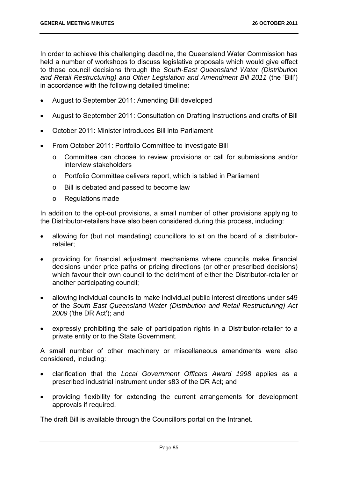In order to achieve this challenging deadline, the Queensland Water Commission has held a number of workshops to discuss legislative proposals which would give effect to those council decisions through the *South-East Queensland Water (Distribution and Retail Restructuring) and Other Legislation and Amendment Bill 2011* (the 'Bill') in accordance with the following detailed timeline:

- August to September 2011: Amending Bill developed
- August to September 2011: Consultation on Drafting Instructions and drafts of Bill
- October 2011: Minister introduces Bill into Parliament
- From October 2011: Portfolio Committee to investigate Bill
	- o Committee can choose to review provisions or call for submissions and/or interview stakeholders
	- o Portfolio Committee delivers report, which is tabled in Parliament
	- o Bill is debated and passed to become law
	- o Regulations made

In addition to the opt-out provisions, a small number of other provisions applying to the Distributor-retailers have also been considered during this process, including:

- allowing for (but not mandating) councillors to sit on the board of a distributorretailer;
- providing for financial adjustment mechanisms where councils make financial decisions under price paths or pricing directions (or other prescribed decisions) which favour their own council to the detriment of either the Distributor-retailer or another participating council;
- allowing individual councils to make individual public interest directions under s49 of the *South East Queensland Water (Distribution and Retail Restructuring) Act 2009* ('the DR Act'); and
- expressly prohibiting the sale of participation rights in a Distributor-retailer to a private entity or to the State Government.

A small number of other machinery or miscellaneous amendments were also considered, including:

- clarification that the *Local Government Officers Award 1998* applies as a prescribed industrial instrument under s83 of the DR Act; and
- providing flexibility for extending the current arrangements for development approvals if required.

The draft Bill is available through the Councillors portal on the Intranet.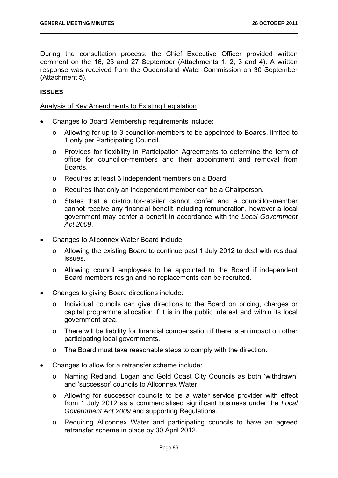During the consultation process, the Chief Executive Officer provided written comment on the 16, 23 and 27 September (Attachments 1, 2, 3 and 4). A written response was received from the Queensland Water Commission on 30 September (Attachment 5).

## **ISSUES**

#### Analysis of Key Amendments to Existing Legislation

- Changes to Board Membership requirements include:
	- o Allowing for up to 3 councillor-members to be appointed to Boards, limited to 1 only per Participating Council.
	- o Provides for flexibility in Participation Agreements to determine the term of office for councillor-members and their appointment and removal from **Boards**
	- o Requires at least 3 independent members on a Board.
	- o Requires that only an independent member can be a Chairperson.
	- o States that a distributor-retailer cannot confer and a councillor-member cannot receive any financial benefit including remuneration, however a local government may confer a benefit in accordance with the *Local Government Act 2009*.
- Changes to Allconnex Water Board include:
	- o Allowing the existing Board to continue past 1 July 2012 to deal with residual issues.
	- o Allowing council employees to be appointed to the Board if independent Board members resign and no replacements can be recruited.
- Changes to giving Board directions include:
	- o Individual councils can give directions to the Board on pricing, charges or capital programme allocation if it is in the public interest and within its local government area.
	- o There will be liability for financial compensation if there is an impact on other participating local governments.
	- o The Board must take reasonable steps to comply with the direction.
- Changes to allow for a retransfer scheme include:
	- o Naming Redland, Logan and Gold Coast City Councils as both 'withdrawn' and 'successor' councils to Allconnex Water.
	- o Allowing for successor councils to be a water service provider with effect from 1 July 2012 as a commercialised significant business under the *Local Government Act 2009* and supporting Regulations.
	- o Requiring Allconnex Water and participating councils to have an agreed retransfer scheme in place by 30 April 2012.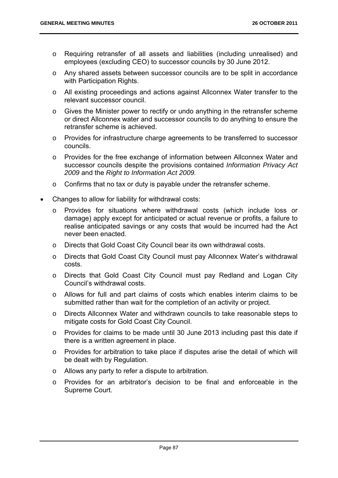- o Requiring retransfer of all assets and liabilities (including unrealised) and employees (excluding CEO) to successor councils by 30 June 2012.
- o Any shared assets between successor councils are to be split in accordance with Participation Rights.
- o All existing proceedings and actions against Allconnex Water transfer to the relevant successor council.
- o Gives the Minister power to rectify or undo anything in the retransfer scheme or direct Allconnex water and successor councils to do anything to ensure the retransfer scheme is achieved.
- o Provides for infrastructure charge agreements to be transferred to successor councils.
- o Provides for the free exchange of information between Allconnex Water and successor councils despite the provisions contained *Information Privacy Act 2009* and the *Right to Information Act 2009.*
- o Confirms that no tax or duty is payable under the retransfer scheme.
- Changes to allow for liability for withdrawal costs:
	- o Provides for situations where withdrawal costs (which include loss or damage) apply except for anticipated or actual revenue or profits, a failure to realise anticipated savings or any costs that would be incurred had the Act never been enacted.
	- o Directs that Gold Coast City Council bear its own withdrawal costs.
	- o Directs that Gold Coast City Council must pay Allconnex Water's withdrawal costs.
	- o Directs that Gold Coast City Council must pay Redland and Logan City Council's withdrawal costs.
	- o Allows for full and part claims of costs which enables interim claims to be submitted rather than wait for the completion of an activity or project.
	- o Directs Allconnex Water and withdrawn councils to take reasonable steps to mitigate costs for Gold Coast City Council.
	- o Provides for claims to be made until 30 June 2013 including past this date if there is a written agreement in place.
	- o Provides for arbitration to take place if disputes arise the detail of which will be dealt with by Regulation.
	- o Allows any party to refer a dispute to arbitration.
	- o Provides for an arbitrator's decision to be final and enforceable in the Supreme Court.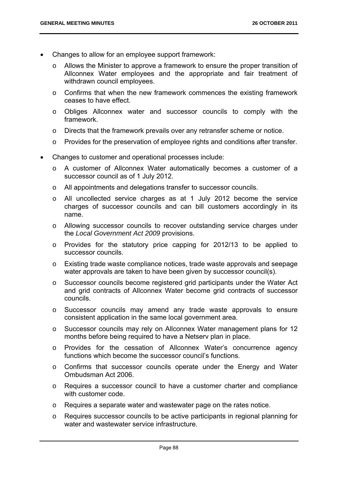- Changes to allow for an employee support framework:
	- o Allows the Minister to approve a framework to ensure the proper transition of Allconnex Water employees and the appropriate and fair treatment of withdrawn council employees.
	- o Confirms that when the new framework commences the existing framework ceases to have effect.
	- o Obliges Allconnex water and successor councils to comply with the framework.
	- o Directs that the framework prevails over any retransfer scheme or notice.
	- o Provides for the preservation of employee rights and conditions after transfer.
- Changes to customer and operational processes include:
	- o A customer of Allconnex Water automatically becomes a customer of a successor council as of 1 July 2012.
	- o All appointments and delegations transfer to successor councils.
	- o All uncollected service charges as at 1 July 2012 become the service charges of successor councils and can bill customers accordingly in its name.
	- o Allowing successor councils to recover outstanding service charges under the *Local Government Act 2009* provisions.
	- o Provides for the statutory price capping for 2012/13 to be applied to successor councils.
	- o Existing trade waste compliance notices, trade waste approvals and seepage water approvals are taken to have been given by successor council(s).
	- o Successor councils become registered grid participants under the Water Act and grid contracts of Allconnex Water become grid contracts of successor councils.
	- o Successor councils may amend any trade waste approvals to ensure consistent application in the same local government area.
	- o Successor councils may rely on Allconnex Water management plans for 12 months before being required to have a Netserv plan in place.
	- o Provides for the cessation of Allconnex Water's concurrence agency functions which become the successor council's functions.
	- o Confirms that successor councils operate under the Energy and Water Ombudsman Act 2006.
	- o Requires a successor council to have a customer charter and compliance with customer code.
	- o Requires a separate water and wastewater page on the rates notice.
	- o Requires successor councils to be active participants in regional planning for water and wastewater service infrastructure.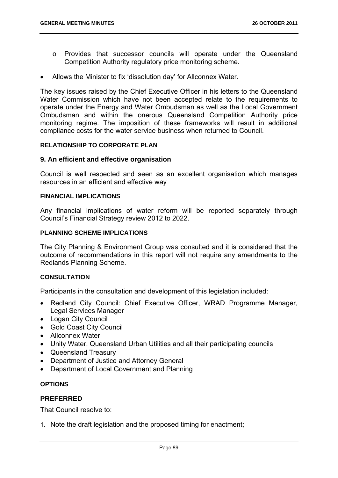- o Provides that successor councils will operate under the Queensland Competition Authority regulatory price monitoring scheme.
- Allows the Minister to fix 'dissolution day' for Allconnex Water.

The key issues raised by the Chief Executive Officer in his letters to the Queensland Water Commission which have not been accepted relate to the requirements to operate under the Energy and Water Ombudsman as well as the Local Government Ombudsman and within the onerous Queensland Competition Authority price monitoring regime. The imposition of these frameworks will result in additional compliance costs for the water service business when returned to Council.

## **RELATIONSHIP TO CORPORATE PLAN**

## **9. An efficient and effective organisation**

Council is well respected and seen as an excellent organisation which manages resources in an efficient and effective way

## **FINANCIAL IMPLICATIONS**

Any financial implications of water reform will be reported separately through Council's Financial Strategy review 2012 to 2022.

## **PLANNING SCHEME IMPLICATIONS**

The City Planning & Environment Group was consulted and it is considered that the outcome of recommendations in this report will not require any amendments to the Redlands Planning Scheme.

## **CONSULTATION**

Participants in the consultation and development of this legislation included:

- Redland City Council: Chief Executive Officer, WRAD Programme Manager, Legal Services Manager
- Logan City Council
- Gold Coast City Council
- Allconnex Water
- Unity Water, Queensland Urban Utilities and all their participating councils
- Queensland Treasury
- Department of Justice and Attorney General
- Department of Local Government and Planning

# **OPTIONS**

## **PREFERRED**

That Council resolve to:

1. Note the draft legislation and the proposed timing for enactment;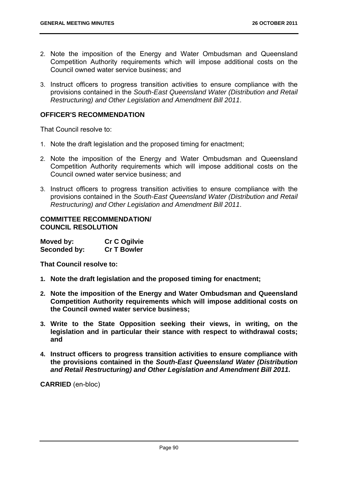- 2. Note the imposition of the Energy and Water Ombudsman and Queensland Competition Authority requirements which will impose additional costs on the Council owned water service business; and
- 3. Instruct officers to progress transition activities to ensure compliance with the provisions contained in the *South-East Queensland Water (Distribution and Retail Restructuring) and Other Legislation and Amendment Bill 2011*.

# **OFFICER'S RECOMMENDATION**

That Council resolve to:

- 1. Note the draft legislation and the proposed timing for enactment;
- 2. Note the imposition of the Energy and Water Ombudsman and Queensland Competition Authority requirements which will impose additional costs on the Council owned water service business; and
- 3. Instruct officers to progress transition activities to ensure compliance with the provisions contained in the *South-East Queensland Water (Distribution and Retail Restructuring) and Other Legislation and Amendment Bill 2011*.

## **COMMITTEE RECOMMENDATION/ COUNCIL RESOLUTION**

| Moved by:    | <b>Cr C Ogilvie</b> |
|--------------|---------------------|
| Seconded by: | <b>Cr T Bowler</b>  |

**That Council resolve to:** 

- **1. Note the draft legislation and the proposed timing for enactment;**
- **2. Note the imposition of the Energy and Water Ombudsman and Queensland Competition Authority requirements which will impose additional costs on the Council owned water service business;**
- **3. Write to the State Opposition seeking their views, in writing, on the legislation and in particular their stance with respect to withdrawal costs; and**
- **4. Instruct officers to progress transition activities to ensure compliance with the provisions contained in the** *South-East Queensland Water (Distribution and Retail Restructuring) and Other Legislation and Amendment Bill 2011***.**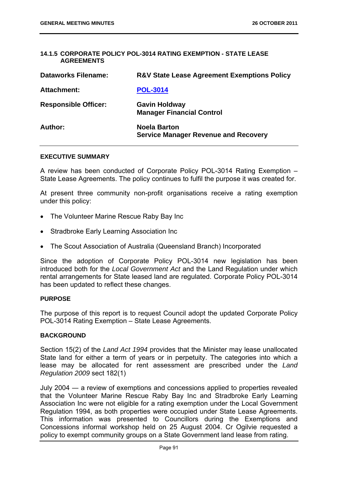#### **14.1.5 CORPORATE POLICY POL-3014 RATING EXEMPTION - STATE LEASE AGREEMENTS**

| <b>Dataworks Filename:</b>  | <b>R&amp;V State Lease Agreement Exemptions Policy</b>             |
|-----------------------------|--------------------------------------------------------------------|
| <b>Attachment:</b>          | <b>POL-3014</b>                                                    |
| <b>Responsible Officer:</b> | <b>Gavin Holdway</b><br><b>Manager Financial Control</b>           |
| Author:                     | <b>Noela Barton</b><br><b>Service Manager Revenue and Recovery</b> |

#### **EXECUTIVE SUMMARY**

A review has been conducted of Corporate Policy POL-3014 Rating Exemption – State Lease Agreements. The policy continues to fulfil the purpose it was created for.

At present three community non-profit organisations receive a rating exemption under this policy:

- The Volunteer Marine Rescue Raby Bay Inc
- Stradbroke Early Learning Association Inc
- The Scout Association of Australia (Queensland Branch) Incorporated

Since the adoption of Corporate Policy POL-3014 new legislation has been introduced both for the *Local Government Act* and the Land Regulation under which rental arrangements for State leased land are regulated. Corporate Policy POL-3014 has been updated to reflect these changes.

#### **PURPOSE**

The purpose of this report is to request Council adopt the updated Corporate Policy POL-3014 Rating Exemption – State Lease Agreements.

## **BACKGROUND**

Section 15(2) of the *Land Act 1994* provides that the Minister may lease unallocated State land for either a term of years or in perpetuity. The categories into which a lease may be allocated for rent assessment are prescribed under the *Land Regulation 2009* sect 182(1)

July 2004 ― a review of exemptions and concessions applied to properties revealed that the Volunteer Marine Rescue Raby Bay Inc and Stradbroke Early Learning Association Inc were not eligible for a rating exemption under the Local Government Regulation 1994, as both properties were occupied under State Lease Agreements. This information was presented to Councillors during the Exemptions and Concessions informal workshop held on 25 August 2004. Cr Ogilvie requested a policy to exempt community groups on a State Government land lease from rating.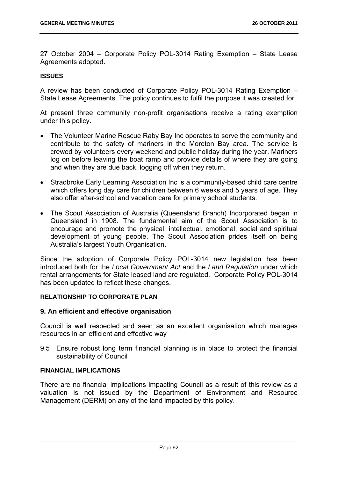27 October 2004 – Corporate Policy POL-3014 Rating Exemption – State Lease Agreements adopted.

## **ISSUES**

A review has been conducted of Corporate Policy POL-3014 Rating Exemption – State Lease Agreements. The policy continues to fulfil the purpose it was created for.

At present three community non-profit organisations receive a rating exemption under this policy.

- The Volunteer Marine Rescue Raby Bay Inc operates to serve the community and contribute to the safety of mariners in the Moreton Bay area. The service is crewed by volunteers every weekend and public holiday during the year. Mariners log on before leaving the boat ramp and provide details of where they are going and when they are due back, logging off when they return.
- Stradbroke Early Learning Association Inc is a community-based child care centre which offers long day care for children between 6 weeks and 5 years of age. They also offer after-school and vacation care for primary school students.
- The Scout Association of Australia (Queensland Branch) Incorporated began in Queensland in 1908. The fundamental aim of the Scout Association is to encourage and promote the physical, intellectual, emotional, social and spiritual development of young people. The Scout Association prides itself on being Australia's largest Youth Organisation.

Since the adoption of Corporate Policy POL-3014 new legislation has been introduced both for the *Local Government Act* and the *Land Regulation* under which rental arrangements for State leased land are regulated. Corporate Policy POL-3014 has been updated to reflect these changes.

## **RELATIONSHIP TO CORPORATE PLAN**

## **9. An efficient and effective organisation**

Council is well respected and seen as an excellent organisation which manages resources in an efficient and effective way

9.5 Ensure robust long term financial planning is in place to protect the financial sustainability of Council

# **FINANCIAL IMPLICATIONS**

There are no financial implications impacting Council as a result of this review as a valuation is not issued by the Department of Environment and Resource Management (DERM) on any of the land impacted by this policy.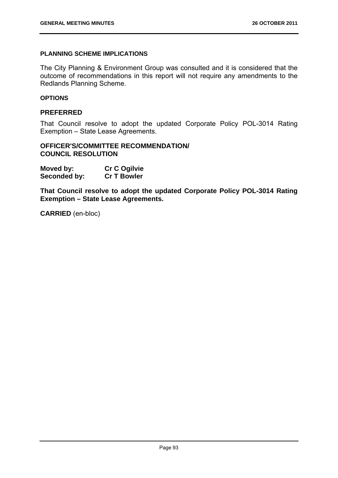# **PLANNING SCHEME IMPLICATIONS**

The City Planning & Environment Group was consulted and it is considered that the outcome of recommendations in this report will not require any amendments to the Redlands Planning Scheme.

## **OPTIONS**

# **PREFERRED**

That Council resolve to adopt the updated Corporate Policy POL-3014 Rating Exemption – State Lease Agreements.

# **OFFICER'S/COMMITTEE RECOMMENDATION/ COUNCIL RESOLUTION**

| Moved by:    | <b>Cr C Ogilvie</b> |
|--------------|---------------------|
| Seconded by: | <b>Cr T Bowler</b>  |

**That Council resolve to adopt the updated Corporate Policy POL-3014 Rating Exemption – State Lease Agreements.**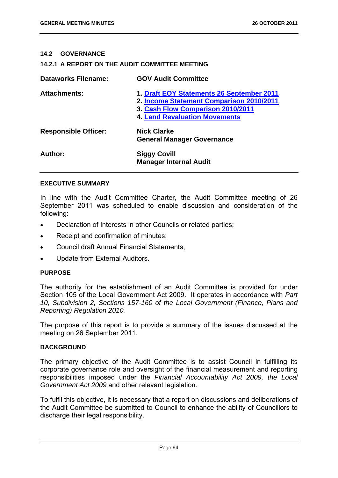## **14.2 GOVERNANCE**

#### **14.2.1 A REPORT ON THE AUDIT COMMITTEE MEETING**

| <b>Dataworks Filename:</b>  | <b>GOV Audit Committee</b>                                                                                                                                         |
|-----------------------------|--------------------------------------------------------------------------------------------------------------------------------------------------------------------|
| <b>Attachments:</b>         | 1. Draft EOY Statements 26 September 2011<br>2. Income Statement Comparison 2010/2011<br>3. Cash Flow Comparison 2010/2011<br><b>4. Land Revaluation Movements</b> |
| <b>Responsible Officer:</b> | <b>Nick Clarke</b><br><b>General Manager Governance</b>                                                                                                            |
| Author:                     | <b>Siggy Covill</b><br><b>Manager Internal Audit</b>                                                                                                               |

#### **EXECUTIVE SUMMARY**

In line with the Audit Committee Charter, the Audit Committee meeting of 26 September 2011 was scheduled to enable discussion and consideration of the following:

- Declaration of Interests in other Councils or related parties;
- Receipt and confirmation of minutes;
- Council draft Annual Financial Statements;
- Update from External Auditors.

#### **PURPOSE**

The authority for the establishment of an Audit Committee is provided for under Section 105 of the Local Government Act 2009. It operates in accordance with *Part 10, Subdivision 2, Sections 157-160 of the Local Government (Finance, Plans and Reporting) Regulation 2010.*

The purpose of this report is to provide a summary of the issues discussed at the meeting on 26 September 2011.

#### **BACKGROUND**

The primary objective of the Audit Committee is to assist Council in fulfilling its corporate governance role and oversight of the financial measurement and reporting responsibilities imposed under the *Financial Accountability Act 2009, the Local Government Act 2009* and other relevant legislation.

To fulfil this objective, it is necessary that a report on discussions and deliberations of the Audit Committee be submitted to Council to enhance the ability of Councillors to discharge their legal responsibility.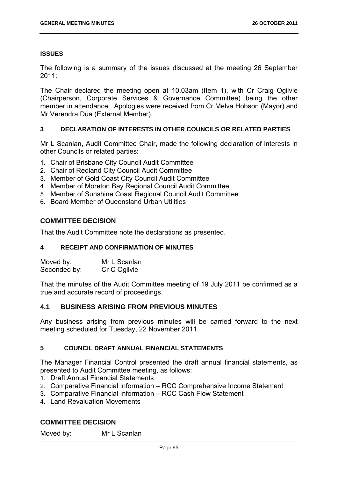#### **ISSUES**

The following is a summary of the issues discussed at the meeting 26 September 2011:

The Chair declared the meeting open at 10.03am (Item 1), with Cr Craig Ogilvie (Chairperson, Corporate Services & Governance Committee) being the other member in attendance. Apologies were received from Cr Melva Hobson (Mayor) and Mr Verendra Dua (External Member).

#### **3 DECLARATION OF INTERESTS IN OTHER COUNCILS OR RELATED PARTIES**

Mr L Scanlan, Audit Committee Chair, made the following declaration of interests in other Councils or related parties:

- 1. Chair of Brisbane City Council Audit Committee
- 2. Chair of Redland City Council Audit Committee
- 3. Member of Gold Coast City Council Audit Committee
- 4. Member of Moreton Bay Regional Council Audit Committee
- 5. Member of Sunshine Coast Regional Council Audit Committee
- 6. Board Member of Queensland Urban Utilities

## **COMMITTEE DECISION**

That the Audit Committee note the declarations as presented.

## **4 RECEIPT AND CONFIRMATION OF MINUTES**

| Moved by:    | Mr L Scanlan |
|--------------|--------------|
| Seconded by: | Cr C Ogilvie |

That the minutes of the Audit Committee meeting of 19 July 2011 be confirmed as a true and accurate record of proceedings.

## **4.1 BUSINESS ARISING FROM PREVIOUS MINUTES**

Any business arising from previous minutes will be carried forward to the next meeting scheduled for Tuesday, 22 November 2011.

## **5 COUNCIL DRAFT ANNUAL FINANCIAL STATEMENTS**

The Manager Financial Control presented the draft annual financial statements, as presented to Audit Committee meeting, as follows:

- 1. Draft Annual Financial Statements
- 2. Comparative Financial Information RCC Comprehensive Income Statement
- 3. Comparative Financial Information RCC Cash Flow Statement
- 4. Land Revaluation Movements

## **COMMITTEE DECISION**

Moved by: Mr L Scanlan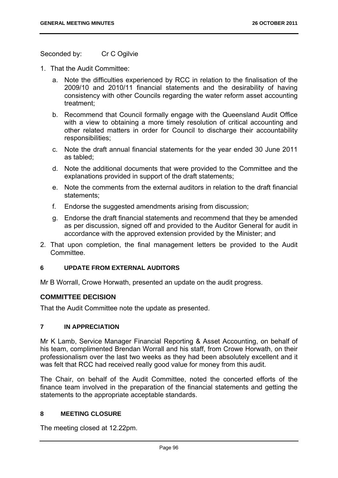Seconded by: Cr C Ogilvie

- 1. That the Audit Committee:
	- a. Note the difficulties experienced by RCC in relation to the finalisation of the 2009/10 and 2010/11 financial statements and the desirability of having consistency with other Councils regarding the water reform asset accounting treatment;
	- b. Recommend that Council formally engage with the Queensland Audit Office with a view to obtaining a more timely resolution of critical accounting and other related matters in order for Council to discharge their accountability responsibilities;
	- c. Note the draft annual financial statements for the year ended 30 June 2011 as tabled;
	- d. Note the additional documents that were provided to the Committee and the explanations provided in support of the draft statements;
	- e. Note the comments from the external auditors in relation to the draft financial statements;
	- f. Endorse the suggested amendments arising from discussion;
	- g. Endorse the draft financial statements and recommend that they be amended as per discussion, signed off and provided to the Auditor General for audit in accordance with the approved extension provided by the Minister; and
- 2. That upon completion, the final management letters be provided to the Audit **Committee.**

#### **6 UPDATE FROM EXTERNAL AUDITORS**

Mr B Worrall, Crowe Horwath, presented an update on the audit progress.

## **COMMITTEE DECISION**

That the Audit Committee note the update as presented.

## **7 IN APPRECIATION**

Mr K Lamb, Service Manager Financial Reporting & Asset Accounting, on behalf of his team, complimented Brendan Worrall and his staff, from Crowe Horwath, on their professionalism over the last two weeks as they had been absolutely excellent and it was felt that RCC had received really good value for money from this audit.

The Chair, on behalf of the Audit Committee, noted the concerted efforts of the finance team involved in the preparation of the financial statements and getting the statements to the appropriate acceptable standards.

# **8 MEETING CLOSURE**

The meeting closed at 12.22pm.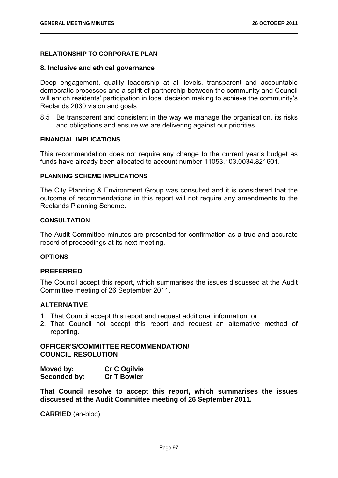# **RELATIONSHIP TO CORPORATE PLAN**

## **8. Inclusive and ethical governance**

Deep engagement, quality leadership at all levels, transparent and accountable democratic processes and a spirit of partnership between the community and Council will enrich residents' participation in local decision making to achieve the community's Redlands 2030 vision and goals

8.5 Be transparent and consistent in the way we manage the organisation, its risks and obligations and ensure we are delivering against our priorities

## **FINANCIAL IMPLICATIONS**

This recommendation does not require any change to the current year's budget as funds have already been allocated to account number 11053.103.0034.821601.

# **PLANNING SCHEME IMPLICATIONS**

The City Planning & Environment Group was consulted and it is considered that the outcome of recommendations in this report will not require any amendments to the Redlands Planning Scheme.

# **CONSULTATION**

The Audit Committee minutes are presented for confirmation as a true and accurate record of proceedings at its next meeting.

#### **OPTIONS**

## **PREFERRED**

The Council accept this report, which summarises the issues discussed at the Audit Committee meeting of 26 September 2011.

## **ALTERNATIVE**

- 1. That Council accept this report and request additional information; or
- 2. That Council not accept this report and request an alternative method of reporting.

# **OFFICER'S/COMMITTEE RECOMMENDATION/ COUNCIL RESOLUTION**

| Moved by:    | <b>Cr C Ogilvie</b> |
|--------------|---------------------|
| Seconded by: | <b>Cr T Bowler</b>  |

**That Council resolve to accept this report, which summarises the issues discussed at the Audit Committee meeting of 26 September 2011.**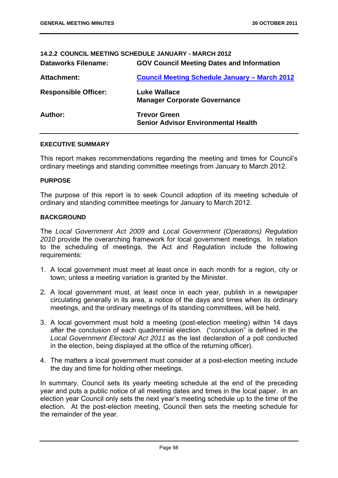## **14.2.2 COUNCIL MEETING SCHEDULE JANUARY - MARCH 2012**

| <b>Dataworks Filename:</b>  | <b>GOV Council Meeting Dates and Information</b>                  |
|-----------------------------|-------------------------------------------------------------------|
| Attachment:                 | <b>Council Meeting Schedule January - March 2012</b>              |
| <b>Responsible Officer:</b> | <b>Luke Wallace</b><br><b>Manager Corporate Governance</b>        |
| Author:                     | <b>Trevor Green</b><br><b>Senior Advisor Environmental Health</b> |

#### **EXECUTIVE SUMMARY**

This report makes recommendations regarding the meeting and times for Council's ordinary meetings and standing committee meetings from January to March 2012.

#### **PURPOSE**

The purpose of this report is to seek Council adoption of its meeting schedule of ordinary and standing committee meetings for January to March 2012.

#### **BACKGROUND**

The *Local Government Act 2009* and *Local Government (Operations) Regulation 2010* provide the overarching framework for local government meetings. In relation to the scheduling of meetings, the Act and Regulation include the following requirements:

- 1. A local government must meet at least once in each month for a region, city or town; unless a meeting variation is granted by the Minister.
- 2. A local government must, at least once in each year, publish in a newspaper circulating generally in its area, a notice of the days and times when its ordinary meetings, and the ordinary meetings of its standing committees, will be held.
- 3. A local government must hold a meeting (post-election meeting) within 14 days after the conclusion of each quadrennial election. ("conclusion" is defined in the *Local Government Electoral Act 2011* as the last declaration of a poll conducted in the election, being displayed at the office of the returning officer).
- 4. The matters a local government must consider at a post-election meeting include the day and time for holding other meetings.

In summary, Council sets its yearly meeting schedule at the end of the preceding year and puts a public notice of all meeting dates and times in the local paper. In an election year Council only sets the next year's meeting schedule up to the time of the election. At the post-election meeting, Council then sets the meeting schedule for the remainder of the year.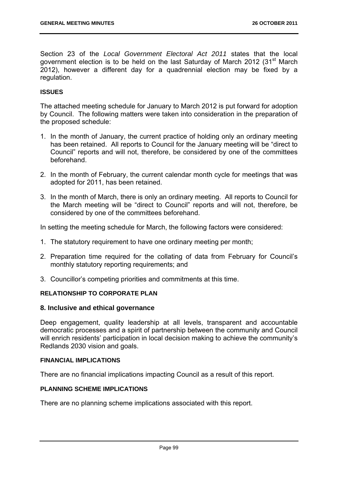Section 23 of the *Local Government Electoral Act 2011* states that the local government election is to be held on the last Saturday of March 2012 (31<sup>st</sup> March 2012), however a different day for a quadrennial election may be fixed by a regulation.

## **ISSUES**

The attached meeting schedule for January to March 2012 is put forward for adoption by Council. The following matters were taken into consideration in the preparation of the proposed schedule:

- 1. In the month of January, the current practice of holding only an ordinary meeting has been retained. All reports to Council for the January meeting will be "direct to Council" reports and will not, therefore, be considered by one of the committees beforehand.
- 2. In the month of February, the current calendar month cycle for meetings that was adopted for 2011, has been retained.
- 3. In the month of March, there is only an ordinary meeting. All reports to Council for the March meeting will be "direct to Council" reports and will not, therefore, be considered by one of the committees beforehand.

In setting the meeting schedule for March, the following factors were considered:

- 1. The statutory requirement to have one ordinary meeting per month;
- 2. Preparation time required for the collating of data from February for Council's monthly statutory reporting requirements; and
- 3. Councillor's competing priorities and commitments at this time.

#### **RELATIONSHIP TO CORPORATE PLAN**

## **8. Inclusive and ethical governance**

Deep engagement, quality leadership at all levels, transparent and accountable democratic processes and a spirit of partnership between the community and Council will enrich residents' participation in local decision making to achieve the community's Redlands 2030 vision and goals.

#### **FINANCIAL IMPLICATIONS**

There are no financial implications impacting Council as a result of this report.

#### **PLANNING SCHEME IMPLICATIONS**

There are no planning scheme implications associated with this report.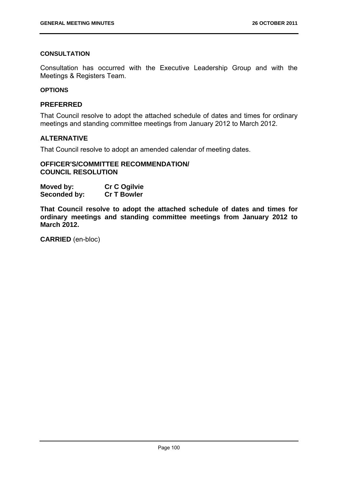# **CONSULTATION**

Consultation has occurred with the Executive Leadership Group and with the Meetings & Registers Team.

#### **OPTIONS**

# **PREFERRED**

That Council resolve to adopt the attached schedule of dates and times for ordinary meetings and standing committee meetings from January 2012 to March 2012.

# **ALTERNATIVE**

That Council resolve to adopt an amended calendar of meeting dates.

# **OFFICER'S/COMMITTEE RECOMMENDATION/ COUNCIL RESOLUTION**

| Moved by:    | <b>Cr C Ogilvie</b> |
|--------------|---------------------|
| Seconded by: | <b>Cr T Bowler</b>  |

**That Council resolve to adopt the attached schedule of dates and times for ordinary meetings and standing committee meetings from January 2012 to March 2012.**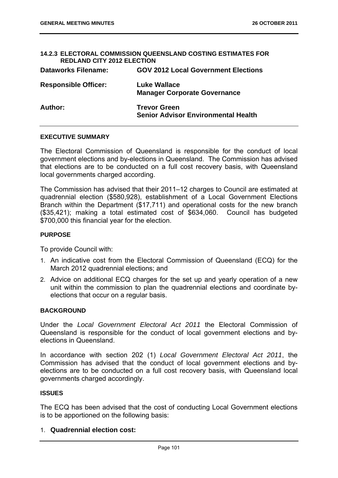| <b>REDLAND CITY 2012 ELECTION</b> | <b>14.2.3 ELECTORAL COMMISSION QUEENSLAND COSTING ESTIMATES FOR</b> |
|-----------------------------------|---------------------------------------------------------------------|
| <b>Dataworks Filename:</b>        | <b>GOV 2012 Local Government Elections</b>                          |
| <b>Responsible Officer:</b>       | <b>Luke Wallace</b><br><b>Manager Corporate Governance</b>          |
| Author:                           | <b>Trevor Green</b><br><b>Senior Advisor Environmental Health</b>   |

#### **EXECUTIVE SUMMARY**

The Electoral Commission of Queensland is responsible for the conduct of local government elections and by-elections in Queensland. The Commission has advised that elections are to be conducted on a full cost recovery basis, with Queensland local governments charged according.

The Commission has advised that their 2011–12 charges to Council are estimated at quadrennial election (\$580,928), establishment of a Local Government Elections Branch within the Department (\$17,711) and operational costs for the new branch (\$35,421); making a total estimated cost of \$634,060. Council has budgeted \$700,000 this financial year for the election.

#### **PURPOSE**

To provide Council with:

- 1. An indicative cost from the Electoral Commission of Queensland (ECQ) for the March 2012 quadrennial elections; and
- 2. Advice on additional ECQ charges for the set up and yearly operation of a new unit within the commission to plan the quadrennial elections and coordinate byelections that occur on a regular basis.

#### **BACKGROUND**

Under the *Local Government Electoral Act 2011* the Electoral Commission of Queensland is responsible for the conduct of local government elections and byelections in Queensland.

In accordance with section 202 (1) *Local Government Electoral Act 2011*, the Commission has advised that the conduct of local government elections and byelections are to be conducted on a full cost recovery basis, with Queensland local governments charged accordingly.

#### **ISSUES**

The ECQ has been advised that the cost of conducting Local Government elections is to be apportioned on the following basis:

## 1. **Quadrennial election cost:**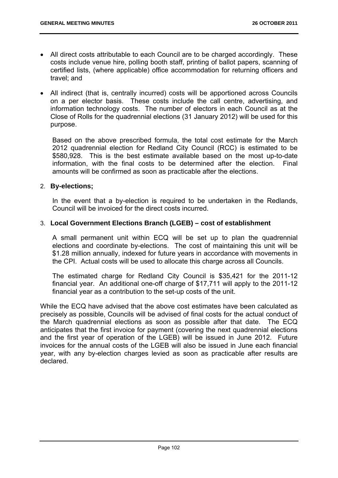- All direct costs attributable to each Council are to be charged accordingly. These costs include venue hire, polling booth staff, printing of ballot papers, scanning of certified lists, (where applicable) office accommodation for returning officers and travel; and
- All indirect (that is, centrally incurred) costs will be apportioned across Councils on a per elector basis. These costs include the call centre, advertising, and information technology costs. The number of electors in each Council as at the Close of Rolls for the quadrennial elections (31 January 2012) will be used for this purpose.

Based on the above prescribed formula, the total cost estimate for the March 2012 quadrennial election for Redland City Council (RCC) is estimated to be \$580,928. This is the best estimate available based on the most up-to-date information, with the final costs to be determined after the election. Final amounts will be confirmed as soon as practicable after the elections.

# 2. **By-elections;**

In the event that a by-election is required to be undertaken in the Redlands, Council will be invoiced for the direct costs incurred.

# 3. **Local Government Elections Branch (LGEB) – cost of establishment**

A small permanent unit within ECQ will be set up to plan the quadrennial elections and coordinate by-elections. The cost of maintaining this unit will be \$1.28 million annually, indexed for future years in accordance with movements in the CPI. Actual costs will be used to allocate this charge across all Councils.

The estimated charge for Redland City Council is \$35,421 for the 2011-12 financial year. An additional one-off charge of \$17,711 will apply to the 2011-12 financial year as a contribution to the set-up costs of the unit.

While the ECQ have advised that the above cost estimates have been calculated as precisely as possible, Councils will be advised of final costs for the actual conduct of the March quadrennial elections as soon as possible after that date. The ECQ anticipates that the first invoice for payment (covering the next quadrennial elections and the first year of operation of the LGEB) will be issued in June 2012. Future invoices for the annual costs of the LGEB will also be issued in June each financial year, with any by-election charges levied as soon as practicable after results are declared.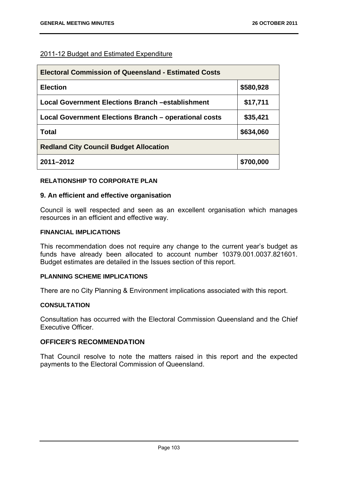# 2011-12 Budget and Estimated Expenditure

| <b>Electoral Commission of Queensland - Estimated Costs</b> |           |
|-------------------------------------------------------------|-----------|
| <b>Election</b>                                             | \$580,928 |
| <b>Local Government Elections Branch -establishment</b>     | \$17,711  |
| Local Government Elections Branch – operational costs       | \$35,421  |
| Total                                                       | \$634,060 |
| <b>Redland City Council Budget Allocation</b>               |           |
| 2011-2012                                                   | \$700,000 |

## **RELATIONSHIP TO CORPORATE PLAN**

## **9. An efficient and effective organisation**

Council is well respected and seen as an excellent organisation which manages resources in an efficient and effective way.

# **FINANCIAL IMPLICATIONS**

This recommendation does not require any change to the current year's budget as funds have already been allocated to account number 10379.001.0037.821601. Budget estimates are detailed in the Issues section of this report.

# **PLANNING SCHEME IMPLICATIONS**

There are no City Planning & Environment implications associated with this report.

# **CONSULTATION**

Consultation has occurred with the Electoral Commission Queensland and the Chief Executive Officer.

# **OFFICER'S RECOMMENDATION**

That Council resolve to note the matters raised in this report and the expected payments to the Electoral Commission of Queensland.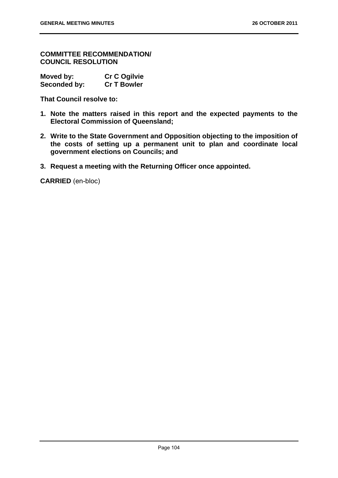**COMMITTEE RECOMMENDATION/ COUNCIL RESOLUTION** 

| Moved by:    | <b>Cr C Ogilvie</b> |
|--------------|---------------------|
| Seconded by: | <b>Cr T Bowler</b>  |

**That Council resolve to:** 

- **1. Note the matters raised in this report and the expected payments to the Electoral Commission of Queensland;**
- **2. Write to the State Government and Opposition objecting to the imposition of the costs of setting up a permanent unit to plan and coordinate local government elections on Councils; and**
- **3. Request a meeting with the Returning Officer once appointed.**

**CARRIED** (en-bloc)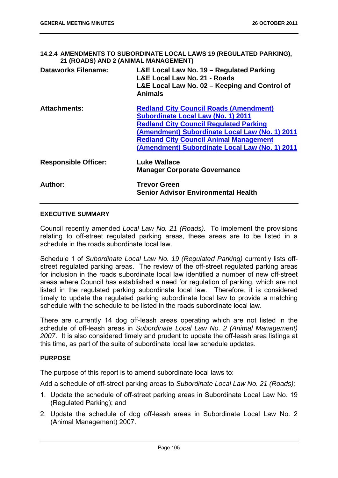**14.2.4 AMENDMENTS TO SUBORDINATE LOCAL LAWS 19 (REGULATED PARKING), 21 (ROADS) AND 2 (ANIMAL MANAGEMENT)** 

| <b>Dataworks Filename:</b>  | L&E Local Law No. 19 - Regulated Parking<br>L&E Local Law No. 21 - Roads<br>L&E Local Law No. 02 - Keeping and Control of<br><b>Animals</b>                                                                                                                                                      |
|-----------------------------|--------------------------------------------------------------------------------------------------------------------------------------------------------------------------------------------------------------------------------------------------------------------------------------------------|
| <b>Attachments:</b>         | <b>Redland City Council Roads (Amendment)</b><br><b>Subordinate Local Law (No. 1) 2011</b><br><b>Redland City Council Regulated Parking</b><br>(Amendment) Subordinate Local Law (No. 1) 2011<br><b>Redland City Council Animal Management</b><br>(Amendment) Subordinate Local Law (No. 1) 2011 |
| <b>Responsible Officer:</b> | <b>Luke Wallace</b><br><b>Manager Corporate Governance</b>                                                                                                                                                                                                                                       |
| Author:                     | <b>Trevor Green</b><br><b>Senior Advisor Environmental Health</b>                                                                                                                                                                                                                                |

# **EXECUTIVE SUMMARY**

Council recently amended *Local Law No. 21 (Roads).* To implement the provisions relating to off-street regulated parking areas, these areas are to be listed in a schedule in the roads subordinate local law.

Schedule 1 of *Subordinate Local Law No. 19 (Regulated Parking)* currently lists offstreet regulated parking areas. The review of the off-street regulated parking areas for inclusion in the roads subordinate local law identified a number of new off-street areas where Council has established a need for regulation of parking, which are not listed in the regulated parking subordinate local law. Therefore, it is considered timely to update the regulated parking subordinate local law to provide a matching schedule with the schedule to be listed in the roads subordinate local law.

There are currently 14 dog off-leash areas operating which are not listed in the schedule of off-leash areas in *Subordinate Local Law No. 2 (Animal Management) 2007*. It is also considered timely and prudent to update the off-leash area listings at this time, as part of the suite of subordinate local law schedule updates.

# **PURPOSE**

The purpose of this report is to amend subordinate local laws to:

Add a schedule of off-street parking areas to *Subordinate Local Law No. 21 (Roads);* 

- 1. Update the schedule of off-street parking areas in Subordinate Local Law No. 19 (Regulated Parking); and
- 2. Update the schedule of dog off-leash areas in Subordinate Local Law No. 2 (Animal Management) 2007.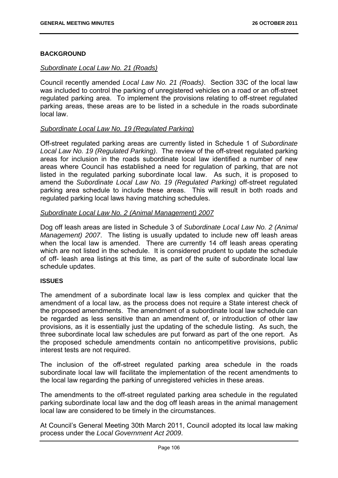# **BACKGROUND**

# *Subordinate Local Law No. 21 (Roads)*

Council recently amended *Local Law No. 21 (Roads)*. Section 33C of the local law was included to control the parking of unregistered vehicles on a road or an off-street regulated parking area. To implement the provisions relating to off-street regulated parking areas, these areas are to be listed in a schedule in the roads subordinate local law.

# *Subordinate Local Law No. 19 (Regulated Parking)*

Off-street regulated parking areas are currently listed in Schedule 1 of *Subordinate Local Law No. 19 (Regulated Parking)*. The review of the off-street regulated parking areas for inclusion in the roads subordinate local law identified a number of new areas where Council has established a need for regulation of parking, that are not listed in the regulated parking subordinate local law. As such, it is proposed to amend the *Subordinate Local Law No. 19 (Regulated Parking)* off-street regulated parking area schedule to include these areas. This will result in both roads and regulated parking local laws having matching schedules.

# *Subordinate Local Law No. 2 (Animal Management) 2007*

Dog off leash areas are listed in Schedule 3 of *Subordinate Local Law No. 2 (Animal Management) 2007*. The listing is usually updated to include new off leash areas when the local law is amended. There are currently 14 off leash areas operating which are not listed in the schedule. It is considered prudent to update the schedule of off- leash area listings at this time, as part of the suite of subordinate local law schedule updates.

## **ISSUES**

The amendment of a subordinate local law is less complex and quicker that the amendment of a local law, as the process does not require a State interest check of the proposed amendments. The amendment of a subordinate local law schedule can be regarded as less sensitive than an amendment of, or introduction of other law provisions, as it is essentially just the updating of the schedule listing. As such, the three subordinate local law schedules are put forward as part of the one report. As the proposed schedule amendments contain no anticompetitive provisions, public interest tests are not required.

The inclusion of the off-street regulated parking area schedule in the roads subordinate local law will facilitate the implementation of the recent amendments to the local law regarding the parking of unregistered vehicles in these areas.

The amendments to the off-street regulated parking area schedule in the regulated parking subordinate local law and the dog off leash areas in the animal management local law are considered to be timely in the circumstances.

At Council's General Meeting 30th March 2011, Council adopted its local law making process under the *Local Government Act 2009*.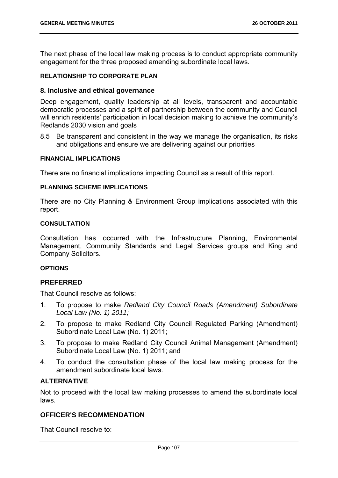The next phase of the local law making process is to conduct appropriate community engagement for the three proposed amending subordinate local laws.

## **RELATIONSHIP TO CORPORATE PLAN**

#### **8. Inclusive and ethical governance**

Deep engagement, quality leadership at all levels, transparent and accountable democratic processes and a spirit of partnership between the community and Council will enrich residents' participation in local decision making to achieve the community's Redlands 2030 vision and goals

8.5 Be transparent and consistent in the way we manage the organisation, its risks and obligations and ensure we are delivering against our priorities

#### **FINANCIAL IMPLICATIONS**

There are no financial implications impacting Council as a result of this report.

#### **PLANNING SCHEME IMPLICATIONS**

There are no City Planning & Environment Group implications associated with this report.

#### **CONSULTATION**

Consultation has occurred with the Infrastructure Planning, Environmental Management, Community Standards and Legal Services groups and King and Company Solicitors.

#### **OPTIONS**

## **PREFERRED**

That Council resolve as follows:

- 1. To propose to make *Redland City Council Roads (Amendment) Subordinate Local Law (No. 1) 2011;*
- 2. To propose to make Redland City Council Regulated Parking (Amendment) Subordinate Local Law (No. 1) 2011;
- 3. To propose to make Redland City Council Animal Management (Amendment) Subordinate Local Law (No. 1) 2011; and
- 4. To conduct the consultation phase of the local law making process for the amendment subordinate local laws.

## **ALTERNATIVE**

Not to proceed with the local law making processes to amend the subordinate local laws.

# **OFFICER'S RECOMMENDATION**

That Council resolve to: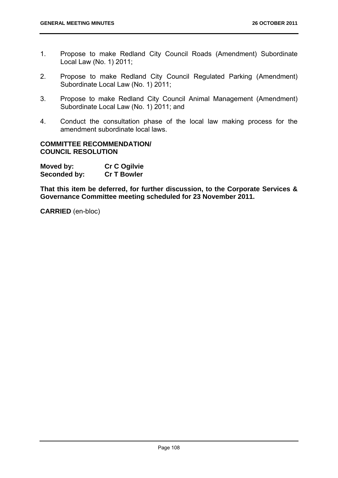- 1. Propose to make Redland City Council Roads (Amendment) Subordinate Local Law (No. 1) 2011;
- 2. Propose to make Redland City Council Regulated Parking (Amendment) Subordinate Local Law (No. 1) 2011;
- 3. Propose to make Redland City Council Animal Management (Amendment) Subordinate Local Law (No. 1) 2011; and
- 4. Conduct the consultation phase of the local law making process for the amendment subordinate local laws.

## **COMMITTEE RECOMMENDATION/ COUNCIL RESOLUTION**

| Moved by:    | Cr C Ogilvie       |
|--------------|--------------------|
| Seconded by: | <b>Cr T Bowler</b> |

**That this item be deferred, for further discussion, to the Corporate Services & Governance Committee meeting scheduled for 23 November 2011.** 

**CARRIED** (en-bloc)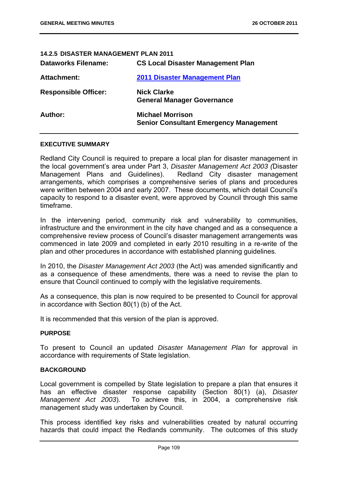| 14.2.5 DISASTER MANAGEMENT PLAN 2011 |                                                                          |
|--------------------------------------|--------------------------------------------------------------------------|
| <b>Dataworks Filename:</b>           | <b>CS Local Disaster Management Plan</b>                                 |
| Attachment:                          | 2011 Disaster Management Plan                                            |
| <b>Responsible Officer:</b>          | <b>Nick Clarke</b><br><b>General Manager Governance</b>                  |
| Author:                              | <b>Michael Morrison</b><br><b>Senior Consultant Emergency Management</b> |

#### **EXECUTIVE SUMMARY**

Redland City Council is required to prepare a local plan for disaster management in the local government's area under Part 3, *Disaster Management Act 2003 (*Disaster Management Plans and Guidelines). Redland City disaster management arrangements, which comprises a comprehensive series of plans and procedures were written between 2004 and early 2007. These documents, which detail Council's capacity to respond to a disaster event, were approved by Council through this same timeframe.

In the intervening period, community risk and vulnerability to communities, infrastructure and the environment in the city have changed and as a consequence a comprehensive review process of Council's disaster management arrangements was commenced in late 2009 and completed in early 2010 resulting in a re-write of the plan and other procedures in accordance with established planning guidelines.

In 2010, the *Disaster Management Act 2003* (the Act) was amended significantly and as a consequence of these amendments, there was a need to revise the plan to ensure that Council continued to comply with the legislative requirements.

As a consequence, this plan is now required to be presented to Council for approval in accordance with Section 80(1) (b) of the Act.

It is recommended that this version of the plan is approved.

#### **PURPOSE**

To present to Council an updated *Disaster Management Plan* for approval in accordance with requirements of State legislation.

#### **BACKGROUND**

Local government is compelled by State legislation to prepare a plan that ensures it has an effective disaster response capability (Section 80(1) (a), *Disaster Management Act 2003*). To achieve this, in 2004, a comprehensive risk management study was undertaken by Council.

This process identified key risks and vulnerabilities created by natural occurring hazards that could impact the Redlands community. The outcomes of this study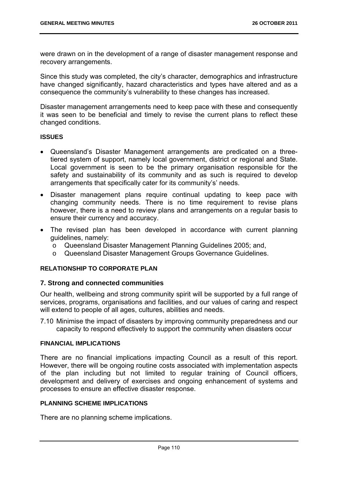were drawn on in the development of a range of disaster management response and recovery arrangements.

Since this study was completed, the city's character, demographics and infrastructure have changed significantly, hazard characteristics and types have altered and as a consequence the community's vulnerability to these changes has increased.

Disaster management arrangements need to keep pace with these and consequently it was seen to be beneficial and timely to revise the current plans to reflect these changed conditions.

## **ISSUES**

- Queensland's Disaster Management arrangements are predicated on a threetiered system of support, namely local government, district or regional and State. Local government is seen to be the primary organisation responsible for the safety and sustainability of its community and as such is required to develop arrangements that specifically cater for its community's' needs.
- Disaster management plans require continual updating to keep pace with changing community needs. There is no time requirement to revise plans however, there is a need to review plans and arrangements on a regular basis to ensure their currency and accuracy.
- The revised plan has been developed in accordance with current planning guidelines, namely:
	- o Queensland Disaster Management Planning Guidelines 2005; and,
	- o Queensland Disaster Management Groups Governance Guidelines.

# **RELATIONSHIP TO CORPORATE PLAN**

## **7. Strong and connected communities**

Our health, wellbeing and strong community spirit will be supported by a full range of services, programs, organisations and facilities, and our values of caring and respect will extend to people of all ages, cultures, abilities and needs.

7.10 Minimise the impact of disasters by improving community preparedness and our capacity to respond effectively to support the community when disasters occur

## **FINANCIAL IMPLICATIONS**

There are no financial implications impacting Council as a result of this report. However, there will be ongoing routine costs associated with implementation aspects of the plan including but not limited to regular training of Council officers, development and delivery of exercises and ongoing enhancement of systems and processes to ensure an effective disaster response.

# **PLANNING SCHEME IMPLICATIONS**

There are no planning scheme implications.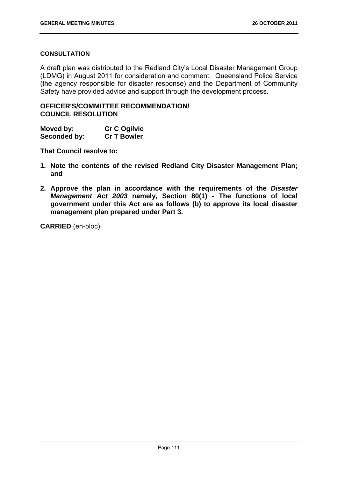## **CONSULTATION**

A draft plan was distributed to the Redland City's Local Disaster Management Group (LDMG) in August 2011 for consideration and comment. Queensland Police Service (the agency responsible for disaster response) and the Department of Community Safety have provided advice and support through the development process.

# **OFFICER'S/COMMITTEE RECOMMENDATION/ COUNCIL RESOLUTION**

| Moved by:    | <b>Cr C Ogilvie</b> |
|--------------|---------------------|
| Seconded by: | <b>Cr T Bowler</b>  |

**That Council resolve to:** 

- **1. Note the contents of the revised Redland City Disaster Management Plan; and**
- **2. Approve the plan in accordance with the requirements of the** *Disaster Management Act 2003* **namely, Section 80(1) - The functions of local government under this Act are as follows (b) to approve its local disaster management plan prepared under Part 3.**

**CARRIED** (en-bloc)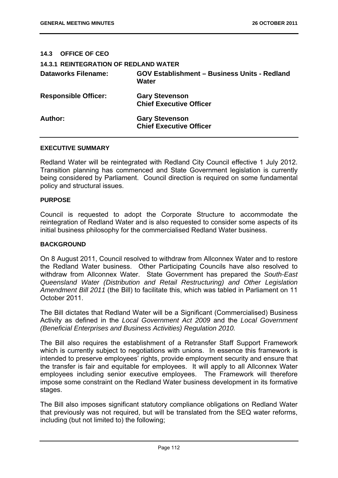| <b>OFFICE OF CEO</b><br>14.3                 |                                                              |
|----------------------------------------------|--------------------------------------------------------------|
| <b>14.3.1 REINTEGRATION OF REDLAND WATER</b> |                                                              |
| <b>Dataworks Filename:</b>                   | <b>GOV Establishment - Business Units - Redland</b><br>Water |
| <b>Responsible Officer:</b>                  | <b>Gary Stevenson</b><br><b>Chief Executive Officer</b>      |
| Author:                                      | <b>Gary Stevenson</b><br><b>Chief Executive Officer</b>      |

#### **EXECUTIVE SUMMARY**

Redland Water will be reintegrated with Redland City Council effective 1 July 2012. Transition planning has commenced and State Government legislation is currently being considered by Parliament. Council direction is required on some fundamental policy and structural issues.

#### **PURPOSE**

Council is requested to adopt the Corporate Structure to accommodate the reintegration of Redland Water and is also requested to consider some aspects of its initial business philosophy for the commercialised Redland Water business.

#### **BACKGROUND**

On 8 August 2011, Council resolved to withdraw from Allconnex Water and to restore the Redland Water business. Other Participating Councils have also resolved to withdraw from Allconnex Water. State Government has prepared the *South-East Queensland Water (Distribution and Retail Restructuring) and Other Legislation Amendment Bill 2011* (the Bill) to facilitate this, which was tabled in Parliament on 11 October 2011.

The Bill dictates that Redland Water will be a Significant (Commercialised) Business Activity as defined in the *Local Government Act 2009* and the *Local Government (Beneficial Enterprises and Business Activities) Regulation 2010.* 

The Bill also requires the establishment of a Retransfer Staff Support Framework which is currently subject to negotiations with unions. In essence this framework is intended to preserve employees' rights, provide employment security and ensure that the transfer is fair and equitable for employees. It will apply to all Allconnex Water employees including senior executive employees. The Framework will therefore impose some constraint on the Redland Water business development in its formative stages.

The Bill also imposes significant statutory compliance obligations on Redland Water that previously was not required, but will be translated from the SEQ water reforms, including (but not limited to) the following;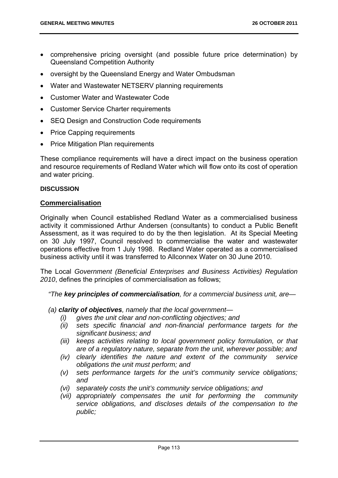- comprehensive pricing oversight (and possible future price determination) by Queensland Competition Authority
- oversight by the Queensland Energy and Water Ombudsman
- Water and Wastewater NETSERV planning requirements
- Customer Water and Wastewater Code
- Customer Service Charter requirements
- SEQ Design and Construction Code requirements
- Price Capping requirements
- Price Mitigation Plan requirements

These compliance requirements will have a direct impact on the business operation and resource requirements of Redland Water which will flow onto its cost of operation and water pricing.

#### **DISCUSSION**

## **Commercialisation**

Originally when Council established Redland Water as a commercialised business activity it commissioned Arthur Andersen (consultants) to conduct a Public Benefit Assessment, as it was required to do by the then legislation. At its Special Meeting on 30 July 1997, Council resolved to commercialise the water and wastewater operations effective from 1 July 1998. Redland Water operated as a commercialised business activity until it was transferred to Allconnex Water on 30 June 2010.

The Local *Government (Beneficial Enterprises and Business Activities) Regulation 2010*, defines the principles of commercialisation as follows;

*"The key principles of commercialisation, for a commercial business unit, are—* 

*(a) clarity of objectives, namely that the local government—* 

- *(i) gives the unit clear and non-conflicting objectives; and*
- *(ii) sets specific financial and non-financial performance targets for the significant business; and*
- *(iii) keeps activities relating to local government policy formulation, or that are of a regulatory nature, separate from the unit, wherever possible; and*
- *(iv) clearly identifies the nature and extent of the community service obligations the unit must perform; and*
- *(v) sets performance targets for the unit's community service obligations; and*
- *(vi) separately costs the unit's community service obligations; and*
- *(vii) appropriately compensates the unit for performing the community service obligations, and discloses details of the compensation to the public;*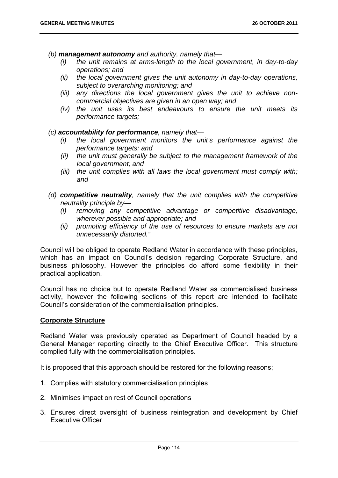*(b) management autonomy and authority, namely that—* 

- *(i) the unit remains at arms-length to the local government, in day-to-day operations; and*
- *(ii) the local government gives the unit autonomy in day-to-day operations, subject to overarching monitoring; and*
- *(iii) any directions the local government gives the unit to achieve noncommercial objectives are given in an open way; and*
- *(iv) the unit uses its best endeavours to ensure the unit meets its performance targets;*

## *(c) accountability for performance, namely that—*

- *(i) the local government monitors the unit's performance against the performance targets; and*
- *(ii) the unit must generally be subject to the management framework of the local government; and*
- *(iii) the unit complies with all laws the local government must comply with; and*
- *(d) competitive neutrality, namely that the unit complies with the competitive neutrality principle by—* 
	- *(i) removing any competitive advantage or competitive disadvantage, wherever possible and appropriate; and*
	- *(ii) promoting efficiency of the use of resources to ensure markets are not unnecessarily distorted."*

Council will be obliged to operate Redland Water in accordance with these principles, which has an impact on Council's decision regarding Corporate Structure, and business philosophy. However the principles do afford some flexibility in their practical application.

Council has no choice but to operate Redland Water as commercialised business activity, however the following sections of this report are intended to facilitate Council's consideration of the commercialisation principles.

## **Corporate Structure**

Redland Water was previously operated as Department of Council headed by a General Manager reporting directly to the Chief Executive Officer. This structure complied fully with the commercialisation principles.

It is proposed that this approach should be restored for the following reasons;

- 1. Complies with statutory commercialisation principles
- 2. Minimises impact on rest of Council operations
- 3. Ensures direct oversight of business reintegration and development by Chief Executive Officer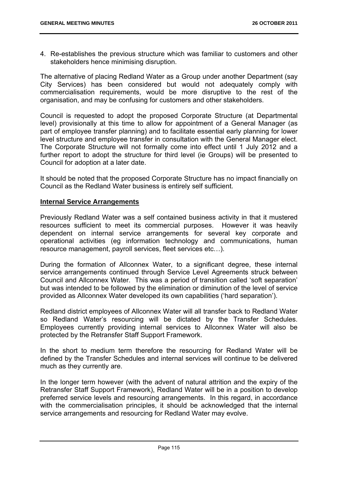4. Re-establishes the previous structure which was familiar to customers and other stakeholders hence minimising disruption.

The alternative of placing Redland Water as a Group under another Department (say City Services) has been considered but would not adequately comply with commercialisation requirements, would be more disruptive to the rest of the organisation, and may be confusing for customers and other stakeholders.

Council is requested to adopt the proposed Corporate Structure (at Departmental level) provisionally at this time to allow for appointment of a General Manager (as part of employee transfer planning) and to facilitate essential early planning for lower level structure and employee transfer in consultation with the General Manager elect. The Corporate Structure will not formally come into effect until 1 July 2012 and a further report to adopt the structure for third level (ie Groups) will be presented to Council for adoption at a later date.

It should be noted that the proposed Corporate Structure has no impact financially on Council as the Redland Water business is entirely self sufficient.

## **Internal Service Arrangements**

Previously Redland Water was a self contained business activity in that it mustered resources sufficient to meet its commercial purposes. However it was heavily dependent on internal service arrangements for several key corporate and operational activities (eg information technology and communications, human resource management, payroll services, fleet services etc…).

During the formation of Allconnex Water, to a significant degree, these internal service arrangements continued through Service Level Agreements struck between Council and Allconnex Water. This was a period of transition called 'soft separation' but was intended to be followed by the elimination or diminution of the level of service provided as Allconnex Water developed its own capabilities ('hard separation').

Redland district employees of Allconnex Water will all transfer back to Redland Water so Redland Water's resourcing will be dictated by the Transfer Schedules. Employees currently providing internal services to Allconnex Water will also be protected by the Retransfer Staff Support Framework.

In the short to medium term therefore the resourcing for Redland Water will be defined by the Transfer Schedules and internal services will continue to be delivered much as they currently are.

In the longer term however (with the advent of natural attrition and the expiry of the Retransfer Staff Support Framework), Redland Water will be in a position to develop preferred service levels and resourcing arrangements. In this regard, in accordance with the commercialisation principles, it should be acknowledged that the internal service arrangements and resourcing for Redland Water may evolve.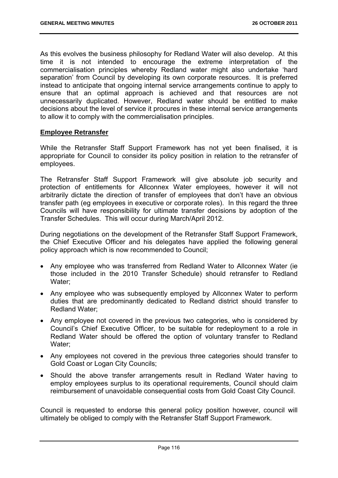As this evolves the business philosophy for Redland Water will also develop. At this time it is not intended to encourage the extreme interpretation of the commercialisation principles whereby Redland water might also undertake 'hard separation' from Council by developing its own corporate resources. It is preferred instead to anticipate that ongoing internal service arrangements continue to apply to ensure that an optimal approach is achieved and that resources are not unnecessarily duplicated. However, Redland water should be entitled to make decisions about the level of service it procures in these internal service arrangements to allow it to comply with the commercialisation principles.

## **Employee Retransfer**

While the Retransfer Staff Support Framework has not yet been finalised, it is appropriate for Council to consider its policy position in relation to the retransfer of employees.

The Retransfer Staff Support Framework will give absolute job security and protection of entitlements for Allconnex Water employees, however it will not arbitrarily dictate the direction of transfer of employees that don't have an obvious transfer path (eg employees in executive or corporate roles). In this regard the three Councils will have responsibility for ultimate transfer decisions by adoption of the Transfer Schedules. This will occur during March/April 2012.

During negotiations on the development of the Retransfer Staff Support Framework, the Chief Executive Officer and his delegates have applied the following general policy approach which is now recommended to Council;

- Any employee who was transferred from Redland Water to Allconnex Water (ie those included in the 2010 Transfer Schedule) should retransfer to Redland Water;
- Any employee who was subsequently employed by Allconnex Water to perform duties that are predominantly dedicated to Redland district should transfer to Redland Water;
- Any employee not covered in the previous two categories, who is considered by Council's Chief Executive Officer, to be suitable for redeployment to a role in Redland Water should be offered the option of voluntary transfer to Redland Water;
- Any employees not covered in the previous three categories should transfer to Gold Coast or Logan City Councils;
- Should the above transfer arrangements result in Redland Water having to employ employees surplus to its operational requirements, Council should claim reimbursement of unavoidable consequential costs from Gold Coast City Council.

Council is requested to endorse this general policy position however, council will ultimately be obliged to comply with the Retransfer Staff Support Framework.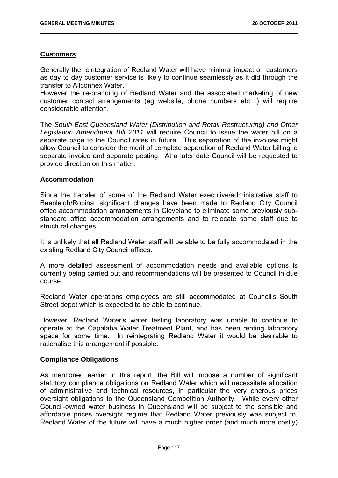# **Customers**

Generally the reintegration of Redland Water will have minimal impact on customers as day to day customer service is likely to continue seamlessly as it did through the transfer to Allconnex Water.

However the re-branding of Redland Water and the associated marketing of new customer contact arrangements (eg website, phone numbers etc…) will require considerable attention.

The *South-East Queensland Water (Distribution and Retail Restructuring) and Other Legislation Amendment Bill 2011* will require Council to issue the water bill on a separate page to the Council rates in future. This separation of the invoices might allow Council to consider the merit of complete separation of Redland Water billing ie separate invoice and separate posting. At a later date Council will be requested to provide direction on this matter.

# **Accommodation**

Since the transfer of some of the Redland Water executive/administrative staff to Beenleigh/Robina, significant changes have been made to Redland City Council office accommodation arrangements in Cleveland to eliminate some previously substandard office accommodation arrangements and to relocate some staff due to structural changes.

It is unlikely that all Redland Water staff will be able to be fully accommodated in the existing Redland City Council offices.

A more detailed assessment of accommodation needs and available options is currently being carried out and recommendations will be presented to Council in due course.

Redland Water operations employees are still accommodated at Council's South Street depot which is expected to be able to continue.

However, Redland Water's water testing laboratory was unable to continue to operate at the Capalaba Water Treatment Plant, and has been renting laboratory space for some time. In reintegrating Redland Water it would be desirable to rationalise this arrangement if possible.

## **Compliance Obligations**

As mentioned earlier in this report, the Bill will impose a number of significant statutory compliance obligations on Redland Water which will necessitate allocation of administrative and technical resources, in particular the very onerous prices oversight obligations to the Queensland Competition Authority. While every other Council-owned water business in Queensland will be subject to the sensible and affordable prices oversight regime that Redland Water previously was subject to, Redland Water of the future will have a much higher order (and much more costly)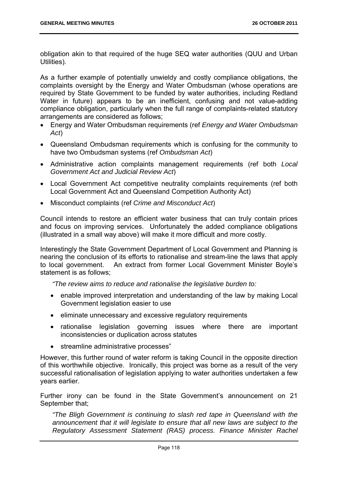obligation akin to that required of the huge SEQ water authorities (QUU and Urban Utilities).

As a further example of potentially unwieldy and costly compliance obligations, the complaints oversight by the Energy and Water Ombudsman (whose operations are required by State Government to be funded by water authorities, including Redland Water in future) appears to be an inefficient, confusing and not value-adding compliance obligation, particularly when the full range of complaints-related statutory arrangements are considered as follows;

- Energy and Water Ombudsman requirements (ref *Energy and Water Ombudsman Act*)
- Queensland Ombudsman requirements which is confusing for the community to have two Ombudsman systems (ref *Ombudsman Act*)
- Administrative action complaints management requirements (ref both *Local Government Act and Judicial Review Act*)
- Local Government Act competitive neutrality complaints requirements (ref both Local Government Act and Queensland Competition Authority Act)
- Misconduct complaints (ref *Crime and Misconduct Act*)

Council intends to restore an efficient water business that can truly contain prices and focus on improving services. Unfortunately the added compliance obligations (illustrated in a small way above) will make it more difficult and more costly.

Interestingly the State Government Department of Local Government and Planning is nearing the conclusion of its efforts to rationalise and stream-line the laws that apply to local government. An extract from former Local Government Minister Boyle's statement is as follows;

*"The review aims to reduce and rationalise the legislative burden to:* 

- enable improved interpretation and understanding of the law by making Local Government legislation easier to use
- eliminate unnecessary and excessive regulatory requirements
- rationalise legislation governing issues where there are important inconsistencies or duplication across statutes
- streamline administrative processes"

However, this further round of water reform is taking Council in the opposite direction of this worthwhile objective. Ironically, this project was borne as a result of the very successful rationalisation of legislation applying to water authorities undertaken a few years earlier.

Further irony can be found in the State Government's announcement on 21 September that;

*"The Bligh Government is continuing to slash red tape in Queensland with the announcement that it will legislate to ensure that all new laws are subject to the Regulatory Assessment Statement (RAS) process. Finance Minister Rachel*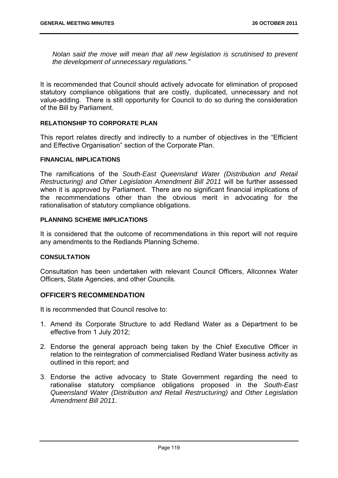*Nolan said the move will mean that all new legislation is scrutinised to prevent the development of unnecessary regulations."* 

It is recommended that Council should actively advocate for elimination of proposed statutory compliance obligations that are costly, duplicated, unnecessary and not value-adding. There is still opportunity for Council to do so during the consideration of the Bill by Parliament.

## **RELATIONSHIP TO CORPORATE PLAN**

This report relates directly and indirectly to a number of objectives in the "Efficient and Effective Organisation" section of the Corporate Plan.

#### **FINANCIAL IMPLICATIONS**

The ramifications of the *South-East Queensland Water (Distribution and Retail Restructuring) and Other Legislation Amendment Bill 2011* will be further assessed when it is approved by Parliament. There are no significant financial implications of the recommendations other than the obvious merit in advocating for the rationalisation of statutory compliance obligations.

#### **PLANNING SCHEME IMPLICATIONS**

It is considered that the outcome of recommendations in this report will not require any amendments to the Redlands Planning Scheme.

## **CONSULTATION**

Consultation has been undertaken with relevant Council Officers, Allconnex Water Officers, State Agencies, and other Councils.

## **OFFICER'S RECOMMENDATION**

It is recommended that Council resolve to:

- 1. Amend its Corporate Structure to add Redland Water as a Department to be effective from 1 July 2012;
- 2. Endorse the general approach being taken by the Chief Executive Officer in relation to the reintegration of commercialised Redland Water business activity as outlined in this report; and
- 3. Endorse the active advocacy to State Government regarding the need to rationalise statutory compliance obligations proposed in the *South-East Queensland Water (Distribution and Retail Restructuring) and Other Legislation Amendment Bill 2011*.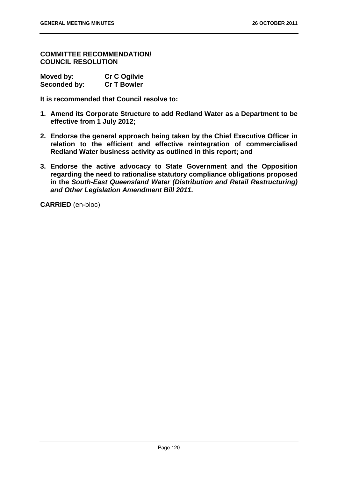**COMMITTEE RECOMMENDATION/ COUNCIL RESOLUTION** 

| Moved by:    | <b>Cr C Ogilvie</b> |
|--------------|---------------------|
| Seconded by: | <b>Cr T Bowler</b>  |

**It is recommended that Council resolve to:** 

- **1. Amend its Corporate Structure to add Redland Water as a Department to be effective from 1 July 2012;**
- **2. Endorse the general approach being taken by the Chief Executive Officer in relation to the efficient and effective reintegration of commercialised Redland Water business activity as outlined in this report; and**
- **3. Endorse the active advocacy to State Government and the Opposition regarding the need to rationalise statutory compliance obligations proposed in the** *South-East Queensland Water (Distribution and Retail Restructuring) and Other Legislation Amendment Bill 2011***.**

**CARRIED** (en-bloc)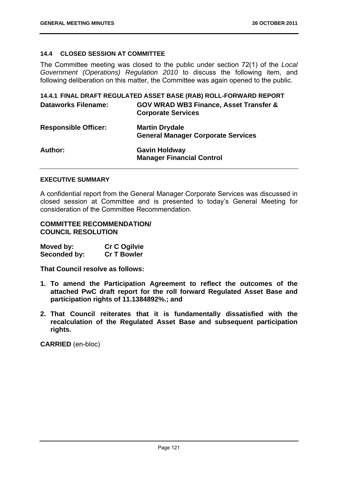## **14.4 CLOSED SESSION AT COMMITTEE**

The Committee meeting was closed to the public under section 72(1) of the *Local Government (Operations) Regulation 2010* to discuss the following item, and following deliberation on this matter, the Committee was again opened to the public.

|                             | 14.4.1 FINAL DRAFT REGULATED ASSET BASE (RAB) ROLL-FORWARD REPORT              |
|-----------------------------|--------------------------------------------------------------------------------|
| <b>Dataworks Filename:</b>  | <b>GOV WRAD WB3 Finance, Asset Transfer &amp;</b><br><b>Corporate Services</b> |
| <b>Responsible Officer:</b> | <b>Martin Drydale</b><br><b>General Manager Corporate Services</b>             |
| <b>Author:</b>              | <b>Gavin Holdway</b><br><b>Manager Financial Control</b>                       |

#### **EXECUTIVE SUMMARY**

A confidential report from the General Manager Corporate Services was discussed in closed session at Committee and is presented to today's General Meeting for consideration of the Committee Recommendation.

# **COMMITTEE RECOMMENDATION/ COUNCIL RESOLUTION**

| Moved by:    | <b>Cr C Ogilvie</b> |
|--------------|---------------------|
| Seconded by: | <b>Cr T Bowler</b>  |

**That Council resolve as follows:** 

- **1. To amend the Participation Agreement to reflect the outcomes of the attached PwC draft report for the roll forward Regulated Asset Base and participation rights of 11.1384892%.; and**
- **2. That Council reiterates that it is fundamentally dissatisfied with the recalculation of the Regulated Asset Base and subsequent participation rights.**

**CARRIED** (en-bloc)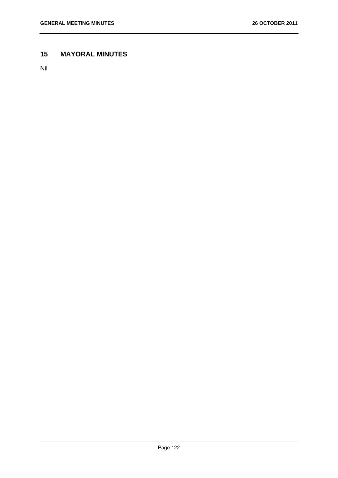# **15 MAYORAL MINUTES**

Nil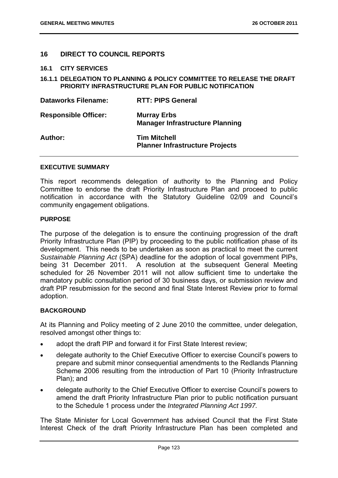# **16 DIRECT TO COUNCIL REPORTS**

#### **16.1 CITY SERVICES**

#### **16.1.1 DELEGATION TO PLANNING & POLICY COMMITTEE TO RELEASE THE DRAFT PRIORITY INFRASTRUCTURE PLAN FOR PUBLIC NOTIFICATION**

| <b>Dataworks Filename:</b>  | <b>RTT: PIPS General</b>                                      |
|-----------------------------|---------------------------------------------------------------|
| <b>Responsible Officer:</b> | <b>Murray Erbs</b><br><b>Manager Infrastructure Planning</b>  |
| Author:                     | <b>Tim Mitchell</b><br><b>Planner Infrastructure Projects</b> |

#### **EXECUTIVE SUMMARY**

This report recommends delegation of authority to the Planning and Policy Committee to endorse the draft Priority Infrastructure Plan and proceed to public notification in accordance with the Statutory Guideline 02/09 and Council's community engagement obligations.

#### **PURPOSE**

The purpose of the delegation is to ensure the continuing progression of the draft Priority Infrastructure Plan (PIP) by proceeding to the public notification phase of its development. This needs to be undertaken as soon as practical to meet the current *Sustainable Planning Act* (SPA) deadline for the adoption of local government PIPs, being 31 December 2011. A resolution at the subsequent General Meeting scheduled for 26 November 2011 will not allow sufficient time to undertake the mandatory public consultation period of 30 business days, or submission review and draft PIP resubmission for the second and final State Interest Review prior to formal adoption.

#### **BACKGROUND**

At its Planning and Policy meeting of 2 June 2010 the committee, under delegation, resolved amongst other things to:

- adopt the draft PIP and forward it for First State Interest review;
- delegate authority to the Chief Executive Officer to exercise Council's powers to prepare and submit minor consequential amendments to the Redlands Planning Scheme 2006 resulting from the introduction of Part 10 (Priority Infrastructure Plan); and
- delegate authority to the Chief Executive Officer to exercise Council's powers to amend the draft Priority Infrastructure Plan prior to public notification pursuant to the Schedule 1 process under the *Integrated Planning Act 1997.*

The State Minister for Local Government has advised Council that the First State Interest Check of the draft Priority Infrastructure Plan has been completed and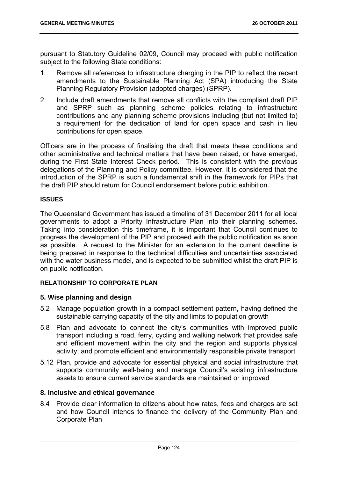pursuant to Statutory Guideline 02/09, Council may proceed with public notification subject to the following State conditions:

- 1. Remove all references to infrastructure charging in the PIP to reflect the recent amendments to the Sustainable Planning Act (SPA) introducing the State Planning Regulatory Provision (adopted charges) (SPRP).
- 2. Include draft amendments that remove all conflicts with the compliant draft PIP and SPRP such as planning scheme policies relating to infrastructure contributions and any planning scheme provisions including (but not limited to) a requirement for the dedication of land for open space and cash in lieu contributions for open space.

Officers are in the process of finalising the draft that meets these conditions and other administrative and technical matters that have been raised, or have emerged, during the First State Interest Check period. This is consistent with the previous delegations of the Planning and Policy committee. However, it is considered that the introduction of the SPRP is such a fundamental shift in the framework for PIPs that the draft PIP should return for Council endorsement before public exhibition.

# **ISSUES**

The Queensland Government has issued a timeline of 31 December 2011 for all local governments to adopt a Priority Infrastructure Plan into their planning schemes. Taking into consideration this timeframe, it is important that Council continues to progress the development of the PIP and proceed with the public notification as soon as possible. A request to the Minister for an extension to the current deadline is being prepared in response to the technical difficulties and uncertainties associated with the water business model, and is expected to be submitted whilst the draft PIP is on public notification.

# **RELATIONSHIP TO CORPORATE PLAN**

# **5. Wise planning and design**

- 5.2 Manage population growth in a compact settlement pattern, having defined the sustainable carrying capacity of the city and limits to population growth
- 5.8 Plan and advocate to connect the city's communities with improved public transport including a road, ferry, cycling and walking network that provides safe and efficient movement within the city and the region and supports physical activity; and promote efficient and environmentally responsible private transport
- 5.12 Plan, provide and advocate for essential physical and social infrastructure that supports community well-being and manage Council's existing infrastructure assets to ensure current service standards are maintained or improved

# **8. Inclusive and ethical governance**

8.4 Provide clear information to citizens about how rates, fees and charges are set and how Council intends to finance the delivery of the Community Plan and Corporate Plan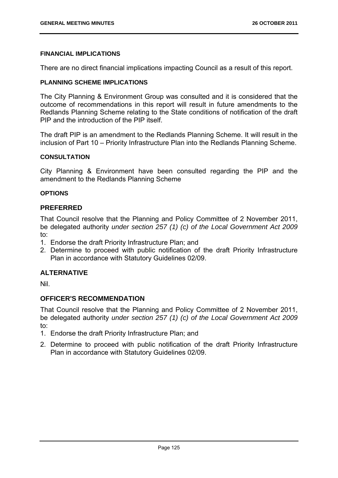## **FINANCIAL IMPLICATIONS**

There are no direct financial implications impacting Council as a result of this report.

#### **PLANNING SCHEME IMPLICATIONS**

The City Planning & Environment Group was consulted and it is considered that the outcome of recommendations in this report will result in future amendments to the Redlands Planning Scheme relating to the State conditions of notification of the draft PIP and the introduction of the PIP itself.

The draft PIP is an amendment to the Redlands Planning Scheme. It will result in the inclusion of Part 10 – Priority Infrastructure Plan into the Redlands Planning Scheme.

#### **CONSULTATION**

City Planning & Environment have been consulted regarding the PIP and the amendment to the Redlands Planning Scheme

## **OPTIONS**

## **PREFERRED**

That Council resolve that the Planning and Policy Committee of 2 November 2011, be delegated authority *under section 257 (1) (c) of the Local Government Act 2009*  to:

- 1. Endorse the draft Priority Infrastructure Plan; and
- 2. Determine to proceed with public notification of the draft Priority Infrastructure Plan in accordance with Statutory Guidelines 02/09.

# **ALTERNATIVE**

Nil.

## **OFFICER'S RECOMMENDATION**

That Council resolve that the Planning and Policy Committee of 2 November 2011, be delegated authority *under section 257 (1) (c) of the Local Government Act 2009*  to:

- 1. Endorse the draft Priority Infrastructure Plan; and
- 2. Determine to proceed with public notification of the draft Priority Infrastructure Plan in accordance with Statutory Guidelines 02/09.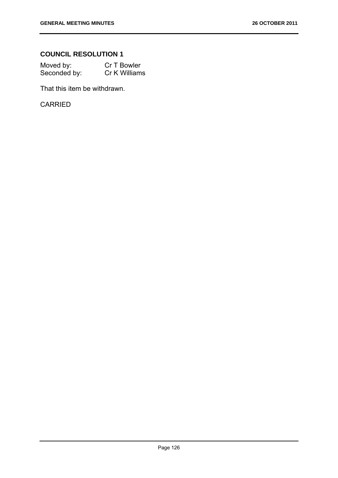# **COUNCIL RESOLUTION 1**

| Moved by:    | Cr T Bowler   |
|--------------|---------------|
| Seconded by: | Cr K Williams |

That this item be withdrawn.

CARRIED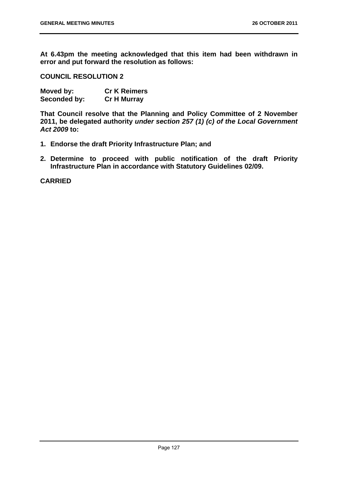**At 6.43pm the meeting acknowledged that this item had been withdrawn in error and put forward the resolution as follows:** 

**COUNCIL RESOLUTION 2** 

| Moved by:    | <b>Cr K Reimers</b> |
|--------------|---------------------|
| Seconded by: | <b>Cr H Murray</b>  |

**That Council resolve that the Planning and Policy Committee of 2 November 2011, be delegated authority** *under section 257 (1) (c) of the Local Government Act 2009* **to:** 

- **1. Endorse the draft Priority Infrastructure Plan; and**
- **2. Determine to proceed with public notification of the draft Priority Infrastructure Plan in accordance with Statutory Guidelines 02/09.**

**CARRIED**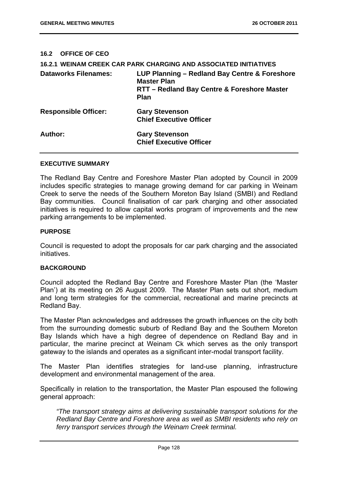## **16.2 OFFICE OF CEO**

|                             | <b>16.2.1 WEINAM CREEK CAR PARK CHARGING AND ASSOCIATED INITIATIVES</b>                                                           |
|-----------------------------|-----------------------------------------------------------------------------------------------------------------------------------|
| <b>Dataworks Filenames:</b> | LUP Planning - Redland Bay Centre & Foreshore<br><b>Master Plan</b><br>RTT - Redland Bay Centre & Foreshore Master<br><b>Plan</b> |
| <b>Responsible Officer:</b> | <b>Gary Stevenson</b><br><b>Chief Executive Officer</b>                                                                           |
| Author:                     | <b>Gary Stevenson</b><br><b>Chief Executive Officer</b>                                                                           |

#### **EXECUTIVE SUMMARY**

The Redland Bay Centre and Foreshore Master Plan adopted by Council in 2009 includes specific strategies to manage growing demand for car parking in Weinam Creek to serve the needs of the Southern Moreton Bay Island (SMBI) and Redland Bay communities. Council finalisation of car park charging and other associated initiatives is required to allow capital works program of improvements and the new parking arrangements to be implemented.

#### **PURPOSE**

Council is requested to adopt the proposals for car park charging and the associated initiatives.

## **BACKGROUND**

Council adopted the Redland Bay Centre and Foreshore Master Plan (the 'Master Plan') at its meeting on 26 August 2009. The Master Plan sets out short, medium and long term strategies for the commercial, recreational and marine precincts at Redland Bay.

The Master Plan acknowledges and addresses the growth influences on the city both from the surrounding domestic suburb of Redland Bay and the Southern Moreton Bay Islands which have a high degree of dependence on Redland Bay and in particular, the marine precinct at Weinam Ck which serves as the only transport gateway to the islands and operates as a significant inter-modal transport facility.

The Master Plan identifies strategies for land-use planning, infrastructure development and environmental management of the area.

Specifically in relation to the transportation, the Master Plan espoused the following general approach:

*"The transport strategy aims at delivering sustainable transport solutions for the Redland Bay Centre and Foreshore area as well as SMBI residents who rely on ferry transport services through the Weinam Creek terminal.*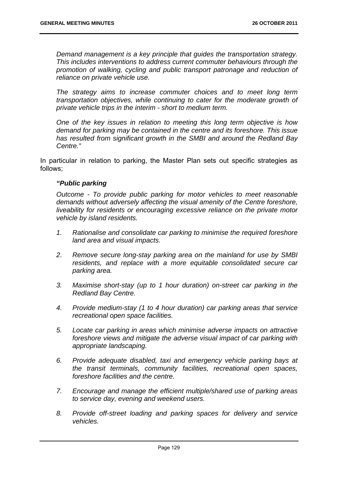*Demand management is a key principle that guides the transportation strategy. This includes interventions to address current commuter behaviours through the promotion of walking, cycling and public transport patronage and reduction of reliance on private vehicle use.* 

*The strategy aims to increase commuter choices and to meet long term transportation objectives, while continuing to cater for the moderate growth of private vehicle trips in the interim - short to medium term.* 

*One of the key issues in relation to meeting this long term objective is how demand for parking may be contained in the centre and its foreshore. This issue has resulted from significant growth in the SMBI and around the Redland Bay Centre."* 

In particular in relation to parking, the Master Plan sets out specific strategies as follows;

## *"Public parking*

*Outcome - To provide public parking for motor vehicles to meet reasonable demands without adversely affecting the visual amenity of the Centre foreshore, liveability for residents or encouraging excessive reliance on the private motor vehicle by island residents.* 

- *1. Rationalise and consolidate car parking to minimise the required foreshore land area and visual impacts.*
- *2. Remove secure long-stay parking area on the mainland for use by SMBI residents, and replace with a more equitable consolidated secure car parking area.*
- *3. Maximise short-stay (up to 1 hour duration) on-street car parking in the Redland Bay Centre.*
- *4. Provide medium-stay (1 to 4 hour duration) car parking areas that service recreational open space facilities.*
- *5. Locate car parking in areas which minimise adverse impacts on attractive foreshore views and mitigate the adverse visual impact of car parking with appropriate landscaping.*
- *6. Provide adequate disabled, taxi and emergency vehicle parking bays at the transit terminals, community facilities, recreational open spaces, foreshore facilities and the centre.*
- *7. Encourage and manage the efficient multiple/shared use of parking areas to service day, evening and weekend users.*
- *8. Provide off-street loading and parking spaces for delivery and service vehicles.*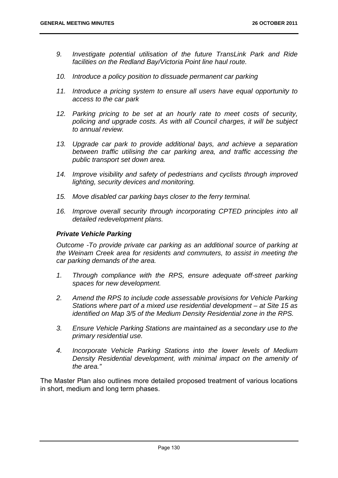- *9. Investigate potential utilisation of the future TransLink Park and Ride facilities on the Redland Bay/Victoria Point line haul route.*
- 10. Introduce a policy position to dissuade permanent car parking
- *11. Introduce a pricing system to ensure all users have equal opportunity to access to the car park*
- *12. Parking pricing to be set at an hourly rate to meet costs of security, policing and upgrade costs. As with all Council charges, it will be subject to annual review.*
- 13. Upgrade car park to provide additional bays, and achieve a separation *between traffic utilising the car parking area, and traffic accessing the public transport set down area.*
- *14. Improve visibility and safety of pedestrians and cyclists through improved lighting, security devices and monitoring.*
- *15. Move disabled car parking bays closer to the ferry terminal.*
- 16. Improve overall security through incorporating CPTED principles into all *detailed redevelopment plans.*

## *Private Vehicle Parking*

*Outcome -To provide private car parking as an additional source of parking at the Weinam Creek area for residents and commuters, to assist in meeting the car parking demands of the area.* 

- *1. Through compliance with the RPS, ensure adequate off-street parking spaces for new development.*
- *2. Amend the RPS to include code assessable provisions for Vehicle Parking Stations where part of a mixed use residential development – at Site 15 as identified on Map 3/5 of the Medium Density Residential zone in the RPS.*
- *3. Ensure Vehicle Parking Stations are maintained as a secondary use to the primary residential use.*
- *4. Incorporate Vehicle Parking Stations into the lower levels of Medium Density Residential development, with minimal impact on the amenity of the area."*

The Master Plan also outlines more detailed proposed treatment of various locations in short, medium and long term phases.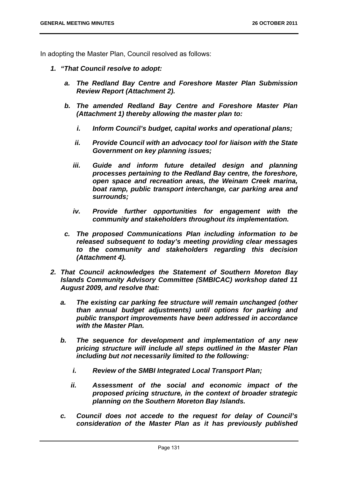In adopting the Master Plan, Council resolved as follows:

- *1. "That Council resolve to adopt:* 
	- *a. The Redland Bay Centre and Foreshore Master Plan Submission Review Report (Attachment 2).*
	- *b. The amended Redland Bay Centre and Foreshore Master Plan (Attachment 1) thereby allowing the master plan to:* 
		- *i. Inform Council's budget, capital works and operational plans;*
		- *ii. Provide Council with an advocacy tool for liaison with the State Government on key planning issues;*
		- *iii.* Guide and inform future detailed design and planning *processes pertaining to the Redland Bay centre, the foreshore, open space and recreation areas, the Weinam Creek marina, boat ramp, public transport interchange, car parking area and surrounds;*
		- *iv. Provide further opportunities for engagement with the community and stakeholders throughout its implementation.*
	- *c. The proposed Communications Plan including information to be released subsequent to today's meeting providing clear messages to the community and stakeholders regarding this decision (Attachment 4).*
- *2. That Council acknowledges the Statement of Southern Moreton Bay Islands Community Advisory Committee (SMBICAC) workshop dated 11 August 2009, and resolve that:* 
	- *a. The existing car parking fee structure will remain unchanged (other than annual budget adjustments) until options for parking and public transport improvements have been addressed in accordance with the Master Plan.*
	- *b. The sequence for development and implementation of any new pricing structure will include all steps outlined in the Master Plan including but not necessarily limited to the following:* 
		- *i. Review of the SMBI Integrated Local Transport Plan;*
		- *ii. Assessment of the social and economic impact of the proposed pricing structure, in the context of broader strategic planning on the Southern Moreton Bay Islands.*
	- *c. Council does not accede to the request for delay of Council's consideration of the Master Plan as it has previously published*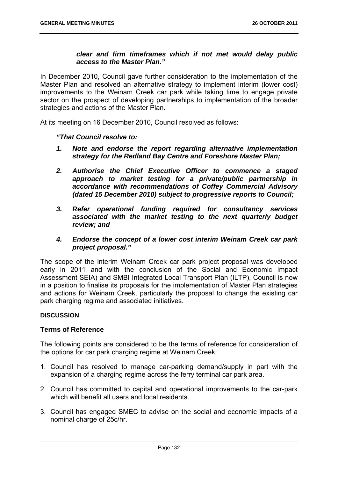# *clear and firm timeframes which if not met would delay public access to the Master Plan."*

In December 2010, Council gave further consideration to the implementation of the Master Plan and resolved an alternative strategy to implement interim (lower cost) improvements to the Weinam Creek car park while taking time to engage private sector on the prospect of developing partnerships to implementation of the broader strategies and actions of the Master Plan.

At its meeting on 16 December 2010, Council resolved as follows:

# *"That Council resolve to:*

- *1. Note and endorse the report regarding alternative implementation strategy for the Redland Bay Centre and Foreshore Master Plan;*
- *2. Authorise the Chief Executive Officer to commence a staged approach to market testing for a private/public partnership in accordance with recommendations of Coffey Commercial Advisory (dated 15 December 2010) subject to progressive reports to Council;*
- *3. Refer operational funding required for consultancy services associated with the market testing to the next quarterly budget review; and*
- *4. Endorse the concept of a lower cost interim Weinam Creek car park project proposal."*

The scope of the interim Weinam Creek car park project proposal was developed early in 2011 and with the conclusion of the Social and Economic Impact Assessment SEIA) and SMBI Integrated Local Transport Plan (ILTP), Council is now in a position to finalise its proposals for the implementation of Master Plan strategies and actions for Weinam Creek, particularly the proposal to change the existing car park charging regime and associated initiatives.

## **DISCUSSION**

## **Terms of Reference**

The following points are considered to be the terms of reference for consideration of the options for car park charging regime at Weinam Creek:

- 1. Council has resolved to manage car-parking demand/supply in part with the expansion of a charging regime across the ferry terminal car park area.
- 2. Council has committed to capital and operational improvements to the car-park which will benefit all users and local residents.
- 3. Council has engaged SMEC to advise on the social and economic impacts of a nominal charge of 25c/hr.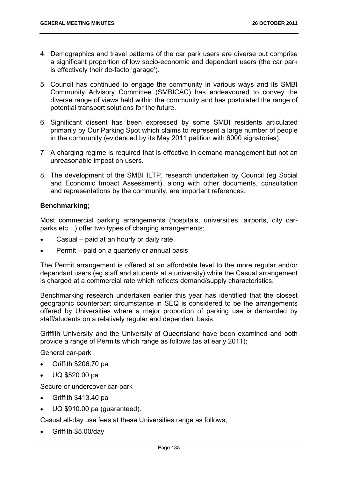- 4. Demographics and travel patterns of the car park users are diverse but comprise a significant proportion of low socio-economic and dependant users (the car park is effectively their de-facto 'garage').
- 5. Council has continued to engage the community in various ways and its SMBI Community Advisory Committee (SMBICAC) has endeavoured to convey the diverse range of views held within the community and has postulated the range of potential transport solutions for the future.
- 6. Significant dissent has been expressed by some SMBI residents articulated primarily by Our Parking Spot which claims to represent a large number of people in the community (evidenced by its May 2011 petition with 6000 signatories).
- 7. A charging regime is required that is effective in demand management but not an unreasonable impost on users.
- 8. The development of the SMBI ILTP, research undertaken by Council (eg Social and Economic Impact Assessment), along with other documents, consultation and representations by the community, are important references.

# **Benchmarking;**

Most commercial parking arrangements (hospitals, universities, airports, city carparks etc…) offer two types of charging arrangements;

- Casual paid at an hourly or daily rate
- Permit paid on a quarterly or annual basis

The Permit arrangement is offered at an affordable level to the more regular and/or dependant users (eg staff and students at a university) while the Casual arrangement is charged at a commercial rate which reflects demand/supply characteristics.

Benchmarking research undertaken earlier this year has identified that the closest geographic counterpart circumstance in SEQ is considered to be the arrangements offered by Universities where a major proportion of parking use is demanded by staff/students on a relatively regular and dependant basis.

Griffith University and the University of Queensland have been examined and both provide a range of Permits which range as follows (as at early 2011);

General car-park

- Griffith \$206.70 pa
- UQ \$520.00 pa

Secure or undercover car-park

- Griffith \$413.40 pa
- UQ \$910.00 pa (guaranteed).

Casual all-day use fees at these Universities range as follows;

Griffith \$5.00/day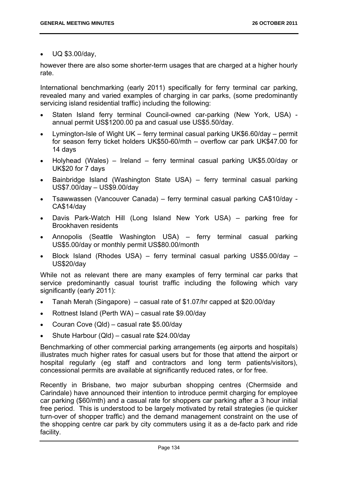UQ \$3.00/day,

however there are also some shorter-term usages that are charged at a higher hourly rate.

International benchmarking (early 2011) specifically for ferry terminal car parking, revealed many and varied examples of charging in car parks, (some predominantly servicing island residential traffic) including the following:

- Staten Island ferry terminal Council-owned car-parking (New York, USA) annual permit US\$1200.00 pa and casual use US\$5.50/day.
- Lymington-Isle of Wight UK ferry terminal casual parking UK\$6.60/day permit for season ferry ticket holders UK\$50-60/mth – overflow car park UK\$47.00 for 14 days
- Holyhead (Wales) Ireland ferry terminal casual parking UK\$5.00/day or UK\$20 for 7 days
- Bainbridge Island (Washington State USA) ferry terminal casual parking US\$7.00/day – US\$9.00/day
- Tsawwassen (Vancouver Canada) ferry terminal casual parking CA\$10/day CA\$14/day
- Davis Park-Watch Hill (Long Island New York USA) parking free for Brookhaven residents
- Annopolis (Seattle Washington USA) ferry terminal casual parking US\$5.00/day or monthly permit US\$80.00/month
- Block Island (Rhodes USA) ferry terminal casual parking US\$5.00/day US\$20/day

While not as relevant there are many examples of ferry terminal car parks that service predominantly casual tourist traffic including the following which vary significantly (early 2011):

- Tanah Merah (Singapore) casual rate of \$1.07/hr capped at \$20.00/day
- Rottnest Island (Perth WA) casual rate \$9.00/day
- Couran Cove (Qld) casual rate \$5.00/day
- Shute Harbour (Qld) casual rate \$24.00/day

Benchmarking of other commercial parking arrangements (eg airports and hospitals) illustrates much higher rates for casual users but for those that attend the airport or hospital regularly (eg staff and contractors and long term patients/visitors), concessional permits are available at significantly reduced rates, or for free.

Recently in Brisbane, two major suburban shopping centres (Chermside and Carindale) have announced their intention to introduce permit charging for employee car parking (\$60/mth) and a casual rate for shoppers car parking after a 3 hour initial free period. This is understood to be largely motivated by retail strategies (ie quicker turn-over of shopper traffic) and the demand management constraint on the use of the shopping centre car park by city commuters using it as a de-facto park and ride facility.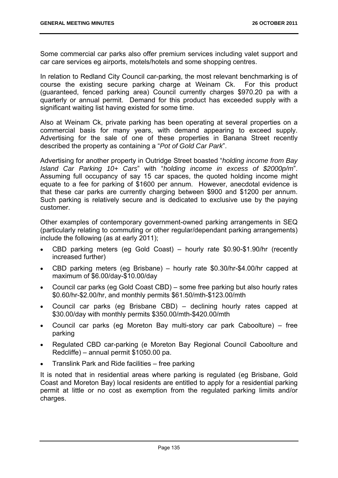Some commercial car parks also offer premium services including valet support and car care services eg airports, motels/hotels and some shopping centres.

In relation to Redland City Council car-parking, the most relevant benchmarking is of course the existing secure parking charge at Weinam Ck. For this product (guaranteed, fenced parking area) Council currently charges \$970.20 pa with a quarterly or annual permit. Demand for this product has exceeded supply with a significant waiting list having existed for some time.

Also at Weinam Ck, private parking has been operating at several properties on a commercial basis for many years, with demand appearing to exceed supply. Advertising for the sale of one of these properties in Banana Street recently described the property as containing a "*Pot of Gold Car Park*".

Advertising for another property in Outridge Street boasted "*holding income from Bay Island Car Parking 10+ Cars*" with "*holding income in excess of \$2000p/m*". Assuming full occupancy of say 15 car spaces, the quoted holding income might equate to a fee for parking of \$1600 per annum. However, anecdotal evidence is that these car parks are currently charging between \$900 and \$1200 per annum. Such parking is relatively secure and is dedicated to exclusive use by the paying customer.

Other examples of contemporary government-owned parking arrangements in SEQ (particularly relating to commuting or other regular/dependant parking arrangements) include the following (as at early 2011);

- CBD parking meters (eg Gold Coast) hourly rate \$0.90-\$1.90/hr (recently increased further)
- CBD parking meters (eg Brisbane) hourly rate \$0.30/hr-\$4.00/hr capped at maximum of \$6.00/day-\$10.00/day
- Council car parks (eg Gold Coast CBD) some free parking but also hourly rates \$0.60/hr-\$2.00/hr, and monthly permits \$61.50/mth-\$123.00/mth
- Council car parks (eg Brisbane CBD) declining hourly rates capped at \$30.00/day with monthly permits \$350.00/mth-\$420.00/mth
- Council car parks (eg Moreton Bay multi-story car park Caboolture) free parking
- Regulated CBD car-parking (e Moreton Bay Regional Council Caboolture and Redcliffe) – annual permit \$1050.00 pa.
- Translink Park and Ride facilities free parking

It is noted that in residential areas where parking is regulated (eg Brisbane, Gold Coast and Moreton Bay) local residents are entitled to apply for a residential parking permit at little or no cost as exemption from the regulated parking limits and/or charges.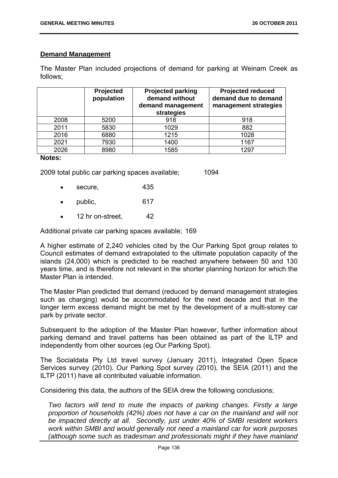# **Demand Management**

The Master Plan included projections of demand for parking at Weinam Creek as follows;

|      | Projected<br>population | <b>Projected parking</b><br>demand without<br>demand management<br>strategies | <b>Projected reduced</b><br>demand due to demand<br>management strategies |
|------|-------------------------|-------------------------------------------------------------------------------|---------------------------------------------------------------------------|
| 2008 | 5200                    | 918                                                                           | 918                                                                       |
| 2011 | 5830                    | 1029                                                                          | 882                                                                       |
| 2016 | 6880                    | 1215                                                                          | 1028                                                                      |
| 2021 | 7930                    | 1400                                                                          | 1167                                                                      |
| 2026 | 8980                    | 1585                                                                          | 1297                                                                      |

#### **Notes:**

2009 total public car parking spaces available; 1094

- secure, 435
- public, 617
- 12 hr on-street. 42

Additional private car parking spaces available; 169

A higher estimate of 2,240 vehicles cited by the Our Parking Spot group relates to Council estimates of demand extrapolated to the ultimate population capacity of the islands (24,000) which is predicted to be reached anywhere between 50 and 130 years time, and is therefore not relevant in the shorter planning horizon for which the Master Plan is intended.

The Master Plan predicted that demand (reduced by demand management strategies such as charging) would be accommodated for the next decade and that in the longer term excess demand might be met by the development of a multi-storey car park by private sector.

Subsequent to the adoption of the Master Plan however, further information about parking demand and travel patterns has been obtained as part of the ILTP and independently from other sources (eg Our Parking Spot).

The Socialdata Pty Ltd travel survey (January 2011), Integrated Open Space Services survey (2010). Our Parking Spot survey (2010), the SEIA (2011) and the ILTP (2011) have all contributed valuable information.

Considering this data, the authors of the SEIA drew the following conclusions;

*Two factors will tend to mute the impacts of parking changes. Firstly a large proportion of households (42%) does not have a car on the mainland and will not be impacted directly at all. Secondly, just under 40% of SMBI resident workers work within SMBI and would generally not need a mainland car for work purposes (although some such as tradesman and professionals might if they have mainland*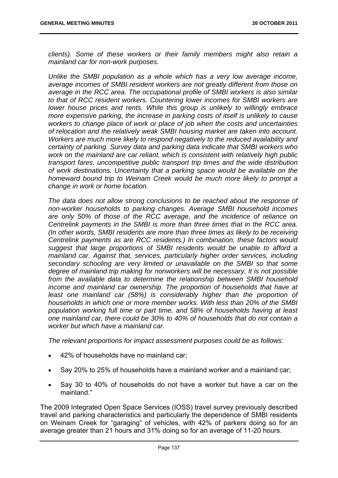*clients). Some of these workers or their family members might also retain a mainland car for non-work purposes.* 

*Unlike the SMBI population as a whole which has a very low average income, average incomes of SMBI resident workers are not greatly different from those on average in the RCC area. The occupational profile of SMBI workers is also similar to that of RCC resident workers. Countering lower incomes for SMBI workers are lower house prices and rents. While this group is unlikely to willingly embrace more expensive parking, the increase in parking costs of itself is unlikely to cause workers to change place of work or place of job when the costs and uncertainties of relocation and the relatively weak SMBI housing market are taken into account. Workers are much more likely to respond negatively to the reduced availability and certainty of parking. Survey data and parking data indicate that SMBI workers who work on the mainland are car reliant, which is consistent with relatively high public transport fares, uncompetitive public transport trip times and the wide distribution of work destinations. Uncertainty that a parking space would be available on the homeward bound trip to Weinam Creek would be much more likely to prompt a change in work or home location.* 

*The data does not allow strong conclusions to be reached about the response of non-worker households to parking changes. Average SMBI household incomes are only 50% of those of the RCC average, and the incidence of reliance on Centrelink payments in the SMBI is more than three times that in the RCC area. (In other words, SMBI residents are more than three times as likely to be receiving Centrelink payments as are RCC residents.) In combination, these factors would suggest that large proportions of SMBI residents would be unable to afford a mainland car. Against that, services, particularly higher order services, including secondary schooling are very limited or unavailable on the SMBI so that some degree of mainland trip making for nonworkers will be necessary. It is not possible from the available data to determine the relationship between SMBI household income and mainland car ownership. The proportion of households that have at least one mainland car (58%) is considerably higher than the proportion of households in which one or more member works. With less than 20% of the SMBI population working full time or part time, and 58% of households having at least one mainland car, there could be 30% to 40% of households that do not contain a worker but which have a mainland car.* 

*The relevant proportions for impact assessment purposes could be as follows:* 

- 42% of households have no mainland car;
- Say 20% to 25% of households have a mainland worker and a mainland car;
- Say 30 to 40% of households do not have a worker but have a car on the mainland."

The 2009 Integrated Open Space Services (IOSS) travel survey previously described travel and parking characteristics and particularly the dependence of SMBI residents on Weinam Creek for "garaging" of vehicles, with 42% of parkers doing so for an average greater than 21 hours and 31% doing so for an average of 11-20 hours.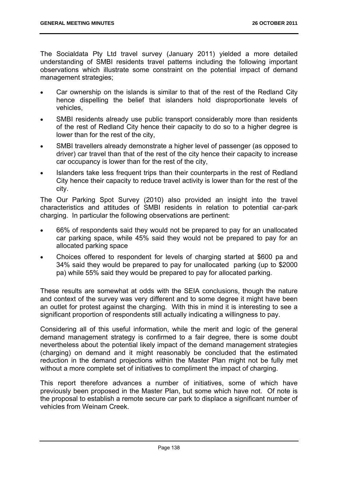The Socialdata Pty Ltd travel survey (January 2011) yielded a more detailed understanding of SMBI residents travel patterns including the following important observations which illustrate some constraint on the potential impact of demand management strategies;

- Car ownership on the islands is similar to that of the rest of the Redland City hence dispelling the belief that islanders hold disproportionate levels of vehicles,
- SMBI residents already use public transport considerably more than residents of the rest of Redland City hence their capacity to do so to a higher degree is lower than for the rest of the city,
- SMBI travellers already demonstrate a higher level of passenger (as opposed to driver) car travel than that of the rest of the city hence their capacity to increase car occupancy is lower than for the rest of the city,
- Islanders take less frequent trips than their counterparts in the rest of Redland City hence their capacity to reduce travel activity is lower than for the rest of the city.

The Our Parking Spot Survey (2010) also provided an insight into the travel characteristics and attitudes of SMBI residents in relation to potential car-park charging. In particular the following observations are pertinent:

- 66% of respondents said they would not be prepared to pay for an unallocated car parking space, while 45% said they would not be prepared to pay for an allocated parking space
- Choices offered to respondent for levels of charging started at \$600 pa and 34% said they would be prepared to pay for unallocated parking (up to \$2000 pa) while 55% said they would be prepared to pay for allocated parking.

These results are somewhat at odds with the SEIA conclusions, though the nature and context of the survey was very different and to some degree it might have been an outlet for protest against the charging. With this in mind it is interesting to see a significant proportion of respondents still actually indicating a willingness to pay.

Considering all of this useful information, while the merit and logic of the general demand management strategy is confirmed to a fair degree, there is some doubt nevertheless about the potential likely impact of the demand management strategies (charging) on demand and it might reasonably be concluded that the estimated reduction in the demand projections within the Master Plan might not be fully met without a more complete set of initiatives to compliment the impact of charging.

This report therefore advances a number of initiatives, some of which have previously been proposed in the Master Plan, but some which have not. Of note is the proposal to establish a remote secure car park to displace a significant number of vehicles from Weinam Creek.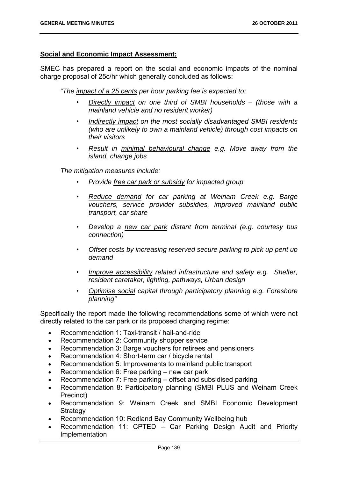## **Social and Economic Impact Assessment;**

SMEC has prepared a report on the social and economic impacts of the nominal charge proposal of 25c/hr which generally concluded as follows:

*"The impact of a 25 cents per hour parking fee is expected to:* 

- *Directly impact on one third of SMBI households (those with a mainland vehicle and no resident worker)*
- *Indirectly impact on the most socially disadvantaged SMBI residents (who are unlikely to own a mainland vehicle) through cost impacts on their visitors*
- *Result in minimal behavioural change e.g. Move away from the island, change jobs*

*The mitigation measures include:* 

- *Provide free car park or subsidy for impacted group*
- *Reduce demand for car parking at Weinam Creek e.g. Barge vouchers, service provider subsidies, improved mainland public transport, car share*
- *Develop a new car park distant from terminal (e.g. courtesy bus connection)*
- *Offset costs by increasing reserved secure parking to pick up pent up demand*
- *Improve accessibility related infrastructure and safety e.g. Shelter, resident caretaker, lighting, pathways, Urban design*
- *Optimise social capital through participatory planning e.g. Foreshore planning"*

Specifically the report made the following recommendations some of which were not directly related to the car park or its proposed charging regime:

- Recommendation 1: Taxi-transit / hail-and-ride
- Recommendation 2: Community shopper service
- Recommendation 3: Barge vouchers for retirees and pensioners
- Recommendation 4: Short-term car / bicycle rental
- Recommendation 5: Improvements to mainland public transport
- Recommendation 6: Free parking new car park
- Recommendation 7: Free parking offset and subsidised parking
- Recommendation 8: Participatory planning (SMBI PLUS and Weinam Creek Precinct)
- Recommendation 9: Weinam Creek and SMBI Economic Development **Strategy**
- Recommendation 10: Redland Bay Community Wellbeing hub
- Recommendation 11: CPTED Car Parking Design Audit and Priority Implementation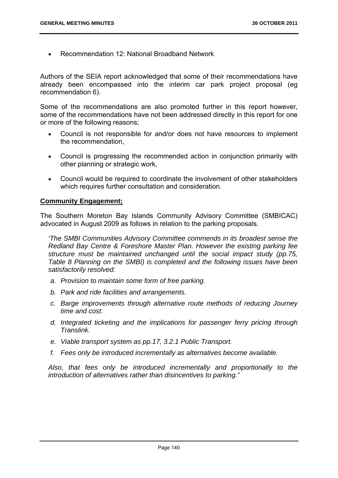Recommendation 12: National Broadband Network

Authors of the SEIA report acknowledged that some of their recommendations have already been encompassed into the interim car park project proposal (eg recommendation 6).

Some of the recommendations are also promoted further in this report however, some of the recommendations have not been addressed directly in this report for one or more of the following reasons;

- Council is not responsible for and/or does not have resources to implement the recommendation,
- Council is progressing the recommended action in conjunction primarily with other planning or strategic work,
- Council would be required to coordinate the involvement of other stakeholders which requires further consultation and consideration.

## **Community Engagement;**

The Southern Moreton Bay Islands Community Advisory Committee (SMBICAC) advocated in August 2009 as follows in relation to the parking proposals.

*'The SMBI Communities Advisory Committee commends in its broadest sense the Redland Bay Centre & Foreshore Master Plan. However the existing parking fee structure must be maintained unchanged until the social impact study (pp.75, Table 8 Planning on the SMBI) is completed and the following issues have been satisfactorily resolved:* 

- *a. Provision to maintain some form of free parking.*
- *b. Park and ride facilities and arrangements.*
- *c. Barge improvements through alternative route methods of reducing Journey time and cost.*
- *d. Integrated ticketing and the implications for passenger ferry pricing through Translink.*
- *e. Viable transport system as pp.17, 3.2.1 Public Transport.*
- *f. Fees only be introduced incrementally as alternatives become available.*

*Also, that fees only be introduced incrementally and proportionally to the introduction of alternatives rather than disincentives to parking."*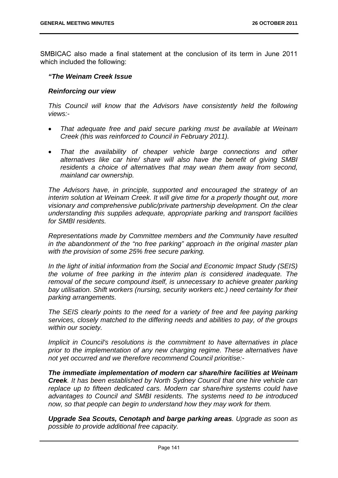SMBICAC also made a final statement at the conclusion of its term in June 2011 which included the following:

## *"The Weinam Creek Issue*

## *Reinforcing our view*

*This Council will know that the Advisors have consistently held the following views:-* 

- *That adequate free and paid secure parking must be available at Weinam Creek (this was reinforced to Council in February 2011).*
- *That the availability of cheaper vehicle barge connections and other alternatives like car hire/ share will also have the benefit of giving SMBI residents a choice of alternatives that may wean them away from second, mainland car ownership.*

*The Advisors have, in principle, supported and encouraged the strategy of an interim solution at Weinam Creek. It will give time for a properly thought out, more visionary and comprehensive public/private partnership development. On the clear understanding this supplies adequate, appropriate parking and transport facilities for SMBI residents.* 

*Representations made by Committee members and the Community have resulted in the abandonment of the "no free parking" approach in the original master plan with the provision of some 25% free secure parking.* 

*In the light of initial information from the Social and Economic Impact Study (SEIS) the volume of free parking in the interim plan is considered inadequate. The removal of the secure compound itself, is unnecessary to achieve greater parking bay utilisation. Shift workers (nursing, security workers etc.) need certainty for their parking arrangements.* 

*The SEIS clearly points to the need for a variety of free and fee paying parking services, closely matched to the differing needs and abilities to pay, of the groups within our society.* 

*Implicit in Council's resolutions is the commitment to have alternatives in place prior to the implementation of any new charging regime. These alternatives have not yet occurred and we therefore recommend Council prioritise:-* 

*The immediate implementation of modern car share/hire facilities at Weinam Creek. It has been established by North Sydney Council that one hire vehicle can replace up to fifteen dedicated cars. Modern car share/hire systems could have advantages to Council and SMBI residents. The systems need to be introduced now, so that people can begin to understand how they may work for them.* 

*Upgrade Sea Scouts, Cenotaph and barge parking areas. Upgrade as soon as possible to provide additional free capacity.*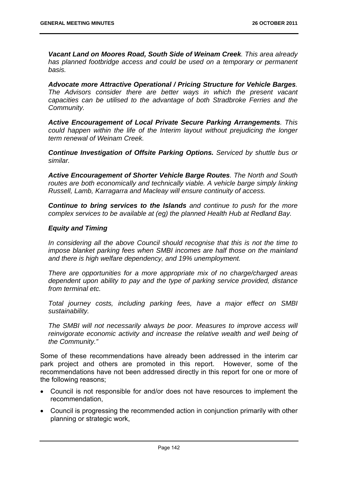*Vacant Land on Moores Road, South Side of Weinam Creek. This area already has planned footbridge access and could be used on a temporary or permanent basis.* 

*Advocate more Attractive Operational / Pricing Structure for Vehicle Barges. The Advisors consider there are better ways in which the present vacant capacities can be utilised to the advantage of both Stradbroke Ferries and the Community.* 

*Active Encouragement of Local Private Secure Parking Arrangements. This could happen within the life of the Interim layout without prejudicing the longer term renewal of Weinam Creek.* 

*Continue Investigation of Offsite Parking Options. Serviced by shuttle bus or similar.* 

*Active Encouragement of Shorter Vehicle Barge Routes. The North and South*  routes are both economically and technically viable. A vehicle barge simply linking *Russell, Lamb, Karragarra and Macleay will ensure continuity of access.* 

*Continue to bring services to the Islands and continue to push for the more complex services to be available at (eg) the planned Health Hub at Redland Bay.* 

## *Equity and Timing*

*In considering all the above Council should recognise that this is not the time to impose blanket parking fees when SMBI incomes are half those on the mainland and there is high welfare dependency, and 19% unemployment.* 

*There are opportunities for a more appropriate mix of no charge/charged areas dependent upon ability to pay and the type of parking service provided, distance from terminal etc.* 

*Total journey costs, including parking fees, have a major effect on SMBI sustainability.* 

*The SMBI will not necessarily always be poor. Measures to improve access will reinvigorate economic activity and increase the relative wealth and well being of the Community."* 

Some of these recommendations have already been addressed in the interim car park project and others are promoted in this report. However, some of the recommendations have not been addressed directly in this report for one or more of the following reasons;

- Council is not responsible for and/or does not have resources to implement the recommendation,
- Council is progressing the recommended action in conjunction primarily with other planning or strategic work,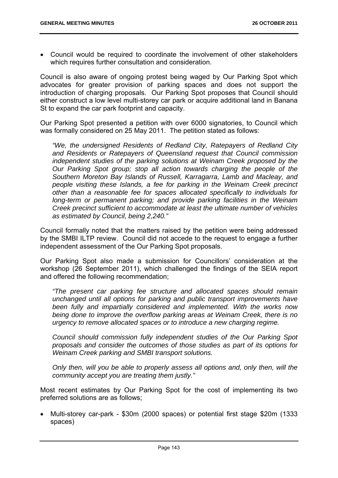Council would be required to coordinate the involvement of other stakeholders which requires further consultation and consideration.

Council is also aware of ongoing protest being waged by Our Parking Spot which advocates for greater provision of parking spaces and does not support the introduction of charging proposals. Our Parking Spot proposes that Council should either construct a low level multi-storey car park or acquire additional land in Banana St to expand the car park footprint and capacity.

Our Parking Spot presented a petition with over 6000 signatories, to Council which was formally considered on 25 May 2011. The petition stated as follows:

*"We, the undersigned Residents of Redland City, Ratepayers of Redland City and Residents or Ratepayers of Queensland request that Council commission independent studies of the parking solutions at Weinam Creek proposed by the Our Parking Spot group; stop all action towards charging the people of the Southern Moreton Bay Islands of Russell, Karragarra, Lamb and Macleay, and people visiting these Islands, a fee for parking in the Weinam Creek precinct other than a reasonable fee for spaces allocated specifically to individuals for long-term or permanent parking; and provide parking facilities in the Weinam Creek precinct sufficient to accommodate at least the ultimate number of vehicles as estimated by Council, being 2,240."*

Council formally noted that the matters raised by the petition were being addressed by the SMBI ILTP review. Council did not accede to the request to engage a further independent assessment of the Our Parking Spot proposals.

Our Parking Spot also made a submission for Councillors' consideration at the workshop (26 September 2011), which challenged the findings of the SEIA report and offered the following recommendation;

*"The present car parking fee structure and allocated spaces should remain unchanged until all options for parking and public transport improvements have been fully and impartially considered and implemented. With the works now being done to improve the overflow parking areas at Weinam Creek, there is no urgency to remove allocated spaces or to introduce a new charging regime.* 

*Council should commission fully independent studies of the Our Parking Spot proposals and consider the outcomes of those studies as part of its options for Weinam Creek parking and SMBI transport solutions.* 

*Only then, will you be able to properly assess all options and, only then, will the community accept you are treating them justly."* 

Most recent estimates by Our Parking Spot for the cost of implementing its two preferred solutions are as follows;

 Multi-storey car-park - \$30m (2000 spaces) or potential first stage \$20m (1333 spaces)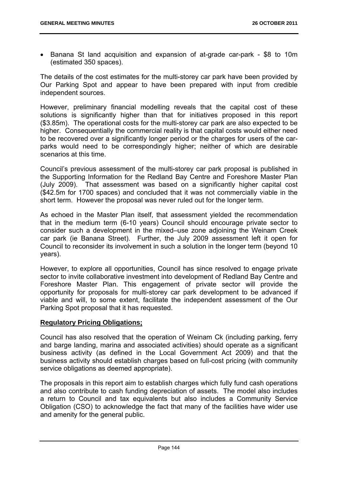Banana St land acquisition and expansion of at-grade car-park - \$8 to 10m (estimated 350 spaces).

The details of the cost estimates for the multi-storey car park have been provided by Our Parking Spot and appear to have been prepared with input from credible independent sources.

However, preliminary financial modelling reveals that the capital cost of these solutions is significantly higher than that for initiatives proposed in this report (\$3.85m). The operational costs for the multi-storey car park are also expected to be higher. Consequentially the commercial reality is that capital costs would either need to be recovered over a significantly longer period or the charges for users of the carparks would need to be correspondingly higher; neither of which are desirable scenarios at this time.

Council's previous assessment of the multi-storey car park proposal is published in the Supporting Information for the Redland Bay Centre and Foreshore Master Plan (July 2009). That assessment was based on a significantly higher capital cost (\$42.5m for 1700 spaces) and concluded that it was not commercially viable in the short term. However the proposal was never ruled out for the longer term.

As echoed in the Master Plan itself, that assessment yielded the recommendation that in the medium term (6-10 years) Council should encourage private sector to consider such a development in the mixed–use zone adjoining the Weinam Creek car park (ie Banana Street). Further, the July 2009 assessment left it open for Council to reconsider its involvement in such a solution in the longer term (beyond 10 years).

However, to explore all opportunities, Council has since resolved to engage private sector to invite collaborative investment into development of Redland Bay Centre and Foreshore Master Plan. This engagement of private sector will provide the opportunity for proposals for multi-storey car park development to be advanced if viable and will, to some extent, facilitate the independent assessment of the Our Parking Spot proposal that it has requested.

# **Regulatory Pricing Obligations;**

Council has also resolved that the operation of Weinam Ck (including parking, ferry and barge landing, marina and associated activities) should operate as a significant business activity (as defined in the Local Government Act 2009) and that the business activity should establish charges based on full-cost pricing (with community service obligations as deemed appropriate).

The proposals in this report aim to establish charges which fully fund cash operations and also contribute to cash funding depreciation of assets. The model also includes a return to Council and tax equivalents but also includes a Community Service Obligation (CSO) to acknowledge the fact that many of the facilities have wider use and amenity for the general public.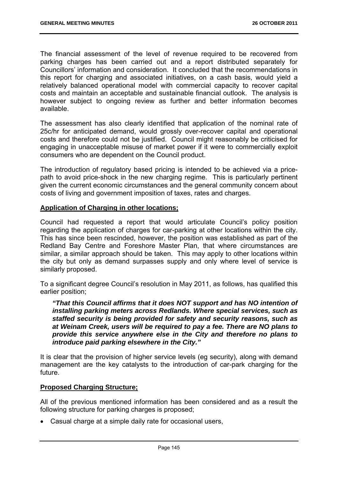The financial assessment of the level of revenue required to be recovered from parking charges has been carried out and a report distributed separately for Councillors' information and consideration. It concluded that the recommendations in this report for charging and associated initiatives, on a cash basis, would yield a relatively balanced operational model with commercial capacity to recover capital costs and maintain an acceptable and sustainable financial outlook. The analysis is however subject to ongoing review as further and better information becomes available.

The assessment has also clearly identified that application of the nominal rate of 25c/hr for anticipated demand, would grossly over-recover capital and operational costs and therefore could not be justified. Council might reasonably be criticised for engaging in unacceptable misuse of market power if it were to commercially exploit consumers who are dependent on the Council product.

The introduction of regulatory based pricing is intended to be achieved via a pricepath to avoid price-shock in the new charging regime. This is particularly pertinent given the current economic circumstances and the general community concern about costs of living and government imposition of taxes, rates and charges.

## **Application of Charging in other locations;**

Council had requested a report that would articulate Council's policy position regarding the application of charges for car-parking at other locations within the city. This has since been rescinded, however, the position was established as part of the Redland Bay Centre and Foreshore Master Plan, that where circumstances are similar, a similar approach should be taken. This may apply to other locations within the city but only as demand surpasses supply and only where level of service is similarly proposed.

To a significant degree Council's resolution in May 2011, as follows, has qualified this earlier position;

*"That this Council affirms that it does NOT support and has NO intention of installing parking meters across Redlands. Where special services, such as staffed security is being provided for safety and security reasons, such as at Weinam Creek, users will be required to pay a fee. There are NO plans to provide this service anywhere else in the City and therefore no plans to introduce paid parking elsewhere in the City."*

It is clear that the provision of higher service levels (eg security), along with demand management are the key catalysts to the introduction of car-park charging for the future.

## **Proposed Charging Structure;**

All of the previous mentioned information has been considered and as a result the following structure for parking charges is proposed;

Casual charge at a simple daily rate for occasional users,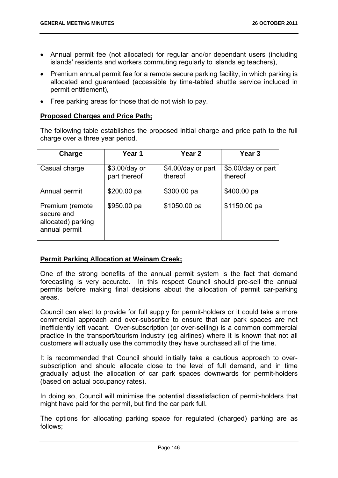- Annual permit fee (not allocated) for regular and/or dependant users (including islands' residents and workers commuting regularly to islands eg teachers),
- Premium annual permit fee for a remote secure parking facility, in which parking is allocated and guaranteed (accessible by time-tabled shuttle service included in permit entitlement),
- Free parking areas for those that do not wish to pay.

## **Proposed Charges and Price Path;**

The following table establishes the proposed initial charge and price path to the full charge over a three year period.

| Charge                                                               | Year 1                        | Year 2                        | Year <sub>3</sub>             |
|----------------------------------------------------------------------|-------------------------------|-------------------------------|-------------------------------|
| Casual charge                                                        | \$3.00/day or<br>part thereof | \$4.00/day or part<br>thereof | \$5.00/day or part<br>thereof |
| Annual permit                                                        | \$200.00 pa                   | \$300.00 pa                   | \$400.00 pa                   |
| Premium (remote<br>secure and<br>allocated) parking<br>annual permit | \$950.00 pa                   | \$1050.00 pa                  | \$1150.00 pa                  |

# **Permit Parking Allocation at Weinam Creek;**

One of the strong benefits of the annual permit system is the fact that demand forecasting is very accurate. In this respect Council should pre-sell the annual permits before making final decisions about the allocation of permit car-parking areas.

Council can elect to provide for full supply for permit-holders or it could take a more commercial approach and over-subscribe to ensure that car park spaces are not inefficiently left vacant. Over-subscription (or over-selling) is a common commercial practice in the transport/tourism industry (eg airlines) where it is known that not all customers will actually use the commodity they have purchased all of the time.

It is recommended that Council should initially take a cautious approach to oversubscription and should allocate close to the level of full demand, and in time gradually adjust the allocation of car park spaces downwards for permit-holders (based on actual occupancy rates).

In doing so, Council will minimise the potential dissatisfaction of permit-holders that might have paid for the permit, but find the car park full.

The options for allocating parking space for regulated (charged) parking are as follows;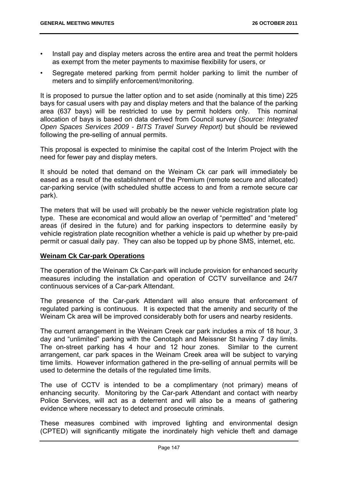- Install pay and display meters across the entire area and treat the permit holders as exempt from the meter payments to maximise flexibility for users, or
- Segregate metered parking from permit holder parking to limit the number of meters and to simplify enforcement/monitoring.

It is proposed to pursue the latter option and to set aside (nominally at this time) 225 bays for casual users with pay and display meters and that the balance of the parking area (637 bays) will be restricted to use by permit holders only. This nominal allocation of bays is based on data derived from Council survey (*Source: Integrated Open Spaces Services 2009 - BITS Travel Survey Report)* but should be reviewed following the pre-selling of annual permits.

This proposal is expected to minimise the capital cost of the Interim Project with the need for fewer pay and display meters.

It should be noted that demand on the Weinam Ck car park will immediately be eased as a result of the establishment of the Premium (remote secure and allocated) car-parking service (with scheduled shuttle access to and from a remote secure car park).

The meters that will be used will probably be the newer vehicle registration plate log type. These are economical and would allow an overlap of "permitted" and "metered" areas (if desired in the future) and for parking inspectors to determine easily by vehicle registration plate recognition whether a vehicle is paid up whether by pre-paid permit or casual daily pay. They can also be topped up by phone SMS, internet, etc.

## **Weinam Ck Car-park Operations**

The operation of the Weinam Ck Car-park will include provision for enhanced security measures including the installation and operation of CCTV surveillance and 24/7 continuous services of a Car-park Attendant.

The presence of the Car-park Attendant will also ensure that enforcement of regulated parking is continuous. It is expected that the amenity and security of the Weinam Ck area will be improved considerably both for users and nearby residents.

The current arrangement in the Weinam Creek car park includes a mix of 18 hour, 3 day and "unlimited" parking with the Cenotaph and Meissner St having 7 day limits. The on-street parking has 4 hour and 12 hour zones. Similar to the current arrangement, car park spaces in the Weinam Creek area will be subject to varying time limits. However information gathered in the pre-selling of annual permits will be used to determine the details of the regulated time limits.

The use of CCTV is intended to be a complimentary (not primary) means of enhancing security. Monitoring by the Car-park Attendant and contact with nearby Police Services, will act as a deterrent and will also be a means of gathering evidence where necessary to detect and prosecute criminals.

These measures combined with improved lighting and environmental design (CPTED) will significantly mitigate the inordinately high vehicle theft and damage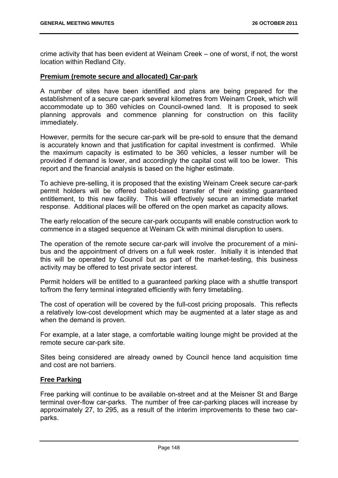crime activity that has been evident at Weinam Creek – one of worst, if not, the worst location within Redland City.

## **Premium (remote secure and allocated) Car-park**

A number of sites have been identified and plans are being prepared for the establishment of a secure car-park several kilometres from Weinam Creek, which will accommodate up to 360 vehicles on Council-owned land. It is proposed to seek planning approvals and commence planning for construction on this facility immediately.

However, permits for the secure car-park will be pre-sold to ensure that the demand is accurately known and that justification for capital investment is confirmed. While the maximum capacity is estimated to be 360 vehicles, a lesser number will be provided if demand is lower, and accordingly the capital cost will too be lower. This report and the financial analysis is based on the higher estimate.

To achieve pre-selling, it is proposed that the existing Weinam Creek secure car-park permit holders will be offered ballot-based transfer of their existing guaranteed entitlement, to this new facility. This will effectively secure an immediate market response. Additional places will be offered on the open market as capacity allows.

The early relocation of the secure car-park occupants will enable construction work to commence in a staged sequence at Weinam Ck with minimal disruption to users.

The operation of the remote secure car-park will involve the procurement of a minibus and the appointment of drivers on a full week roster. Initially it is intended that this will be operated by Council but as part of the market-testing, this business activity may be offered to test private sector interest.

Permit holders will be entitled to a guaranteed parking place with a shuttle transport to/from the ferry terminal integrated efficiently with ferry timetabling.

The cost of operation will be covered by the full-cost pricing proposals. This reflects a relatively low-cost development which may be augmented at a later stage as and when the demand is proven.

For example, at a later stage, a comfortable waiting lounge might be provided at the remote secure car-park site.

Sites being considered are already owned by Council hence land acquisition time and cost are not barriers.

## **Free Parking**

Free parking will continue to be available on-street and at the Meisner St and Barge terminal over-flow car-parks. The number of free car-parking places will increase by approximately 27, to 295, as a result of the interim improvements to these two carparks.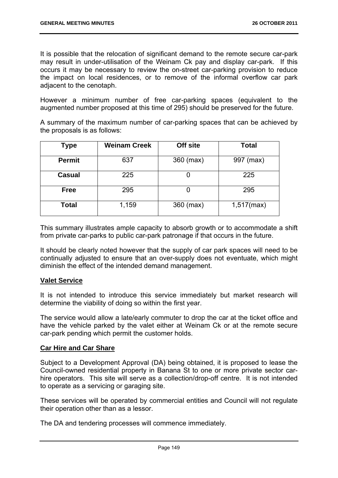It is possible that the relocation of significant demand to the remote secure car-park may result in under-utilisation of the Weinam Ck pay and display car-park. If this occurs it may be necessary to review the on-street car-parking provision to reduce the impact on local residences, or to remove of the informal overflow car park adjacent to the cenotaph.

However a minimum number of free car-parking spaces (equivalent to the augmented number proposed at this time of 295) should be preserved for the future.

A summary of the maximum number of car-parking spaces that can be achieved by the proposals is as follows:

| Type          | <b>Weinam Creek</b> | Off site  | <b>Total</b>  |
|---------------|---------------------|-----------|---------------|
| <b>Permit</b> | 637                 | 360 (max) | 997 (max)     |
| <b>Casual</b> | 225                 |           | 225           |
| <b>Free</b>   | 295                 |           | 295           |
| <b>Total</b>  | 1,159               | 360 (max) | $1,517$ (max) |

This summary illustrates ample capacity to absorb growth or to accommodate a shift from private car-parks to public car-park patronage if that occurs in the future.

It should be clearly noted however that the supply of car park spaces will need to be continually adjusted to ensure that an over-supply does not eventuate, which might diminish the effect of the intended demand management.

# **Valet Service**

It is not intended to introduce this service immediately but market research will determine the viability of doing so within the first year.

The service would allow a late/early commuter to drop the car at the ticket office and have the vehicle parked by the valet either at Weinam Ck or at the remote secure car-park pending which permit the customer holds.

# **Car Hire and Car Share**

Subject to a Development Approval (DA) being obtained, it is proposed to lease the Council-owned residential property in Banana St to one or more private sector carhire operators. This site will serve as a collection/drop-off centre. It is not intended to operate as a servicing or garaging site.

These services will be operated by commercial entities and Council will not regulate their operation other than as a lessor.

The DA and tendering processes will commence immediately.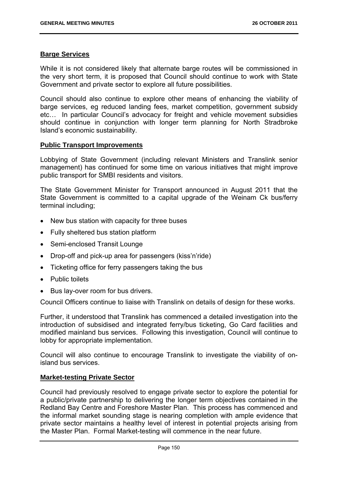## **Barge Services**

While it is not considered likely that alternate barge routes will be commissioned in the very short term, it is proposed that Council should continue to work with State Government and private sector to explore all future possibilities.

Council should also continue to explore other means of enhancing the viability of barge services, eg reduced landing fees, market competition, government subsidy etc… In particular Council's advocacy for freight and vehicle movement subsidies should continue in conjunction with longer term planning for North Stradbroke Island's economic sustainability.

## **Public Transport Improvements**

Lobbying of State Government (including relevant Ministers and Translink senior management) has continued for some time on various initiatives that might improve public transport for SMBI residents and visitors.

The State Government Minister for Transport announced in August 2011 that the State Government is committed to a capital upgrade of the Weinam Ck bus/ferry terminal including;

- New bus station with capacity for three buses
- Fully sheltered bus station platform
- Semi-enclosed Transit Lounge
- Drop-off and pick-up area for passengers (kiss'n'ride)
- Ticketing office for ferry passengers taking the bus
- Public toilets
- Bus lay-over room for bus drivers.

Council Officers continue to liaise with Translink on details of design for these works.

Further, it understood that Translink has commenced a detailed investigation into the introduction of subsidised and integrated ferry/bus ticketing, Go Card facilities and modified mainland bus services. Following this investigation, Council will continue to lobby for appropriate implementation.

Council will also continue to encourage Translink to investigate the viability of onisland bus services.

## **Market-testing Private Sector**

Council had previously resolved to engage private sector to explore the potential for a public/private partnership to delivering the longer term objectives contained in the Redland Bay Centre and Foreshore Master Plan. This process has commenced and the informal market sounding stage is nearing completion with ample evidence that private sector maintains a healthy level of interest in potential projects arising from the Master Plan. Formal Market-testing will commence in the near future.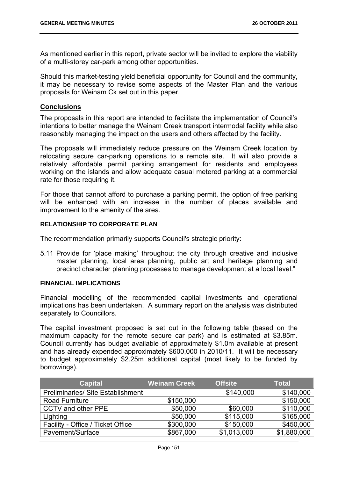As mentioned earlier in this report, private sector will be invited to explore the viability of a multi-storey car-park among other opportunities.

Should this market-testing yield beneficial opportunity for Council and the community, it may be necessary to revise some aspects of the Master Plan and the various proposals for Weinam Ck set out in this paper.

## **Conclusions**

The proposals in this report are intended to facilitate the implementation of Council's intentions to better manage the Weinam Creek transport intermodal facility while also reasonably managing the impact on the users and others affected by the facility.

The proposals will immediately reduce pressure on the Weinam Creek location by relocating secure car-parking operations to a remote site. It will also provide a relatively affordable permit parking arrangement for residents and employees working on the islands and allow adequate casual metered parking at a commercial rate for those requiring it.

For those that cannot afford to purchase a parking permit, the option of free parking will be enhanced with an increase in the number of places available and improvement to the amenity of the area.

## **RELATIONSHIP TO CORPORATE PLAN**

The recommendation primarily supports Council's strategic priority:

5.11 Provide for 'place making' throughout the city through creative and inclusive master planning, local area planning, public art and heritage planning and precinct character planning processes to manage development at a local level."

## **FINANCIAL IMPLICATIONS**

Financial modelling of the recommended capital investments and operational implications has been undertaken. A summary report on the analysis was distributed separately to Councillors.

The capital investment proposed is set out in the following table (based on the maximum capacity for the remote secure car park) and is estimated at \$3.85m. Council currently has budget available of approximately \$1.0m available at present and has already expended approximately \$600,000 in 2010/11. It will be necessary to budget approximately \$2.25m additional capital (most likely to be funded by borrowings).

| <b>Capital</b>                           | <b>Weinam Creek</b> | <b>Offsite</b> | <b>Total</b> |
|------------------------------------------|---------------------|----------------|--------------|
| <b>Preliminaries/ Site Establishment</b> |                     | \$140,000      | \$140,000    |
| <b>Road Furniture</b>                    | \$150,000           |                | \$150,000    |
| CCTV and other PPE                       | \$50,000            | \$60,000       | \$110,000    |
| Lighting                                 | \$50,000            | \$115,000      | \$165,000    |
| Facility - Office / Ticket Office        | \$300,000           | \$150,000      | \$450,000    |
| Pavement/Surface                         | \$867,000           | \$1,013,000    | \$1,880,000  |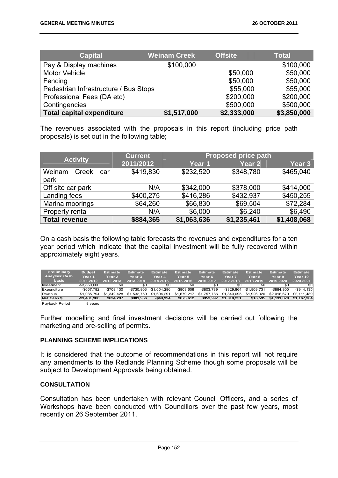| <b>Capital</b>                        | <b>Weinam Creek</b> | <b>Offsite</b> | <b>Total</b> |
|---------------------------------------|---------------------|----------------|--------------|
| Pay & Display machines                | \$100,000           |                | \$100,000    |
| <b>Motor Vehicle</b>                  |                     | \$50,000       | \$50,000     |
| Fencing                               |                     | \$50,000       | \$50,000     |
| Pedestrian Infrastructure / Bus Stops |                     | \$55,000       | \$55,000     |
| Professional Fees (DA etc)            |                     | \$200,000      | \$200,000    |
| Contingencies                         |                     | \$500,000      | \$500,000    |
| <b>Total capital expenditure</b>      | \$1,517,000         | \$2,333,000    | \$3,850,000  |

The revenues associated with the proposals in this report (including price path proposals) is set out in the following table;

| <b>Activity</b>                | <b>Current</b> |             | <b>Proposed price path</b> |             |
|--------------------------------|----------------|-------------|----------------------------|-------------|
|                                | 2011/2012      | Year 1      | Year <sub>2</sub>          | Year 3      |
| Weinam<br>Creek<br>car<br>park | \$419,830      | \$232,520   | \$348,780                  | \$465,040   |
| Off site car park              | N/A            | \$342,000   | \$378,000                  | \$414,000   |
| Landing fees                   | \$400,275      | \$416,286   | \$432,937                  | \$450,255   |
| Marina moorings                | \$64,260       | \$66,830    | \$69,504                   | \$72,284    |
| Property rental                | N/A            | \$6,000     | \$6,240                    | \$6,490     |
| <b>Total revenue</b>           | \$884,365      | \$1,063,636 | \$1,235,461                | \$1,408,068 |

On a cash basis the following table forecasts the revenues and expenditures for a ten year period which indicate that the capital investment will be fully recovered within approximately eight years.

| $-$3.850.000$<br>Investment<br>$-$ \$667.782<br>Expenditure | \$0<br>$-$708.130$       | \$0<br>$-$ \$730.803     | \$0<br>-\$1.654.286       | -\$0<br>-\$803.606       | \$0<br>-\$803.789        | \$0<br>$-$ \$829.864       | \$0<br>$-$1.909.731$    | \$0<br>$-$ \$884.800       | \$0<br>$-$ \$944.135       |
|-------------------------------------------------------------|--------------------------|--------------------------|---------------------------|--------------------------|--------------------------|----------------------------|-------------------------|----------------------------|----------------------------|
| \$1.085.794<br>Revenue<br>Net Cash \$<br>$- $3.431.988$     | \$1,342,428<br>\$634.297 | \$1.532.759<br>\$801.956 | \$1.604.291<br>$-$49.994$ | \$1,679,217<br>\$875.612 | \$1.757.786<br>\$953.997 | \$1.840.095<br>\$1.010.231 | \$1,926,326<br>\$16.595 | \$2,016,670<br>\$1.131.870 | \$2.111.439<br>\$1,167,304 |

Payback Period 8 years

Further modelling and final investment decisions will be carried out following the marketing and pre-selling of permits.

## **PLANNING SCHEME IMPLICATIONS**

It is considered that the outcome of recommendations in this report will not require any amendments to the Redlands Planning Scheme though some proposals will be subject to Development Approvals being obtained.

#### **CONSULTATION**

Consultation has been undertaken with relevant Council Officers, and a series of Workshops have been conducted with Councillors over the past few years, most recently on 26 September 2011.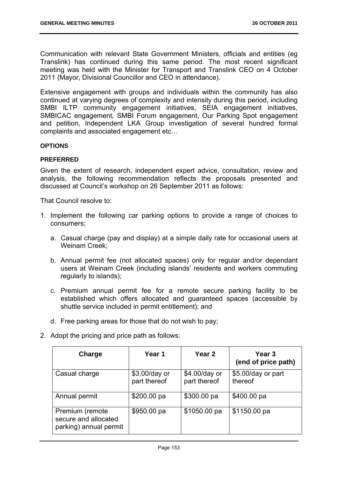Communication with relevant State Government Ministers, officials and entities (eg Translink) has continued during this same period. The most recent significant meeting was held with the Minister for Transport and Translink CEO on 4 October 2011 (Mayor, Divisional Councillor and CEO in attendance).

Extensive engagement with groups and individuals within the community has also continued at varying degrees of complexity and intensity during this period, including SMBI ILTP community engagement initiatives, SEIA engagement initiatives, SMBICAC engagement, SMBI Forum engagement, Our Parking Spot engagement and petition, Independent LKA Group investigation of several hundred formal complaints and associated engagement etc…

#### **OPTIONS**

## **PREFERRED**

Given the extent of research, independent expert advice, consultation, review and analysis, the following recommendation reflects the proposals presented and discussed at Council's workshop on 26 September 2011 as follows:

That Council resolve to:

- 1. Implement the following car parking options to provide a range of choices to consumers;
	- a. Casual charge (pay and display) at a simple daily rate for occasional users at Weinam Creek;
	- b. Annual permit fee (not allocated spaces) only for regular and/or dependant users at Weinam Creek (including islands' residents and workers commuting regularly to islands);
	- c. Premium annual permit fee for a remote secure parking facility to be established which offers allocated and guaranteed spaces (accessible by shuttle service included in permit entitlement); and
	- d. Free parking areas for those that do not wish to pay;
- 2. Adopt the pricing and price path as follows:

| Charge                                                            | Year 1                        | Year 2                        | Year 3<br>(end of price path) |
|-------------------------------------------------------------------|-------------------------------|-------------------------------|-------------------------------|
| Casual charge                                                     | \$3.00/day or<br>part thereof | \$4.00/day or<br>part thereof | \$5.00/day or part<br>thereof |
| Annual permit                                                     | \$200.00 pa                   | \$300.00 pa                   | \$400.00 pa                   |
| Premium (remote<br>secure and allocated<br>parking) annual permit | \$950.00 pa                   | \$1050.00 pa                  | \$1150.00 pa                  |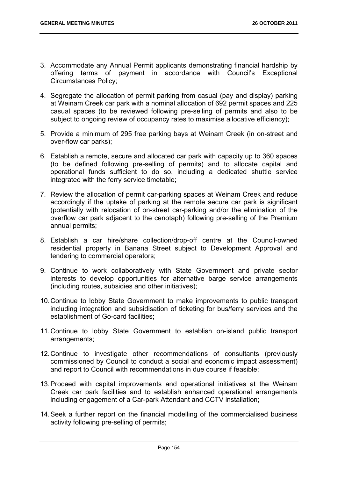- 3. Accommodate any Annual Permit applicants demonstrating financial hardship by offering terms of payment in accordance with Council's Exceptional Circumstances Policy;
- 4. Segregate the allocation of permit parking from casual (pay and display) parking at Weinam Creek car park with a nominal allocation of 692 permit spaces and 225 casual spaces (to be reviewed following pre-selling of permits and also to be subject to ongoing review of occupancy rates to maximise allocative efficiency);
- 5. Provide a minimum of 295 free parking bays at Weinam Creek (in on-street and over-flow car parks);
- 6. Establish a remote, secure and allocated car park with capacity up to 360 spaces (to be defined following pre-selling of permits) and to allocate capital and operational funds sufficient to do so, including a dedicated shuttle service integrated with the ferry service timetable;
- 7. Review the allocation of permit car-parking spaces at Weinam Creek and reduce accordingly if the uptake of parking at the remote secure car park is significant (potentially with relocation of on-street car-parking and/or the elimination of the overflow car park adjacent to the cenotaph) following pre-selling of the Premium annual permits;
- 8. Establish a car hire/share collection/drop-off centre at the Council-owned residential property in Banana Street subject to Development Approval and tendering to commercial operators;
- 9. Continue to work collaboratively with State Government and private sector interests to develop opportunities for alternative barge service arrangements (including routes, subsidies and other initiatives);
- 10. Continue to lobby State Government to make improvements to public transport including integration and subsidisation of ticketing for bus/ferry services and the establishment of Go-card facilities;
- 11. Continue to lobby State Government to establish on-island public transport arrangements;
- 12. Continue to investigate other recommendations of consultants (previously commissioned by Council to conduct a social and economic impact assessment) and report to Council with recommendations in due course if feasible;
- 13. Proceed with capital improvements and operational initiatives at the Weinam Creek car park facilities and to establish enhanced operational arrangements including engagement of a Car-park Attendant and CCTV installation;
- 14. Seek a further report on the financial modelling of the commercialised business activity following pre-selling of permits;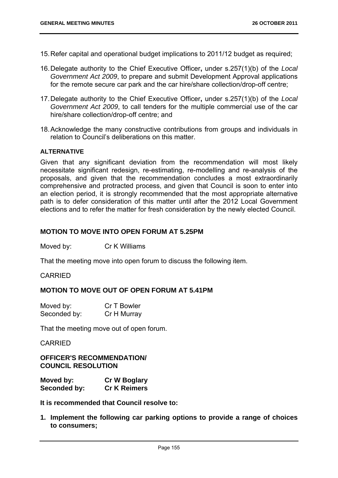- 15. Refer capital and operational budget implications to 2011/12 budget as required;
- 16. Delegate authority to the Chief Executive Officer**,** under s.257(1)(b) of the *Local Government Act 2009*, to prepare and submit Development Approval applications for the remote secure car park and the car hire/share collection/drop-off centre;
- 17. Delegate authority to the Chief Executive Officer**,** under s.257(1)(b) of the *Local Government Act 2009*, to call tenders for the multiple commercial use of the car hire/share collection/drop-off centre; and
- 18. Acknowledge the many constructive contributions from groups and individuals in relation to Council's deliberations on this matter.

#### **ALTERNATIVE**

Given that any significant deviation from the recommendation will most likely necessitate significant redesign, re-estimating, re-modelling and re-analysis of the proposals, and given that the recommendation concludes a most extraordinarily comprehensive and protracted process, and given that Council is soon to enter into an election period, it is strongly recommended that the most appropriate alternative path is to defer consideration of this matter until after the 2012 Local Government elections and to refer the matter for fresh consideration by the newly elected Council.

## **MOTION TO MOVE INTO OPEN FORUM AT 5.25PM**

Moved by: Cr K Williams

That the meeting move into open forum to discuss the following item.

#### CARRIED

## **MOTION TO MOVE OUT OF OPEN FORUM AT 5.41PM**

| Moved by:    | Cr T Bowler |
|--------------|-------------|
| Seconded by: | Cr H Murray |

That the meeting move out of open forum.

CARRIED

**OFFICER'S RECOMMENDATION/ COUNCIL RESOLUTION** 

| Moved by:    | <b>Cr W Boglary</b> |
|--------------|---------------------|
| Seconded by: | <b>Cr K Reimers</b> |

**It is recommended that Council resolve to:**

**1. Implement the following car parking options to provide a range of choices to consumers;**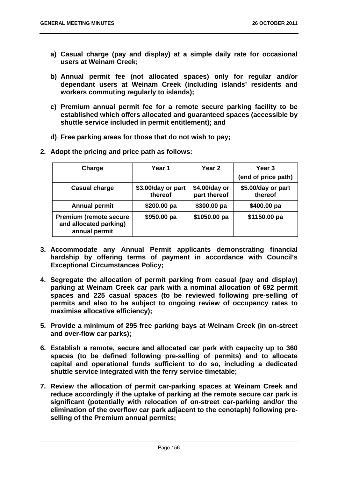- **a) Casual charge (pay and display) at a simple daily rate for occasional users at Weinam Creek;**
- **b) Annual permit fee (not allocated spaces) only for regular and/or dependant users at Weinam Creek (including islands' residents and workers commuting regularly to islands);**
- **c) Premium annual permit fee for a remote secure parking facility to be established which offers allocated and guaranteed spaces (accessible by shuttle service included in permit entitlement); and**
- **d) Free parking areas for those that do not wish to pay;**
- **2. Adopt the pricing and price path as follows:**

| Charge                                                                    | Year 1                        | Year 2                        | Year 3<br>(end of price path) |
|---------------------------------------------------------------------------|-------------------------------|-------------------------------|-------------------------------|
| <b>Casual charge</b>                                                      | \$3.00/day or part<br>thereof | \$4.00/day or<br>part thereof | \$5.00/day or part<br>thereof |
| <b>Annual permit</b>                                                      | \$200.00 pa                   | \$300.00 pa                   | \$400.00 pa                   |
| <b>Premium (remote secure)</b><br>and allocated parking)<br>annual permit | \$950.00 pa                   | \$1050.00 pa                  | \$1150.00 pa                  |

- **3. Accommodate any Annual Permit applicants demonstrating financial hardship by offering terms of payment in accordance with Council's Exceptional Circumstances Policy;**
- **4. Segregate the allocation of permit parking from casual (pay and display) parking at Weinam Creek car park with a nominal allocation of 692 permit spaces and 225 casual spaces (to be reviewed following pre-selling of permits and also to be subject to ongoing review of occupancy rates to maximise allocative efficiency);**
- **5. Provide a minimum of 295 free parking bays at Weinam Creek (in on-street and over-flow car parks);**
- **6. Establish a remote, secure and allocated car park with capacity up to 360 spaces (to be defined following pre-selling of permits) and to allocate capital and operational funds sufficient to do so, including a dedicated shuttle service integrated with the ferry service timetable;**
- **7. Review the allocation of permit car-parking spaces at Weinam Creek and reduce accordingly if the uptake of parking at the remote secure car park is significant (potentially with relocation of on-street car-parking and/or the elimination of the overflow car park adjacent to the cenotaph) following preselling of the Premium annual permits;**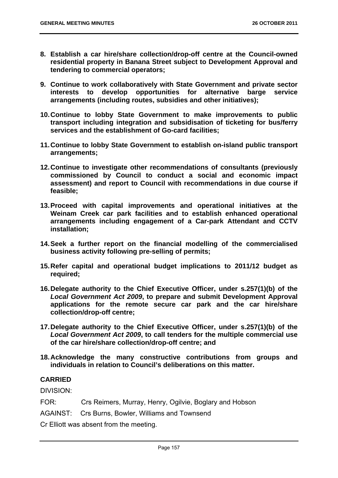- **8. Establish a car hire/share collection/drop-off centre at the Council-owned residential property in Banana Street subject to Development Approval and tendering to commercial operators;**
- **9. Continue to work collaboratively with State Government and private sector interests to develop opportunities for alternative barge service arrangements (including routes, subsidies and other initiatives);**
- **10. Continue to lobby State Government to make improvements to public transport including integration and subsidisation of ticketing for bus/ferry services and the establishment of Go-card facilities;**
- **11. Continue to lobby State Government to establish on-island public transport arrangements;**
- **12. Continue to investigate other recommendations of consultants (previously commissioned by Council to conduct a social and economic impact assessment) and report to Council with recommendations in due course if feasible;**
- **13. Proceed with capital improvements and operational initiatives at the Weinam Creek car park facilities and to establish enhanced operational arrangements including engagement of a Car-park Attendant and CCTV installation;**
- **14. Seek a further report on the financial modelling of the commercialised business activity following pre-selling of permits;**
- **15. Refer capital and operational budget implications to 2011/12 budget as required;**
- **16. Delegate authority to the Chief Executive Officer, under s.257(1)(b) of the**  *Local Government Act 2009***, to prepare and submit Development Approval applications for the remote secure car park and the car hire/share collection/drop-off centre;**
- **17. Delegate authority to the Chief Executive Officer, under s.257(1)(b) of the**  *Local Government Act 2009***, to call tenders for the multiple commercial use of the car hire/share collection/drop-off centre; and**
- **18. Acknowledge the many constructive contributions from groups and individuals in relation to Council's deliberations on this matter.**

# **CARRIED**

DIVISION:

- FOR: Crs Reimers, Murray, Henry, Ogilvie, Boglary and Hobson
- AGAINST: Crs Burns, Bowler, Williams and Townsend

Cr Elliott was absent from the meeting.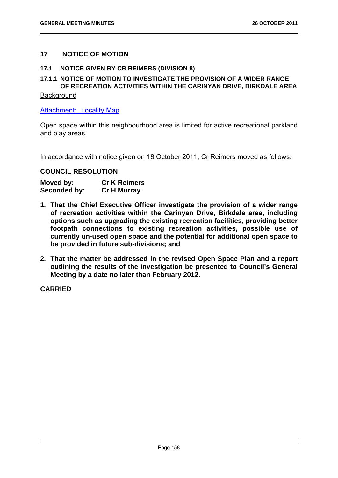# **17 NOTICE OF MOTION**

## **17.1 NOTICE GIVEN BY CR REIMERS (DIVISION 8)**

## **17.1.1 NOTICE OF MOTION TO INVESTIGATE THE PROVISION OF A WIDER RANGE OF RECREATION ACTIVITIES WITHIN THE CARINYAN DRIVE, BIRKDALE AREA**

## **Background**

Attachment: Locality Map

Open space within this neighbourhood area is limited for active recreational parkland and play areas.

In accordance with notice given on 18 October 2011, Cr Reimers moved as follows:

# **COUNCIL RESOLUTION**

| Moved by:    | <b>Cr K Reimers</b> |
|--------------|---------------------|
| Seconded by: | <b>Cr H Murray</b>  |

- **1. That the Chief Executive Officer investigate the provision of a wider range of recreation activities within the Carinyan Drive, Birkdale area, including options such as upgrading the existing recreation facilities, providing better footpath connections to existing recreation activities, possible use of currently un-used open space and the potential for additional open space to be provided in future sub-divisions; and**
- **2. That the matter be addressed in the revised Open Space Plan and a report outlining the results of the investigation be presented to Council's General Meeting by a date no later than February 2012.**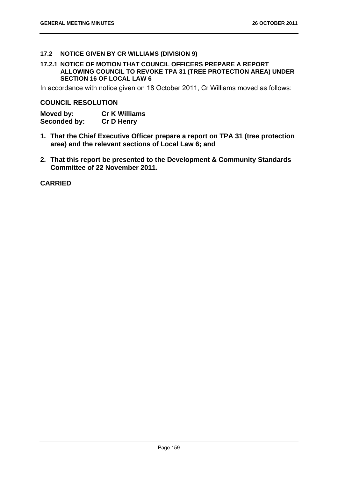## **17.2 NOTICE GIVEN BY CR WILLIAMS (DIVISION 9)**

## **17.2.1 NOTICE OF MOTION THAT COUNCIL OFFICERS PREPARE A REPORT ALLOWING COUNCIL TO REVOKE TPA 31 (TREE PROTECTION AREA) UNDER SECTION 16 OF LOCAL LAW 6**

In accordance with notice given on 18 October 2011, Cr Williams moved as follows:

## **COUNCIL RESOLUTION**

| Moved by:    | <b>Cr K Williams</b> |
|--------------|----------------------|
| Seconded by: | <b>Cr D Henry</b>    |

- **1. That the Chief Executive Officer prepare a report on TPA 31 (tree protection area) and the relevant sections of Local Law 6; and**
- **2. That this report be presented to the Development & Community Standards Committee of 22 November 2011.**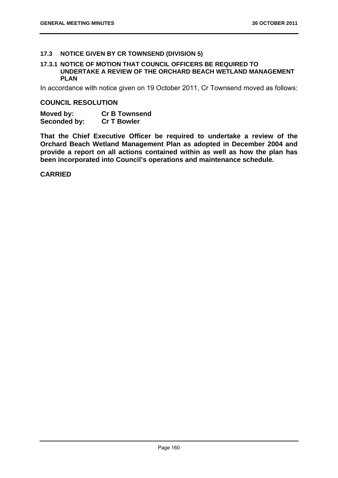## **17.3 NOTICE GIVEN BY CR TOWNSEND (DIVISION 5)**

#### **17.3.1 NOTICE OF MOTION THAT COUNCIL OFFICERS BE REQUIRED TO UNDERTAKE A REVIEW OF THE ORCHARD BEACH WETLAND MANAGEMENT PLAN**

In accordance with notice given on 19 October 2011, Cr Townsend moved as follows:

#### **COUNCIL RESOLUTION**

| Moved by:    | <b>Cr B Townsend</b> |
|--------------|----------------------|
| Seconded by: | <b>Cr T Bowler</b>   |

**That the Chief Executive Officer be required to undertake a review of the Orchard Beach Wetland Management Plan as adopted in December 2004 and provide a report on all actions contained within as well as how the plan has been incorporated into Council's operations and maintenance schedule.**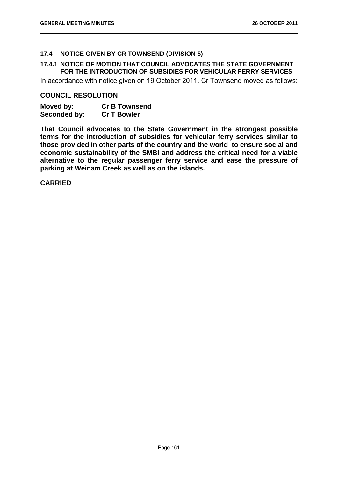# **17.4 NOTICE GIVEN BY CR TOWNSEND (DIVISION 5)**

## **17.4.1 NOTICE OF MOTION THAT COUNCIL ADVOCATES THE STATE GOVERNMENT FOR THE INTRODUCTION OF SUBSIDIES FOR VEHICULAR FERRY SERVICES**

In accordance with notice given on 19 October 2011, Cr Townsend moved as follows:

## **COUNCIL RESOLUTION**

| Moved by:    | <b>Cr B Townsend</b> |
|--------------|----------------------|
| Seconded by: | <b>Cr T Bowler</b>   |

**That Council advocates to the State Government in the strongest possible terms for the introduction of subsidies for vehicular ferry services similar to those provided in other parts of the country and the world to ensure social and economic sustainability of the SMBI and address the critical need for a viable alternative to the regular passenger ferry service and ease the pressure of parking at Weinam Creek as well as on the islands.**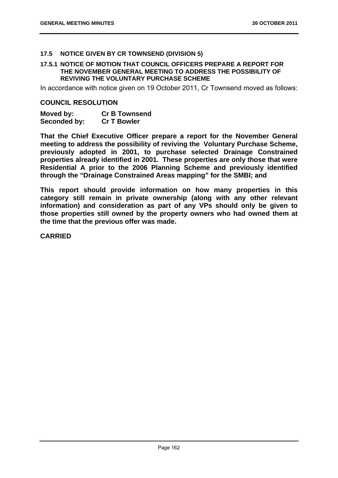## **17.5 NOTICE GIVEN BY CR TOWNSEND (DIVISION 5)**

#### **17.5.1 NOTICE OF MOTION THAT COUNCIL OFFICERS PREPARE A REPORT FOR THE NOVEMBER GENERAL MEETING TO ADDRESS THE POSSIBILITY OF REVIVING THE VOLUNTARY PURCHASE SCHEME**

In accordance with notice given on 19 October 2011, Cr Townsend moved as follows:

#### **COUNCIL RESOLUTION**

| Moved by:    | <b>Cr B Townsend</b> |
|--------------|----------------------|
| Seconded by: | <b>Cr T Bowler</b>   |

**That the Chief Executive Officer prepare a report for the November General meeting to address the possibility of reviving the Voluntary Purchase Scheme, previously adopted in 2001, to purchase selected Drainage Constrained properties already identified in 2001. These properties are only those that were Residential A prior to the 2006 Planning Scheme and previously identified through the "Drainage Constrained Areas mapping" for the SMBI; and** 

**This report should provide information on how many properties in this category still remain in private ownership (along with any other relevant information) and consideration as part of any VPs should only be given to those properties still owned by the property owners who had owned them at the time that the previous offer was made.**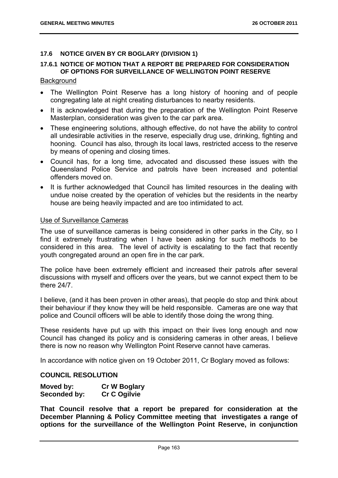## **17.6 NOTICE GIVEN BY CR BOGLARY (DIVISION 1)**

### **17.6.1 NOTICE OF MOTION THAT A REPORT BE PREPARED FOR CONSIDERATION OF OPTIONS FOR SURVEILLANCE OF WELLINGTON POINT RESERVE**

#### **Background**

- The Wellington Point Reserve has a long history of hooning and of people congregating late at night creating disturbances to nearby residents.
- It is acknowledged that during the preparation of the Wellington Point Reserve Masterplan, consideration was given to the car park area.
- These engineering solutions, although effective, do not have the ability to control all undesirable activities in the reserve, especially drug use, drinking, fighting and hooning. Council has also, through its local laws, restricted access to the reserve by means of opening and closing times.
- Council has, for a long time, advocated and discussed these issues with the Queensland Police Service and patrols have been increased and potential offenders moved on.
- It is further acknowledged that Council has limited resources in the dealing with undue noise created by the operation of vehicles but the residents in the nearby house are being heavily impacted and are too intimidated to act.

#### Use of Surveillance Cameras

The use of surveillance cameras is being considered in other parks in the City, so I find it extremely frustrating when I have been asking for such methods to be considered in this area. The level of activity is escalating to the fact that recently youth congregated around an open fire in the car park.

The police have been extremely efficient and increased their patrols after several discussions with myself and officers over the years, but we cannot expect them to be there 24/7.

I believe, (and it has been proven in other areas), that people do stop and think about their behaviour if they know they will be held responsible. Cameras are one way that police and Council officers will be able to identify those doing the wrong thing.

These residents have put up with this impact on their lives long enough and now Council has changed its policy and is considering cameras in other areas, I believe there is now no reason why Wellington Point Reserve cannot have cameras.

In accordance with notice given on 19 October 2011, Cr Boglary moved as follows:

## **COUNCIL RESOLUTION**

| Moved by:    | <b>Cr W Boglary</b> |
|--------------|---------------------|
| Seconded by: | <b>Cr C Ogilvie</b> |

**That Council resolve that a report be prepared for consideration at the December Planning & Policy Committee meeting that investigates a range of options for the surveillance of the Wellington Point Reserve, in conjunction**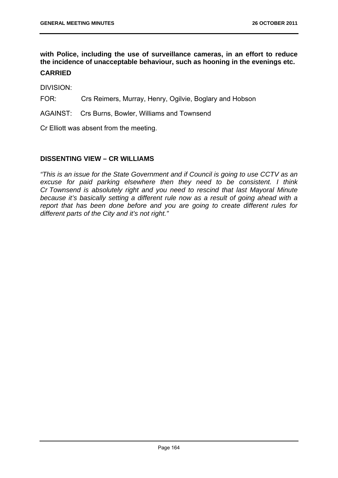**with Police, including the use of surveillance cameras, in an effort to reduce the incidence of unacceptable behaviour, such as hooning in the evenings etc.** 

# **CARRIED**

DIVISION:

FOR: Crs Reimers, Murray, Henry, Ogilvie, Boglary and Hobson

AGAINST: Crs Burns, Bowler, Williams and Townsend

Cr Elliott was absent from the meeting.

# **DISSENTING VIEW – CR WILLIAMS**

*"This is an issue for the State Government and if Council is going to use CCTV as an excuse for paid parking elsewhere then they need to be consistent. I think Cr Townsend is absolutely right and you need to rescind that last Mayoral Minute because it's basically setting a different rule now as a result of going ahead with a report that has been done before and you are going to create different rules for different parts of the City and it's not right."*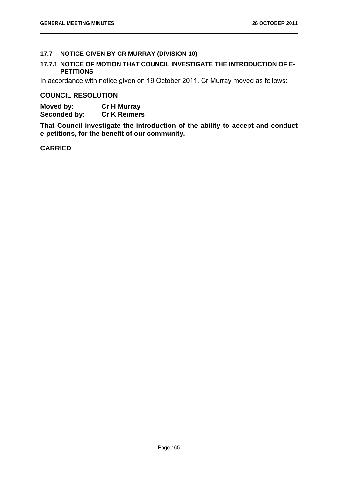# **17.7 NOTICE GIVEN BY CR MURRAY (DIVISION 10)**

## **17.7.1 NOTICE OF MOTION THAT COUNCIL INVESTIGATE THE INTRODUCTION OF E-PETITIONS**

In accordance with notice given on 19 October 2011, Cr Murray moved as follows:

## **COUNCIL RESOLUTION**

**Moved by: Cr H Murray Seconded by: Cr K Reimers** 

**That Council investigate the introduction of the ability to accept and conduct e-petitions, for the benefit of our community.**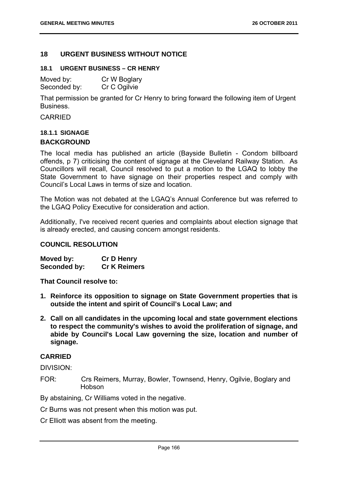## **18 URGENT BUSINESS WITHOUT NOTICE**

#### **18.1 URGENT BUSINESS – CR HENRY**

| Moved by:    | Cr W Boglary |
|--------------|--------------|
| Seconded by: | Cr C Ogilvie |

That permission be granted for Cr Henry to bring forward the following item of Urgent Business.

CARRIED

# **18.1.1 SIGNAGE BACKGROUND**

The local media has published an article (Bayside Bulletin - Condom billboard offends, p 7) criticising the content of signage at the Cleveland Railway Station. As Councillors will recall, Council resolved to put a motion to the LGAQ to lobby the State Government to have signage on their properties respect and comply with Council's Local Laws in terms of size and location.

The Motion was not debated at the LGAQ's Annual Conference but was referred to the LGAQ Policy Executive for consideration and action.

Additionally, I've received recent queries and complaints about election signage that is already erected, and causing concern amongst residents.

## **COUNCIL RESOLUTION**

**Moved by: Cr D Henry Seconded by: Cr K Reimers** 

**That Council resolve to:** 

- **1. Reinforce its opposition to signage on State Government properties that is outside the intent and spirit of Council's Local Law; and**
- **2. Call on all candidates in the upcoming local and state government elections to respect the community's wishes to avoid the proliferation of signage, and abide by Council's Local Law governing the size, location and number of signage.**

## **CARRIED**

DIVISION:

FOR: Crs Reimers, Murray, Bowler, Townsend, Henry, Ogilvie, Boglary and Hobson

By abstaining, Cr Williams voted in the negative.

Cr Burns was not present when this motion was put.

Cr Elliott was absent from the meeting.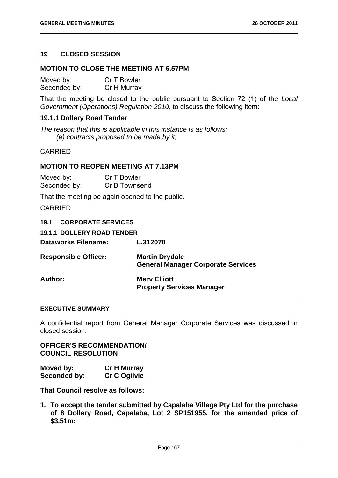# **19 CLOSED SESSION**

## **MOTION TO CLOSE THE MEETING AT 6.57PM**

| Moved by:    | Cr T Bowler |
|--------------|-------------|
| Seconded by: | Cr H Murray |

That the meeting be closed to the public pursuant to Section 72 (1) of the *Local Government (Operations) Regulation 2010*, to discuss the following item:

## **19.1.1 Dollery Road Tender**

*The reason that this is applicable in this instance is as follows: (e) contracts proposed to be made by it;* 

## CARRIED

## **MOTION TO REOPEN MEETING AT 7.13PM**

| Moved by:    | Cr T Bowler   |
|--------------|---------------|
| Seconded by: | Cr B Townsend |

That the meeting be again opened to the public.

## CARRIED

| <b>19.1 CORPORATE SERVICES</b>                                     |
|--------------------------------------------------------------------|
| <b>19.1.1 DOLLERY ROAD TENDER</b>                                  |
| L.312070                                                           |
| <b>Martin Drydale</b><br><b>General Manager Corporate Services</b> |
| <b>Merv Elliott</b><br><b>Property Services Manager</b>            |
|                                                                    |

## **EXECUTIVE SUMMARY**

A confidential report from General Manager Corporate Services was discussed in closed session.

**OFFICER'S RECOMMENDATION/ COUNCIL RESOLUTION** 

| Moved by:    | <b>Cr H Murray</b>  |
|--------------|---------------------|
| Seconded by: | <b>Cr C Ogilvie</b> |

**That Council resolve as follows:** 

**1. To accept the tender submitted by Capalaba Village Pty Ltd for the purchase of 8 Dollery Road, Capalaba, Lot 2 SP151955, for the amended price of \$3.51m;**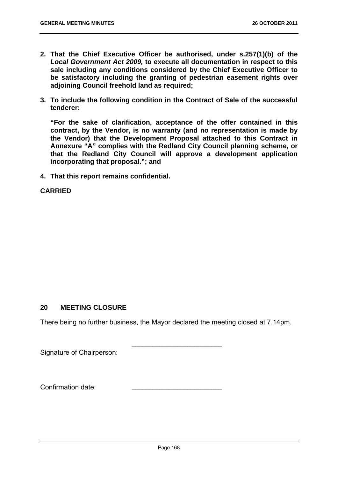- **2. That the Chief Executive Officer be authorised, under s.257(1)(b) of the**  *Local Government Act 2009,* **to execute all documentation in respect to this sale including any conditions considered by the Chief Executive Officer to be satisfactory including the granting of pedestrian easement rights over adjoining Council freehold land as required;**
- **3. To include the following condition in the Contract of Sale of the successful tenderer:**

**"For the sake of clarification, acceptance of the offer contained in this contract, by the Vendor, is no warranty (and no representation is made by the Vendor) that the Development Proposal attached to this Contract in Annexure "A" complies with the Redland City Council planning scheme, or that the Redland City Council will approve a development application incorporating that proposal."; and** 

**4. That this report remains confidential.** 

# **CARRIED**

# **20 MEETING CLOSURE**

There being no further business, the Mayor declared the meeting closed at 7.14pm.

\_\_\_\_\_\_\_\_\_\_\_\_\_\_\_\_\_\_\_\_\_\_\_\_\_\_

Signature of Chairperson:

Confirmation date: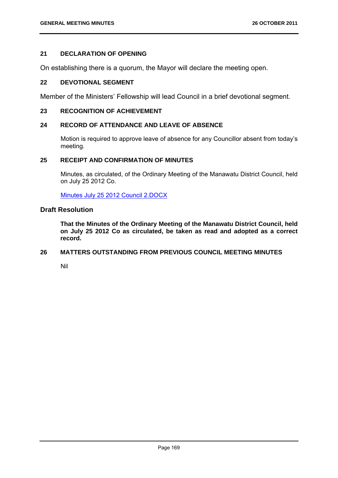# **21 DECLARATION OF OPENING**

On establishing there is a quorum, the Mayor will declare the meeting open.

#### **22 DEVOTIONAL SEGMENT**

Member of the Ministers' Fellowship will lead Council in a brief devotional segment.

## **23 RECOGNITION OF ACHIEVEMENT**

### **24 RECORD OF ATTENDANCE AND LEAVE OF ABSENCE**

Motion is required to approve leave of absence for any Councillor absent from today's meeting.

#### **25 RECEIPT AND CONFIRMATION OF MINUTES**

Minutes, as circulated, of the Ordinary Meeting of the Manawatu District Council, held on July 25 2012 Co.

Minutes July 25 2012 Council 2.DOCX

## **Draft Resolution**

**That the Minutes of the Ordinary Meeting of the Manawatu District Council, held on July 25 2012 Co as circulated, be taken as read and adopted as a correct record.** 

#### **26 MATTERS OUTSTANDING FROM PREVIOUS COUNCIL MEETING MINUTES**

Nil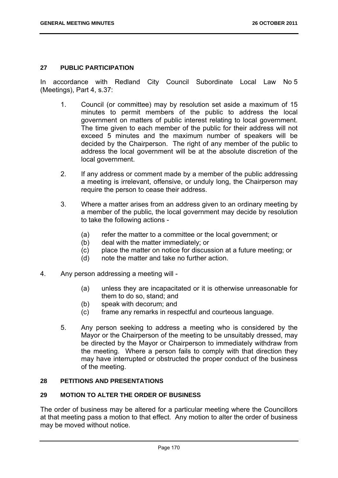## **27 PUBLIC PARTICIPATION**

In accordance with Redland City Council Subordinate Local Law No 5 (Meetings), Part 4, s.37:

- 1. Council (or committee) may by resolution set aside a maximum of 15 minutes to permit members of the public to address the local government on matters of public interest relating to local government. The time given to each member of the public for their address will not exceed 5 minutes and the maximum number of speakers will be decided by the Chairperson. The right of any member of the public to address the local government will be at the absolute discretion of the local government.
- 2. If any address or comment made by a member of the public addressing a meeting is irrelevant, offensive, or unduly long, the Chairperson may require the person to cease their address.
- 3. Where a matter arises from an address given to an ordinary meeting by a member of the public, the local government may decide by resolution to take the following actions -
	- (a) refer the matter to a committee or the local government; or
	- (b) deal with the matter immediately; or
	- (c) place the matter on notice for discussion at a future meeting; or
	- (d) note the matter and take no further action.
- 4. Any person addressing a meeting will
	- (a) unless they are incapacitated or it is otherwise unreasonable for them to do so, stand; and
	- (b) speak with decorum; and
	- (c) frame any remarks in respectful and courteous language.
	- 5. Any person seeking to address a meeting who is considered by the Mayor or the Chairperson of the meeting to be unsuitably dressed, may be directed by the Mayor or Chairperson to immediately withdraw from the meeting. Where a person fails to comply with that direction they may have interrupted or obstructed the proper conduct of the business of the meeting.

## **28 PETITIONS AND PRESENTATIONS**

## **29 MOTION TO ALTER THE ORDER OF BUSINESS**

The order of business may be altered for a particular meeting where the Councillors at that meeting pass a motion to that effect. Any motion to alter the order of business may be moved without notice.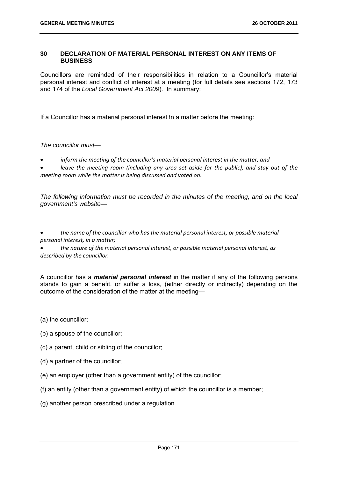#### **30 DECLARATION OF MATERIAL PERSONAL INTEREST ON ANY ITEMS OF BUSINESS**

Councillors are reminded of their responsibilities in relation to a Councillor's material personal interest and conflict of interest at a meeting (for full details see sections 172, 173 and 174 of the *Local Government Act 2009*). In summary:

If a Councillor has a material personal interest in a matter before the meeting:

*The councillor must—* 

*inform the meeting of the councillor's material personal interest in the matter; and* 

 *leave the meeting room (including any area set aside for the public), and stay out of the meeting room while the matter is being discussed and voted on.*

*The following information must be recorded in the minutes of the meeting, and on the local government's website—* 

 *the name of the councillor who has the material personal interest, or possible material personal interest, in a matter;*

 *the nature of the material personal interest, or possible material personal interest, as described by the councillor.*

A councillor has a *material personal interest* in the matter if any of the following persons stands to gain a benefit, or suffer a loss, (either directly or indirectly) depending on the outcome of the consideration of the matter at the meeting—

- (a) the councillor;
- (b) a spouse of the councillor;
- (c) a parent, child or sibling of the councillor;
- (d) a partner of the councillor;
- (e) an employer (other than a government entity) of the councillor;
- (f) an entity (other than a government entity) of which the councillor is a member;
- (g) another person prescribed under a regulation.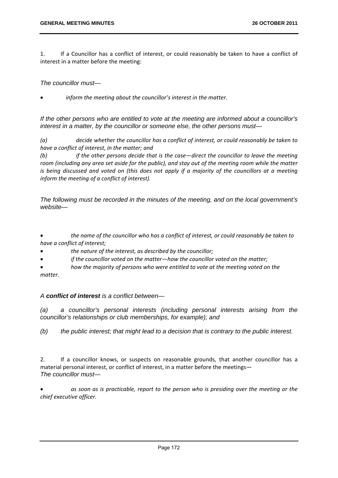1. If a Councillor has a conflict of interest, or could reasonably be taken to have a conflict of interest in a matter before the meeting:

*The councillor must—* 

*inform the meeting about the councillor's interest in the matter.*

*If the other persons who are entitled to vote at the meeting are informed about a councillor's interest in a matter, by the councillor or someone else, the other persons must—* 

*(a) decide whether the councillor has a conflict of interest, or could reasonably be taken to have a conflict of interest, in the matter; and*

*(b) if the other persons decide that is the case—direct the councillor to leave the meeting* room (including any area set aside for the public), and stay out of the meeting room while the matter is being discussed and voted on (this does not apply if a majority of the councillors at a meeting *inform the meeting of a conflict of interest).*

*The following must be recorded in the minutes of the meeting, and on the local government's website—* 

 *the name of the councillor who has a conflict of interest, or could reasonably be taken to have a conflict of interest;*

*the nature of the interest, as described by the councillor;*

*if the councillor voted on the matter—how the councillor voted on the matter;*

 *how the majority of persons who were entitled to vote at the meeting voted on the matter.*

## *A conflict of interest is a conflict between—*

*(a) a councillor's personal interests (including personal interests arising from the councillor's relationships or club memberships, for example); and* 

*(b) the public interest; that might lead to a decision that is contrary to the public interest.*

2. If a councillor knows, or suspects on reasonable grounds, that another councillor has a material personal interest, or conflict of interest, in a matter before the meetings— *The councillor must—* 

 *as soon as is practicable, report to the person who is presiding over the meeting or the chief executive officer.*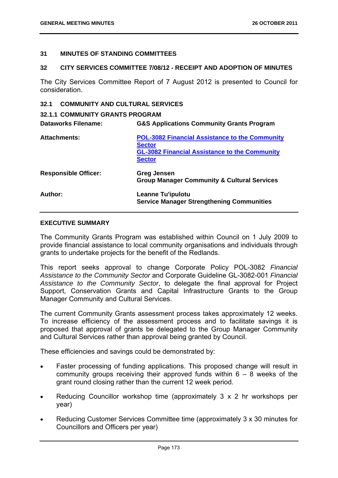#### **31 MINUTES OF STANDING COMMITTEES**

#### **32 CITY SERVICES COMMITTEE 7/08/12 - RECEIPT AND ADOPTION OF MINUTES**

The City Services Committee Report of 7 August 2012 is presented to Council for consideration.

## **32.1 COMMUNITY AND CULTURAL SERVICES**

### **32.1.1 COMMUNITY GRANTS PROGRAM**

| <b>Dataworks Filename:</b>  | <b>G&amp;S Applications Community Grants Program</b>                                                                                            |
|-----------------------------|-------------------------------------------------------------------------------------------------------------------------------------------------|
| <b>Attachments:</b>         | <b>POL-3082 Financial Assistance to the Community</b><br><b>Sector</b><br><b>GL-3082 Financial Assistance to the Community</b><br><b>Sector</b> |
| <b>Responsible Officer:</b> | <b>Greg Jensen</b><br><b>Group Manager Community &amp; Cultural Services</b>                                                                    |
| Author:                     | Leanne Tu'ipulotu<br><b>Service Manager Strengthening Communities</b>                                                                           |

#### **EXECUTIVE SUMMARY**

The Community Grants Program was established within Council on 1 July 2009 to provide financial assistance to local community organisations and individuals through grants to undertake projects for the benefit of the Redlands.

This report seeks approval to change Corporate Policy POL-3082 *Financial Assistance to the Community Sector* and Corporate Guideline GL-3082-001 *Financial Assistance to the Community Sector*, to delegate the final approval for Project Support, Conservation Grants and Capital Infrastructure Grants to the Group Manager Community and Cultural Services.

The current Community Grants assessment process takes approximately 12 weeks. To increase efficiency of the assessment process and to facilitate savings it is proposed that approval of grants be delegated to the Group Manager Community and Cultural Services rather than approval being granted by Council.

These efficiencies and savings could be demonstrated by:

- Faster processing of funding applications. This proposed change will result in community groups receiving their approved funds within  $6 - 8$  weeks of the grant round closing rather than the current 12 week period.
- Reducing Councillor workshop time (approximately 3 x 2 hr workshops per year)
- Reducing Customer Services Committee time (approximately 3 x 30 minutes for Councillors and Officers per year)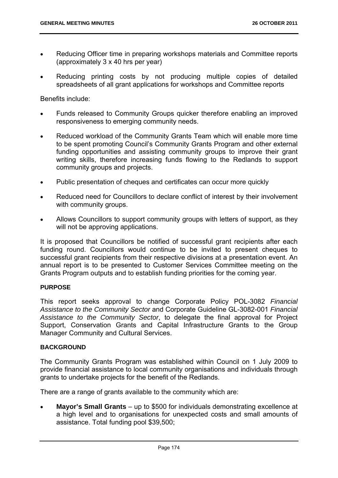- Reducing Officer time in preparing workshops materials and Committee reports (approximately 3 x 40 hrs per year)
- Reducing printing costs by not producing multiple copies of detailed spreadsheets of all grant applications for workshops and Committee reports

Benefits include:

- Funds released to Community Groups quicker therefore enabling an improved responsiveness to emerging community needs.
- Reduced workload of the Community Grants Team which will enable more time to be spent promoting Council's Community Grants Program and other external funding opportunities and assisting community groups to improve their grant writing skills, therefore increasing funds flowing to the Redlands to support community groups and projects.
- Public presentation of cheques and certificates can occur more quickly
- Reduced need for Councillors to declare conflict of interest by their involvement with community groups.
- Allows Councillors to support community groups with letters of support, as they will not be approving applications.

It is proposed that Councillors be notified of successful grant recipients after each funding round. Councillors would continue to be invited to present cheques to successful grant recipients from their respective divisions at a presentation event. An annual report is to be presented to Customer Services Committee meeting on the Grants Program outputs and to establish funding priorities for the coming year.

## **PURPOSE**

This report seeks approval to change Corporate Policy POL-3082 *Financial Assistance to the Community Sector* and Corporate Guideline GL-3082-001 *Financial Assistance to the Community Sector*, to delegate the final approval for Project Support, Conservation Grants and Capital Infrastructure Grants to the Group Manager Community and Cultural Services.

## **BACKGROUND**

The Community Grants Program was established within Council on 1 July 2009 to provide financial assistance to local community organisations and individuals through grants to undertake projects for the benefit of the Redlands.

There are a range of grants available to the community which are:

 **Mayor's Small Grants** – up to \$500 for individuals demonstrating excellence at a high level and to organisations for unexpected costs and small amounts of assistance. Total funding pool \$39,500;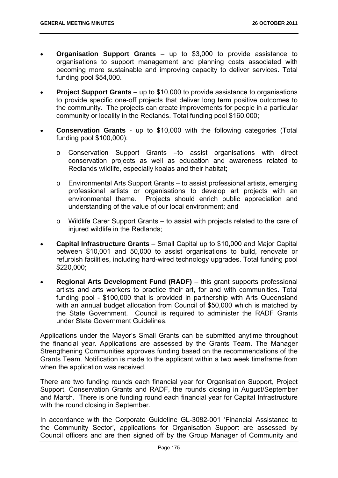- **Organisation Support Grants** up to \$3,000 to provide assistance to organisations to support management and planning costs associated with becoming more sustainable and improving capacity to deliver services. Total funding pool \$54,000.
- **Project Support Grants** up to \$10,000 to provide assistance to organisations to provide specific one-off projects that deliver long term positive outcomes to the community. The projects can create improvements for people in a particular community or locality in the Redlands. Total funding pool \$160,000;
- **Conservation Grants** up to \$10,000 with the following categories (Total funding pool \$100,000):
	- o Conservation Support Grants –to assist organisations with direct conservation projects as well as education and awareness related to Redlands wildlife, especially koalas and their habitat;
	- o Environmental Arts Support Grants to assist professional artists, emerging professional artists or organisations to develop art projects with an environmental theme. Projects should enrich public appreciation and understanding of the value of our local environment; and
	- o Wildlife Carer Support Grants to assist with projects related to the care of injured wildlife in the Redlands;
- **Capital Infrastructure Grants** Small Capital up to \$10,000 and Major Capital between \$10,001 and 50,000 to assist organisations to build, renovate or refurbish facilities, including hard-wired technology upgrades. Total funding pool \$220,000;
- **Regional Arts Development Fund (RADF)** this grant supports professional artists and arts workers to practice their art, for and with communities. Total funding pool - \$100,000 that is provided in partnership with Arts Queensland with an annual budget allocation from Council of \$50,000 which is matched by the State Government. Council is required to administer the RADF Grants under State Government Guidelines.

Applications under the Mayor's Small Grants can be submitted anytime throughout the financial year. Applications are assessed by the Grants Team. The Manager Strengthening Communities approves funding based on the recommendations of the Grants Team. Notification is made to the applicant within a two week timeframe from when the application was received.

There are two funding rounds each financial year for Organisation Support, Project Support, Conservation Grants and RADF, the rounds closing in August/September and March. There is one funding round each financial year for Capital Infrastructure with the round closing in September.

In accordance with the Corporate Guideline GL-3082-001 'Financial Assistance to the Community Sector', applications for Organisation Support are assessed by Council officers and are then signed off by the Group Manager of Community and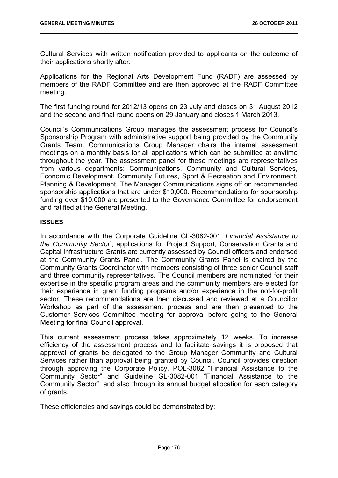Cultural Services with written notification provided to applicants on the outcome of their applications shortly after.

Applications for the Regional Arts Development Fund (RADF) are assessed by members of the RADF Committee and are then approved at the RADF Committee meeting.

The first funding round for 2012/13 opens on 23 July and closes on 31 August 2012 and the second and final round opens on 29 January and closes 1 March 2013.

Council's Communications Group manages the assessment process for Council's Sponsorship Program with administrative support being provided by the Community Grants Team. Communications Group Manager chairs the internal assessment meetings on a monthly basis for all applications which can be submitted at anytime throughout the year. The assessment panel for these meetings are representatives from various departments: Communications, Community and Cultural Services, Economic Development, Community Futures, Sport & Recreation and Environment, Planning & Development. The Manager Communications signs off on recommended sponsorship applications that are under \$10,000. Recommendations for sponsorship funding over \$10,000 are presented to the Governance Committee for endorsement and ratified at the General Meeting.

## **ISSUES**

In accordance with the Corporate Guideline GL-3082-001 *'Financial Assistance to the Community Sector*', applications for Project Support, Conservation Grants and Capital Infrastructure Grants are currently assessed by Council officers and endorsed at the Community Grants Panel. The Community Grants Panel is chaired by the Community Grants Coordinator with members consisting of three senior Council staff and three community representatives. The Council members are nominated for their expertise in the specific program areas and the community members are elected for their experience in grant funding programs and/or experience in the not-for-profit sector. These recommendations are then discussed and reviewed at a Councillor Workshop as part of the assessment process and are then presented to the Customer Services Committee meeting for approval before going to the General Meeting for final Council approval.

This current assessment process takes approximately 12 weeks. To increase efficiency of the assessment process and to facilitate savings it is proposed that approval of grants be delegated to the Group Manager Community and Cultural Services rather than approval being granted by Council. Council provides direction through approving the Corporate Policy, POL-3082 "Financial Assistance to the Community Sector" and Guideline GL-3082-001 "Financial Assistance to the Community Sector", and also through its annual budget allocation for each category of grants.

These efficiencies and savings could be demonstrated by: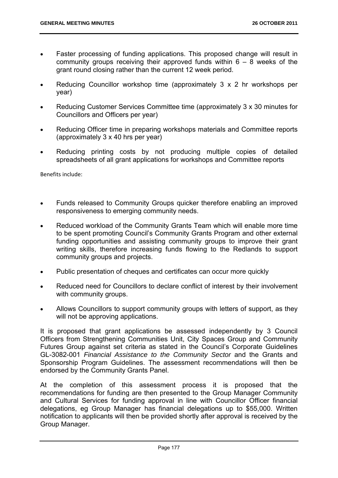- Faster processing of funding applications. This proposed change will result in community groups receiving their approved funds within  $6 - 8$  weeks of the grant round closing rather than the current 12 week period.
- Reducing Councillor workshop time (approximately 3 x 2 hr workshops per year)
- Reducing Customer Services Committee time (approximately 3 x 30 minutes for Councillors and Officers per year)
- Reducing Officer time in preparing workshops materials and Committee reports (approximately 3 x 40 hrs per year)
- Reducing printing costs by not producing multiple copies of detailed spreadsheets of all grant applications for workshops and Committee reports

Benefits include:

- Funds released to Community Groups quicker therefore enabling an improved responsiveness to emerging community needs.
- Reduced workload of the Community Grants Team which will enable more time to be spent promoting Council's Community Grants Program and other external funding opportunities and assisting community groups to improve their grant writing skills, therefore increasing funds flowing to the Redlands to support community groups and projects.
- Public presentation of cheques and certificates can occur more quickly
- Reduced need for Councillors to declare conflict of interest by their involvement with community groups.
- Allows Councillors to support community groups with letters of support, as they will not be approving applications.

It is proposed that grant applications be assessed independently by 3 Council Officers from Strengthening Communities Unit, City Spaces Group and Community Futures Group against set criteria as stated in the Council's Corporate Guidelines GL-3082-001 *Financial Assistance to the Community Sector* and the Grants and Sponsorship Program Guidelines. The assessment recommendations will then be endorsed by the Community Grants Panel.

At the completion of this assessment process it is proposed that the recommendations for funding are then presented to the Group Manager Community and Cultural Services for funding approval in line with Councillor Officer financial delegations, eg Group Manager has financial delegations up to \$55,000. Written notification to applicants will then be provided shortly after approval is received by the Group Manager.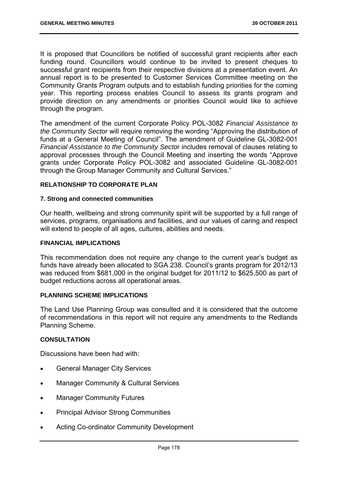It is proposed that Councillors be notified of successful grant recipients after each funding round. Councillors would continue to be invited to present cheques to successful grant recipients from their respective divisions at a presentation event. An annual report is to be presented to Customer Services Committee meeting on the Community Grants Program outputs and to establish funding priorities for the coming year. This reporting process enables Council to assess its grants program and provide direction on any amendments or priorities Council would like to achieve through the program.

The amendment of the current Corporate Policy POL-3082 *Financial Assistance to the Community Sector* will require removing the wording "Approving the distribution of funds at a General Meeting of Council". The amendment of Guideline GL-3082-001 *Financial Assistance to the Community Sector* includes removal of clauses relating to approval processes through the Council Meeting and inserting the words "Approve grants under Corporate Policy POL-3082 and associated Guideline GL-3082-001 through the Group Manager Community and Cultural Services."

## **RELATIONSHIP TO CORPORATE PLAN**

#### **7. Strong and connected communities**

Our health, wellbeing and strong community spirit will be supported by a full range of services, programs, organisations and facilities, and our values of caring and respect will extend to people of all ages, cultures, abilities and needs.

#### **FINANCIAL IMPLICATIONS**

This recommendation does not require any change to the current year's budget as funds have already been allocated to SGA 238. Council's grants program for 2012/13 was reduced from \$681,000 in the original budget for 2011/12 to \$625,500 as part of budget reductions across all operational areas.

#### **PLANNING SCHEME IMPLICATIONS**

The Land Use Planning Group was consulted and it is considered that the outcome of recommendations in this report will not require any amendments to the Redlands Planning Scheme.

## **CONSULTATION**

Discussions have been had with:

- General Manager City Services
- Manager Community & Cultural Services
- Manager Community Futures
- Principal Advisor Strong Communities
- Acting Co-ordinator Community Development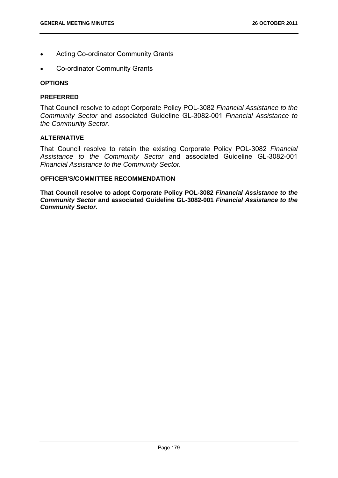- Acting Co-ordinator Community Grants
- Co-ordinator Community Grants

#### **OPTIONS**

#### **PREFERRED**

That Council resolve to adopt Corporate Policy POL-3082 *Financial Assistance to the Community Sector* and associated Guideline GL-3082-001 *Financial Assistance to the Community Sector.* 

#### **ALTERNATIVE**

That Council resolve to retain the existing Corporate Policy POL-3082 *Financial Assistance to the Community Sector* and associated Guideline GL-3082-001 *Financial Assistance to the Community Sector.* 

## **OFFICER'S/COMMITTEE RECOMMENDATION**

**That Council resolve to adopt Corporate Policy POL-3082** *Financial Assistance to the Community Sector* **and associated Guideline GL-3082-001** *Financial Assistance to the Community Sector.*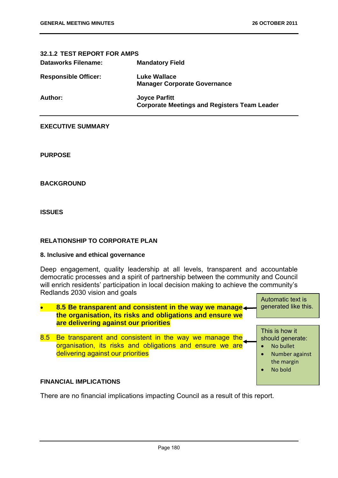| 32.1.2 TEST REPORT FOR AMPS |                                                                             |
|-----------------------------|-----------------------------------------------------------------------------|
| <b>Dataworks Filename:</b>  | <b>Mandatory Field</b>                                                      |
| <b>Responsible Officer:</b> | <b>Luke Wallace</b><br><b>Manager Corporate Governance</b>                  |
| Author:                     | <b>Joyce Parfitt</b><br><b>Corporate Meetings and Registers Team Leader</b> |

#### **EXECUTIVE SUMMARY**

**PURPOSE** 

**BACKGROUND** 

**ISSUES** 

## **RELATIONSHIP TO CORPORATE PLAN**

#### **8. Inclusive and ethical governance**

Deep engagement, quality leadership at all levels, transparent and accountable democratic processes and a spirit of partnership between the community and Council will enrich residents' participation in local decision making to achieve the community's Redlands 2030 vision and goals



## There are no financial implications impacting Council as a result of this report.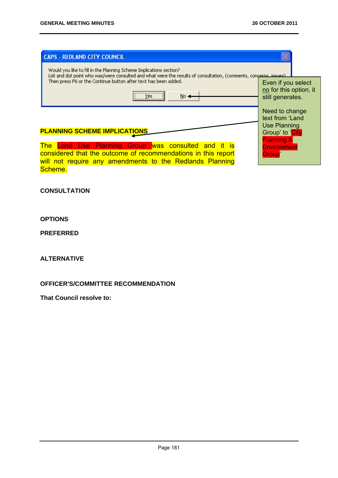| <b>CAPS - REDLAND CITY COUNCIL</b>                                                                                                                                                        |                                                                                                      |  |
|-------------------------------------------------------------------------------------------------------------------------------------------------------------------------------------------|------------------------------------------------------------------------------------------------------|--|
| Would you like to fill in the Planning Scheme Implications section?<br>List and dot point who was/were consulted and what were the results of consultation, (comments, concerns, issues). |                                                                                                      |  |
| Then press F6 or the Continue button after text has been added.<br><br>Yes<br>$No \leftarrow$                                                                                             | Even if you select<br>no for this option, it<br>still generates.                                     |  |
| <b>PLANNING SCHEME IMPLICATIONS</b>                                                                                                                                                       | Need to change<br>text from 'Land<br><b>Use Planning</b><br>Group' to 'City<br><b>Planning &amp;</b> |  |
| The Land Use Planning Group was consulted and it is<br>considered that the outcome of recommendations in this report<br>will not require any amendments to the Redlands Planning          | <b>Environment</b><br>Group <sup>'</sup>                                                             |  |

will not require any amendments to the Redlands Planning

**CONSULTATION** 

## **OPTIONS**

Scheme.

## **PREFERRED**

## **ALTERNATIVE**

## **OFFICER'S/COMMITTEE RECOMMENDATION**

**That Council resolve to:**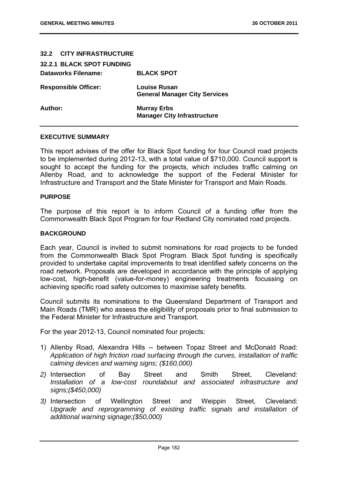| 32.2 CITY INFRASTRUCTURE         |                                                             |
|----------------------------------|-------------------------------------------------------------|
| <b>32.2.1 BLACK SPOT FUNDING</b> |                                                             |
| <b>Dataworks Filename:</b>       | <b>BLACK SPOT</b>                                           |
| <b>Responsible Officer:</b>      | <b>Louise Rusan</b><br><b>General Manager City Services</b> |
| Author:                          | <b>Murray Erbs</b><br><b>Manager City Infrastructure</b>    |

#### **EXECUTIVE SUMMARY**

This report advises of the offer for Black Spot funding for four Council road projects to be implemented during 2012-13, with a total value of \$710,000. Council support is sought to accept the funding for the projects, which includes traffic calming on Allenby Road, and to acknowledge the support of the Federal Minister for Infrastructure and Transport and the State Minister for Transport and Main Roads.

#### **PURPOSE**

The purpose of this report is to inform Council of a funding offer from the Commonwealth Black Spot Program for four Redland City nominated road projects.

#### **BACKGROUND**

Each year, Council is invited to submit nominations for road projects to be funded from the Commonwealth Black Spot Program. Black Spot funding is specifically provided to undertake capital improvements to treat identified safety concerns on the road network. Proposals are developed in accordance with the principle of applying low-cost, high-benefit (value-for-money) engineering treatments focussing on achieving specific road safety outcomes to maximise safety benefits.

Council submits its nominations to the Queensland Department of Transport and Main Roads (TMR) who assess the eligibility of proposals prior to final submission to the Federal Minister for Infrastructure and Transport.

For the year 2012-13, Council nominated four projects:

- 1) Allenby Road, Alexandra Hills -- between Topaz Street and McDonald Road: *Application of high friction road surfacing through the curves, installation of traffic calming devices and warning signs; (\$160,000)*
- *2)* Intersection of Bay Street and Smith Street, Cleveland: *Installation of a low-cost roundabout and associated infrastructure and signs;(\$450,000)*
- *3)* Intersection of Wellington Street and Weippin Street, Cleveland: *Upgrade and reprogramming of existing traffic signals and installation of additional warning signage;(\$50,000)*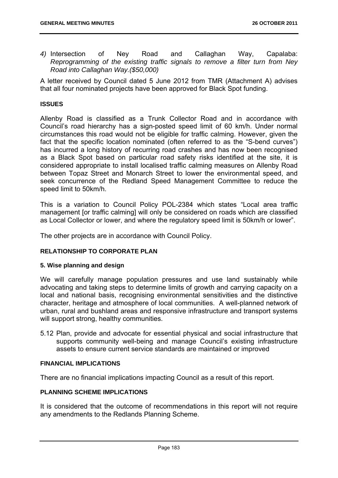*4)* Intersection of Ney Road and Callaghan Way, Capalaba: *Reprogramming of the existing traffic signals to remove a filter turn from Ney Road into Callaghan Way.(\$50,000)* 

A letter received by Council dated 5 June 2012 from TMR (Attachment A) advises that all four nominated projects have been approved for Black Spot funding.

## **ISSUES**

Allenby Road is classified as a Trunk Collector Road and in accordance with Council's road hierarchy has a sign-posted speed limit of 60 km/h. Under normal circumstances this road would not be eligible for traffic calming. However, given the fact that the specific location nominated (often referred to as the "S-bend curves") has incurred a long history of recurring road crashes and has now been recognised as a Black Spot based on particular road safety risks identified at the site, it is considered appropriate to install localised traffic calming measures on Allenby Road between Topaz Street and Monarch Street to lower the environmental speed, and seek concurrence of the Redland Speed Management Committee to reduce the speed limit to 50km/h.

This is a variation to Council Policy POL-2384 which states "Local area traffic management [or traffic calming] will only be considered on roads which are classified as Local Collector or lower, and where the regulatory speed limit is 50km/h or lower".

The other projects are in accordance with Council Policy.

## **RELATIONSHIP TO CORPORATE PLAN**

#### **5. Wise planning and design**

We will carefully manage population pressures and use land sustainably while advocating and taking steps to determine limits of growth and carrying capacity on a local and national basis, recognising environmental sensitivities and the distinctive character, heritage and atmosphere of local communities. A well-planned network of urban, rural and bushland areas and responsive infrastructure and transport systems will support strong, healthy communities.

5.12 Plan, provide and advocate for essential physical and social infrastructure that supports community well-being and manage Council's existing infrastructure assets to ensure current service standards are maintained or improved

#### **FINANCIAL IMPLICATIONS**

There are no financial implications impacting Council as a result of this report.

## **PLANNING SCHEME IMPLICATIONS**

It is considered that the outcome of recommendations in this report will not require any amendments to the Redlands Planning Scheme.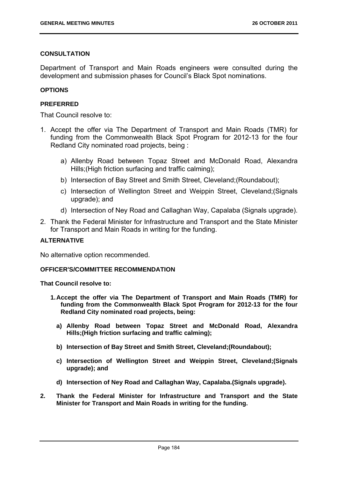## **CONSULTATION**

Department of Transport and Main Roads engineers were consulted during the development and submission phases for Council's Black Spot nominations.

## **OPTIONS**

## **PREFERRED**

That Council resolve to:

- 1. Accept the offer via The Department of Transport and Main Roads (TMR) for funding from the Commonwealth Black Spot Program for 2012-13 for the four Redland City nominated road projects, being :
	- a) Allenby Road between Topaz Street and McDonald Road, Alexandra Hills;(High friction surfacing and traffic calming);
	- b) Intersection of Bay Street and Smith Street, Cleveland;(Roundabout);
	- c) Intersection of Wellington Street and Weippin Street, Cleveland;(Signals upgrade); and
	- d) Intersection of Ney Road and Callaghan Way, Capalaba (Signals upgrade).
- 2. Thank the Federal Minister for Infrastructure and Transport and the State Minister for Transport and Main Roads in writing for the funding.

## **ALTERNATIVE**

No alternative option recommended.

#### **OFFICER'S/COMMITTEE RECOMMENDATION**

#### **That Council resolve to:**

- **1. Accept the offer via The Department of Transport and Main Roads (TMR) for funding from the Commonwealth Black Spot Program for 2012-13 for the four Redland City nominated road projects, being:** 
	- **a) Allenby Road between Topaz Street and McDonald Road, Alexandra Hills;(High friction surfacing and traffic calming);**
	- **b) Intersection of Bay Street and Smith Street, Cleveland;(Roundabout);**
	- **c) Intersection of Wellington Street and Weippin Street, Cleveland;(Signals upgrade); and**
	- **d) Intersection of Ney Road and Callaghan Way, Capalaba.(Signals upgrade).**
- **2. Thank the Federal Minister for Infrastructure and Transport and the State Minister for Transport and Main Roads in writing for the funding.**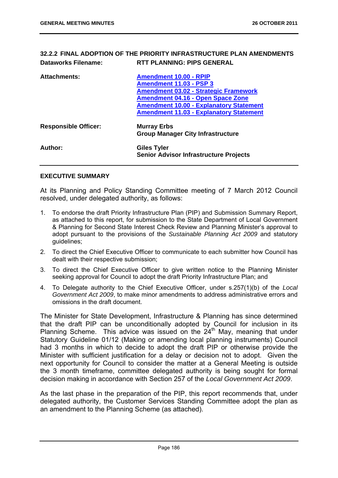## **32.2.2 FINAL ADOPTION OF THE PRIORITY INFRASTRUCTURE PLAN AMENDMENTS Dataworks Filename: RTT PLANNING: PIPS GENERAL**

| <b>Attachments:</b>         | <b>Amendment 10.00 - RPIP</b><br><b>Amendment 11.03 - PSP 3</b><br><b>Amendment 03.02 - Strategic Framework</b><br><b>Amendment 04.16 - Open Space Zone</b><br><b>Amendment 10.00 - Explanatory Statement</b> |
|-----------------------------|---------------------------------------------------------------------------------------------------------------------------------------------------------------------------------------------------------------|
|                             | <b>Amendment 11.03 - Explanatory Statement</b>                                                                                                                                                                |
| <b>Responsible Officer:</b> | <b>Murray Erbs</b><br><b>Group Manager City Infrastructure</b>                                                                                                                                                |
| Author:                     | <b>Giles Tyler</b><br><b>Senior Advisor Infrastructure Projects</b>                                                                                                                                           |

#### **EXECUTIVE SUMMARY**

At its Planning and Policy Standing Committee meeting of 7 March 2012 Council resolved, under delegated authority, as follows:

- 1. To endorse the draft Priority Infrastructure Plan (PIP) and Submission Summary Report, as attached to this report, for submission to the State Department of Local Government & Planning for Second State Interest Check Review and Planning Minister's approval to adopt pursuant to the provisions of the *Sustainable Planning Act 2009* and statutory guidelines;
- 2. To direct the Chief Executive Officer to communicate to each submitter how Council has dealt with their respective submission;
- 3. To direct the Chief Executive Officer to give written notice to the Planning Minister seeking approval for Council to adopt the draft Priority Infrastructure Plan; and
- 4. To Delegate authority to the Chief Executive Officer, under s.257(1)(b) of the *Local Government Act 2009*, to make minor amendments to address administrative errors and omissions in the draft document.

The Minister for State Development, Infrastructure & Planning has since determined that the draft PIP can be unconditionally adopted by Council for inclusion in its Planning Scheme. This advice was issued on the  $24<sup>th</sup>$  May, meaning that under Statutory Guideline 01/12 (Making or amending local planning instruments) Council had 3 months in which to decide to adopt the draft PIP or otherwise provide the Minister with sufficient justification for a delay or decision not to adopt. Given the next opportunity for Council to consider the matter at a General Meeting is outside the 3 month timeframe, committee delegated authority is being sought for formal decision making in accordance with Section 257 of the *Local Government Act 2009*.

As the last phase in the preparation of the PIP, this report recommends that, under delegated authority, the Customer Services Standing Committee adopt the plan as an amendment to the Planning Scheme (as attached).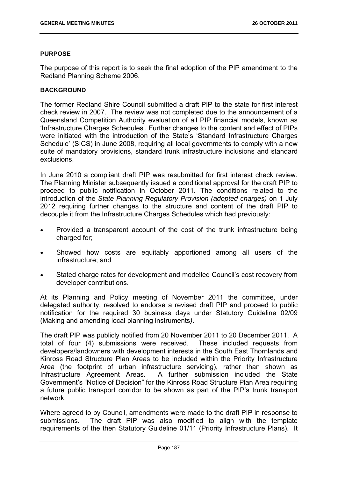## **PURPOSE**

The purpose of this report is to seek the final adoption of the PIP amendment to the Redland Planning Scheme 2006.

## **BACKGROUND**

The former Redland Shire Council submitted a draft PIP to the state for first interest check review in 2007. The review was not completed due to the announcement of a Queensland Competition Authority evaluation of all PIP financial models, known as 'Infrastructure Charges Schedules'. Further changes to the content and effect of PIPs were initiated with the introduction of the State's 'Standard Infrastructure Charges Schedule' (SICS) in June 2008, requiring all local governments to comply with a new suite of mandatory provisions, standard trunk infrastructure inclusions and standard exclusions.

In June 2010 a compliant draft PIP was resubmitted for first interest check review. The Planning Minister subsequently issued a conditional approval for the draft PIP to proceed to public notification in October 2011. The conditions related to the introduction of the *State Planning Regulatory Provision (adopted charges)* on 1 July 2012 requiring further changes to the structure and content of the draft PIP to decouple it from the Infrastructure Charges Schedules which had previously:

- Provided a transparent account of the cost of the trunk infrastructure being charged for;
- Showed how costs are equitably apportioned among all users of the infrastructure; and
- Stated charge rates for development and modelled Council's cost recovery from developer contributions.

At its Planning and Policy meeting of November 2011 the committee, under delegated authority, resolved to endorse a revised draft PIP and proceed to public notification for the required 30 business days under Statutory Guideline 02/09 (Making and amending local planning instruments*)*.

The draft PIP was publicly notified from 20 November 2011 to 20 December 2011. A total of four (4) submissions were received. These included requests from developers/landowners with development interests in the South East Thornlands and Kinross Road Structure Plan Areas to be included within the Priority Infrastructure Area (the footprint of urban infrastructure servicing), rather than shown as Infrastructure Agreement Areas. A further submission included the State Government's "Notice of Decision" for the Kinross Road Structure Plan Area requiring a future public transport corridor to be shown as part of the PIP's trunk transport network.

Where agreed to by Council, amendments were made to the draft PIP in response to submissions. The draft PIP was also modified to align with the template requirements of the then Statutory Guideline 01/11 (Priority Infrastructure Plans). It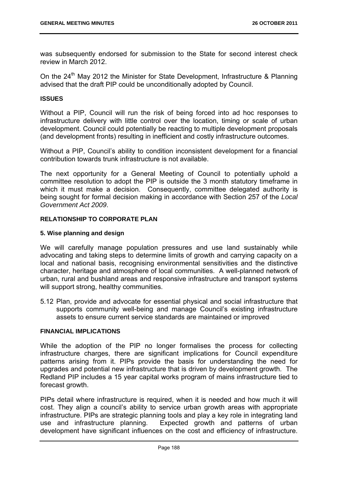was subsequently endorsed for submission to the State for second interest check review in March 2012.

On the 24<sup>th</sup> Mav 2012 the Minister for State Development, Infrastructure & Planning advised that the draft PIP could be unconditionally adopted by Council.

#### **ISSUES**

Without a PIP, Council will run the risk of being forced into ad hoc responses to infrastructure delivery with little control over the location, timing or scale of urban development. Council could potentially be reacting to multiple development proposals (and development fronts) resulting in inefficient and costly infrastructure outcomes.

Without a PIP, Council's ability to condition inconsistent development for a financial contribution towards trunk infrastructure is not available.

The next opportunity for a General Meeting of Council to potentially uphold a committee resolution to adopt the PIP is outside the 3 month statutory timeframe in which it must make a decision. Consequently, committee delegated authority is being sought for formal decision making in accordance with Section 257 of the *Local Government Act 2009*.

## **RELATIONSHIP TO CORPORATE PLAN**

## **5. Wise planning and design**

We will carefully manage population pressures and use land sustainably while advocating and taking steps to determine limits of growth and carrying capacity on a local and national basis, recognising environmental sensitivities and the distinctive character, heritage and atmosphere of local communities. A well-planned network of urban, rural and bushland areas and responsive infrastructure and transport systems will support strong, healthy communities.

5.12 Plan, provide and advocate for essential physical and social infrastructure that supports community well-being and manage Council's existing infrastructure assets to ensure current service standards are maintained or improved

#### **FINANCIAL IMPLICATIONS**

While the adoption of the PIP no longer formalises the process for collecting infrastructure charges, there are significant implications for Council expenditure patterns arising from it. PIPs provide the basis for understanding the need for upgrades and potential new infrastructure that is driven by development growth. The Redland PIP includes a 15 year capital works program of mains infrastructure tied to forecast growth.

PIPs detail where infrastructure is required, when it is needed and how much it will cost. They align a council's ability to service urban growth areas with appropriate infrastructure. PIPs are strategic planning tools and play a key role in integrating land use and infrastructure planning. Expected growth and patterns of urban development have significant influences on the cost and efficiency of infrastructure.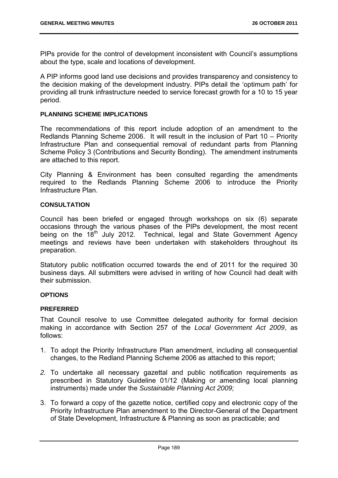PIPs provide for the control of development inconsistent with Council's assumptions about the type, scale and locations of development.

A PIP informs good land use decisions and provides transparency and consistency to the decision making of the development industry. PIPs detail the 'optimum path' for providing all trunk infrastructure needed to service forecast growth for a 10 to 15 year period.

#### **PLANNING SCHEME IMPLICATIONS**

The recommendations of this report include adoption of an amendment to the Redlands Planning Scheme 2006. It will result in the inclusion of Part 10 – Priority Infrastructure Plan and consequential removal of redundant parts from Planning Scheme Policy 3 (Contributions and Security Bonding). The amendment instruments are attached to this report.

City Planning & Environment has been consulted regarding the amendments required to the Redlands Planning Scheme 2006 to introduce the Priority Infrastructure Plan.

## **CONSULTATION**

Council has been briefed or engaged through workshops on six (6) separate occasions through the various phases of the PIPs development, the most recent being on the  $18<sup>th</sup>$  July 2012. Technical, legal and State Government Agency meetings and reviews have been undertaken with stakeholders throughout its preparation.

Statutory public notification occurred towards the end of 2011 for the required 30 business days. All submitters were advised in writing of how Council had dealt with their submission.

#### **OPTIONS**

## **PREFERRED**

That Council resolve to use Committee delegated authority for formal decision making in accordance with Section 257 of the *Local Government Act 2009*, as follows:

- 1. To adopt the Priority Infrastructure Plan amendment, including all consequential changes, to the Redland Planning Scheme 2006 as attached to this report;
- *2.* To undertake all necessary gazettal and public notification requirements as prescribed in Statutory Guideline 01/12 (Making or amending local planning instruments) made under the *Sustainable Planning Act 2009;*
- 3. To forward a copy of the gazette notice, certified copy and electronic copy of the Priority Infrastructure Plan amendment to the Director-General of the Department of State Development, Infrastructure & Planning as soon as practicable; and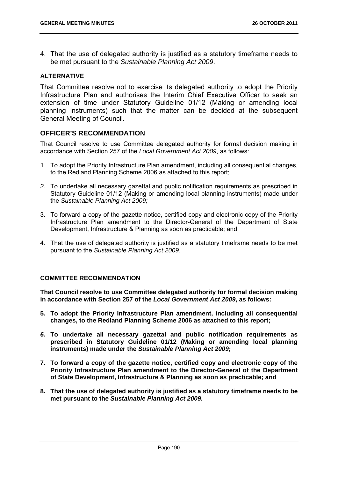4. That the use of delegated authority is justified as a statutory timeframe needs to be met pursuant to the *Sustainable Planning Act 2009*.

## **ALTERNATIVE**

That Committee resolve not to exercise its delegated authority to adopt the Priority Infrastructure Plan and authorises the Interim Chief Executive Officer to seek an extension of time under Statutory Guideline 01/12 (Making or amending local planning instruments) such that the matter can be decided at the subsequent General Meeting of Council.

## **OFFICER'S RECOMMENDATION**

That Council resolve to use Committee delegated authority for formal decision making in accordance with Section 257 of the *Local Government Act 2009*, as follows:

- 1. To adopt the Priority Infrastructure Plan amendment, including all consequential changes, to the Redland Planning Scheme 2006 as attached to this report;
- *2.* To undertake all necessary gazettal and public notification requirements as prescribed in Statutory Guideline 01/12 (Making or amending local planning instruments) made under the *Sustainable Planning Act 2009;*
- 3. To forward a copy of the gazette notice, certified copy and electronic copy of the Priority Infrastructure Plan amendment to the Director-General of the Department of State Development, Infrastructure & Planning as soon as practicable; and
- 4. That the use of delegated authority is justified as a statutory timeframe needs to be met pursuant to the *Sustainable Planning Act 2009*.

## **COMMITTEE RECOMMENDATION**

**That Council resolve to use Committee delegated authority for formal decision making in accordance with Section 257 of the** *Local Government Act 2009***, as follows:** 

- **5. To adopt the Priority Infrastructure Plan amendment, including all consequential changes, to the Redland Planning Scheme 2006 as attached to this report;**
- *6.* **To undertake all necessary gazettal and public notification requirements as prescribed in Statutory Guideline 01/12 (Making or amending local planning instruments) made under the** *Sustainable Planning Act 2009;*
- **7. To forward a copy of the gazette notice, certified copy and electronic copy of the Priority Infrastructure Plan amendment to the Director-General of the Department of State Development, Infrastructure & Planning as soon as practicable; and**
- **8. That the use of delegated authority is justified as a statutory timeframe needs to be met pursuant to the** *Sustainable Planning Act 2009***.**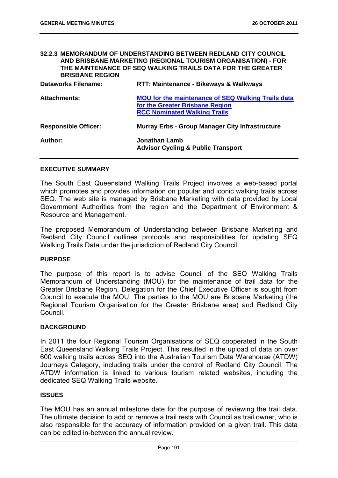## **32.2.3 MEMORANDUM OF UNDERSTANDING BETWEEN REDLAND CITY COUNCIL AND BRISBANE MARKETING (REGIONAL TOURISM ORGANISATION) - FOR THE MAINTENANCE OF SEQ WALKING TRAILS DATA FOR THE GREATER BRISBANE REGION**

| <b>Dataworks Filename:</b>  | RTT: Maintenance - Bikeways & Walkways                                                                                              |
|-----------------------------|-------------------------------------------------------------------------------------------------------------------------------------|
| <b>Attachments:</b>         | <b>MOU for the maintenance of SEQ Walking Trails data</b><br>for the Greater Brisbane Region<br><b>RCC Nominated Walking Trails</b> |
| <b>Responsible Officer:</b> | <b>Murray Erbs - Group Manager City Infrastructure</b>                                                                              |
| Author:                     | Jonathan Lamb<br><b>Advisor Cycling &amp; Public Transport</b>                                                                      |

#### **EXECUTIVE SUMMARY**

The South East Queensland Walking Trails Project involves a web-based portal which promotes and provides information on popular and iconic walking trails across SEQ. The web site is managed by Brisbane Marketing with data provided by Local Government Authorities from the region and the Department of Environment & Resource and Management.

The proposed Memorandum of Understanding between Brisbane Marketing and Redland City Council outlines protocols and responsibilities for updating SEQ Walking Trails Data under the jurisdiction of Redland City Council.

#### **PURPOSE**

The purpose of this report is to advise Council of the SEQ Walking Trails Memorandum of Understanding (MOU) for the maintenance of trail data for the Greater Brisbane Region. Delegation for the Chief Executive Officer is sought from Council to execute the MOU. The parties to the MOU are Brisbane Marketing (the Regional Tourism Organisation for the Greater Brisbane area) and Redland City Council.

#### **BACKGROUND**

In 2011 the four Regional Tourism Organisations of SEQ cooperated in the South East Queensland Walking Trails Project. This resulted in the upload of data on over 600 walking trails across SEQ into the Australian Tourism Data Warehouse (ATDW) Journeys Category, including trails under the control of Redland City Council. The ATDW information is linked to various tourism related websites, including the dedicated SEQ Walking Trails website.

#### **ISSUES**

The MOU has an annual milestone date for the purpose of reviewing the trail data. The ultimate decision to add or remove a trail rests with Council as trail owner, who is also responsible for the accuracy of information provided on a given trail. This data can be edited in-between the annual review.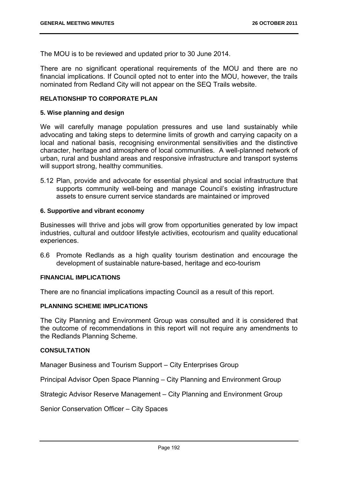The MOU is to be reviewed and updated prior to 30 June 2014.

There are no significant operational requirements of the MOU and there are no financial implications. If Council opted not to enter into the MOU, however, the trails nominated from Redland City will not appear on the SEQ Trails website.

## **RELATIONSHIP TO CORPORATE PLAN**

#### **5. Wise planning and design**

We will carefully manage population pressures and use land sustainably while advocating and taking steps to determine limits of growth and carrying capacity on a local and national basis, recognising environmental sensitivities and the distinctive character, heritage and atmosphere of local communities. A well-planned network of urban, rural and bushland areas and responsive infrastructure and transport systems will support strong, healthy communities.

5.12 Plan, provide and advocate for essential physical and social infrastructure that supports community well-being and manage Council's existing infrastructure assets to ensure current service standards are maintained or improved

#### **6. Supportive and vibrant economy**

Businesses will thrive and jobs will grow from opportunities generated by low impact industries, cultural and outdoor lifestyle activities, ecotourism and quality educational experiences.

6.6 Promote Redlands as a high quality tourism destination and encourage the development of sustainable nature-based, heritage and eco-tourism

#### **FINANCIAL IMPLICATIONS**

There are no financial implications impacting Council as a result of this report.

## **PLANNING SCHEME IMPLICATIONS**

The City Planning and Environment Group was consulted and it is considered that the outcome of recommendations in this report will not require any amendments to the Redlands Planning Scheme.

## **CONSULTATION**

Manager Business and Tourism Support – City Enterprises Group

Principal Advisor Open Space Planning – City Planning and Environment Group

Strategic Advisor Reserve Management – City Planning and Environment Group

Senior Conservation Officer – City Spaces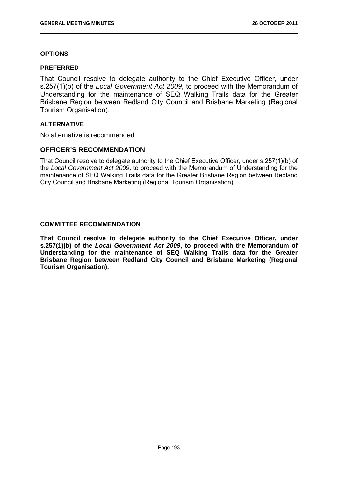## **OPTIONS**

#### **PREFERRED**

That Council resolve to delegate authority to the Chief Executive Officer, under s.257(1)(b) of the *Local Government Act 2009*, to proceed with the Memorandum of Understanding for the maintenance of SEQ Walking Trails data for the Greater Brisbane Region between Redland City Council and Brisbane Marketing (Regional Tourism Organisation).

## **ALTERNATIVE**

No alternative is recommended

## **OFFICER'S RECOMMENDATION**

That Council resolve to delegate authority to the Chief Executive Officer, under s.257(1)(b) of the *Local Government Act 2009*, to proceed with the Memorandum of Understanding for the maintenance of SEQ Walking Trails data for the Greater Brisbane Region between Redland City Council and Brisbane Marketing (Regional Tourism Organisation).

## **COMMITTEE RECOMMENDATION**

**That Council resolve to delegate authority to the Chief Executive Officer, under s.257(1)(b) of the** *Local Government Act 2009***, to proceed with the Memorandum of Understanding for the maintenance of SEQ Walking Trails data for the Greater Brisbane Region between Redland City Council and Brisbane Marketing (Regional Tourism Organisation).**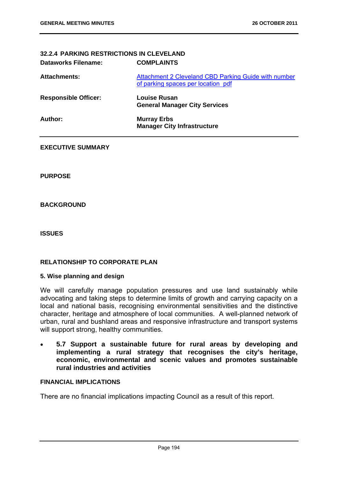# **32.2.4 PARKING RESTRICTIONS IN CLEVELAND Dataworks Filename: COMPLAINTS**

| <b>Attachments:</b>         | Attachment 2 Cleveland CBD Parking Guide with number<br>of parking spaces per location pdf |
|-----------------------------|--------------------------------------------------------------------------------------------|
| <b>Responsible Officer:</b> | Louise Rusan<br><b>General Manager City Services</b>                                       |
| Author:                     | <b>Murray Erbs</b><br><b>Manager City Infrastructure</b>                                   |

## **EXECUTIVE SUMMARY**

**PURPOSE** 

## **BACKGROUND**

**ISSUES** 

## **RELATIONSHIP TO CORPORATE PLAN**

## **5. Wise planning and design**

We will carefully manage population pressures and use land sustainably while advocating and taking steps to determine limits of growth and carrying capacity on a local and national basis, recognising environmental sensitivities and the distinctive character, heritage and atmosphere of local communities. A well-planned network of urban, rural and bushland areas and responsive infrastructure and transport systems will support strong, healthy communities.

 **5.7 Support a sustainable future for rural areas by developing and implementing a rural strategy that recognises the city's heritage, economic, environmental and scenic values and promotes sustainable rural industries and activities** 

## **FINANCIAL IMPLICATIONS**

There are no financial implications impacting Council as a result of this report.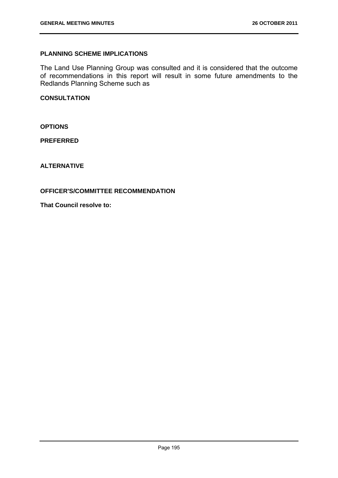## **PLANNING SCHEME IMPLICATIONS**

The Land Use Planning Group was consulted and it is considered that the outcome of recommendations in this report will result in some future amendments to the Redlands Planning Scheme such as

## **CONSULTATION**

**OPTIONS** 

**PREFERRED** 

**ALTERNATIVE** 

## **OFFICER'S/COMMITTEE RECOMMENDATION**

**That Council resolve to:**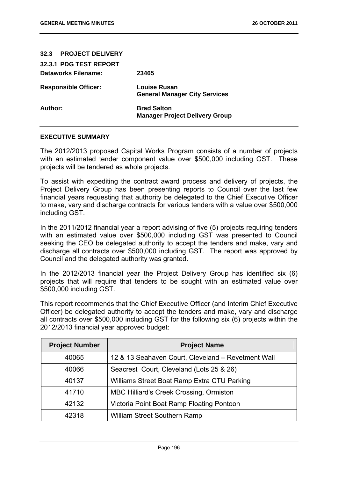| 32.3 PROJECT DELIVERY       |                                                             |
|-----------------------------|-------------------------------------------------------------|
| 32.3.1 PDG TEST REPORT      |                                                             |
| Dataworks Filename:         | 23465                                                       |
| <b>Responsible Officer:</b> | Louise Rusan<br><b>General Manager City Services</b>        |
| Author:                     | <b>Brad Salton</b><br><b>Manager Project Delivery Group</b> |

#### **EXECUTIVE SUMMARY**

The 2012/2013 proposed Capital Works Program consists of a number of projects with an estimated tender component value over \$500,000 including GST. These projects will be tendered as whole projects.

To assist with expediting the contract award process and delivery of projects, the Project Delivery Group has been presenting reports to Council over the last few financial years requesting that authority be delegated to the Chief Executive Officer to make, vary and discharge contracts for various tenders with a value over \$500,000 including GST.

In the 2011/2012 financial year a report advising of five (5) projects requiring tenders with an estimated value over \$500,000 including GST was presented to Council seeking the CEO be delegated authority to accept the tenders and make, vary and discharge all contracts over \$500,000 including GST. The report was approved by Council and the delegated authority was granted.

In the 2012/2013 financial year the Project Delivery Group has identified six (6) projects that will require that tenders to be sought with an estimated value over \$500,000 including GST.

This report recommends that the Chief Executive Officer (and Interim Chief Executive Officer) be delegated authority to accept the tenders and make, vary and discharge all contracts over \$500,000 including GST for the following six (6) projects within the 2012/2013 financial year approved budget:

| <b>Project Number</b> | <b>Project Name</b>                                |
|-----------------------|----------------------------------------------------|
| 40065                 | 12 & 13 Seahaven Court, Cleveland - Revetment Wall |
| 40066                 | Seacrest Court, Cleveland (Lots 25 & 26)           |
| 40137                 | Williams Street Boat Ramp Extra CTU Parking        |
| 41710                 | <b>MBC Hilliard's Creek Crossing, Ormiston</b>     |
| 42132                 | Victoria Point Boat Ramp Floating Pontoon          |
| 42318                 | <b>William Street Southern Ramp</b>                |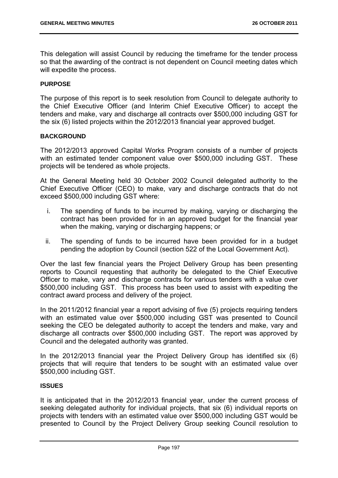This delegation will assist Council by reducing the timeframe for the tender process so that the awarding of the contract is not dependent on Council meeting dates which will expedite the process.

#### **PURPOSE**

The purpose of this report is to seek resolution from Council to delegate authority to the Chief Executive Officer (and Interim Chief Executive Officer) to accept the tenders and make, vary and discharge all contracts over \$500,000 including GST for the six (6) listed projects within the 2012/2013 financial year approved budget.

#### **BACKGROUND**

The 2012/2013 approved Capital Works Program consists of a number of projects with an estimated tender component value over \$500,000 including GST. These projects will be tendered as whole projects.

At the General Meeting held 30 October 2002 Council delegated authority to the Chief Executive Officer (CEO) to make, vary and discharge contracts that do not exceed \$500,000 including GST where:

- i. The spending of funds to be incurred by making, varying or discharging the contract has been provided for in an approved budget for the financial year when the making, varying or discharging happens; or
- ii. The spending of funds to be incurred have been provided for in a budget pending the adoption by Council (section 522 of the Local Government Act).

Over the last few financial years the Project Delivery Group has been presenting reports to Council requesting that authority be delegated to the Chief Executive Officer to make, vary and discharge contracts for various tenders with a value over \$500,000 including GST. This process has been used to assist with expediting the contract award process and delivery of the project.

In the 2011/2012 financial year a report advising of five (5) projects requiring tenders with an estimated value over \$500,000 including GST was presented to Council seeking the CEO be delegated authority to accept the tenders and make, vary and discharge all contracts over \$500,000 including GST. The report was approved by Council and the delegated authority was granted.

In the 2012/2013 financial year the Project Delivery Group has identified six (6) projects that will require that tenders to be sought with an estimated value over \$500,000 including GST.

## **ISSUES**

It is anticipated that in the 2012/2013 financial year, under the current process of seeking delegated authority for individual projects, that six (6) individual reports on projects with tenders with an estimated value over \$500,000 including GST would be presented to Council by the Project Delivery Group seeking Council resolution to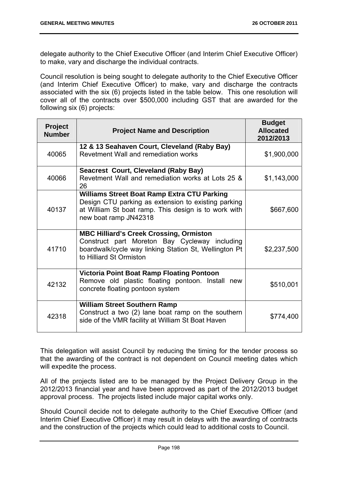delegate authority to the Chief Executive Officer (and Interim Chief Executive Officer) to make, vary and discharge the individual contracts.

Council resolution is being sought to delegate authority to the Chief Executive Officer (and Interim Chief Executive Officer) to make, vary and discharge the contracts associated with the six (6) projects listed in the table below. This one resolution will cover all of the contracts over \$500,000 including GST that are awarded for the following six (6) projects:

| <b>Project</b><br><b>Number</b> | <b>Project Name and Description</b>                                                                                                                                                        | <b>Budget</b><br><b>Allocated</b><br>2012/2013 |
|---------------------------------|--------------------------------------------------------------------------------------------------------------------------------------------------------------------------------------------|------------------------------------------------|
| 40065                           | 12 & 13 Seahaven Court, Cleveland (Raby Bay)<br>Revetment Wall and remediation works                                                                                                       | \$1,900,000                                    |
| 40066                           | <b>Seacrest Court, Cleveland (Raby Bay)</b><br>Revetment Wall and remediation works at Lots 25 &<br>26                                                                                     | \$1,143,000                                    |
| 40137                           | <b>Williams Street Boat Ramp Extra CTU Parking</b><br>Design CTU parking as extension to existing parking<br>at William St boat ramp. This design is to work with<br>new boat ramp JN42318 | \$667,600                                      |
| 41710                           | <b>MBC Hilliard's Creek Crossing, Ormiston</b><br>Construct part Moreton Bay Cycleway including<br>boardwalk/cycle way linking Station St, Wellington Pt<br>to Hilliard St Ormiston        | \$2,237,500                                    |
| 42132                           | <b>Victoria Point Boat Ramp Floating Pontoon</b><br>Remove old plastic floating pontoon. Install new<br>concrete floating pontoon system                                                   | \$510,001                                      |
| 42318                           | <b>William Street Southern Ramp</b><br>Construct a two (2) lane boat ramp on the southern<br>side of the VMR facility at William St Boat Haven                                             | \$774,400                                      |

This delegation will assist Council by reducing the timing for the tender process so that the awarding of the contract is not dependent on Council meeting dates which will expedite the process.

All of the projects listed are to be managed by the Project Delivery Group in the 2012/2013 financial year and have been approved as part of the 2012/2013 budget approval process. The projects listed include major capital works only.

Should Council decide not to delegate authority to the Chief Executive Officer (and Interim Chief Executive Officer) it may result in delays with the awarding of contracts and the construction of the projects which could lead to additional costs to Council.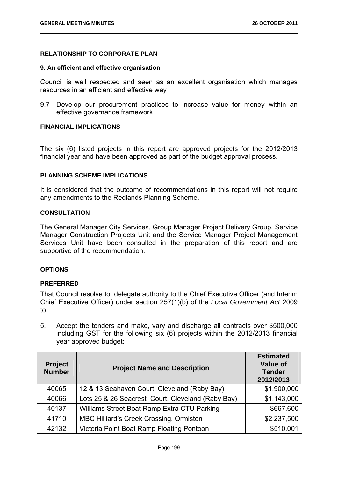## **RELATIONSHIP TO CORPORATE PLAN**

#### **9. An efficient and effective organisation**

Council is well respected and seen as an excellent organisation which manages resources in an efficient and effective way

9.7 Develop our procurement practices to increase value for money within an effective governance framework

## **FINANCIAL IMPLICATIONS**

The six (6) listed projects in this report are approved projects for the 2012/2013 financial year and have been approved as part of the budget approval process.

#### **PLANNING SCHEME IMPLICATIONS**

It is considered that the outcome of recommendations in this report will not require any amendments to the Redlands Planning Scheme.

## **CONSULTATION**

The General Manager City Services, Group Manager Project Delivery Group, Service Manager Construction Projects Unit and the Service Manager Project Management Services Unit have been consulted in the preparation of this report and are supportive of the recommendation.

## **OPTIONS**

## **PREFERRED**

That Council resolve to: delegate authority to the Chief Executive Officer (and Interim Chief Executive Officer) under section 257(1)(b) of the *Local Government Act* 2009 to:

5. Accept the tenders and make, vary and discharge all contracts over \$500,000 including GST for the following six (6) projects within the 2012/2013 financial year approved budget;

| <b>Project</b><br><b>Number</b> | <b>Project Name and Description</b>               | <b>Estimated</b><br><b>Value of</b><br><b>Tender</b><br>2012/2013 |
|---------------------------------|---------------------------------------------------|-------------------------------------------------------------------|
| 40065                           | 12 & 13 Seahaven Court, Cleveland (Raby Bay)      | \$1,900,000                                                       |
| 40066                           | Lots 25 & 26 Seacrest Court, Cleveland (Raby Bay) | \$1,143,000                                                       |
| 40137                           | Williams Street Boat Ramp Extra CTU Parking       | \$667,600                                                         |
| 41710                           | <b>MBC Hilliard's Creek Crossing, Ormiston</b>    | \$2,237,500                                                       |
| 42132                           | Victoria Point Boat Ramp Floating Pontoon         | \$510,001                                                         |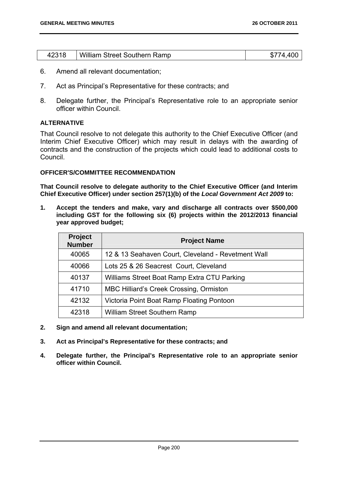| 42318 | William Street Southern Ramp | \$774,400 |
|-------|------------------------------|-----------|
|       |                              |           |

- 6. Amend all relevant documentation;
- 7. Act as Principal's Representative for these contracts; and
- 8. Delegate further, the Principal's Representative role to an appropriate senior officer within Council.

## **ALTERNATIVE**

That Council resolve to not delegate this authority to the Chief Executive Officer (and Interim Chief Executive Officer) which may result in delays with the awarding of contracts and the construction of the projects which could lead to additional costs to Council.

#### **OFFICER'S/COMMITTEE RECOMMENDATION**

**That Council resolve to delegate authority to the Chief Executive Officer (and Interim Chief Executive Officer) under section 257(1)(b) of the** *Local Government Act 2009* **to:** 

**1. Accept the tenders and make, vary and discharge all contracts over \$500,000 including GST for the following six (6) projects within the 2012/2013 financial year approved budget;** 

| <b>Project</b><br><b>Number</b> | <b>Project Name</b>                                |
|---------------------------------|----------------------------------------------------|
| 40065                           | 12 & 13 Seahaven Court, Cleveland - Revetment Wall |
| 40066                           | Lots 25 & 26 Seacrest Court, Cleveland             |
| 40137                           | Williams Street Boat Ramp Extra CTU Parking        |
| 41710                           | <b>MBC Hilliard's Creek Crossing, Ormiston</b>     |
| 42132                           | Victoria Point Boat Ramp Floating Pontoon          |
| 42318                           | William Street Southern Ramp                       |

- **2. Sign and amend all relevant documentation;**
- **3. Act as Principal's Representative for these contracts; and**
- **4. Delegate further, the Principal's Representative role to an appropriate senior officer within Council.**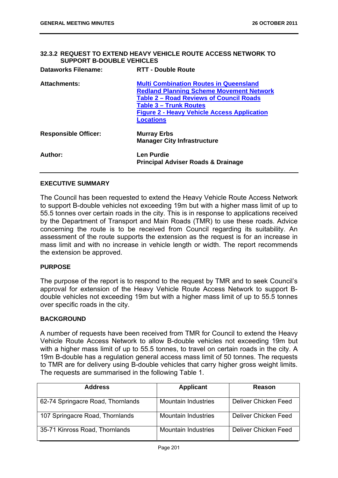## **32.3.2 REQUEST TO EXTEND HEAVY VEHICLE ROUTE ACCESS NETWORK TO SUPPORT B-DOUBLE VEHICLES**

| <b>Dataworks Filename:</b>  | <b>RTT - Double Route</b>                                                                                                                                                                                                                                     |
|-----------------------------|---------------------------------------------------------------------------------------------------------------------------------------------------------------------------------------------------------------------------------------------------------------|
| <b>Attachments:</b>         | <b>Multi Combination Routes in Queensland</b><br><b>Redland Planning Scheme Movement Network</b><br><b>Table 2 - Road Reviews of Council Roads</b><br><b>Table 3 - Trunk Routes</b><br><b>Figure 2 - Heavy Vehicle Access Application</b><br><b>Locations</b> |
| <b>Responsible Officer:</b> | <b>Murray Erbs</b><br><b>Manager City Infrastructure</b>                                                                                                                                                                                                      |
| Author:                     | <b>Len Purdie</b><br><b>Principal Adviser Roads &amp; Drainage</b>                                                                                                                                                                                            |

#### **EXECUTIVE SUMMARY**

The Council has been requested to extend the Heavy Vehicle Route Access Network to support B-double vehicles not exceeding 19m but with a higher mass limit of up to 55.5 tonnes over certain roads in the city. This is in response to applications received by the Department of Transport and Main Roads (TMR) to use these roads. Advice concerning the route is to be received from Council regarding its suitability. An assessment of the route supports the extension as the request is for an increase in mass limit and with no increase in vehicle length or width. The report recommends the extension be approved.

#### **PURPOSE**

The purpose of the report is to respond to the request by TMR and to seek Council's approval for extension of the Heavy Vehicle Route Access Network to support Bdouble vehicles not exceeding 19m but with a higher mass limit of up to 55.5 tonnes over specific roads in the city.

#### **BACKGROUND**

A number of requests have been received from TMR for Council to extend the Heavy Vehicle Route Access Network to allow B-double vehicles not exceeding 19m but with a higher mass limit of up to 55.5 tonnes, to travel on certain roads in the city. A 19m B-double has a regulation general access mass limit of 50 tonnes. The requests to TMR are for delivery using B-double vehicles that carry higher gross weight limits. The requests are summarised in the following Table 1.

| <b>Address</b>                    | <b>Applicant</b>           | Reason               |
|-----------------------------------|----------------------------|----------------------|
| 62-74 Springacre Road, Thornlands | <b>Mountain Industries</b> | Deliver Chicken Feed |
| 107 Springacre Road, Thornlands   | <b>Mountain Industries</b> | Deliver Chicken Feed |
| 35-71 Kinross Road, Thornlands    | <b>Mountain Industries</b> | Deliver Chicken Feed |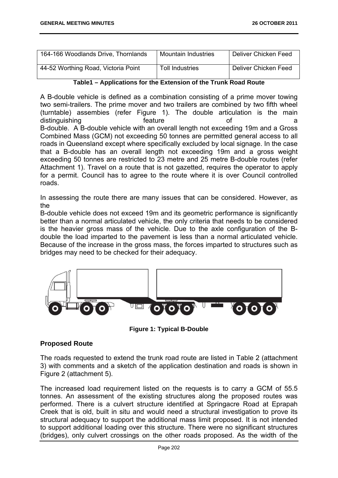| 164-166 Woodlands Drive, Thornlands | <b>Mountain Industries</b> | Deliver Chicken Feed |
|-------------------------------------|----------------------------|----------------------|
| 44-52 Worthing Road, Victoria Point | <b>Toll Industries</b>     | Deliver Chicken Feed |

**Table1 – Applications for the Extension of the Trunk Road Route** 

A B-double vehicle is defined as a combination consisting of a prime mover towing two semi-trailers. The prime mover and two trailers are combined by two fifth wheel (turntable) assembies (refer Figure 1). The double articulation is the main distinguishing a feature of a contract of a contract of a contract of a contract of a contract of a contract of a contract of a contract of a contract of a contract of a contract of a contract of a contract of a contract o B-double. A B-double vehicle with an overall length not exceeding 19m and a Gross Combined Mass (GCM) not exceeding 50 tonnes are permitted general access to all roads in Queensland except where specifically excluded by local signage. In the case that a B-double has an overall length not exceeding 19m and a gross weight exceeding 50 tonnes are restricted to 23 metre and 25 metre B-double routes (refer Attachment 1). Travel on a route that is not gazetted, requires the operator to apply for a permit. Council has to agree to the route where it is over Council controlled roads.

In assessing the route there are many issues that can be considered. However, as the

B-double vehicle does not exceed 19m and its geometric performance is significantly better than a normal articulated vehicle, the only criteria that needs to be considered is the heavier gross mass of the vehicle. Due to the axle configuration of the Bdouble the load imparted to the pavement is less than a normal articulated vehicle. Because of the increase in the gross mass, the forces imparted to structures such as bridges may need to be checked for their adequacy.



**Figure 1: Typical B-Double** 

## **Proposed Route**

The roads requested to extend the trunk road route are listed in Table 2 (attachment 3) with comments and a sketch of the application destination and roads is shown in Figure 2 (attachment 5).

The increased load requirement listed on the requests is to carry a GCM of 55.5 tonnes. An assessment of the existing structures along the proposed routes was performed. There is a culvert structure identified at Springacre Road at Eprapah Creek that is old, built in situ and would need a structural investigation to prove its structural adequacy to support the additional mass limit proposed. It is not intended to support additional loading over this structure. There were no significant structures (bridges), only culvert crossings on the other roads proposed. As the width of the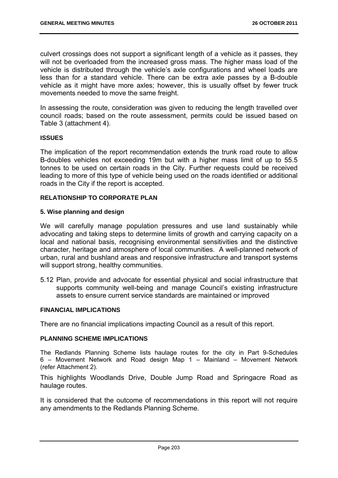culvert crossings does not support a significant length of a vehicle as it passes, they will not be overloaded from the increased gross mass. The higher mass load of the vehicle is distributed through the vehicle's axle configurations and wheel loads are less than for a standard vehicle. There can be extra axle passes by a B-double vehicle as it might have more axles; however, this is usually offset by fewer truck movements needed to move the same freight.

In assessing the route, consideration was given to reducing the length travelled over council roads; based on the route assessment, permits could be issued based on Table 3 (attachment 4).

## **ISSUES**

The implication of the report recommendation extends the trunk road route to allow B-doubles vehicles not exceeding 19m but with a higher mass limit of up to 55.5 tonnes to be used on certain roads in the City. Further requests could be received leading to more of this type of vehicle being used on the roads identified or additional roads in the City if the report is accepted.

## **RELATIONSHIP TO CORPORATE PLAN**

#### **5. Wise planning and design**

We will carefully manage population pressures and use land sustainably while advocating and taking steps to determine limits of growth and carrying capacity on a local and national basis, recognising environmental sensitivities and the distinctive character, heritage and atmosphere of local communities. A well-planned network of urban, rural and bushland areas and responsive infrastructure and transport systems will support strong, healthy communities.

5.12 Plan, provide and advocate for essential physical and social infrastructure that supports community well-being and manage Council's existing infrastructure assets to ensure current service standards are maintained or improved

## **FINANCIAL IMPLICATIONS**

There are no financial implications impacting Council as a result of this report.

#### **PLANNING SCHEME IMPLICATIONS**

The Redlands Planning Scheme lists haulage routes for the city in Part 9-Schedules 6 – Movement Network and Road design Map 1 – Mainland – Movement Network (refer Attachment 2).

This highlights Woodlands Drive, Double Jump Road and Springacre Road as haulage routes.

It is considered that the outcome of recommendations in this report will not require any amendments to the Redlands Planning Scheme.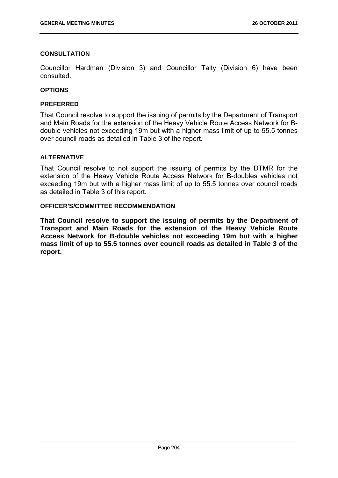## **CONSULTATION**

Councillor Hardman (Division 3) and Councillor Talty (Division 6) have been consulted.

## **OPTIONS**

## **PREFERRED**

That Council resolve to support the issuing of permits by the Department of Transport and Main Roads for the extension of the Heavy Vehicle Route Access Network for Bdouble vehicles not exceeding 19m but with a higher mass limit of up to 55.5 tonnes over council roads as detailed in Table 3 of the report.

## **ALTERNATIVE**

That Council resolve to not support the issuing of permits by the DTMR for the extension of the Heavy Vehicle Route Access Network for B-doubles vehicles not exceeding 19m but with a higher mass limit of up to 55.5 tonnes over council roads as detailed in Table 3 of this report.

#### **OFFICER'S/COMMITTEE RECOMMENDATION**

**That Council resolve to support the issuing of permits by the Department of Transport and Main Roads for the extension of the Heavy Vehicle Route Access Network for B-double vehicles not exceeding 19m but with a higher mass limit of up to 55.5 tonnes over council roads as detailed in Table 3 of the report.**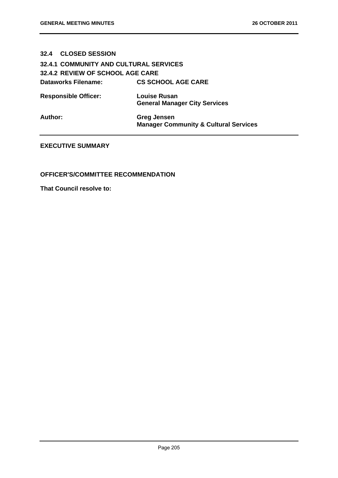## **32.4 CLOSED SESSION**

# **32.4.1 COMMUNITY AND CULTURAL SERVICES 32.4.2 REVIEW OF SCHOOL AGE CARE Dataworks Filename: CS SCHOOL AGE CARE**

| <b>Responsible Officer:</b> | <b>Louise Rusan</b>                  |
|-----------------------------|--------------------------------------|
|                             | <b>General Manager City Services</b> |

**Author: Greg Jensen Manager Community & Cultural Services** 

## **EXECUTIVE SUMMARY**

#### **OFFICER'S/COMMITTEE RECOMMENDATION**

**That Council resolve to:**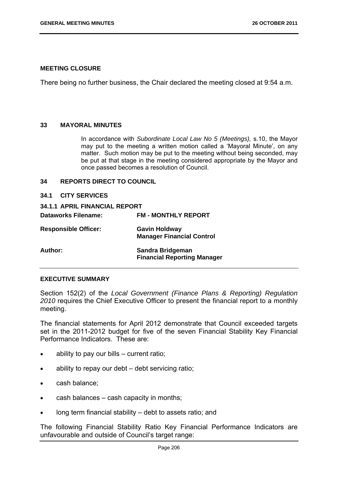#### **MEETING CLOSURE**

There being no further business, the Chair declared the meeting closed at 9:54 a.m.

#### **33 MAYORAL MINUTES**

In accordance with *Subordinate Local Law No 5 (Meetings),* s.10, the Mayor may put to the meeting a written motion called a 'Mayoral Minute', on any matter. Such motion may be put to the meeting without being seconded, may be put at that stage in the meeting considered appropriate by the Mayor and once passed becomes a resolution of Council.

#### **34 REPORTS DIRECT TO COUNCIL**

**34.1 CITY SERVICES** 

| 34.1.1 APRIL FINANCIAL REPORT |                                                          |
|-------------------------------|----------------------------------------------------------|
| <b>Dataworks Filename:</b>    | <b>FM - MONTHLY REPORT</b>                               |
| <b>Responsible Officer:</b>   | <b>Gavin Holdway</b><br><b>Manager Financial Control</b> |
| Author:                       | Sandra Bridgeman<br><b>Financial Reporting Manager</b>   |

#### **EXECUTIVE SUMMARY**

Section 152(2) of the *Local Government (Finance Plans & Reporting) Regulation 2010* requires the Chief Executive Officer to present the financial report to a monthly meeting.

The financial statements for April 2012 demonstrate that Council exceeded targets set in the 2011-2012 budget for five of the seven Financial Stability Key Financial Performance Indicators. These are:

- ability to pay our bills current ratio;
- ability to repay our debt debt servicing ratio;
- cash balance;
- cash balances cash capacity in months;
- long term financial stability debt to assets ratio; and

The following Financial Stability Ratio Key Financial Performance Indicators are unfavourable and outside of Council's target range: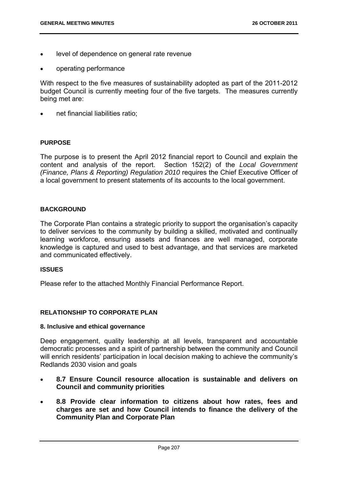- level of dependence on general rate revenue
- operating performance

With respect to the five measures of sustainability adopted as part of the 2011-2012 budget Council is currently meeting four of the five targets. The measures currently being met are:

net financial liabilities ratio;

## **PURPOSE**

The purpose is to present the April 2012 financial report to Council and explain the content and analysis of the report. Section 152(2) of the *Local Government (Finance, Plans & Reporting) Regulation 2010* requires the Chief Executive Officer of a local government to present statements of its accounts to the local government.

## **BACKGROUND**

The Corporate Plan contains a strategic priority to support the organisation's capacity to deliver services to the community by building a skilled, motivated and continually learning workforce, ensuring assets and finances are well managed, corporate knowledge is captured and used to best advantage, and that services are marketed and communicated effectively.

## **ISSUES**

Please refer to the attached Monthly Financial Performance Report.

## **RELATIONSHIP TO CORPORATE PLAN**

#### **8. Inclusive and ethical governance**

Deep engagement, quality leadership at all levels, transparent and accountable democratic processes and a spirit of partnership between the community and Council will enrich residents' participation in local decision making to achieve the community's Redlands 2030 vision and goals

- **8.7 Ensure Council resource allocation is sustainable and delivers on Council and community priorities**
- **8.8 Provide clear information to citizens about how rates, fees and charges are set and how Council intends to finance the delivery of the Community Plan and Corporate Plan**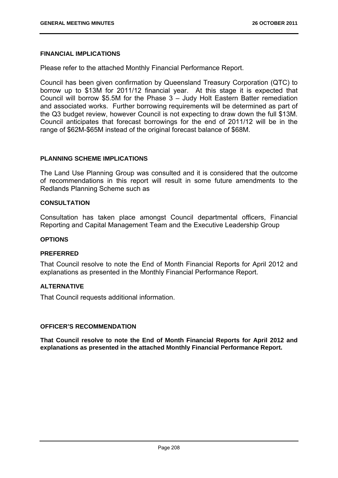## **FINANCIAL IMPLICATIONS**

Please refer to the attached Monthly Financial Performance Report.

Council has been given confirmation by Queensland Treasury Corporation (QTC) to borrow up to \$13M for 2011/12 financial year. At this stage it is expected that Council will borrow \$5.5M for the Phase 3 – Judy Holt Eastern Batter remediation and associated works. Further borrowing requirements will be determined as part of the Q3 budget review, however Council is not expecting to draw down the full \$13M. Council anticipates that forecast borrowings for the end of 2011/12 will be in the range of \$62M-\$65M instead of the original forecast balance of \$68M.

#### **PLANNING SCHEME IMPLICATIONS**

The Land Use Planning Group was consulted and it is considered that the outcome of recommendations in this report will result in some future amendments to the Redlands Planning Scheme such as

#### **CONSULTATION**

Consultation has taken place amongst Council departmental officers, Financial Reporting and Capital Management Team and the Executive Leadership Group

#### **OPTIONS**

#### **PREFERRED**

That Council resolve to note the End of Month Financial Reports for April 2012 and explanations as presented in the Monthly Financial Performance Report.

## **ALTERNATIVE**

That Council requests additional information.

#### **OFFICER'S RECOMMENDATION**

**That Council resolve to note the End of Month Financial Reports for April 2012 and explanations as presented in the attached Monthly Financial Performance Report.**